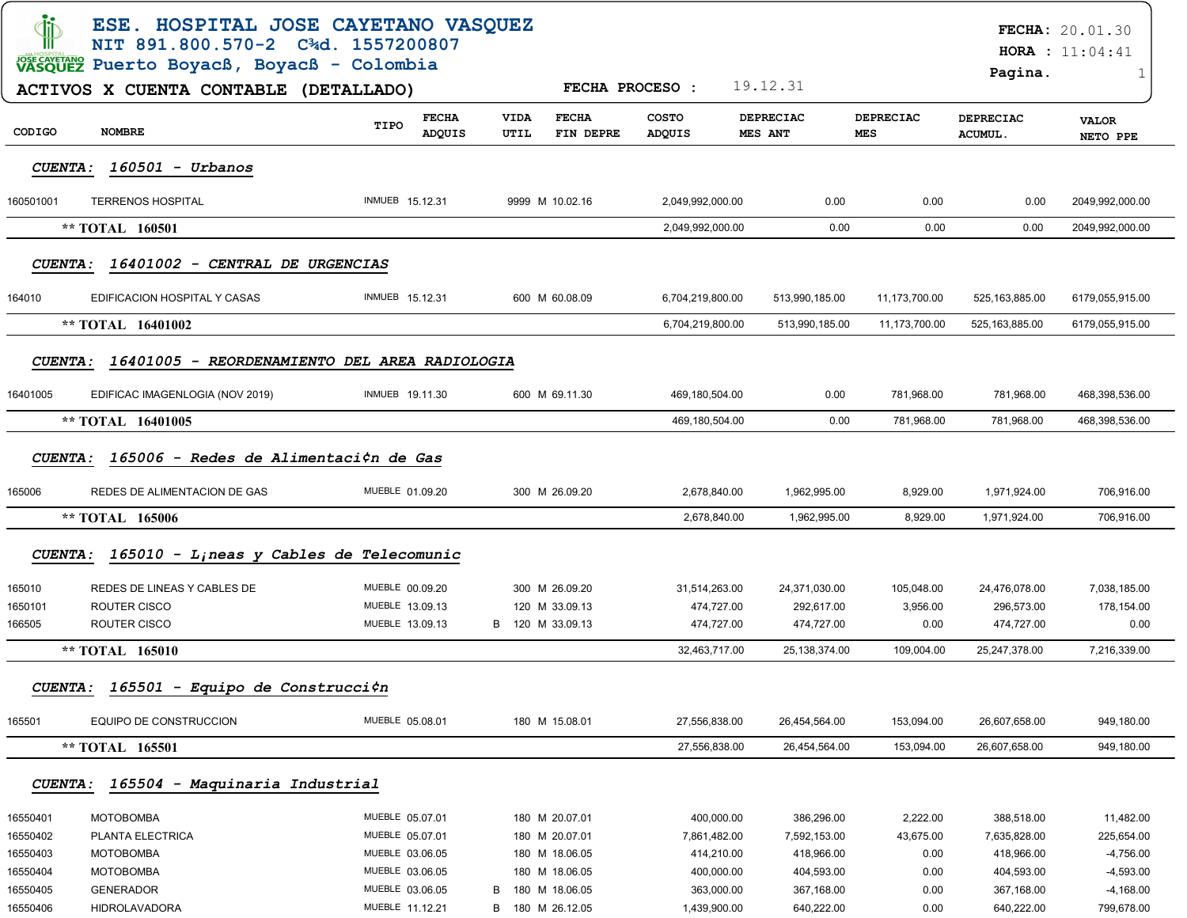| di                     | ESE. HOSPITAL JOSE CAYETANO VASQUEZ<br>NIT 891.800.570-2 C <sup>3</sup> d. 1557200807 |                                       |                     |                           |                        |                             |                |                         |                             | <b>FECHA: 20.01.30</b><br><b>HORA</b> : $11:04:41$ |
|------------------------|---------------------------------------------------------------------------------------|---------------------------------------|---------------------|---------------------------|------------------------|-----------------------------|----------------|-------------------------|-----------------------------|----------------------------------------------------|
|                        | VASQUEZ Puerto Boyacß, Boyacß - Colombia                                              |                                       |                     |                           |                        |                             |                |                         | Pagina.                     | 1                                                  |
|                        | ACTIVOS X CUENTA CONTABLE (DETALLADO)                                                 |                                       |                     |                           | <b>FECHA PROCESO:</b>  | 19.12.31                    |                |                         |                             |                                                    |
| CODIGO                 | <b>NOMBRE</b>                                                                         | <b>FECHA</b><br>TIPO<br><b>ADQUIS</b> | <b>VIDA</b><br>UTIL | <b>FECHA</b><br>FIN DEPRE | <b>COSTO</b><br>ADQUIS | <b>DEPRECIAC</b><br>MES ANT |                | DEPRECIAC<br><b>MES</b> | <b>DEPRECIAC</b><br>ACUMUL. | <b>VALOR</b><br>NETO PPE                           |
| <b>CUENTA:</b>         | $160501 - Urbanos$                                                                    |                                       |                     |                           |                        |                             |                |                         |                             |                                                    |
| 160501001              | <b>TERRENOS HOSPITAL</b>                                                              | <b>INMUEB 15.12.31</b>                |                     | 9999 M 10.02.16           | 2,049,992,000.00       |                             | 0.00           | 0.00                    | 0.00                        | 2049,992,000.00                                    |
|                        | ** TOTAL 160501                                                                       |                                       |                     |                           | 2,049,992,000.00       |                             | 0.00           | 0.00                    | 0.00                        | 2049,992,000.00                                    |
| <b>CUENTA:</b>         | 16401002 - CENTRAL DE URGENCIAS                                                       |                                       |                     |                           |                        |                             |                |                         |                             |                                                    |
| 164010                 | EDIFICACION HOSPITAL Y CASAS                                                          | INMUEB 15.12.31                       |                     | 600 M 60.08.09            | 6,704,219,800.00       |                             | 513,990,185.00 | 11,173,700.00           | 525, 163, 885.00            | 6179,055,915.00                                    |
|                        | ** TOTAL 16401002                                                                     |                                       |                     |                           | 6,704,219,800.00       |                             | 513,990,185.00 | 11.173.700.00           | 525,163,885.00              | 6179,055,915.00                                    |
| <i><b>CUENTA :</b></i> | 16401005 - REORDENAMIENTO DEL AREA RADIOLOGIA                                         |                                       |                     |                           |                        |                             |                |                         |                             |                                                    |
|                        |                                                                                       | INMUEB 19.11.30                       |                     |                           |                        |                             |                |                         |                             |                                                    |
| 16401005               | EDIFICAC IMAGENLOGIA (NOV 2019)                                                       |                                       |                     | 600 M 69.11.30            | 469,180,504.00         |                             | 0.00           | 781,968.00              | 781,968.00                  | 468,398,536.00                                     |
|                        | ** TOTAL 16401005                                                                     |                                       |                     |                           | 469,180,504.00         |                             | 0.00           | 781,968.00              | 781,968.00                  | 468,398,536.00                                     |
| <b>CUENTA:</b>         | 165006 - Redes de Alimentaci $\zeta$ n de Gas                                         |                                       |                     |                           |                        |                             |                |                         |                             |                                                    |
| 165006                 | REDES DE ALIMENTACION DE GAS                                                          | MUEBLE 01.09.20                       |                     | 300 M 26.09.20            | 2,678,840.00           |                             | 1,962,995.00   | 8,929.00                | 1,971,924.00                | 706,916.00                                         |
|                        | ** TOTAL 165006                                                                       |                                       |                     |                           | 2,678,840.00           |                             | 1,962,995.00   | 8,929.00                | 1,971,924.00                | 706,916.00                                         |
|                        | CUENTA: 165010 - Lineas y Cables de Telecomunic                                       |                                       |                     |                           |                        |                             |                |                         |                             |                                                    |
| 165010                 | REDES DE LINEAS Y CABLES DE                                                           | MUEBLE 00.09.20                       |                     | 300 M 26.09.20            | 31,514,263.00          |                             | 24,371,030.00  | 105,048.00              | 24,476,078.00               | 7,038,185.00                                       |
| 1650101                | ROUTER CISCO                                                                          | MUEBLE 13.09.13                       |                     | 120 M 33.09.13            | 474,727.00             |                             | 292,617.00     | 3,956.00                | 296,573.00                  | 178,154.00                                         |
| 166505                 | ROUTER CISCO                                                                          | MUEBLE 13.09.13                       |                     | B 120 M 33.09.13          | 474,727.00             |                             | 474,727.00     | 0.00                    | 474,727.00                  | 0.00                                               |
|                        | ** TOTAL 165010                                                                       |                                       |                     |                           | 32,463,717.00          |                             | 25,138,374.00  | 109,004.00              | 25,247,378.00               | 7,216,339.00                                       |
|                        | CUENTA: 165501 - Equipo de Construcci¢n                                               |                                       |                     |                           |                        |                             |                |                         |                             |                                                    |
| 165501                 | EQUIPO DE CONSTRUCCION                                                                | MUEBLE 05.08.01                       |                     | 180 M 15.08.01            | 27,556,838.00          |                             | 26,454,564.00  | 153,094.00              | 26,607,658.00               | 949,180.00                                         |
|                        | ** TOTAL 165501                                                                       |                                       |                     |                           | 27,556,838.00          |                             | 26,454,564.00  | 153,094.00              | 26,607,658.00               | 949,180.00                                         |
| <b>CUENTA:</b>         | 165504 - Maquinaria Industrial                                                        |                                       |                     |                           |                        |                             |                |                         |                             |                                                    |
| 16550401               | MOTOBOMBA                                                                             | MUEBLE 05.07.01                       |                     | 180 M 20.07.01            | 400,000.00             |                             | 386,296.00     | 2,222.00                | 388,518.00                  | 11,482.00                                          |
| 16550402               | PLANTA ELECTRICA                                                                      | MUEBLE 05.07.01                       |                     | 180 M 20.07.01            | 7,861,482.00           |                             | 7,592,153.00   | 43,675.00               | 7,635,828.00                | 225,654.00                                         |
| 16550403               | <b>MOTOBOMBA</b>                                                                      | MUEBLE 03.06.05                       |                     | 180 M 18.06.05            | 414,210.00             |                             | 418,966.00     | 0.00                    | 418,966.00                  | $-4,756.00$                                        |
| 16550404               | <b>MOTOBOMBA</b>                                                                      | MUEBLE 03.06.05                       |                     | 180 M 18.06.05            | 400,000.00             |                             | 404,593.00     | 0.00                    | 404,593.00                  | $-4,593.00$                                        |
| 16550405               | <b>GENERADOR</b>                                                                      | MUEBLE 03.06.05                       | В                   | 180 M 18.06.05            | 363,000.00             |                             | 367,168.00     | 0.00                    | 367,168.00                  | $-4,168.00$                                        |
| 16550406               | <b>HIDROLAVADORA</b>                                                                  | MUEBLE 11.12.21                       |                     | B 180 M 26.12.05          | 1,439,900.00           |                             | 640,222.00     | 0.00                    | 640,222.00                  | 799,678.00                                         |
|                        |                                                                                       |                                       |                     |                           |                        |                             |                |                         |                             |                                                    |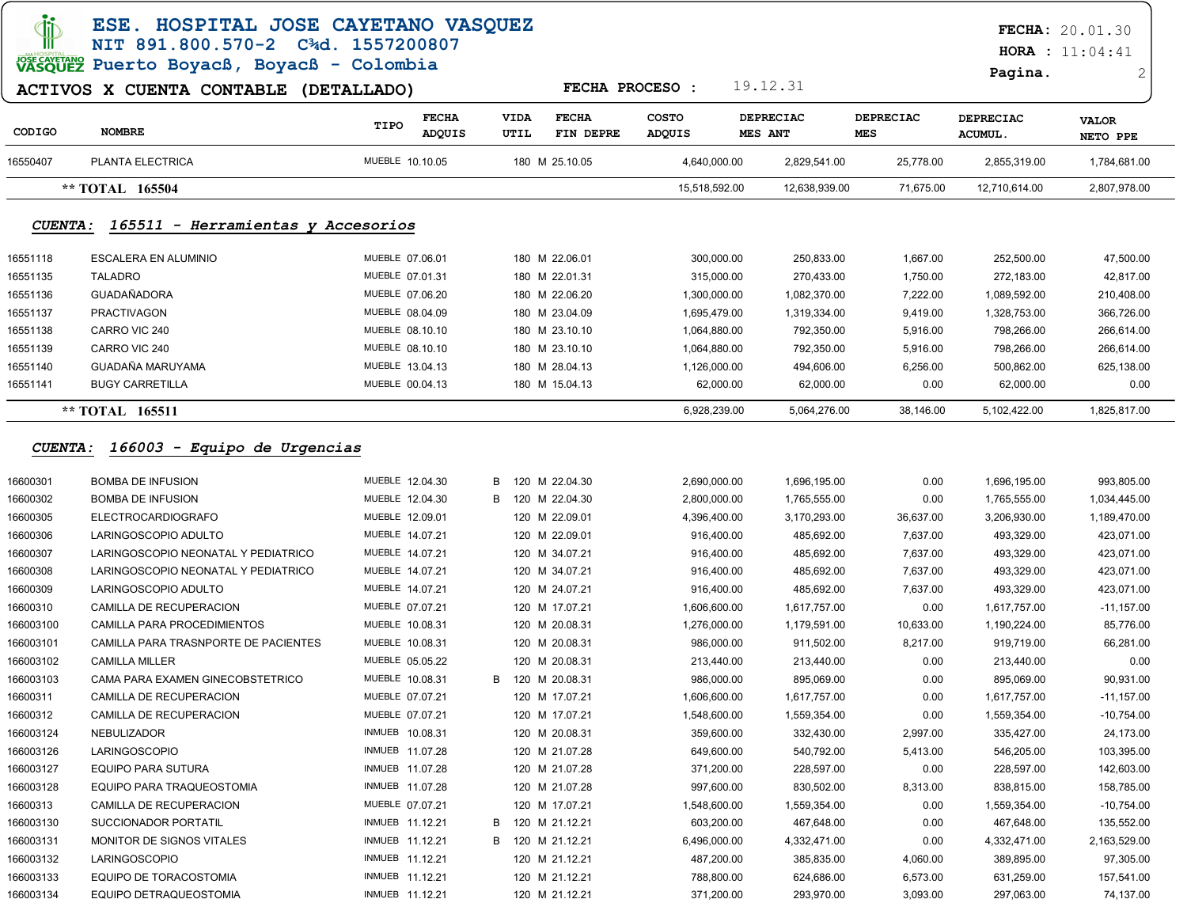| Tib                    | ESE. HOSPITAL JOSE CAYETANO VASQUEZ<br>NIT 891.800.570-2 C3d. 1557200807 |                 |                               |                     |                           |                        |              |                                    |                         |                             | <b>FECHA: 20.01.30</b><br><b>HORA</b> : $11:04:41$ |
|------------------------|--------------------------------------------------------------------------|-----------------|-------------------------------|---------------------|---------------------------|------------------------|--------------|------------------------------------|-------------------------|-----------------------------|----------------------------------------------------|
|                        | VASQUEZ Puerto Boyacß, Boyacß - Colombia                                 |                 |                               |                     |                           |                        |              |                                    |                         | Pagina.                     | 2                                                  |
|                        | ACTIVOS X CUENTA CONTABLE (DETALLADO)                                    |                 |                               |                     |                           | <b>FECHA PROCESO:</b>  |              | 19.12.31                           |                         |                             |                                                    |
| CODIGO                 | <b>NOMBRE</b>                                                            | TIPO            | <b>FECHA</b><br><b>ADQUIS</b> | <b>VIDA</b><br>UTIL | <b>FECHA</b><br>FIN DEPRE | <b>COSTO</b><br>ADQUIS |              | <b>DEPRECIAC</b><br><b>MES ANT</b> | <b>DEPRECIAC</b><br>MES | <b>DEPRECIAC</b><br>ACUMUL. | <b>VALOR</b><br>NETO PPE                           |
| 16550407               | PLANTA ELECTRICA                                                         | MUEBLE 10.10.05 |                               |                     | 180 M 25.10.05            | 4,640,000.00           |              | 2,829,541.00                       | 25,778.00               | 2,855,319.00                | 1,784,681.00                                       |
|                        | ** TOTAL 165504                                                          |                 |                               |                     |                           | 15,518,592.00          |              | 12,638,939.00                      | 71,675.00               | 12,710,614.00               | 2,807,978.00                                       |
| <i>CUENTA :</i>        | 165511 - Herramientas y Accesorios                                       |                 |                               |                     |                           |                        |              |                                    |                         |                             |                                                    |
| 16551118               | ESCALERA EN ALUMINIO                                                     | MUEBLE 07.06.01 |                               |                     | 180 M 22.06.01            |                        | 300,000.00   | 250,833.00                         | 1,667.00                | 252,500.00                  | 47,500.00                                          |
| 16551135               | <b>TALADRO</b>                                                           | MUEBLE 07.01.31 |                               |                     | 180 M 22.01.31            |                        | 315,000.00   | 270,433.00                         | 1,750.00                | 272,183.00                  | 42,817.00                                          |
| 16551136               | GUADAÑADORA                                                              | MUEBLE 07.06.20 |                               |                     | 180 M 22.06.20            | 1,300,000.00           |              | 1,082,370.00                       | 7,222.00                | 1,089,592.00                | 210,408.00                                         |
| 16551137               | <b>PRACTIVAGON</b>                                                       | MUEBLE 08.04.09 |                               |                     | 180 M 23.04.09            | 1,695,479.00           |              | 1,319,334.00                       | 9,419.00                | 1,328,753.00                | 366,726.00                                         |
| 16551138               | CARRO VIC 240                                                            | MUEBLE 08.10.10 |                               |                     | 180 M 23.10.10            | 1,064,880.00           |              | 792,350.00                         | 5,916.00                | 798,266.00                  | 266,614.00                                         |
| 16551139               | CARRO VIC 240                                                            | MUEBLE 08.10.10 |                               |                     | 180 M 23.10.10            | 1,064,880.00           |              | 792,350.00                         | 5,916.00                | 798,266.00                  | 266,614.00                                         |
| 16551140               | GUADAÑA MARUYAMA                                                         | MUEBLE 13.04.13 |                               |                     | 180 M 28.04.13            | 1,126,000.00           |              | 494,606.00                         | 6,256.00                | 500,862.00                  | 625,138.00                                         |
| 16551141               | <b>BUGY CARRETILLA</b>                                                   | MUEBLE 00.04.13 |                               |                     | 180 M 15.04.13            |                        | 62,000.00    | 62,000.00                          | 0.00                    | 62,000.00                   | 0.00                                               |
|                        | ** TOTAL 165511                                                          |                 |                               |                     |                           |                        | 6,928,239.00 | 5,064,276.00                       | 38,146.00               | 5,102,422.00                | 1,825,817.00                                       |
| <i><b>CUENTA :</b></i> | 166003 - Equipo de Urgencias                                             |                 |                               |                     |                           |                        |              |                                    |                         |                             |                                                    |
| 16600301               | <b>BOMBA DE INFUSION</b>                                                 | MUEBLE 12.04.30 |                               | B                   | 120 M 22.04.30            | 2,690,000.00           |              | 1,696,195.00                       | 0.00                    | 1,696,195.00                | 993,805.00                                         |
| 16600302               | <b>BOMBA DE INFUSION</b>                                                 | MUEBLE 12.04.30 |                               | B                   | 120 M 22.04.30            | 2,800,000.00           |              | 1,765,555.00                       | 0.00                    | 1,765,555.00                | 1,034,445.00                                       |
| 16600305               | <b>ELECTROCARDIOGRAFO</b>                                                | MUEBLE 12.09.01 |                               |                     | 120 M 22.09.01            | 4,396,400.00           |              | 3,170,293.00                       | 36,637.00               | 3,206,930.00                | 1,189,470.00                                       |
| 16600306               | LARINGOSCOPIO ADULTO                                                     | MUEBLE 14.07.21 |                               |                     | 120 M 22.09.01            |                        | 916,400.00   | 485,692.00                         | 7,637.00                | 493,329.00                  | 423,071.00                                         |
| 16600307               | LARINGOSCOPIO NEONATAL Y PEDIATRICO                                      | MUEBLE 14.07.21 |                               |                     | 120 M 34.07.21            |                        | 916,400.00   | 485,692.00                         | 7,637.00                | 493,329.00                  | 423,071.00                                         |
| 16600308               | LARINGOSCOPIO NEONATAL Y PEDIATRICO                                      | MUEBLE 14.07.21 |                               |                     | 120 M 34.07.21            |                        | 916,400.00   | 485,692.00                         | 7,637.00                | 493,329.00                  | 423,071.00                                         |
| 16600309               | LARINGOSCOPIO ADULTO                                                     | MUEBLE 14.07.21 |                               |                     | 120 M 24.07.21            |                        | 916,400.00   | 485,692.00                         | 7,637.00                | 493,329.00                  | 423,071.00                                         |
| 16600310               | CAMILLA DE RECUPERACION                                                  | MUEBLE 07.07.21 |                               |                     | 120 M 17.07.21            | 1,606,600.00           |              | 1,617,757.00                       | 0.00                    | 1,617,757.00                | $-11,157.00$                                       |
| 166003100              | CAMILLA PARA PROCEDIMIENTOS                                              | MUEBLE 10.08.31 |                               |                     | 120 M 20.08.31            | 1,276,000.00           |              | 1,179,591.00                       | 10,633.00               | 1,190,224.00                | 85,776.00                                          |
| 166003101              | CAMILLA PARA TRASNPORTE DE PACIENTES                                     | MUEBLE 10.08.31 |                               |                     | 120 M 20.08.31            |                        | 986,000.00   | 911,502.00                         | 8,217.00                | 919,719.00                  | 66,281.00                                          |
| 166003102              | <b>CAMILLA MILLER</b>                                                    | MUEBLE 05.05.22 |                               |                     | 120 M 20.08.31            |                        | 213,440.00   | 213,440.00                         | 0.00                    | 213,440.00                  | 0.00                                               |
| 166003103              | CAMA PARA EXAMEN GINECOBSTETRICO                                         | MUEBLE 10.08.31 |                               |                     | B 120 M 20.08.31          |                        | 986,000.00   | 895,069.00                         | 0.00                    | 895,069.00                  | 90,931.00                                          |
| 16600311               | CAMILLA DE RECUPERACION                                                  | MUEBLE 07.07.21 |                               |                     | 120 M 17.07.21            | 1,606,600.00           |              | 1,617,757.00                       | 0.00                    | 1,617,757.00                | $-11,157.00$                                       |
| 16600312               | CAMILLA DE RECUPERACION                                                  | MUEBLE 07.07.21 |                               |                     | 120 M 17.07.21            | 1,548,600.00           |              | 1,559,354.00                       | 0.00                    | 1,559,354.00                | $-10,754.00$                                       |
| 166003124              | NEBULIZADOR                                                              | INMUEB 10.08.31 |                               |                     | 120 M 20.08.31            |                        | 359,600.00   | 332,430.00                         | 2,997.00                | 335,427.00                  | 24,173.00                                          |
| 166003126              | <b>LARINGOSCOPIO</b>                                                     | INMUEB 11.07.28 |                               |                     | 120 M 21.07.28            |                        | 649,600.00   | 540,792.00                         | 5,413.00                | 546,205.00                  | 103,395.00                                         |
| 166003127              | EQUIPO PARA SUTURA                                                       | INMUEB 11.07.28 |                               |                     | 120 M 21.07.28            |                        | 371,200.00   | 228,597.00                         | 0.00                    | 228,597.00                  | 142,603.00                                         |
| 166003128              | EQUIPO PARA TRAQUEOSTOMIA                                                | INMUEB 11.07.28 |                               |                     | 120 M 21.07.28            |                        | 997,600.00   | 830,502.00                         | 8,313.00                | 838,815.00                  | 158,785.00                                         |
| 16600313               | CAMILLA DE RECUPERACION                                                  | MUEBLE 07.07.21 |                               |                     | 120 M 17.07.21            | 1,548,600.00           |              | 1,559,354.00                       | 0.00                    | 1,559,354.00                | $-10,754.00$                                       |
| 166003130              | <b>SUCCIONADOR PORTATIL</b>                                              | INMUEB 11.12.21 |                               | B                   | 120 M 21.12.21            |                        | 603,200.00   | 467,648.00                         | 0.00                    | 467,648.00                  | 135,552.00                                         |
| 166003131              | MONITOR DE SIGNOS VITALES                                                | INMUEB 11.12.21 |                               | B                   | 120 M 21.12.21            | 6,496,000.00           |              | 4,332,471.00                       | 0.00                    | 4,332,471.00                | 2,163,529.00                                       |
| 166003132              | LARINGOSCOPIO                                                            | INMUEB 11.12.21 |                               |                     | 120 M 21.12.21            |                        | 487,200.00   | 385,835.00                         | 4,060.00                | 389,895.00                  | 97,305.00                                          |
| 166003133              | EQUIPO DE TORACOSTOMIA                                                   | INMUEB 11.12.21 |                               |                     | 120 M 21.12.21            |                        | 788,800.00   | 624,686.00                         | 6,573.00                | 631,259.00                  | 157,541.00                                         |
| 166003134              | EQUIPO DETRAQUEOSTOMIA                                                   | INMUEB 11.12.21 |                               |                     | 120 M 21.12.21            |                        | 371,200.00   | 293,970.00                         | 3,093.00                | 297,063.00                  | 74,137.00                                          |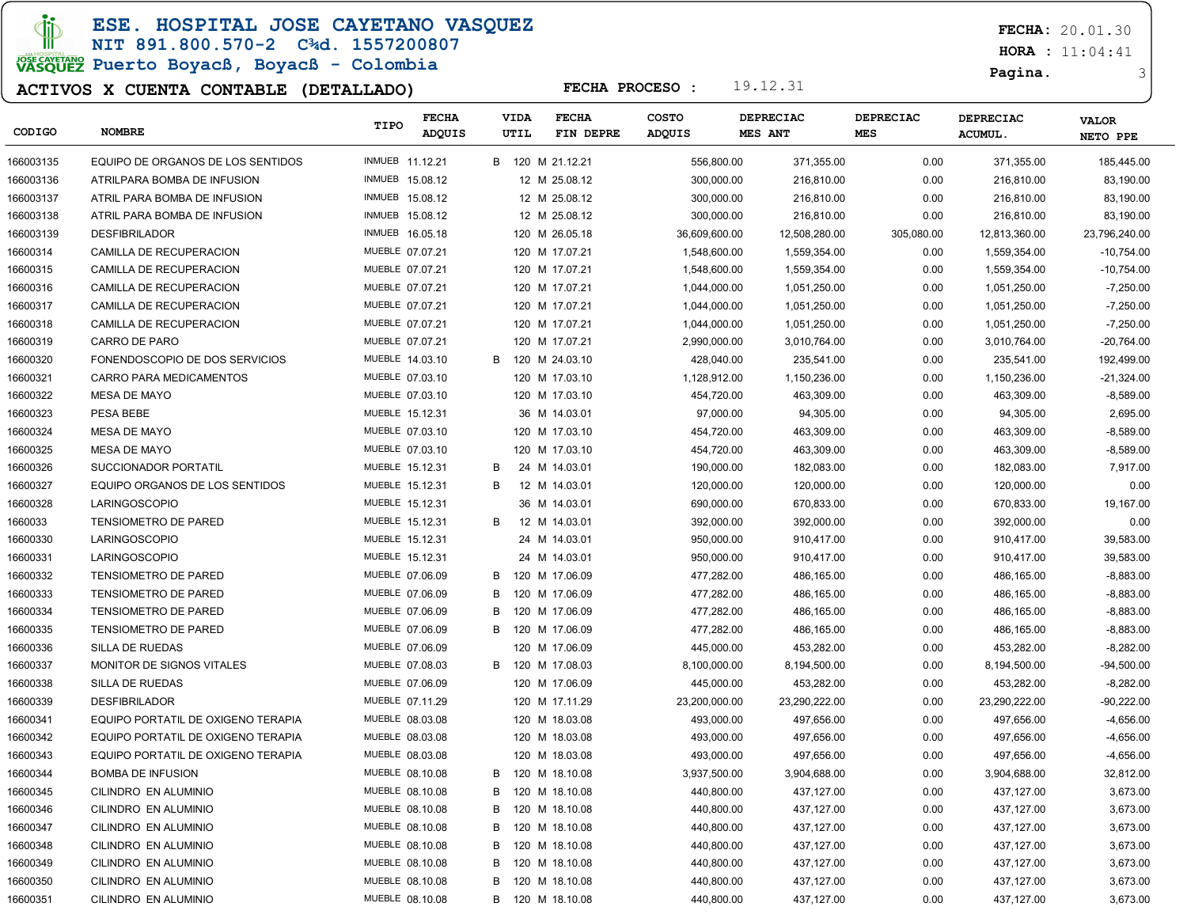**JD** 

ESE. HOSPITAL JOSE CAYETANO VASQUEZ

### NIT 891.800.570-2 C¾d. 1557200807 JOSE CAVERANO<br>VASQUEZ Puerto Boyacß, Boyacß - Colombia

### ACTIVOS X CUENTA CONTABLE (DETALLADO)

FECHA: 20.01.30

 $HORA : 11:04:41$ 

#### Pagina. 3

| CODIGO    | <b>NOMBRE</b>                      | TIPO            | <b>FECHA</b><br>ADQUIS |   | VIDA<br>UTIL | <b>FECHA</b><br>FIN DEPRE | <b>COSTO</b><br>ADQUIS | DEPRECIAC<br><b>MES ANT</b> | <b>DEPRECIAC</b><br><b>MES</b> | <b>DEPRECIAC</b><br><b>ACUMUL.</b> | <b>VALOR</b><br>NETO PPE |
|-----------|------------------------------------|-----------------|------------------------|---|--------------|---------------------------|------------------------|-----------------------------|--------------------------------|------------------------------------|--------------------------|
| 166003135 | EQUIPO DE ORGANOS DE LOS SENTIDOS  | INMUEB 11.12.21 |                        |   |              | B 120 M 21.12.21          | 556,800.00             | 371,355.00                  | 0.00                           | 371,355.00                         | 185,445.00               |
| 166003136 | ATRILPARA BOMBA DE INFUSION        | INMUEB 15.08.12 |                        |   |              | 12 M 25.08.12             | 300,000.00             | 216,810.00                  | 0.00                           | 216,810.00                         | 83,190.00                |
| 166003137 | ATRIL PARA BOMBA DE INFUSION       | INMUEB 15.08.12 |                        |   |              | 12 M 25.08.12             | 300,000.00             | 216,810.00                  | 0.00                           | 216,810.00                         | 83,190.00                |
| 166003138 | ATRIL PARA BOMBA DE INFUSION       | INMUEB 15.08.12 |                        |   |              | 12 M 25.08.12             | 300,000.00             | 216,810.00                  | 0.00                           | 216,810.00                         | 83,190.00                |
| 166003139 | <b>DESFIBRILADOR</b>               | INMUEB 16.05.18 |                        |   |              | 120 M 26.05.18            | 36,609,600.00          | 12,508,280.00               | 305,080.00                     | 12,813,360.00                      | 23,796,240.00            |
| 16600314  | CAMILLA DE RECUPERACION            | MUEBLE 07.07.21 |                        |   |              | 120 M 17.07.21            | 1,548,600.00           | 1,559,354.00                | 0.00                           | 1,559,354.00                       | $-10,754.00$             |
| 16600315  | CAMILLA DE RECUPERACION            | MUEBLE 07.07.21 |                        |   |              | 120 M 17.07.21            | 1,548,600.00           | 1,559,354.00                | 0.00                           | 1,559,354.00                       | $-10,754.00$             |
| 16600316  | CAMILLA DE RECUPERACION            | MUEBLE 07.07.21 |                        |   |              | 120 M 17.07.21            | 1,044,000.00           | 1,051,250.00                | 0.00                           | 1,051,250.00                       | $-7,250.00$              |
| 16600317  | CAMILLA DE RECUPERACION            | MUEBLE 07.07.21 |                        |   |              | 120 M 17.07.21            | 1,044,000.00           | 1,051,250.00                | 0.00                           | 1,051,250.00                       | $-7,250.00$              |
| 16600318  | CAMILLA DE RECUPERACION            | MUEBLE 07.07.21 |                        |   |              | 120 M 17.07.21            | 1,044,000.00           | 1,051,250.00                | 0.00                           | 1,051,250.00                       | $-7,250.00$              |
| 16600319  | CARRO DE PARO                      | MUEBLE 07.07.21 |                        |   |              | 120 M 17.07.21            | 2,990,000.00           | 3,010,764.00                | 0.00                           | 3,010,764.00                       | $-20,764.00$             |
| 16600320  | FONENDOSCOPIO DE DOS SERVICIOS     | MUEBLE 14.03.10 |                        | B |              | 120 M 24.03.10            | 428,040.00             | 235,541.00                  | 0.00                           | 235,541.00                         | 192,499.00               |
| 16600321  | <b>CARRO PARA MEDICAMENTOS</b>     | MUEBLE 07.03.10 |                        |   |              | 120 M 17.03.10            | 1,128,912.00           | 1,150,236.00                | 0.00                           | 1,150,236.00                       | $-21,324.00$             |
| 16600322  | MESA DE MAYO                       | MUEBLE 07.03.10 |                        |   |              | 120 M 17.03.10            | 454,720.00             | 463,309.00                  | 0.00                           | 463,309.00                         | $-8,589.00$              |
| 16600323  | PESA BEBE                          | MUEBLE 15.12.31 |                        |   |              | 36 M 14.03.01             | 97,000.00              | 94,305.00                   | 0.00                           | 94,305.00                          | 2,695.00                 |
| 16600324  | MESA DE MAYO                       | MUEBLE 07.03.10 |                        |   |              | 120 M 17.03.10            | 454,720.00             | 463,309.00                  | 0.00                           | 463,309.00                         | $-8,589.00$              |
| 16600325  | MESA DE MAYO                       | MUEBLE 07.03.10 |                        |   |              | 120 M 17.03.10            | 454,720.00             | 463,309.00                  | 0.00                           | 463,309.00                         | $-8,589.00$              |
| 16600326  | SUCCIONADOR PORTATIL               | MUEBLE 15.12.31 |                        | B |              | 24 M 14.03.01             | 190,000.00             | 182,083.00                  | 0.00                           | 182,083.00                         | 7,917.00                 |
| 16600327  | EQUIPO ORGANOS DE LOS SENTIDOS     | MUEBLE 15.12.31 |                        | В |              | 12 M 14.03.01             | 120,000.00             | 120,000.00                  | 0.00                           | 120,000.00                         | 0.00                     |
| 16600328  | LARINGOSCOPIO                      | MUEBLE 15.12.31 |                        |   |              | 36 M 14.03.01             | 690,000.00             | 670,833.00                  | 0.00                           | 670,833.00                         | 19,167.00                |
| 1660033   | <b>TENSIOMETRO DE PARED</b>        | MUEBLE 15.12.31 |                        | В |              | 12 M 14.03.01             | 392,000.00             | 392,000.00                  | 0.00                           | 392,000.00                         | 0.00                     |
| 16600330  | <b>LARINGOSCOPIO</b>               | MUEBLE 15.12.31 |                        |   |              | 24 M 14.03.01             | 950,000.00             | 910,417.00                  | 0.00                           | 910,417.00                         | 39,583.00                |
| 16600331  | <b>LARINGOSCOPIO</b>               | MUEBLE 15.12.31 |                        |   |              | 24 M 14.03.01             | 950,000.00             | 910,417.00                  | 0.00                           | 910,417.00                         | 39,583.00                |
| 16600332  | <b>TENSIOMETRO DE PARED</b>        | MUEBLE 07.06.09 |                        | В |              | 120 M 17.06.09            | 477,282.00             | 486,165.00                  | 0.00                           | 486,165.00                         | $-8,883.00$              |
| 16600333  | <b>TENSIOMETRO DE PARED</b>        | MUEBLE 07.06.09 |                        | в |              | 120 M 17.06.09            | 477,282.00             | 486,165.00                  | 0.00                           | 486,165.00                         | $-8,883.00$              |
| 16600334  | <b>TENSIOMETRO DE PARED</b>        | MUEBLE 07.06.09 |                        | B |              | 120 M 17.06.09            | 477,282.00             | 486,165.00                  | 0.00                           | 486,165.00                         | $-8,883.00$              |
| 16600335  | <b>TENSIOMETRO DE PARED</b>        | MUEBLE 07.06.09 |                        | в |              | 120 M 17.06.09            | 477,282.00             | 486,165.00                  | 0.00                           | 486,165.00                         | $-8,883.00$              |
| 16600336  | SILLA DE RUEDAS                    | MUEBLE 07.06.09 |                        |   |              | 120 M 17.06.09            | 445,000.00             | 453,282.00                  | 0.00                           | 453,282.00                         | $-8,282.00$              |
| 16600337  | MONITOR DE SIGNOS VITALES          | MUEBLE 07.08.03 |                        | B |              | 120 M 17.08.03            | 8,100,000.00           | 8,194,500.00                | 0.00                           | 8,194,500.00                       | $-94,500.00$             |
| 16600338  | SILLA DE RUEDAS                    | MUEBLE 07.06.09 |                        |   |              | 120 M 17.06.09            | 445,000.00             | 453,282.00                  | 0.00                           | 453,282.00                         | $-8,282.00$              |
| 16600339  | <b>DESFIBRILADOR</b>               | MUEBLE 07.11.29 |                        |   |              | 120 M 17.11.29            | 23,200,000.00          | 23,290,222.00               | 0.00                           | 23,290,222.00                      | $-90,222.00$             |
| 16600341  | EQUIPO PORTATIL DE OXIGENO TERAPIA | MUEBLE 08.03.08 |                        |   |              | 120 M 18.03.08            | 493,000.00             | 497,656.00                  | 0.00                           | 497,656.00                         | $-4,656.00$              |
| 16600342  | EQUIPO PORTATIL DE OXIGENO TERAPIA | MUEBLE 08.03.08 |                        |   |              | 120 M 18.03.08            | 493,000.00             | 497,656.00                  | 0.00                           | 497,656.00                         | $-4,656.00$              |
| 16600343  | EQUIPO PORTATIL DE OXIGENO TERAPIA | MUEBLE 08.03.08 |                        |   |              | 120 M 18.03.08            | 493,000.00             | 497,656.00                  | 0.00                           | 497,656.00                         | $-4,656.00$              |
| 16600344  | <b>BOMBA DE INFUSION</b>           | MUEBLE 08.10.08 |                        | В |              | 120 M 18.10.08            | 3,937,500.00           | 3,904,688.00                | 0.00                           | 3,904,688.00                       | 32,812.00                |
| 16600345  | CILINDRO EN ALUMINIO               | MUEBLE 08.10.08 |                        | В |              | 120 M 18.10.08            | 440,800.00             | 437,127.00                  | 0.00                           | 437,127.00                         | 3,673.00                 |
| 16600346  | CILINDRO EN ALUMINIO               | MUEBLE 08.10.08 |                        | В |              | 120 M 18.10.08            | 440,800.00             | 437,127.00                  | 0.00                           | 437,127.00                         | 3,673.00                 |
| 16600347  | CILINDRO EN ALUMINIO               | MUEBLE 08.10.08 |                        | В |              | 120 M 18.10.08            | 440,800.00             | 437,127.00                  | 0.00                           | 437,127.00                         | 3,673.00                 |
| 16600348  | CILINDRO EN ALUMINIO               | MUEBLE 08.10.08 |                        | В |              | 120 M 18.10.08            | 440,800.00             | 437,127.00                  | 0.00                           | 437,127.00                         | 3,673.00                 |
| 16600349  | CILINDRO EN ALUMINIO               | MUEBLE 08.10.08 |                        | В |              | 120 M 18.10.08            | 440,800.00             | 437,127.00                  | 0.00                           | 437,127.00                         | 3,673.00                 |
| 16600350  | CILINDRO EN ALUMINIO               | MUEBLE 08.10.08 |                        | В |              | 120 M 18.10.08            | 440,800.00             | 437,127.00                  | 0.00                           | 437,127.00                         | 3,673.00                 |
| 16600351  | CILINDRO EN ALUMINIO               | MUEBLE 08.10.08 |                        | B |              | 120 M 18.10.08            | 440,800.00             | 437,127.00                  | 0.00                           | 437,127.00                         | 3,673.00                 |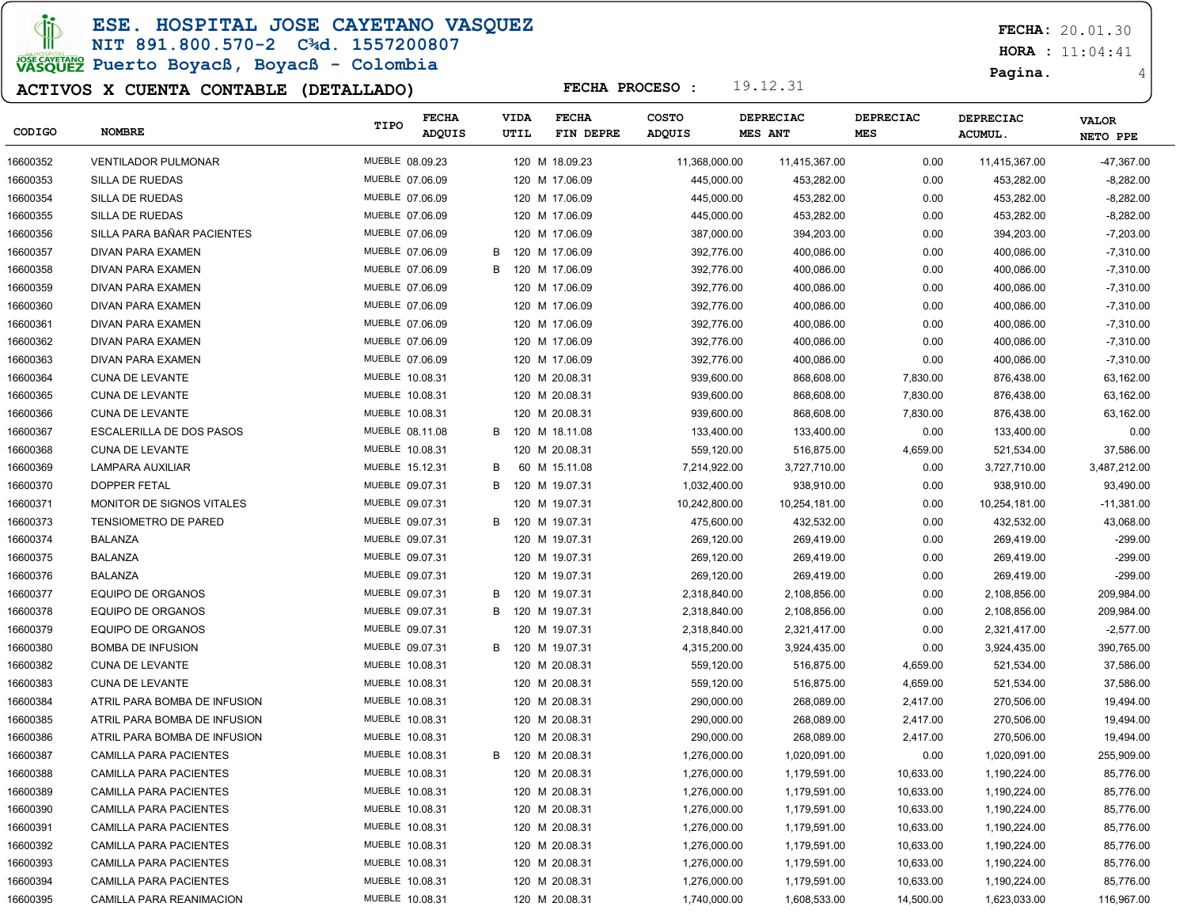**JD** 

ESE. HOSPITAL JOSE CAYETANO VASQUEZ

# NIT 891.800.570-2 C¾d. 1557200807

JOSE CAVERANO<br>VASQUEZ Puerto Boyacß, Boyacß - Colombia

### ACTIVOS X CUENTA CONTABLE (DETALLADO)

FECHA: 20.01.30

 $HORA : 11:04:41$ 

Pagina. 4

| CODIGO   | <b>NOMBRE</b>                   | TIPO            | <b>FECHA</b><br>ADQUIS |   | <b>VIDA</b><br>UTIL | <b>FECHA</b><br>FIN DEPRE | <b>COSTO</b><br>ADQUIS | <b>DEPRECIAC</b><br><b>MES ANT</b> | <b>DEPRECIAC</b><br><b>MES</b> | <b>DEPRECIAC</b><br><b>ACUMUL</b> | <b>VALOR</b><br>NETO PPE |
|----------|---------------------------------|-----------------|------------------------|---|---------------------|---------------------------|------------------------|------------------------------------|--------------------------------|-----------------------------------|--------------------------|
| 16600352 | <b>VENTILADOR PULMONAR</b>      | MUEBLE 08.09.23 |                        |   |                     | 120 M 18.09.23            | 11,368,000.00          | 11,415,367.00                      | 0.00                           | 11,415,367.00                     | -47,367.00               |
| 16600353 | SILLA DE RUEDAS                 | MUEBLE 07.06.09 |                        |   |                     | 120 M 17.06.09            | 445,000.00             | 453,282.00                         | 0.00                           | 453,282.00                        | $-8,282.00$              |
| 16600354 | SILLA DE RUEDAS                 | MUEBLE 07.06.09 |                        |   |                     | 120 M 17.06.09            | 445,000.00             | 453,282.00                         | 0.00                           | 453,282.00                        | $-8,282.00$              |
| 16600355 | SILLA DE RUEDAS                 | MUEBLE 07.06.09 |                        |   |                     | 120 M 17.06.09            | 445,000.00             | 453,282.00                         | 0.00                           | 453,282.00                        | $-8,282.00$              |
| 16600356 | SILLA PARA BAÑAR PACIENTES      | MUEBLE 07.06.09 |                        |   |                     | 120 M 17.06.09            | 387,000.00             | 394,203.00                         | 0.00                           | 394,203.00                        | $-7,203.00$              |
| 16600357 | DIVAN PARA EXAMEN               | MUEBLE 07.06.09 |                        | B |                     | 120 M 17.06.09            | 392,776.00             | 400,086.00                         | 0.00                           | 400,086.00                        | $-7,310.00$              |
| 16600358 | DIVAN PARA EXAMEN               | MUEBLE 07.06.09 |                        | B |                     | 120 M 17.06.09            | 392,776.00             | 400,086.00                         | 0.00                           | 400,086.00                        | $-7,310.00$              |
| 16600359 | DIVAN PARA EXAMEN               | MUEBLE 07.06.09 |                        |   |                     | 120 M 17.06.09            | 392,776.00             | 400,086.00                         | 0.00                           | 400,086.00                        | $-7,310.00$              |
| 16600360 | DIVAN PARA EXAMEN               | MUEBLE 07.06.09 |                        |   |                     | 120 M 17.06.09            | 392,776.00             | 400,086.00                         | 0.00                           | 400,086.00                        | $-7,310.00$              |
| 16600361 | DIVAN PARA EXAMEN               | MUEBLE 07.06.09 |                        |   |                     | 120 M 17.06.09            | 392,776.00             | 400,086.00                         | 0.00                           | 400,086.00                        | $-7,310.00$              |
| 16600362 | DIVAN PARA EXAMEN               | MUEBLE 07.06.09 |                        |   |                     | 120 M 17.06.09            | 392,776.00             | 400,086.00                         | 0.00                           | 400,086.00                        | $-7,310.00$              |
| 16600363 | DIVAN PARA EXAMEN               | MUEBLE 07.06.09 |                        |   |                     | 120 M 17.06.09            | 392,776.00             | 400,086.00                         | 0.00                           | 400,086.00                        | $-7,310.00$              |
| 16600364 | <b>CUNA DE LEVANTE</b>          | MUEBLE 10.08.31 |                        |   |                     | 120 M 20.08.31            | 939,600.00             | 868,608.00                         | 7,830.00                       | 876,438.00                        | 63,162.00                |
| 16600365 | <b>CUNA DE LEVANTE</b>          | MUEBLE 10.08.31 |                        |   |                     | 120 M 20.08.31            | 939,600.00             | 868,608.00                         | 7,830.00                       | 876,438.00                        | 63,162.00                |
| 16600366 | <b>CUNA DE LEVANTE</b>          | MUEBLE 10.08.31 |                        |   |                     | 120 M 20.08.31            | 939,600.00             | 868,608.00                         | 7,830.00                       | 876,438.00                        | 63,162.00                |
| 16600367 | <b>ESCALERILLA DE DOS PASOS</b> | MUEBLE 08.11.08 |                        | В |                     | 120 M 18.11.08            | 133,400.00             | 133,400.00                         | 0.00                           | 133,400.00                        | 0.00                     |
| 16600368 | <b>CUNA DE LEVANTE</b>          | MUEBLE 10.08.31 |                        |   |                     | 120 M 20.08.31            | 559,120.00             | 516,875.00                         | 4,659.00                       | 521,534.00                        | 37,586.00                |
| 16600369 | LAMPARA AUXILIAR                | MUEBLE 15.12.31 |                        | B |                     | 60 M 15.11.08             | 7,214,922.00           | 3,727,710.00                       | 0.00                           | 3,727,710.00                      | 3,487,212.00             |
| 16600370 | DOPPER FETAL                    | MUEBLE 09.07.31 |                        | B |                     | 120 M 19.07.31            | 1,032,400.00           | 938,910.00                         | 0.00                           | 938,910.00                        | 93,490.00                |
| 16600371 | MONITOR DE SIGNOS VITALES       | MUEBLE 09.07.31 |                        |   |                     | 120 M 19.07.31            | 10,242,800.00          | 10,254,181.00                      | 0.00                           | 10,254,181.00                     | $-11,381.00$             |
| 16600373 | <b>TENSIOMETRO DE PARED</b>     | MUEBLE 09.07.31 |                        | В |                     | 120 M 19.07.31            | 475,600.00             | 432,532.00                         | 0.00                           | 432,532.00                        | 43,068.00                |
| 16600374 | <b>BALANZA</b>                  | MUEBLE 09.07.31 |                        |   |                     | 120 M 19.07.31            | 269,120.00             | 269,419.00                         | 0.00                           | 269,419.00                        | $-299.00$                |
| 16600375 | <b>BALANZA</b>                  | MUEBLE 09.07.31 |                        |   |                     | 120 M 19.07.31            | 269,120.00             | 269,419.00                         | 0.00                           | 269,419.00                        | $-299.00$                |
| 16600376 | <b>BALANZA</b>                  | MUEBLE 09.07.31 |                        |   |                     | 120 M 19.07.31            | 269,120.00             | 269,419.00                         | 0.00                           | 269,419.00                        | $-299.00$                |
| 16600377 | EQUIPO DE ORGANOS               | MUEBLE 09.07.31 |                        | В |                     | 120 M 19.07.31            | 2,318,840.00           | 2,108,856.00                       | 0.00                           | 2,108,856.00                      | 209,984.00               |
| 16600378 | EQUIPO DE ORGANOS               | MUEBLE 09.07.31 |                        | B |                     | 120 M 19.07.31            | 2,318,840.00           | 2,108,856.00                       | 0.00                           | 2,108,856.00                      | 209,984.00               |
| 16600379 | EQUIPO DE ORGANOS               | MUEBLE 09.07.31 |                        |   |                     | 120 M 19.07.31            | 2,318,840.00           | 2,321,417.00                       | 0.00                           | 2,321,417.00                      | $-2,577.00$              |
| 16600380 | <b>BOMBA DE INFUSION</b>        | MUEBLE 09.07.31 |                        | B |                     | 120 M 19.07.31            | 4,315,200.00           | 3,924,435.00                       | 0.00                           | 3,924,435.00                      | 390,765.00               |
| 16600382 | <b>CUNA DE LEVANTE</b>          | MUEBLE 10.08.31 |                        |   |                     | 120 M 20.08.31            | 559,120.00             | 516,875.00                         | 4,659.00                       | 521,534.00                        | 37,586.00                |
| 16600383 | <b>CUNA DE LEVANTE</b>          | MUEBLE 10.08.31 |                        |   |                     | 120 M 20.08.31            | 559,120.00             | 516,875.00                         | 4,659.00                       | 521,534.00                        | 37,586.00                |
| 16600384 | ATRIL PARA BOMBA DE INFUSION    | MUEBLE 10.08.31 |                        |   |                     | 120 M 20.08.31            | 290,000.00             | 268,089.00                         | 2,417.00                       | 270,506.00                        | 19,494.00                |
| 16600385 | ATRIL PARA BOMBA DE INFUSION    | MUEBLE 10.08.31 |                        |   |                     | 120 M 20.08.31            | 290,000.00             | 268,089.00                         | 2,417.00                       | 270,506.00                        | 19,494.00                |
| 16600386 | ATRIL PARA BOMBA DE INFUSION    | MUEBLE 10.08.31 |                        |   |                     | 120 M 20.08.31            | 290,000.00             | 268,089.00                         | 2,417.00                       | 270,506.00                        | 19,494.00                |
| 16600387 | <b>CAMILLA PARA PACIENTES</b>   | MUEBLE 10.08.31 |                        | B |                     | 120 M 20.08.31            | 1,276,000.00           | 1,020,091.00                       | 0.00                           | 1,020,091.00                      | 255,909.00               |
| 16600388 | <b>CAMILLA PARA PACIENTES</b>   | MUEBLE 10.08.31 |                        |   |                     | 120 M 20.08.31            | 1,276,000.00           | 1,179,591.00                       | 10,633.00                      | 1,190,224.00                      | 85,776.00                |
| 16600389 | CAMILLA PARA PACIENTES          | MUEBLE 10.08.31 |                        |   |                     | 120 M 20.08.31            | 1,276,000.00           | 1,179,591.00                       | 10,633.00                      | 1,190,224.00                      | 85,776.00                |
| 16600390 | CAMILLA PARA PACIENTES          | MUEBLE 10.08.31 |                        |   |                     | 120 M 20.08.31            | 1,276,000.00           | 1,179,591.00                       | 10,633.00                      | 1,190,224.00                      | 85,776.00                |
| 16600391 | CAMILLA PARA PACIENTES          | MUEBLE 10.08.31 |                        |   |                     | 120 M 20.08.31            | 1,276,000.00           | 1,179,591.00                       | 10,633.00                      | 1,190,224.00                      | 85,776.00                |
| 16600392 | <b>CAMILLA PARA PACIENTES</b>   | MUEBLE 10.08.31 |                        |   |                     | 120 M 20.08.31            | 1,276,000.00           | 1,179,591.00                       | 10,633.00                      | 1,190,224.00                      | 85,776.00                |
| 16600393 | CAMILLA PARA PACIENTES          | MUEBLE 10.08.31 |                        |   |                     | 120 M 20.08.31            | 1,276,000.00           | 1,179,591.00                       | 10,633.00                      | 1,190,224.00                      | 85,776.00                |
| 16600394 | CAMILLA PARA PACIENTES          | MUEBLE 10.08.31 |                        |   |                     | 120 M 20.08.31            | 1,276,000.00           | 1,179,591.00                       | 10,633.00                      | 1,190,224.00                      | 85,776.00                |
| 16600395 | CAMILLA PARA REANIMACION        | MUEBLE 10.08.31 |                        |   |                     | 120 M 20.08.31            | 1,740,000.00           | 1,608,533.00                       | 14,500.00                      | 1,623,033.00                      | 116,967.00               |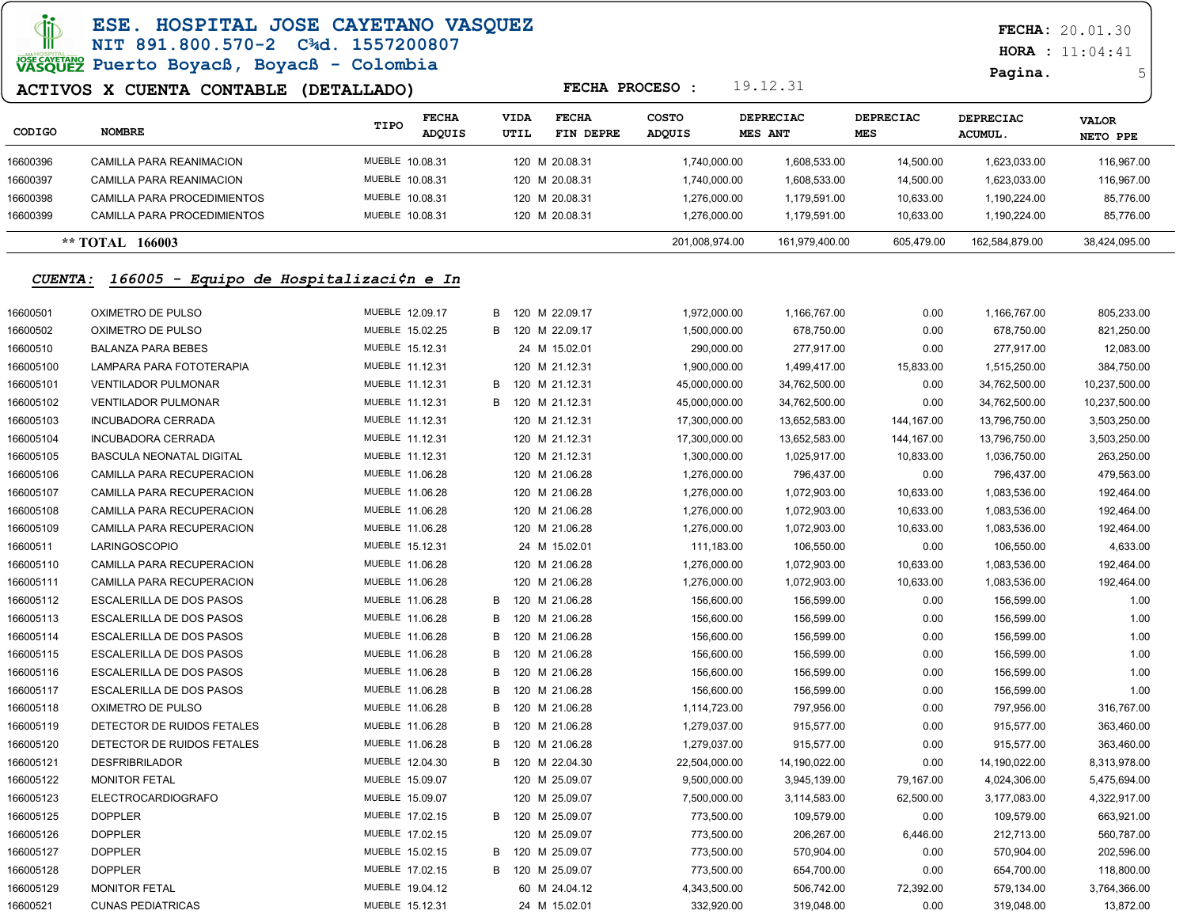### ESE. HOSPITAL JOSE CAYETANO VASQUEZ NIT 891.800.570-2 C¾d. 1557200807

# JOSE CAVETARY Puerto Boyacß, Boyacß - Colombia

### ACTIVOS X CUENTA CONTABLE (DETALLADO)

 $HORA : 11:04:41$ 

```
Pagina. 5
```

| CODIGO   | <b>NOMBRE</b>               | TIPO            | <b>FECHA</b><br><b>ADQUIS</b> | <b>VIDA</b><br>UTIL | <b>FECHA</b><br>FIN DEPRE | <b>COSTO</b><br>ADQUIS | <b>MES ANT</b> | <b>DEPRECIAC</b> | <b>DEPRECIAC</b><br><b>MES</b> | <b>DEPRECIAC</b><br><b>ACUMUL.</b> | <b>VALOR</b><br>NETO PPE |
|----------|-----------------------------|-----------------|-------------------------------|---------------------|---------------------------|------------------------|----------------|------------------|--------------------------------|------------------------------------|--------------------------|
| 16600396 | CAMILLA PARA REANIMACION    | MUEBLE 10.08.31 |                               |                     | 120 M 20.08.31            |                        | 1,740,000.00   | 1,608,533.00     | 14.500.00                      | 1,623,033.00                       | 116,967.00               |
| 16600397 | CAMILLA PARA REANIMACION    | MUEBLE 10.08.31 |                               |                     | 120 M 20.08.31            |                        | 1,740,000.00   | 1,608,533.00     | 14.500.00                      | 1,623,033.00                       | 116,967.00               |
| 16600398 | CAMILLA PARA PROCEDIMIENTOS | MUEBLE 10.08.31 |                               |                     | 120 M 20.08.31            |                        | ,276,000.00    | 1,179,591.00     | 10,633.00                      | 1,190,224.00                       | 85,776.00                |
| 16600399 | CAMILLA PARA PROCEDIMIENTOS | MUEBLE 10.08.31 |                               |                     | 120 M 20.08.31            |                        | .276.000.00    | 1.179.591.00     | 10.633.00                      | 1,190,224.00                       | 85,776.00                |
|          | 166003<br>** TOTAL          |                 |                               |                     |                           | 201,008,974.00         |                | 161.979.400.00   | 605.479.00                     | 162,584,879.00                     | 38,424,095.00            |

FECHA PROCESO : 19.12.31

#### CUENTA: 166005 - Equipo de Hospitalizaci¢n e In

| 16600501  | OXIMETRO DE PULSO          | MUEBLE 12.09.17 | В | 120 M 22.09.17   | 1,972,000.00  | 1,166,767.00  | 0.00       | 1,166,767.00  | 805,233.00    |
|-----------|----------------------------|-----------------|---|------------------|---------------|---------------|------------|---------------|---------------|
| 16600502  | OXIMETRO DE PULSO          | MUEBLE 15.02.25 | в | 120 M 22.09.17   | 1,500,000.00  | 678,750.00    | 0.00       | 678,750.00    | 821,250.00    |
| 16600510  | <b>BALANZA PARA BEBES</b>  | MUEBLE 15.12.31 |   | 24 M 15.02.01    | 290,000.00    | 277,917.00    | 0.00       | 277,917.00    | 12,083.00     |
| 166005100 | LAMPARA PARA FOTOTERAPIA   | MUEBLE 11.12.31 |   | 120 M 21.12.31   | 1,900,000.00  | 1,499,417.00  | 15,833.00  | 1,515,250.00  | 384,750.00    |
| 166005101 | <b>VENTILADOR PULMONAR</b> | MUEBLE 11.12.31 | в | 120 M 21.12.31   | 45,000,000.00 | 34,762,500.00 | 0.00       | 34,762,500.00 | 10,237,500.00 |
| 166005102 | <b>VENTILADOR PULMONAR</b> | MUEBLE 11.12.31 | в | 120 M 21.12.31   | 45,000,000.00 | 34,762,500.00 | 0.00       | 34,762,500.00 | 10,237,500.00 |
| 166005103 | <b>INCUBADORA CERRADA</b>  | MUEBLE 11.12.31 |   | 120 M 21.12.31   | 17,300,000.00 | 13,652,583.00 | 144,167.00 | 13,796,750.00 | 3,503,250.00  |
| 166005104 | <b>INCUBADORA CERRADA</b>  | MUEBLE 11.12.31 |   | 120 M 21.12.31   | 17,300,000.00 | 13,652,583.00 | 144,167.00 | 13,796,750.00 | 3,503,250.00  |
| 166005105 | BASCULA NEONATAL DIGITAL   | MUEBLE 11.12.31 |   | 120 M 21.12.31   | 1,300,000.00  | 1,025,917.00  | 10,833.00  | 1,036,750.00  | 263,250.00    |
| 166005106 | CAMILLA PARA RECUPERACION  | MUEBLE 11.06.28 |   | 120 M 21.06.28   | 1,276,000.00  | 796,437.00    | 0.00       | 796,437.00    | 479,563.00    |
| 166005107 | CAMILLA PARA RECUPERACION  | MUEBLE 11.06.28 |   | 120 M 21.06.28   | 1,276,000.00  | 1,072,903.00  | 10,633.00  | 1,083,536.00  | 192,464.00    |
| 166005108 | CAMILLA PARA RECUPERACION  | MUEBLE 11.06.28 |   | 120 M 21.06.28   | 1,276,000.00  | 1,072,903.00  | 10,633.00  | 1,083,536.00  | 192,464.00    |
| 166005109 | CAMILLA PARA RECUPERACION  | MUEBLE 11.06.28 |   | 120 M 21.06.28   | 1,276,000.00  | 1,072,903.00  | 10,633.00  | 1,083,536.00  | 192,464.00    |
| 16600511  | <b>LARINGOSCOPIO</b>       | MUEBLE 15.12.31 |   | 24 M 15.02.01    | 111,183.00    | 106,550.00    | 0.00       | 106,550.00    | 4,633.00      |
| 166005110 | CAMILLA PARA RECUPERACION  | MUEBLE 11.06.28 |   | 120 M 21.06.28   | 1,276,000.00  | 1,072,903.00  | 10,633.00  | 1,083,536.00  | 192,464.00    |
| 166005111 | CAMILLA PARA RECUPERACION  | MUEBLE 11.06.28 |   | 120 M 21.06.28   | 1,276,000.00  | 1,072,903.00  | 10,633.00  | 1,083,536.00  | 192,464.00    |
| 166005112 | ESCALERILLA DE DOS PASOS   | MUEBLE 11.06.28 | B | 120 M 21.06.28   | 156,600.00    | 156,599.00    | 0.00       | 156,599.00    | 1.00          |
| 166005113 | ESCALERILLA DE DOS PASOS   | MUEBLE 11.06.28 | B | 120 M 21.06.28   | 156,600.00    | 156,599.00    | 0.00       | 156,599.00    | 1.00          |
| 166005114 | ESCALERILLA DE DOS PASOS   | MUEBLE 11.06.28 | B | 120 M 21.06.28   | 156,600.00    | 156,599.00    | 0.00       | 156,599.00    | 1.00          |
| 166005115 | ESCALERILLA DE DOS PASOS   | MUEBLE 11.06.28 | B | 120 M 21.06.28   | 156,600.00    | 156,599.00    | 0.00       | 156,599.00    | 1.00          |
| 166005116 | ESCALERILLA DE DOS PASOS   | MUEBLE 11.06.28 | в | 120 M 21.06.28   | 156,600.00    | 156,599.00    | 0.00       | 156,599.00    | 1.00          |
| 166005117 | ESCALERILLA DE DOS PASOS   | MUEBLE 11.06.28 | B | 120 M 21.06.28   | 156,600.00    | 156,599.00    | 0.00       | 156,599.00    | 1.00          |
| 166005118 | OXIMETRO DE PULSO          | MUEBLE 11.06.28 | в | 120 M 21.06.28   | 1,114,723.00  | 797,956.00    | 0.00       | 797,956.00    | 316,767.00    |
| 166005119 | DETECTOR DE RUIDOS FETALES | MUEBLE 11.06.28 | в | 120 M 21.06.28   | 1,279,037.00  | 915,577.00    | 0.00       | 915,577.00    | 363,460.00    |
| 166005120 | DETECTOR DE RUIDOS FETALES | MUEBLE 11.06.28 | В | 120 M 21.06.28   | 1,279,037.00  | 915,577.00    | 0.00       | 915,577.00    | 363,460.00    |
| 166005121 | <b>DESFRIBRILADOR</b>      | MUEBLE 12.04.30 | В | 120 M 22.04.30   | 22,504,000.00 | 14,190,022.00 | 0.00       | 14,190,022.00 | 8,313,978.00  |
| 166005122 | <b>MONITOR FETAL</b>       | MUEBLE 15.09.07 |   | 120 M 25.09.07   | 9,500,000.00  | 3,945,139.00  | 79,167.00  | 4,024,306.00  | 5,475,694.00  |
| 166005123 | <b>ELECTROCARDIOGRAFO</b>  | MUEBLE 15.09.07 |   | 120 M 25.09.07   | 7,500,000.00  | 3,114,583.00  | 62,500.00  | 3,177,083.00  | 4,322,917.00  |
| 166005125 | <b>DOPPLER</b>             | MUEBLE 17.02.15 |   | B 120 M 25.09.07 | 773,500.00    | 109,579.00    | 0.00       | 109,579.00    | 663,921.00    |
| 166005126 | <b>DOPPLER</b>             | MUEBLE 17.02.15 |   | 120 M 25.09.07   | 773,500.00    | 206,267.00    | 6,446.00   | 212,713.00    | 560,787.00    |
| 166005127 | <b>DOPPLER</b>             | MUEBLE 15.02.15 | B | 120 M 25.09.07   | 773,500.00    | 570,904.00    | 0.00       | 570,904.00    | 202,596.00    |
| 166005128 | <b>DOPPLER</b>             | MUEBLE 17.02.15 | B | 120 M 25.09.07   | 773,500.00    | 654,700.00    | 0.00       | 654,700.00    | 118,800.00    |
| 166005129 | <b>MONITOR FETAL</b>       | MUEBLE 19.04.12 |   | 60 M 24.04.12    | 4,343,500.00  | 506,742.00    | 72,392.00  | 579,134.00    | 3,764,366.00  |
| 16600521  | <b>CUNAS PEDIATRICAS</b>   | MUEBLE 15.12.31 |   | 24 M 15.02.01    | 332,920.00    | 319,048.00    | 0.00       | 319,048.00    | 13,872.00     |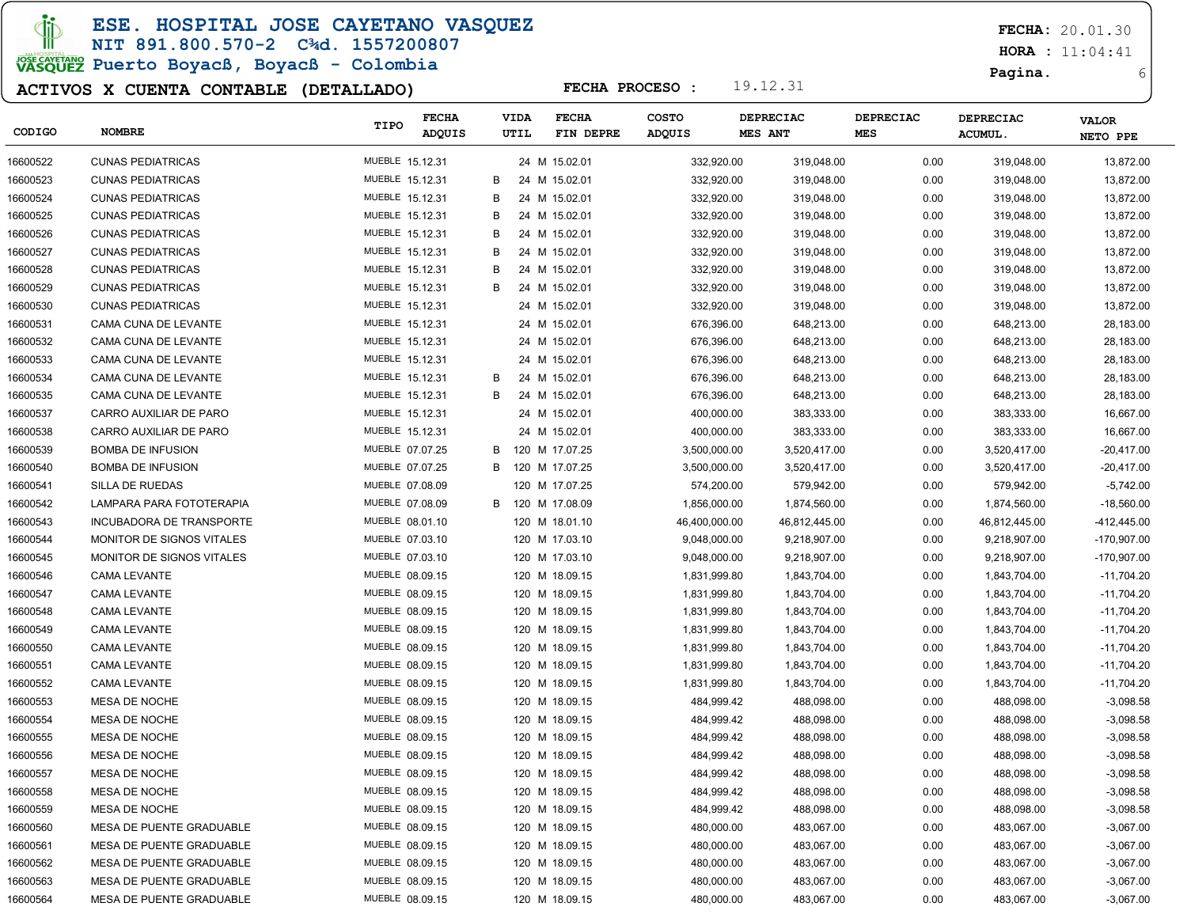**JD** 

ESE. HOSPITAL JOSE CAYETANO VASQUEZ

### NIT 891.800.570-2 C¾d. 1557200807

# JOSE CAVERANO<br>VASQUEZ Puerto Boyacß, Boyacß - Colombia

### ACTIVOS X CUENTA CONTABLE (DETALLADO)

FECHA: 20.01.30

 $HORA : 11:04:41$ 

Pagina. 6

| CODIGO   | <b>NOMBRE</b>                    | TIPO            | <b>FECHA</b><br>ADQUIS |   | <b>VIDA</b><br>UTIL | <b>FECHA</b><br>FIN DEPRE | <b>COSTO</b><br><b>ADQUIS</b> | <b>DEPRECIAC</b><br>MES ANT | <b>DEPRECIAC</b><br><b>MES</b> | <b>DEPRECIAC</b><br>ACUMUL. | <b>VALOR</b><br>NETO PPE |
|----------|----------------------------------|-----------------|------------------------|---|---------------------|---------------------------|-------------------------------|-----------------------------|--------------------------------|-----------------------------|--------------------------|
| 16600522 | <b>CUNAS PEDIATRICAS</b>         | MUEBLE 15.12.31 |                        |   |                     | 24 M 15.02.01             | 332,920.00                    | 319,048.00                  | 0.00                           | 319,048.00                  | 13,872.00                |
| 16600523 | <b>CUNAS PEDIATRICAS</b>         | MUEBLE 15.12.31 |                        | B |                     | 24 M 15.02.01             | 332,920.00                    | 319,048.00                  | 0.00                           | 319,048.00                  | 13,872.00                |
| 16600524 | <b>CUNAS PEDIATRICAS</b>         | MUEBLE 15.12.31 |                        | B |                     | 24 M 15.02.01             | 332,920.00                    | 319,048.00                  | 0.00                           | 319,048.00                  | 13,872.00                |
| 16600525 | <b>CUNAS PEDIATRICAS</b>         | MUEBLE 15.12.31 |                        | B |                     | 24 M 15.02.01             | 332,920.00                    | 319,048.00                  | 0.00                           | 319,048.00                  | 13,872.00                |
| 16600526 | <b>CUNAS PEDIATRICAS</b>         | MUEBLE 15.12.31 |                        | B |                     | 24 M 15.02.01             | 332,920.00                    | 319,048.00                  | 0.00                           | 319,048.00                  | 13,872.00                |
| 16600527 | <b>CUNAS PEDIATRICAS</b>         | MUEBLE 15.12.31 |                        | B |                     | 24 M 15.02.01             | 332,920.00                    | 319,048.00                  | 0.00                           | 319,048.00                  | 13,872.00                |
| 16600528 | <b>CUNAS PEDIATRICAS</b>         | MUEBLE 15.12.31 |                        | B |                     | 24 M 15.02.01             | 332,920.00                    | 319,048.00                  | 0.00                           | 319,048.00                  | 13,872.00                |
| 16600529 | <b>CUNAS PEDIATRICAS</b>         | MUEBLE 15.12.31 |                        | B |                     | 24 M 15.02.01             | 332,920.00                    | 319,048.00                  | 0.00                           | 319,048.00                  | 13,872.00                |
| 16600530 | <b>CUNAS PEDIATRICAS</b>         | MUEBLE 15.12.31 |                        |   |                     | 24 M 15.02.01             | 332,920.00                    | 319,048.00                  | 0.00                           | 319,048.00                  | 13,872.00                |
| 16600531 | CAMA CUNA DE LEVANTE             | MUEBLE 15.12.31 |                        |   |                     | 24 M 15.02.01             | 676,396.00                    | 648,213.00                  | 0.00                           | 648,213.00                  | 28,183.00                |
| 16600532 | CAMA CUNA DE LEVANTE             | MUEBLE 15.12.31 |                        |   |                     | 24 M 15.02.01             | 676,396.00                    | 648,213.00                  | 0.00                           | 648,213.00                  | 28,183.00                |
| 16600533 | CAMA CUNA DE LEVANTE             | MUEBLE 15.12.31 |                        |   |                     | 24 M 15.02.01             | 676,396.00                    | 648,213.00                  | 0.00                           | 648,213.00                  | 28,183.00                |
| 16600534 | CAMA CUNA DE LEVANTE             | MUEBLE 15.12.31 |                        | B |                     | 24 M 15.02.01             | 676,396.00                    | 648,213.00                  | 0.00                           | 648,213.00                  | 28,183.00                |
| 16600535 | CAMA CUNA DE LEVANTE             | MUEBLE 15.12.31 |                        | B |                     | 24 M 15.02.01             | 676,396.00                    | 648,213.00                  | 0.00                           | 648,213.00                  | 28,183.00                |
| 16600537 | CARRO AUXILIAR DE PARO           | MUEBLE 15.12.31 |                        |   |                     | 24 M 15.02.01             | 400,000.00                    | 383,333.00                  | 0.00                           | 383,333.00                  | 16,667.00                |
| 16600538 | CARRO AUXILIAR DE PARO           | MUEBLE 15.12.31 |                        |   |                     | 24 M 15.02.01             | 400,000.00                    | 383,333.00                  | 0.00                           | 383,333.00                  | 16,667.00                |
| 16600539 | <b>BOMBA DE INFUSION</b>         | MUEBLE 07.07.25 |                        | В |                     | 120 M 17.07.25            | 3,500,000.00                  | 3,520,417.00                | 0.00                           | 3,520,417.00                | $-20,417.00$             |
| 16600540 | <b>BOMBA DE INFUSION</b>         | MUEBLE 07.07.25 |                        | В |                     | 120 M 17.07.25            | 3,500,000.00                  | 3,520,417.00                | 0.00                           | 3,520,417.00                | $-20,417.00$             |
| 16600541 | <b>SILLA DE RUEDAS</b>           | MUEBLE 07.08.09 |                        |   |                     | 120 M 17.07.25            | 574,200.00                    | 579,942.00                  | 0.00                           | 579,942.00                  | $-5,742.00$              |
| 16600542 | LAMPARA PARA FOTOTERAPIA         | MUEBLE 07.08.09 |                        | В |                     | 120 M 17.08.09            | 1,856,000.00                  | 1,874,560.00                | 0.00                           | 1,874,560.00                | $-18,560.00$             |
| 16600543 | INCUBADORA DE TRANSPORTE         | MUEBLE 08.01.10 |                        |   |                     | 120 M 18.01.10            | 46,400,000.00                 | 46,812,445.00               | 0.00                           | 46,812,445.00               | -412,445.00              |
| 16600544 | <b>MONITOR DE SIGNOS VITALES</b> | MUEBLE 07.03.10 |                        |   |                     | 120 M 17.03.10            | 9,048,000.00                  | 9,218,907.00                | 0.00                           | 9,218,907.00                | -170,907.00              |
| 16600545 | MONITOR DE SIGNOS VITALES        | MUEBLE 07.03.10 |                        |   |                     | 120 M 17.03.10            | 9,048,000.00                  | 9,218,907.00                | 0.00                           | 9,218,907.00                | -170,907.00              |
| 16600546 | CAMA LEVANTE                     | MUEBLE 08.09.15 |                        |   |                     | 120 M 18.09.15            | 1,831,999.80                  | 1,843,704.00                | 0.00                           | 1,843,704.00                | -11,704.20               |
| 16600547 | CAMA LEVANTE                     | MUEBLE 08.09.15 |                        |   |                     | 120 M 18.09.15            | 1,831,999.80                  | 1,843,704.00                | 0.00                           | 1,843,704.00                | -11,704.20               |
| 16600548 | CAMA LEVANTE                     | MUEBLE 08.09.15 |                        |   |                     | 120 M 18.09.15            | 1,831,999.80                  | 1,843,704.00                | 0.00                           | 1,843,704.00                | -11,704.20               |
| 16600549 | CAMA LEVANTE                     | MUEBLE 08.09.15 |                        |   |                     | 120 M 18.09.15            | 1,831,999.80                  | 1,843,704.00                | 0.00                           | 1,843,704.00                | -11,704.20               |
| 16600550 | CAMA LEVANTE                     | MUEBLE 08.09.15 |                        |   |                     | 120 M 18.09.15            | 1,831,999.80                  | 1,843,704.00                | 0.00                           | 1,843,704.00                | -11,704.20               |
| 16600551 | <b>CAMA LEVANTE</b>              | MUEBLE 08.09.15 |                        |   |                     | 120 M 18.09.15            | 1,831,999.80                  | 1,843,704.00                | 0.00                           | 1,843,704.00                | -11,704.20               |
| 16600552 | <b>CAMA LEVANTE</b>              | MUEBLE 08.09.15 |                        |   |                     | 120 M 18.09.15            | 1,831,999.80                  | 1,843,704.00                | 0.00                           | 1,843,704.00                | -11,704.20               |
| 16600553 | MESA DE NOCHE                    | MUEBLE 08.09.15 |                        |   |                     | 120 M 18.09.15            | 484,999.42                    | 488,098.00                  | 0.00                           | 488,098.00                  | $-3,098.58$              |
| 16600554 | MESA DE NOCHE                    | MUEBLE 08.09.15 |                        |   |                     | 120 M 18.09.15            | 484,999.42                    | 488,098.00                  | 0.00                           | 488,098.00                  | $-3,098.58$              |
| 16600555 | MESA DE NOCHE                    | MUEBLE 08.09.15 |                        |   |                     | 120 M 18.09.15            | 484,999.42                    | 488,098.00                  | 0.00                           | 488,098.00                  | $-3,098.58$              |
| 16600556 | <b>MESA DE NOCHE</b>             | MUEBLE 08.09.15 |                        |   |                     | 120 M 18.09.15            | 484,999.42                    | 488,098.00                  | 0.00                           | 488,098.00                  | $-3,098.58$              |
| 16600557 | <b>MESA DE NOCHE</b>             | MUEBLE 08.09.15 |                        |   |                     | 120 M 18.09.15            | 484,999.42                    | 488,098.00                  | 0.00                           | 488,098.00                  | $-3,098.58$              |
| 16600558 | MESA DE NOCHE                    | MUEBLE 08.09.15 |                        |   |                     | 120 M 18.09.15            | 484,999.42                    | 488,098.00                  | 0.00                           | 488,098.00                  | $-3,098.58$              |
| 16600559 | MESA DE NOCHE                    | MUEBLE 08.09.15 |                        |   |                     | 120 M 18.09.15            | 484,999.42                    | 488,098.00                  | 0.00                           | 488,098.00                  | $-3,098.58$              |
| 16600560 | MESA DE PUENTE GRADUABLE         | MUEBLE 08.09.15 |                        |   |                     | 120 M 18.09.15            | 480,000.00                    | 483,067.00                  | 0.00                           | 483,067.00                  | $-3,067.00$              |
| 16600561 | MESA DE PUENTE GRADUABLE         | MUEBLE 08.09.15 |                        |   |                     | 120 M 18.09.15            | 480,000.00                    | 483,067.00                  | 0.00                           | 483,067.00                  | $-3,067.00$              |
| 16600562 | MESA DE PUENTE GRADUABLE         | MUEBLE 08.09.15 |                        |   |                     | 120 M 18.09.15            | 480,000.00                    | 483,067.00                  | 0.00                           | 483,067.00                  | $-3,067.00$              |
| 16600563 | MESA DE PUENTE GRADUABLE         | MUEBLE 08.09.15 |                        |   |                     | 120 M 18.09.15            | 480,000.00                    | 483,067.00                  | 0.00                           | 483,067.00                  | $-3,067.00$              |
| 16600564 | MESA DE PUENTE GRADUABLE         | MUEBLE 08.09.15 |                        |   |                     | 120 M 18.09.15            | 480,000.00                    | 483,067.00                  | 0.00                           | 483,067.00                  | $-3,067.00$              |
|          |                                  |                 |                        |   |                     |                           |                               |                             |                                |                             |                          |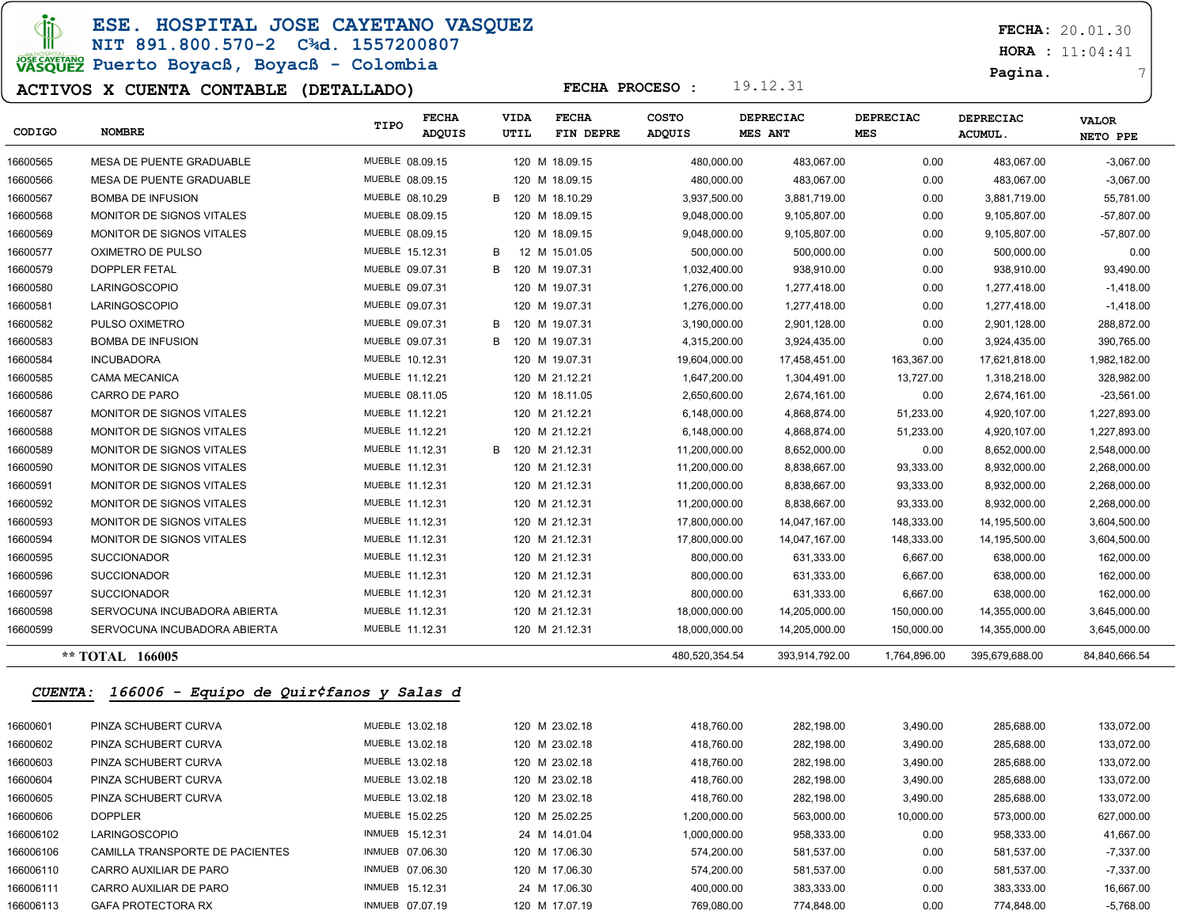di

ESE. HOSPITAL JOSE CAYETANO VASQUEZ

### NIT 891.800.570-2 C¾d. 1557200807 JOSE CAVETARIO<br>VASQUEZ Puerto Boyacß, Boyacß - Colombia

#### ACTIVOS X CUENTA CONTABLE (DETALLADO)

 $HORA : 11:04:41$ 

Pagina. 7

| CODIGO         | <b>NOMBRE</b>                           | TIPO            | <b>FECHA</b><br><b>ADQUIS</b> | VIDA<br>UTIL | <b>FECHA</b><br>FIN DEPRE | COSTO<br><b>ADQUIS</b> |              | DEPRECIAC<br><b>MES ANT</b> | <b>DEPRECIAC</b><br>MES | <b>DEPRECIAC</b><br>ACUMUL. | <b>VALOR</b><br>NETO PPE |
|----------------|-----------------------------------------|-----------------|-------------------------------|--------------|---------------------------|------------------------|--------------|-----------------------------|-------------------------|-----------------------------|--------------------------|
| 16600565       | <b>MESA DE PUENTE GRADUABLE</b>         | MUEBLE 08.09.15 |                               |              | 120 M 18.09.15            |                        | 480,000.00   | 483,067.00                  | 0.00                    | 483,067.00                  | $-3,067.00$              |
| 16600566       | <b>MESA DE PUENTE GRADUABLE</b>         | MUEBLE 08.09.15 |                               |              | 120 M 18.09.15            |                        | 480.000.00   | 483,067.00                  | 0.00                    | 483,067.00                  | $-3,067.00$              |
| 16600567       | <b>BOMBA DE INFUSION</b>                | MUEBLE 08.10.29 |                               | В            | 120 M 18.10.29            |                        | 3,937,500.00 | 3,881,719.00                | 0.00                    | 3,881,719.00                | 55,781.00                |
| 16600568       | MONITOR DE SIGNOS VITALES               | MUEBLE 08.09.15 |                               |              | 120 M 18.09.15            |                        | 9,048,000.00 | 9,105,807.00                | 0.00                    | 9,105,807.00                | $-57,807.00$             |
| 16600569       | MONITOR DE SIGNOS VITALES               | MUEBLE 08.09.15 |                               |              | 120 M 18.09.15            |                        | 9,048,000.00 | 9,105,807.00                | 0.00                    | 9,105,807.00                | $-57,807.00$             |
| 16600577       | OXIMETRO DE PULSO                       | MUEBLE 15.12.31 |                               | В            | 12 M 15.01.05             |                        | 500,000.00   | 500,000.00                  | 0.00                    | 500,000.00                  | 0.00                     |
| 16600579       | <b>DOPPLER FETAL</b>                    | MUEBLE 09.07.31 |                               | В            | 120 M 19.07.31            |                        | 1,032,400.00 | 938,910.00                  | 0.00                    | 938,910.00                  | 93,490.00                |
| 16600580       | <b>LARINGOSCOPIO</b>                    | MUEBLE 09.07.31 |                               |              | 120 M 19.07.31            |                        | 1,276,000.00 | 1,277,418.00                | 0.00                    | 1,277,418.00                | $-1,418.00$              |
| 16600581       | <b>LARINGOSCOPIO</b>                    | MUEBLE 09.07.31 |                               |              | 120 M 19.07.31            |                        | 1,276,000.00 | 1,277,418.00                | 0.00                    | 1.277.418.00                | $-1,418.00$              |
| 16600582       | PULSO OXIMETRO                          | MUEBLE 09.07.31 |                               | В            | 120 M 19.07.31            |                        | 3,190,000.00 | 2,901,128.00                | 0.00                    | 2,901,128.00                | 288,872.00               |
| 16600583       | <b>BOMBA DE INFUSION</b>                | MUEBLE 09.07.31 |                               | В<br>120     | M 19.07.31                |                        | 4,315,200.00 | 3,924,435.00                | 0.00                    | 3,924,435.00                | 390,765.00               |
| 16600584       | <b>INCUBADORA</b>                       | MUEBLE 10.12.31 |                               |              | 120 M 19.07.31            | 19,604,000.00          |              | 17,458,451.00               | 163,367.00              | 17,621,818.00               | 1,982,182.00             |
| 16600585       | <b>CAMA MECANICA</b>                    | MUEBLE 11.12.21 |                               |              | 120 M 21.12.21            |                        | 1,647,200.00 | 1,304,491.00                | 13,727.00               | 1,318,218.00                | 328,982.00               |
| 16600586       | CARRO DE PARO                           | MUEBLE 08.11.05 |                               |              | 120 M 18.11.05            |                        | 2,650,600.00 | 2,674,161.00                | 0.00                    | 2,674,161.00                | $-23,561.00$             |
| 16600587       | MONITOR DE SIGNOS VITALES               | MUEBLE 11.12.21 |                               |              | 120 M 21.12.21            | 6,148,000.00           |              | 4,868,874.00                | 51,233.00               | 4,920,107.00                | 1,227,893.00             |
| 16600588       | <b>MONITOR DE SIGNOS VITALES</b>        | MUEBLE 11.12.21 |                               |              | 120 M 21.12.21            |                        | 6,148,000.00 | 4,868,874.00                | 51,233.00               | 4,920,107.00                | 1,227,893.00             |
| 16600589       | <b>MONITOR DE SIGNOS VITALES</b>        | MUEBLE 11.12.31 |                               | В            | 120 M 21.12.31            | 11,200,000.00          |              | 8,652,000.00                | 0.00                    | 8,652,000.00                | 2,548,000.00             |
| 16600590       | <b>MONITOR DE SIGNOS VITALES</b>        | MUEBLE 11.12.31 |                               |              | 120 M 21.12.31            | 11,200,000.00          |              | 8,838,667.00                | 93,333.00               | 8,932,000.00                | 2,268,000.00             |
| 16600591       | <b>MONITOR DE SIGNOS VITALES</b>        | MUEBLE 11.12.31 |                               |              | 120 M 21.12.31            | 11,200,000.00          |              | 8,838,667.00                | 93,333.00               | 8,932,000.00                | 2,268,000.00             |
| 16600592       | MONITOR DE SIGNOS VITALES               | MUEBLE 11.12.31 |                               |              | 120 M 21.12.31            | 11,200,000.00          |              | 8,838,667.00                | 93,333.00               | 8,932,000.00                | 2,268,000.00             |
| 16600593       | MONITOR DE SIGNOS VITALES               | MUEBLE 11.12.31 |                               |              | 120 M 21.12.31            | 17,800,000.00          |              | 14,047,167.00               | 148,333.00              | 14,195,500.00               | 3,604,500.00             |
| 16600594       | MONITOR DE SIGNOS VITALES               | MUEBLE 11.12.31 |                               |              | 120 M 21.12.31            | 17,800,000.00          |              | 14,047,167.00               | 148,333.00              | 14,195,500.00               | 3,604,500.00             |
| 16600595       | <b>SUCCIONADOR</b>                      | MUEBLE 11.12.31 |                               |              | 120 M 21.12.31            |                        | 800,000.00   | 631,333.00                  | 6,667.00                | 638,000.00                  | 162,000.00               |
| 16600596       | <b>SUCCIONADOR</b>                      | MUEBLE 11.12.31 |                               |              | 120 M 21.12.31            |                        | 800,000.00   | 631,333.00                  | 6,667.00                | 638,000.00                  | 162,000.00               |
| 16600597       | <b>SUCCIONADOR</b>                      | MUEBLE 11.12.31 |                               |              | 120 M 21.12.31            |                        | 800,000.00   | 631,333.00                  | 6,667.00                | 638,000.00                  | 162,000.00               |
| 16600598       | SERVOCUNA INCUBADORA ABIERTA            | MUEBLE 11.12.31 |                               |              | 120 M 21.12.31            | 18,000,000.00          |              | 14,205,000.00               | 150,000.00              | 14,355,000.00               | 3,645,000.00             |
| 16600599       | SERVOCUNA INCUBADORA ABIERTA            | MUEBLE 11.12.31 |                               |              | 120 M 21.12.31            | 18,000,000.00          |              | 14,205,000.00               | 150,000.00              | 14,355,000.00               | 3,645,000.00             |
|                | ** TOTAL 166005                         |                 |                               |              |                           | 480,520,354.54         |              | 393,914,792.00              | 1,764,896.00            | 395,679,688.00              | 84,840,666.54            |
| <b>CUENTA:</b> | 166006 - Equipo de Quir¢fanos y Salas d |                 |                               |              |                           |                        |              |                             |                         |                             |                          |
| 16600601       | PINZA SCHUBERT CURVA                    | MUEBLE 13.02.18 |                               |              | 120 M 23.02.18            |                        | 418,760.00   | 282.198.00                  | 3,490.00                | 285,688.00                  | 133,072.00               |
| 16600602       | PINZA SCHUBERT CURVA                    | MUEBLE 13.02.18 |                               |              | 120 M 23.02.18            |                        | 418,760.00   | 282.198.00                  | 3,490.00                | 285,688.00                  | 133,072.00               |
| 16600603       | PINZA SCHUBERT CURVA                    | MUEBLE 13.02.18 |                               |              | 120 M 23.02.18            |                        | 418,760.00   | 282,198.00                  | 3,490.00                | 285,688.00                  | 133,072.00               |
| 16600604       | PINZA SCHUBERT CURVA                    | MUEBLE 13.02.18 |                               |              | 120 M 23.02.18            |                        | 418,760.00   | 282,198.00                  | 3,490.00                | 285,688.00                  | 133,072.00               |
| 16600605       | PINZA SCHUBERT CURVA                    | MUEBLE 13.02.18 |                               |              | 120 M 23.02.18            |                        | 418,760.00   | 282,198.00                  | 3,490.00                | 285,688.00                  | 133,072.00               |
| 16600606       | <b>DOPPLER</b>                          | MUEBLE 15.02.25 |                               |              | 120 M 25.02.25            |                        | 1,200,000.00 | 563,000.00                  | 10,000.00               | 573,000.00                  | 627,000.00               |
| 166006102      | <b>LARINGOSCOPIO</b>                    | INMUEB 15.12.31 |                               |              | 24 M 14.01.04             |                        | 1,000,000.00 | 958,333.00                  | 0.00                    | 958,333.00                  | 41,667.00                |
| 166006106      | CAMILLA TRANSPORTE DE PACIENTES         | INMUEB 07.06.30 |                               |              | 120 M 17.06.30            |                        | 574,200.00   | 581,537.00                  | 0.00                    | 581,537.00                  | $-7,337.00$              |
| 166006110      | CARRO AUXILIAR DE PARO                  | INMUEB 07.06.30 |                               |              | 120 M 17.06.30            |                        | 574,200.00   | 581,537.00                  | 0.00                    | 581,537.00                  | $-7,337.00$              |
| 166006111      | CARRO AUXILIAR DE PARO                  | INMUEB 15.12.31 |                               |              | 24 M 17.06.30             |                        | 400,000.00   | 383,333.00                  | 0.00                    | 383,333.00                  | 16,667.00                |

166006113 GAFA PROTECTORA RX INMUEB 07.07.19 120 M 17.07.19 769,080.00 774,848.00 0.00 774,848.00 -5,768.00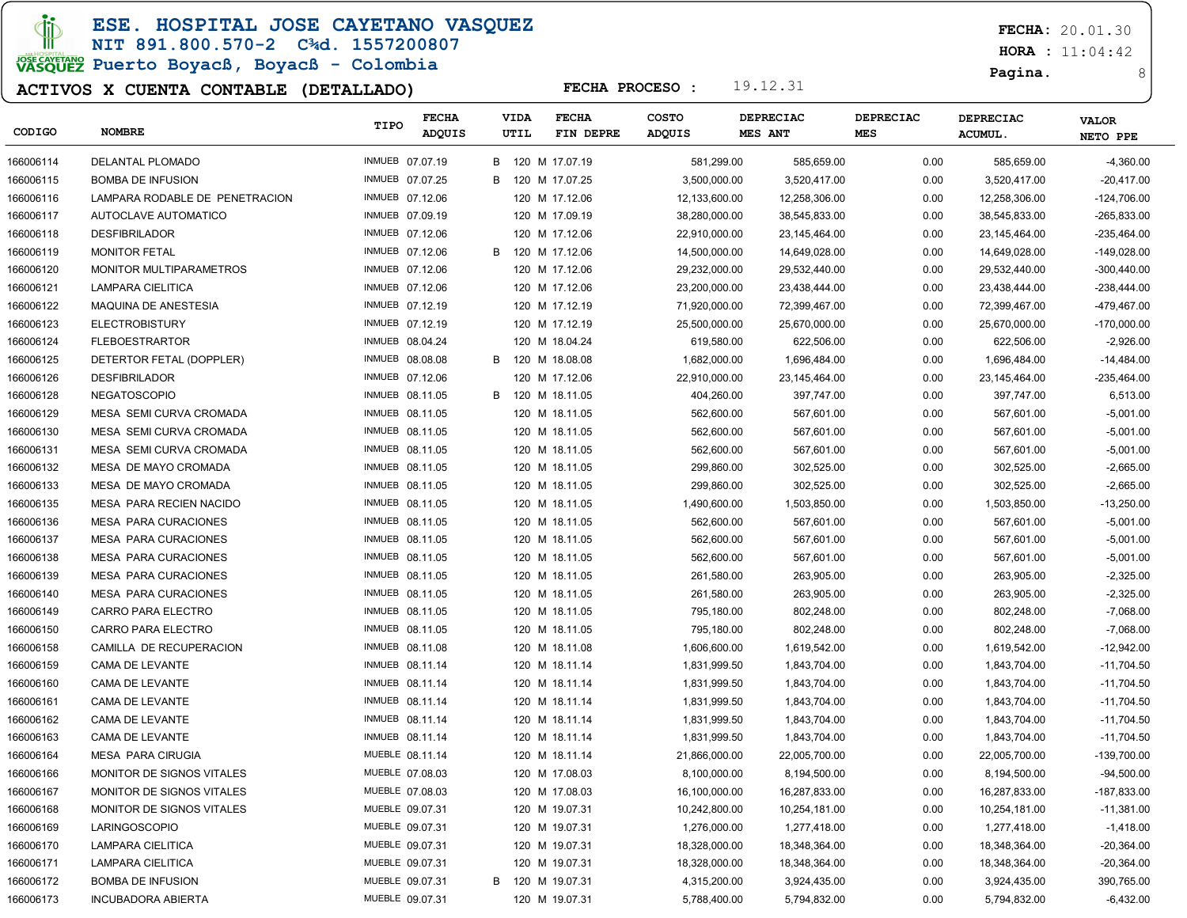**JD** 

### ESE. HOSPITAL JOSE CAYETANO VASQUEZ

# NIT 891.800.570-2 C¾d. 1557200807

# JOSE CAVERANO<br>VASQUEZ Puerto Boyacß, Boyacß - Colombia

### ACTIVOS X CUENTA CONTABLE (DETALLADO)

FECHA: 20.01.30

 $HORA : 11:04:42$ 

Pagina. 8

| CODIGO    | <b>NOMBRE</b>                  | TIPO            | <b>FECHA</b><br><b>ADQUIS</b> |   | <b>VIDA</b><br>UTIL | <b>FECHA</b><br>FIN DEPRE | <b>COSTO</b><br>ADQUIS | DEPRECIAC<br>MES ANT | <b>DEPRECIAC</b><br><b>MES</b> | DEPRECIAC<br><b>ACUMUL.</b> | <b>VALOR</b><br>NETO PPE |
|-----------|--------------------------------|-----------------|-------------------------------|---|---------------------|---------------------------|------------------------|----------------------|--------------------------------|-----------------------------|--------------------------|
| 166006114 | DELANTAL PLOMADO               | INMUEB 07.07.19 |                               | В |                     | 120 M 17.07.19            | 581,299.00             | 585,659.00           | 0.00                           | 585,659.00                  | $-4,360.00$              |
| 166006115 | <b>BOMBA DE INFUSION</b>       | INMUEB 07.07.25 |                               | в |                     | 120 M 17.07.25            | 3,500,000.00           | 3,520,417.00         | 0.00                           | 3,520,417.00                | $-20,417.00$             |
| 166006116 | LAMPARA RODABLE DE PENETRACION | INMUEB 07.12.06 |                               |   |                     | 120 M 17.12.06            | 12,133,600.00          | 12,258,306.00        | 0.00                           | 12,258,306.00               | $-124,706.00$            |
| 166006117 | AUTOCLAVE AUTOMATICO           | INMUEB 07.09.19 |                               |   |                     | 120 M 17.09.19            | 38,280,000.00          | 38,545,833.00        | 0.00                           | 38,545,833.00               | -265,833.00              |
| 166006118 | <b>DESFIBRILADOR</b>           | INMUEB 07.12.06 |                               |   |                     | 120 M 17.12.06            | 22,910,000.00          | 23,145,464.00        | 0.00                           | 23, 145, 464.00             | -235,464.00              |
| 166006119 | <b>MONITOR FETAL</b>           | INMUEB 07.12.06 |                               |   |                     | B 120 M 17.12.06          | 14,500,000.00          | 14,649,028.00        | 0.00                           | 14,649,028.00               | -149,028.00              |
| 166006120 | MONITOR MULTIPARAMETROS        | INMUEB 07.12.06 |                               |   |                     | 120 M 17.12.06            | 29,232,000.00          | 29,532,440.00        | 0.00                           | 29,532,440.00               | $-300,440.00$            |
| 166006121 | LAMPARA CIELITICA              | INMUEB 07.12.06 |                               |   |                     | 120 M 17.12.06            | 23,200,000.00          | 23,438,444.00        | 0.00                           | 23,438,444.00               | -238,444.00              |
| 166006122 | MAQUINA DE ANESTESIA           | INMUEB 07.12.19 |                               |   |                     | 120 M 17.12.19            | 71,920,000.00          | 72,399,467.00        | 0.00                           | 72,399,467.00               | -479,467.00              |
| 166006123 | <b>ELECTROBISTURY</b>          | INMUEB 07.12.19 |                               |   |                     | 120 M 17.12.19            | 25,500,000.00          | 25,670,000.00        | 0.00                           | 25,670,000.00               | $-170,000.00$            |
| 166006124 | <b>FLEBOESTRARTOR</b>          | INMUEB 08.04.24 |                               |   |                     | 120 M 18.04.24            | 619,580.00             | 622,506.00           | 0.00                           | 622,506.00                  | $-2,926.00$              |
| 166006125 | DETERTOR FETAL (DOPPLER)       | INMUEB 08.08.08 |                               | B |                     | 120 M 18.08.08            | 1,682,000.00           | 1,696,484.00         | 0.00                           | 1,696,484.00                | $-14,484.00$             |
| 166006126 | <b>DESFIBRILADOR</b>           | INMUEB 07.12.06 |                               |   |                     | 120 M 17.12.06            | 22,910,000.00          | 23,145,464.00        | 0.00                           | 23, 145, 464.00             | -235,464.00              |
| 166006128 | <b>NEGATOSCOPIO</b>            | INMUEB 08.11.05 |                               | в |                     | 120 M 18.11.05            | 404,260.00             | 397,747.00           | 0.00                           | 397,747.00                  | 6,513.00                 |
| 166006129 | MESA SEMI CURVA CROMADA        | INMUEB 08.11.05 |                               |   |                     | 120 M 18.11.05            | 562,600.00             | 567,601.00           | 0.00                           | 567,601.00                  | $-5,001.00$              |
| 166006130 | MESA SEMI CURVA CROMADA        | INMUEB 08.11.05 |                               |   |                     | 120 M 18.11.05            | 562,600.00             | 567,601.00           | 0.00                           | 567,601.00                  | $-5,001.00$              |
| 166006131 | MESA SEMI CURVA CROMADA        | INMUEB 08.11.05 |                               |   |                     | 120 M 18.11.05            | 562,600.00             | 567,601.00           | 0.00                           | 567,601.00                  | $-5,001.00$              |
| 166006132 | MESA DE MAYO CROMADA           | INMUEB 08.11.05 |                               |   |                     | 120 M 18.11.05            | 299,860.00             | 302,525.00           | 0.00                           | 302,525.00                  | $-2,665.00$              |
| 166006133 | MESA DE MAYO CROMADA           | INMUEB 08.11.05 |                               |   |                     | 120 M 18.11.05            | 299,860.00             | 302,525.00           | 0.00                           | 302,525.00                  | $-2,665.00$              |
| 166006135 | MESA PARA RECIEN NACIDO        | INMUEB 08.11.05 |                               |   |                     | 120 M 18.11.05            | 1,490,600.00           | 1,503,850.00         | 0.00                           | 1,503,850.00                | $-13,250.00$             |
| 166006136 | <b>MESA PARA CURACIONES</b>    | INMUEB 08.11.05 |                               |   |                     | 120 M 18.11.05            | 562,600.00             | 567,601.00           | 0.00                           | 567,601.00                  | $-5,001.00$              |
| 166006137 | <b>MESA PARA CURACIONES</b>    | INMUEB 08.11.05 |                               |   |                     | 120 M 18.11.05            | 562,600.00             | 567,601.00           | 0.00                           | 567,601.00                  | $-5,001.00$              |
| 166006138 | <b>MESA PARA CURACIONES</b>    | INMUEB 08.11.05 |                               |   |                     | 120 M 18.11.05            | 562,600.00             | 567,601.00           | 0.00                           | 567,601.00                  | $-5,001.00$              |
| 166006139 | <b>MESA PARA CURACIONES</b>    | INMUEB 08.11.05 |                               |   |                     | 120 M 18.11.05            | 261,580.00             | 263,905.00           | 0.00                           | 263,905.00                  | $-2,325.00$              |
| 166006140 | <b>MESA PARA CURACIONES</b>    | INMUEB 08.11.05 |                               |   |                     | 120 M 18.11.05            | 261,580.00             | 263,905.00           | 0.00                           | 263,905.00                  | $-2,325.00$              |
| 166006149 | CARRO PARA ELECTRO             | INMUEB 08.11.05 |                               |   |                     | 120 M 18.11.05            | 795,180.00             | 802,248.00           | 0.00                           | 802,248.00                  | $-7,068.00$              |
| 166006150 | CARRO PARA ELECTRO             | INMUEB 08.11.05 |                               |   |                     | 120 M 18.11.05            | 795,180.00             | 802,248.00           | 0.00                           | 802,248.00                  | $-7,068.00$              |
| 166006158 | CAMILLA DE RECUPERACION        | INMUEB 08.11.08 |                               |   |                     | 120 M 18.11.08            | 1,606,600.00           | 1,619,542.00         | 0.00                           | 1,619,542.00                | $-12,942.00$             |
| 166006159 | CAMA DE LEVANTE                | INMUEB 08.11.14 |                               |   |                     | 120 M 18.11.14            | 1,831,999.50           | 1,843,704.00         | 0.00                           | 1,843,704.00                | -11,704.50               |
| 166006160 | CAMA DE LEVANTE                | INMUEB 08.11.14 |                               |   |                     | 120 M 18.11.14            | 1,831,999.50           | 1,843,704.00         | 0.00                           | 1,843,704.00                | $-11,704.50$             |
| 166006161 | CAMA DE LEVANTE                | INMUEB 08.11.14 |                               |   |                     | 120 M 18.11.14            | 1,831,999.50           | 1,843,704.00         | 0.00                           | 1,843,704.00                | -11,704.50               |
| 166006162 | CAMA DE LEVANTE                | INMUEB 08.11.14 |                               |   |                     | 120 M 18.11.14            | 1,831,999.50           | 1,843,704.00         | 0.00                           | 1,843,704.00                | $-11,704.50$             |
| 166006163 | CAMA DE LEVANTE                | INMUEB 08.11.14 |                               |   |                     | 120 M 18.11.14            | 1,831,999.50           | 1,843,704.00         | 0.00                           | 1,843,704.00                | $-11,704.50$             |
| 166006164 | <b>MESA PARA CIRUGIA</b>       | MUEBLE 08.11.14 |                               |   |                     | 120 M 18.11.14            | 21,866,000.00          | 22,005,700.00        | 0.00                           | 22,005,700.00               | $-139,700.00$            |
| 166006166 | MONITOR DE SIGNOS VITALES      | MUEBLE 07.08.03 |                               |   |                     | 120 M 17.08.03            | 8,100,000.00           | 8,194,500.00         | 0.00                           | 8,194,500.00                | $-94,500.00$             |
| 166006167 | MONITOR DE SIGNOS VITALES      | MUEBLE 07.08.03 |                               |   |                     | 120 M 17.08.03            | 16,100,000.00          | 16,287,833.00        | 0.00                           | 16,287,833.00               | -187,833.00              |
| 166006168 | MONITOR DE SIGNOS VITALES      | MUEBLE 09.07.31 |                               |   |                     | 120 M 19.07.31            | 10,242,800.00          | 10,254,181.00        | 0.00                           | 10,254,181.00               | $-11,381.00$             |
| 166006169 | LARINGOSCOPIO                  | MUEBLE 09.07.31 |                               |   |                     | 120 M 19.07.31            | 1,276,000.00           | 1,277,418.00         | 0.00                           | 1,277,418.00                | $-1,418.00$              |
| 166006170 | LAMPARA CIELITICA              | MUEBLE 09.07.31 |                               |   |                     | 120 M 19.07.31            | 18,328,000.00          | 18,348,364.00        | 0.00                           | 18,348,364.00               | $-20,364.00$             |
| 166006171 | LAMPARA CIELITICA              | MUEBLE 09.07.31 |                               |   |                     | 120 M 19.07.31            | 18,328,000.00          | 18,348,364.00        | 0.00                           | 18,348,364.00               | $-20,364.00$             |
| 166006172 | <b>BOMBA DE INFUSION</b>       | MUEBLE 09.07.31 |                               |   |                     | B 120 M 19.07.31          | 4,315,200.00           | 3,924,435.00         | 0.00                           | 3,924,435.00                | 390,765.00               |
| 166006173 | <b>INCUBADORA ABIERTA</b>      | MUEBLE 09.07.31 |                               |   |                     | 120 M 19.07.31            | 5,788,400.00           | 5,794,832.00         | 0.00                           | 5,794,832.00                | $-6,432.00$              |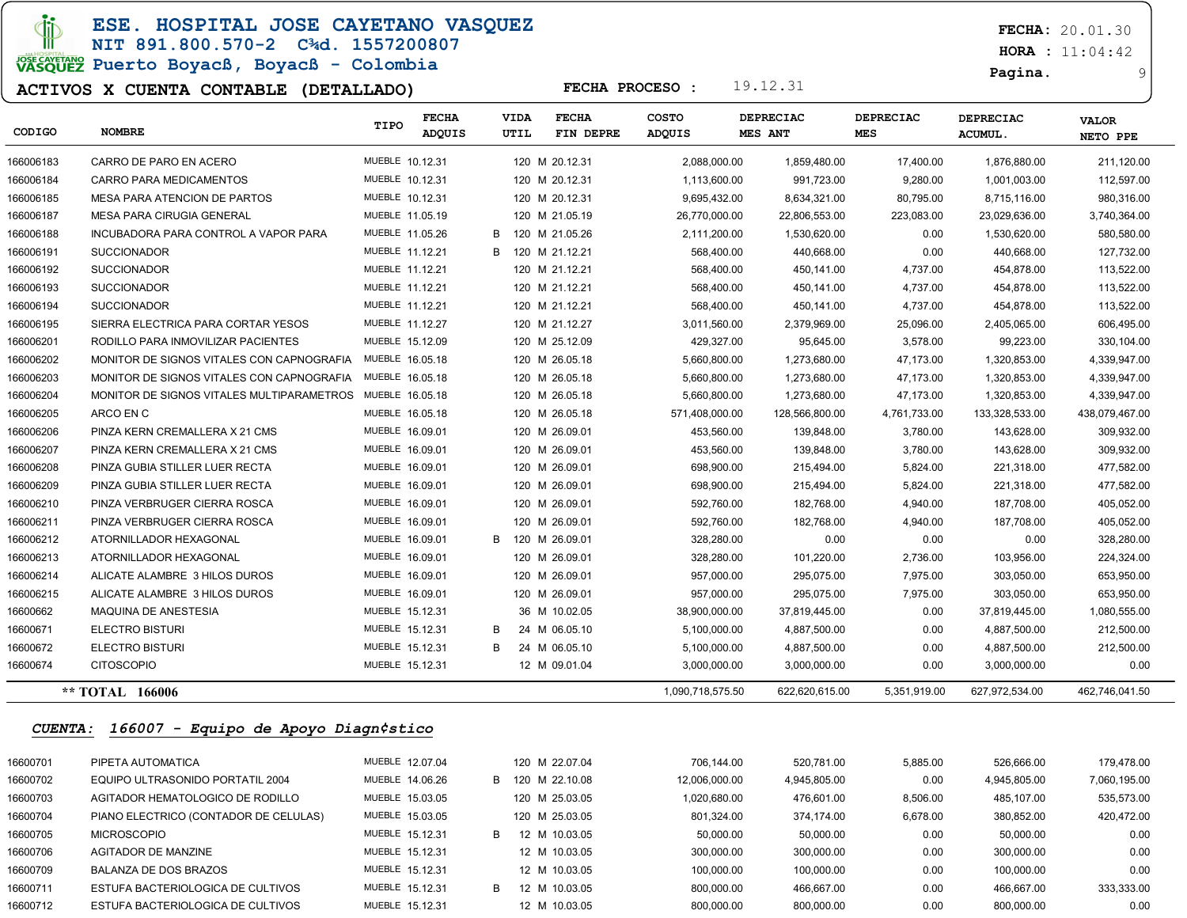$\Phi$ 

ESE. HOSPITAL JOSE CAYETANO VASQUEZ NIT 891.800.570-2 C¾d. 1557200807

### JOSE CAVETARIO PUERTO BOYACB, BOYACB - Colombia

#### ACTIVOS X CUENTA CONTABLE (DETALLADO)

FECHA: 20.01.30

 $HORA : 11:04:42$ 

Pagina. 9

| CODIGO         | <b>NOMBRE</b>                             | TIPO            | <b>FECHA</b><br>ADQUIS |   | VIDA<br>UTIL | <b>FECHA</b><br>FIN DEPRE | COSTO<br>ADQUIS  | <b>DEPRECIAC</b><br><b>MES ANT</b> | <b>DEPRECIAC</b><br>MES | DEPRECIAC<br><b>ACUMUL</b> | <b>VALOR</b><br>NETO PPE |
|----------------|-------------------------------------------|-----------------|------------------------|---|--------------|---------------------------|------------------|------------------------------------|-------------------------|----------------------------|--------------------------|
| 166006183      | CARRO DE PARO EN ACERO                    | MUEBLE 10.12.31 |                        |   |              | 120 M 20.12.31            | 2,088,000.00     | 1,859,480.00                       | 17,400.00               | 1,876,880.00               | 211,120.00               |
| 166006184      | CARRO PARA MEDICAMENTOS                   | MUEBLE 10.12.31 |                        |   |              | 120 M 20.12.31            | 1,113,600.00     | 991,723.00                         | 9,280.00                | 1,001,003.00               | 112,597.00               |
| 166006185      | <b>MESA PARA ATENCION DE PARTOS</b>       | MUEBLE 10.12.31 |                        |   |              | 120 M 20.12.31            | 9,695,432.00     | 8,634,321.00                       | 80,795.00               | 8,715,116.00               | 980,316.00               |
| 166006187      | <b>MESA PARA CIRUGIA GENERAL</b>          | MUEBLE 11.05.19 |                        |   |              | 120 M 21.05.19            | 26,770,000.00    | 22,806,553.00                      | 223,083.00              | 23,029,636.00              | 3,740,364.00             |
| 166006188      | INCUBADORA PARA CONTROL A VAPOR PARA      | MUEBLE 11.05.26 |                        | B |              | 120 M 21.05.26            | 2,111,200.00     | 1,530,620.00                       | 0.00                    | 1,530,620.00               | 580,580.00               |
| 166006191      | <b>SUCCIONADOR</b>                        | MUEBLE 11.12.21 |                        | B |              | 120 M 21.12.21            | 568,400.00       | 440,668.00                         | 0.00                    | 440,668.00                 | 127,732.00               |
| 166006192      | <b>SUCCIONADOR</b>                        | MUEBLE 11.12.21 |                        |   |              | 120 M 21.12.21            | 568,400.00       | 450,141.00                         | 4,737.00                | 454,878.00                 | 113,522.00               |
| 166006193      | <b>SUCCIONADOR</b>                        | MUEBLE 11.12.21 |                        |   |              | 120 M 21.12.21            | 568,400.00       | 450,141.00                         | 4,737.00                | 454,878.00                 | 113,522.00               |
| 166006194      | <b>SUCCIONADOR</b>                        | MUEBLE 11.12.21 |                        |   |              | 120 M 21.12.21            | 568,400.00       | 450,141.00                         | 4,737.00                | 454,878.00                 | 113,522.00               |
| 166006195      | SIERRA ELECTRICA PARA CORTAR YESOS        | MUEBLE 11.12.27 |                        |   |              | 120 M 21.12.27            | 3,011,560.00     | 2,379,969.00                       | 25,096.00               | 2,405,065.00               | 606,495.00               |
| 166006201      | RODILLO PARA INMOVILIZAR PACIENTES        | MUEBLE 15.12.09 |                        |   |              | 120 M 25.12.09            | 429,327.00       | 95,645.00                          | 3,578.00                | 99,223.00                  | 330,104.00               |
| 166006202      | MONITOR DE SIGNOS VITALES CON CAPNOGRAFIA | MUEBLE 16.05.18 |                        |   |              | 120 M 26.05.18            | 5,660,800.00     | 1,273,680.00                       | 47,173.00               | 1,320,853.00               | 4,339,947.00             |
| 166006203      | MONITOR DE SIGNOS VITALES CON CAPNOGRAFIA | MUEBLE 16.05.18 |                        |   |              | 120 M 26.05.18            | 5,660,800.00     | 1,273,680.00                       | 47,173.00               | 1,320,853.00               | 4,339,947.00             |
| 166006204      | MONITOR DE SIGNOS VITALES MULTIPARAMETROS | MUEBLE 16.05.18 |                        |   |              | 120 M 26.05.18            | 5,660,800.00     | 1,273,680.00                       | 47,173.00               | 1,320,853.00               | 4,339,947.00             |
| 166006205      | ARCO EN C                                 | MUEBLE 16.05.18 |                        |   |              | 120 M 26.05.18            | 571,408,000.00   | 128,566,800.00                     | 4,761,733.00            | 133,328,533.00             | 438,079,467.00           |
| 166006206      | PINZA KERN CREMALLERA X 21 CMS            | MUEBLE 16.09.01 |                        |   |              | 120 M 26.09.01            | 453,560.00       | 139,848.00                         | 3,780.00                | 143,628.00                 | 309,932.00               |
| 166006207      | PINZA KERN CREMALLERA X 21 CMS            | MUEBLE 16.09.01 |                        |   |              | 120 M 26.09.01            | 453,560.00       | 139,848.00                         | 3,780.00                | 143,628.00                 | 309,932.00               |
| 166006208      | PINZA GUBIA STILLER LUER RECTA            | MUEBLE 16.09.01 |                        |   |              | 120 M 26.09.01            | 698,900.00       | 215,494.00                         | 5,824.00                | 221,318.00                 | 477,582.00               |
| 166006209      | PINZA GUBIA STILLER LUER RECTA            | MUEBLE 16.09.01 |                        |   |              | 120 M 26.09.01            | 698,900.00       | 215,494.00                         | 5,824.00                | 221,318.00                 | 477,582.00               |
| 166006210      | PINZA VERBRUGER CIERRA ROSCA              | MUEBLE 16.09.01 |                        |   |              | 120 M 26.09.01            | 592,760.00       | 182,768.00                         | 4,940.00                | 187,708.00                 | 405,052.00               |
| 166006211      | PINZA VERBRUGER CIERRA ROSCA              | MUEBLE 16.09.01 |                        |   |              | 120 M 26.09.01            | 592,760.00       | 182,768.00                         | 4,940.00                | 187,708.00                 | 405,052.00               |
| 166006212      | ATORNILLADOR HEXAGONAL                    | MUEBLE 16.09.01 |                        | B |              | 120 M 26.09.01            | 328,280.00       | 0.00                               | 0.00                    | 0.00                       | 328,280.00               |
| 166006213      | ATORNILLADOR HEXAGONAL                    | MUEBLE 16.09.01 |                        |   |              | 120 M 26.09.01            | 328,280.00       | 101,220.00                         | 2,736.00                | 103,956.00                 | 224,324.00               |
| 166006214      | ALICATE ALAMBRE 3 HILOS DUROS             | MUEBLE 16.09.01 |                        |   |              | 120 M 26.09.01            | 957,000.00       | 295,075.00                         | 7,975.00                | 303,050.00                 | 653,950.00               |
| 166006215      | ALICATE ALAMBRE 3 HILOS DUROS             | MUEBLE 16.09.01 |                        |   |              | 120 M 26.09.01            | 957,000.00       | 295,075.00                         | 7,975.00                | 303,050.00                 | 653,950.00               |
| 16600662       | MAQUINA DE ANESTESIA                      | MUEBLE 15.12.31 |                        |   |              | 36 M 10.02.05             | 38,900,000.00    | 37,819,445.00                      | 0.00                    | 37,819,445.00              | 1,080,555.00             |
| 16600671       | ELECTRO BISTURI                           | MUEBLE 15.12.31 |                        | В |              | 24 M 06.05.10             | 5,100,000.00     | 4,887,500.00                       | 0.00                    | 4,887,500.00               | 212,500.00               |
| 16600672       | ELECTRO BISTURI                           | MUEBLE 15.12.31 |                        | B |              | 24 M 06.05.10             | 5,100,000.00     | 4,887,500.00                       | 0.00                    | 4,887,500.00               | 212,500.00               |
| 16600674       | <b>CITOSCOPIO</b>                         | MUEBLE 15.12.31 |                        |   |              | 12 M 09.01.04             | 3,000,000.00     | 3,000,000.00                       | 0.00                    | 3,000,000.00               | 0.00                     |
|                | ** TOTAL 166006                           |                 |                        |   |              |                           | 1,090,718,575.50 | 622,620,615.00                     | 5,351,919.00            | 627,972,534.00             | 462,746,041.50           |
| <b>CUENTA:</b> | 166007 - Equipo de Apoyo Diagn¢stico      |                 |                        |   |              |                           |                  |                                    |                         |                            |                          |
| 16600701       | PIPETA AUTOMATICA                         | MUEBLE 12.07.04 |                        |   |              | 120 M 22.07.04            | 706,144.00       | 520,781.00                         | 5,885.00                | 526,666.00                 | 179,478.00               |
| 16600702       | EQUIPO ULTRASONIDO PORTATIL 2004          | MUEBLE 14.06.26 |                        |   |              | B 120 M 22.10.08          | 12,006,000.00    | 4,945,805.00                       | 0.00                    | 4,945,805.00               | 7,060,195.00             |
| 16600703       | AGITADOR HEMATOLOGICO DE RODILLO          | MUEBLE 15.03.05 |                        |   |              | 120 M 25.03.05            | 1,020,680.00     | 476,601.00                         | 8,506.00                | 485,107.00                 | 535,573.00               |
| 16600704       | PIANO ELECTRICO (CONTADOR DE CELULAS)     | MUEBLE 15.03.05 |                        |   |              | 120 M 25.03.05            | 801,324.00       | 374,174.00                         | 6,678.00                | 380,852.00                 | 420,472.00               |
| 16600705       | <b>MICROSCOPIO</b>                        | MUEBLE 15.12.31 |                        | В |              | 12 M 10.03.05             | 50,000.00        | 50,000.00                          | 0.00                    | 50,000.00                  | 0.00                     |
| 16600706       | AGITADOR DE MANZINE                       | MUEBLE 15.12.31 |                        |   |              | 12 M 10.03.05             | 300,000.00       | 300,000.00                         | 0.00                    | 300,000.00                 | 0.00                     |
| 16600709       | BALANZA DE DOS BRAZOS                     | MUEBLE 15.12.31 |                        |   |              | 12 M 10.03.05             | 100,000.00       | 100,000.00                         | 0.00                    | 100,000.00                 | 0.00                     |
| 16600711       | ESTUFA BACTERIOLOGICA DE CULTIVOS         | MUEBLE 15.12.31 |                        |   |              | B 12 M 10.03.05           | 800,000.00       | 466,667.00                         | 0.00                    | 466,667.00                 | 333,333.00               |

16600712 ESTUFA BACTERIOLOGICA DE CULTIVOS MUEBLE 15.12.31 12 M 10.03.05 800,000.00 800,000.00 0.00 800,000.00 0.00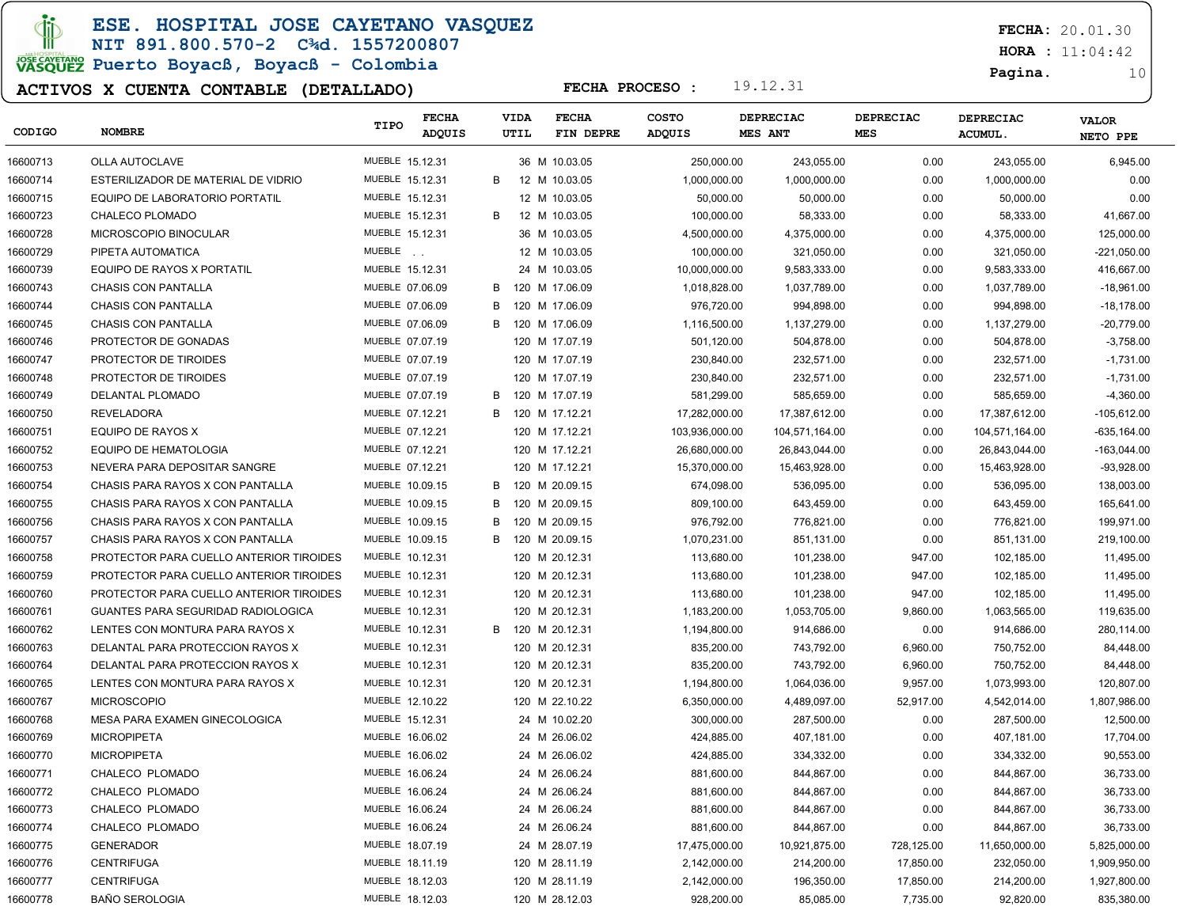ESE. HOSPITAL JOSE CAYETANO VASQUEZ

NIT 891.800.570-2 C¾d. 1557200807 JOSE CAVERANO<br>VASQUEZ Puerto Boyacß, Boyacß - Colombia

### ACTIVOS X CUENTA CONTABLE (DETALLADO)

FECHA: 20.01.30

 $HORA : 11:04:42$ 

Pagina. 10

| CODIGO   | <b>NOMBRE</b>                           | TIPO            | <b>FECHA</b><br>ADQUIS |   | VIDA<br>UTIL | <b>FECHA</b><br>FIN DEPRE | <b>COSTO</b><br>ADQUIS | <b>DEPRECIAC</b><br><b>MES ANT</b> | <b>DEPRECIAC</b><br><b>MES</b> | <b>DEPRECIAC</b><br><b>ACUMUL.</b> | <b>VALOR</b><br>NETO PPE |
|----------|-----------------------------------------|-----------------|------------------------|---|--------------|---------------------------|------------------------|------------------------------------|--------------------------------|------------------------------------|--------------------------|
|          |                                         |                 |                        |   |              |                           |                        |                                    |                                |                                    |                          |
| 16600713 | <b>OLLA AUTOCLAVE</b>                   | MUEBLE 15.12.31 |                        |   |              | 36 M 10.03.05             | 250,000.00             | 243,055.00                         | 0.00                           | 243,055.00                         | 6,945.00                 |
| 16600714 | ESTERILIZADOR DE MATERIAL DE VIDRIO     | MUEBLE 15.12.31 |                        | B |              | 12 M 10.03.05             | 1,000,000.00           | 1,000,000.00                       | 0.00                           | 1,000,000.00                       | 0.00                     |
| 16600715 | EQUIPO DE LABORATORIO PORTATIL          | MUEBLE 15.12.31 |                        |   |              | 12 M 10.03.05             | 50,000.00              | 50,000.00                          | 0.00                           | 50,000.00                          | 0.00                     |
| 16600723 | CHALECO PLOMADO                         | MUEBLE 15.12.31 |                        | B |              | 12 M 10.03.05             | 100,000.00             | 58,333.00                          | 0.00                           | 58,333.00                          | 41,667.00                |
| 16600728 | MICROSCOPIO BINOCULAR                   | MUEBLE 15.12.31 |                        |   |              | 36 M 10.03.05             | 4,500,000.00           | 4,375,000.00                       | 0.00                           | 4,375,000.00                       | 125,000.00               |
| 16600729 | PIPETA AUTOMATICA                       | MUEBLE          |                        |   |              | 12 M 10.03.05             | 100,000.00             | 321,050.00                         | 0.00                           | 321,050.00                         | $-221,050.00$            |
| 16600739 | EQUIPO DE RAYOS X PORTATIL              | MUEBLE 15.12.31 |                        |   |              | 24 M 10.03.05             | 10,000,000.00          | 9,583,333.00                       | 0.00                           | 9,583,333.00                       | 416,667.00               |
| 16600743 | <b>CHASIS CON PANTALLA</b>              | MUEBLE 07.06.09 |                        | B |              | 120 M 17.06.09            | 1,018,828.00           | 1,037,789.00                       | 0.00                           | 1,037,789.00                       | $-18,961.00$             |
| 16600744 | <b>CHASIS CON PANTALLA</b>              | MUEBLE 07.06.09 |                        | В |              | 120 M 17.06.09            | 976,720.00             | 994,898.00                         | 0.00                           | 994,898.00                         | $-18,178.00$             |
| 16600745 | <b>CHASIS CON PANTALLA</b>              | MUEBLE 07.06.09 |                        | В |              | 120 M 17.06.09            | 1,116,500.00           | 1,137,279.00                       | 0.00                           | 1,137,279.00                       | $-20,779.00$             |
| 16600746 | PROTECTOR DE GONADAS                    | MUEBLE 07.07.19 |                        |   |              | 120 M 17.07.19            | 501,120.00             | 504,878.00                         | 0.00                           | 504,878.00                         | $-3,758.00$              |
| 16600747 | PROTECTOR DE TIROIDES                   | MUEBLE 07.07.19 |                        |   |              | 120 M 17.07.19            | 230,840.00             | 232,571.00                         | 0.00                           | 232,571.00                         | $-1,731.00$              |
| 16600748 | PROTECTOR DE TIROIDES                   | MUEBLE 07.07.19 |                        |   |              | 120 M 17.07.19            | 230,840.00             | 232,571.00                         | 0.00                           | 232,571.00                         | $-1,731.00$              |
| 16600749 | DELANTAL PLOMADO                        | MUEBLE 07.07.19 |                        | В |              | 120 M 17.07.19            | 581,299.00             | 585,659.00                         | 0.00                           | 585,659.00                         | $-4,360.00$              |
| 16600750 | <b>REVELADORA</b>                       | MUEBLE 07.12.21 |                        | B |              | 120 M 17.12.21            | 17,282,000.00          | 17,387,612.00                      | 0.00                           | 17,387,612.00                      | $-105,612.00$            |
| 16600751 | EQUIPO DE RAYOS X                       | MUEBLE 07.12.21 |                        |   |              | 120 M 17.12.21            | 103,936,000.00         | 104,571,164.00                     | 0.00                           | 104,571,164.00                     | -635,164.00              |
| 16600752 | EQUIPO DE HEMATOLOGIA                   | MUEBLE 07.12.21 |                        |   |              | 120 M 17.12.21            | 26,680,000.00          | 26,843,044.00                      | 0.00                           | 26,843,044.00                      | -163,044.00              |
| 16600753 | NEVERA PARA DEPOSITAR SANGRE            | MUEBLE 07.12.21 |                        |   |              | 120 M 17.12.21            | 15,370,000.00          | 15,463,928.00                      | 0.00                           | 15,463,928.00                      | $-93,928.00$             |
| 16600754 | CHASIS PARA RAYOS X CON PANTALLA        | MUEBLE 10.09.15 |                        | В |              | 120 M 20.09.15            | 674.098.00             | 536,095.00                         | 0.00                           | 536,095.00                         | 138,003.00               |
| 16600755 | CHASIS PARA RAYOS X CON PANTALLA        | MUEBLE 10.09.15 |                        | В |              | 120 M 20.09.15            | 809,100.00             | 643,459.00                         | 0.00                           | 643,459.00                         | 165,641.00               |
| 16600756 | CHASIS PARA RAYOS X CON PANTALLA        | MUEBLE 10.09.15 |                        | B |              | 120 M 20.09.15            | 976,792.00             | 776.821.00                         | 0.00                           | 776,821.00                         | 199,971.00               |
| 16600757 | CHASIS PARA RAYOS X CON PANTALLA        | MUEBLE 10.09.15 |                        | B |              | 120 M 20.09.15            | 1,070,231.00           | 851,131.00                         | 0.00                           | 851,131.00                         | 219,100.00               |
| 16600758 | PROTECTOR PARA CUELLO ANTERIOR TIROIDES | MUEBLE 10.12.31 |                        |   |              | 120 M 20.12.31            | 113,680.00             | 101,238.00                         | 947.00                         | 102,185.00                         | 11,495.00                |
| 16600759 | PROTECTOR PARA CUELLO ANTERIOR TIROIDES | MUEBLE 10.12.31 |                        |   |              | 120 M 20.12.31            | 113,680.00             | 101,238.00                         | 947.00                         | 102,185.00                         | 11,495.00                |
| 16600760 | PROTECTOR PARA CUELLO ANTERIOR TIROIDES | MUEBLE 10.12.31 |                        |   |              | 120 M 20.12.31            | 113,680.00             | 101,238.00                         | 947.00                         | 102,185.00                         | 11,495.00                |
| 16600761 | GUANTES PARA SEGURIDAD RADIOLOGICA      | MUEBLE 10.12.31 |                        |   |              | 120 M 20.12.31            | 1,183,200.00           | 1,053,705.00                       | 9,860.00                       | 1,063,565.00                       | 119,635.00               |
| 16600762 | LENTES CON MONTURA PARA RAYOS X         | MUEBLE 10.12.31 |                        | B |              | 120 M 20.12.31            | 1,194,800.00           | 914,686.00                         | 0.00                           | 914,686.00                         | 280,114.00               |
| 16600763 | DELANTAL PARA PROTECCION RAYOS X        | MUEBLE 10.12.31 |                        |   |              | 120 M 20.12.31            | 835,200.00             | 743,792.00                         | 6,960.00                       | 750,752.00                         | 84,448.00                |
| 16600764 | DELANTAL PARA PROTECCION RAYOS X        | MUEBLE 10.12.31 |                        |   |              | 120 M 20.12.31            | 835,200.00             | 743,792.00                         | 6,960.00                       | 750,752.00                         | 84,448.00                |
| 16600765 | LENTES CON MONTURA PARA RAYOS X         | MUEBLE 10.12.31 |                        |   |              | 120 M 20.12.31            | 1,194,800.00           | 1,064,036.00                       | 9,957.00                       | 1,073,993.00                       | 120,807.00               |
| 16600767 | <b>MICROSCOPIO</b>                      | MUEBLE 12.10.22 |                        |   |              | 120 M 22.10.22            | 6,350,000.00           | 4,489,097.00                       | 52,917.00                      | 4,542,014.00                       | 1,807,986.00             |
| 16600768 | MESA PARA EXAMEN GINECOLOGICA           | MUEBLE 15.12.31 |                        |   |              | 24 M 10.02.20             | 300,000.00             | 287,500.00                         | 0.00                           | 287,500.00                         | 12,500.00                |
| 16600769 | <b>MICROPIPETA</b>                      | MUEBLE 16.06.02 |                        |   |              | 24 M 26.06.02             | 424,885.00             | 407,181.00                         | 0.00                           | 407,181.00                         | 17,704.00                |
| 16600770 | <b>MICROPIPETA</b>                      | MUEBLE 16.06.02 |                        |   |              | 24 M 26.06.02             | 424,885.00             | 334,332.00                         | 0.00                           | 334,332.00                         | 90,553.00                |
| 16600771 | CHALECO PLOMADO                         | MUEBLE 16.06.24 |                        |   |              | 24 M 26.06.24             | 881,600.00             | 844,867.00                         | 0.00                           | 844,867.00                         | 36,733.00                |
| 16600772 | CHALECO PLOMADO                         | MUEBLE 16.06.24 |                        |   |              | 24 M 26.06.24             | 881,600.00             | 844,867.00                         | 0.00                           | 844,867.00                         | 36,733.00                |
| 16600773 | CHALECO PLOMADO                         | MUEBLE 16.06.24 |                        |   |              | 24 M 26.06.24             | 881,600.00             | 844,867.00                         | 0.00                           | 844,867.00                         | 36,733.00                |
| 16600774 | CHALECO PLOMADO                         | MUEBLE 16.06.24 |                        |   |              | 24 M 26.06.24             | 881,600.00             | 844,867.00                         | 0.00                           | 844,867.00                         | 36,733.00                |
| 16600775 | <b>GENERADOR</b>                        | MUEBLE 18.07.19 |                        |   |              | 24 M 28.07.19             | 17,475,000.00          | 10,921,875.00                      | 728,125.00                     | 11,650,000.00                      | 5,825,000.00             |
| 16600776 | <b>CENTRIFUGA</b>                       | MUEBLE 18.11.19 |                        |   |              | 120 M 28.11.19            | 2,142,000.00           | 214,200.00                         | 17,850.00                      | 232,050.00                         | 1,909,950.00             |
| 16600777 | <b>CENTRIFUGA</b>                       | MUEBLE 18.12.03 |                        |   |              | 120 M 28.11.19            | 2,142,000.00           | 196,350.00                         | 17,850.00                      | 214,200.00                         | 1,927,800.00             |
|          |                                         | MUEBLE 18.12.03 |                        |   |              |                           |                        |                                    |                                |                                    |                          |
| 16600778 | <b>BAÑO SEROLOGIA</b>                   |                 |                        |   |              | 120 M 28.12.03            | 928,200.00             | 85,085.00                          | 7,735.00                       | 92,820.00                          | 835,380.00               |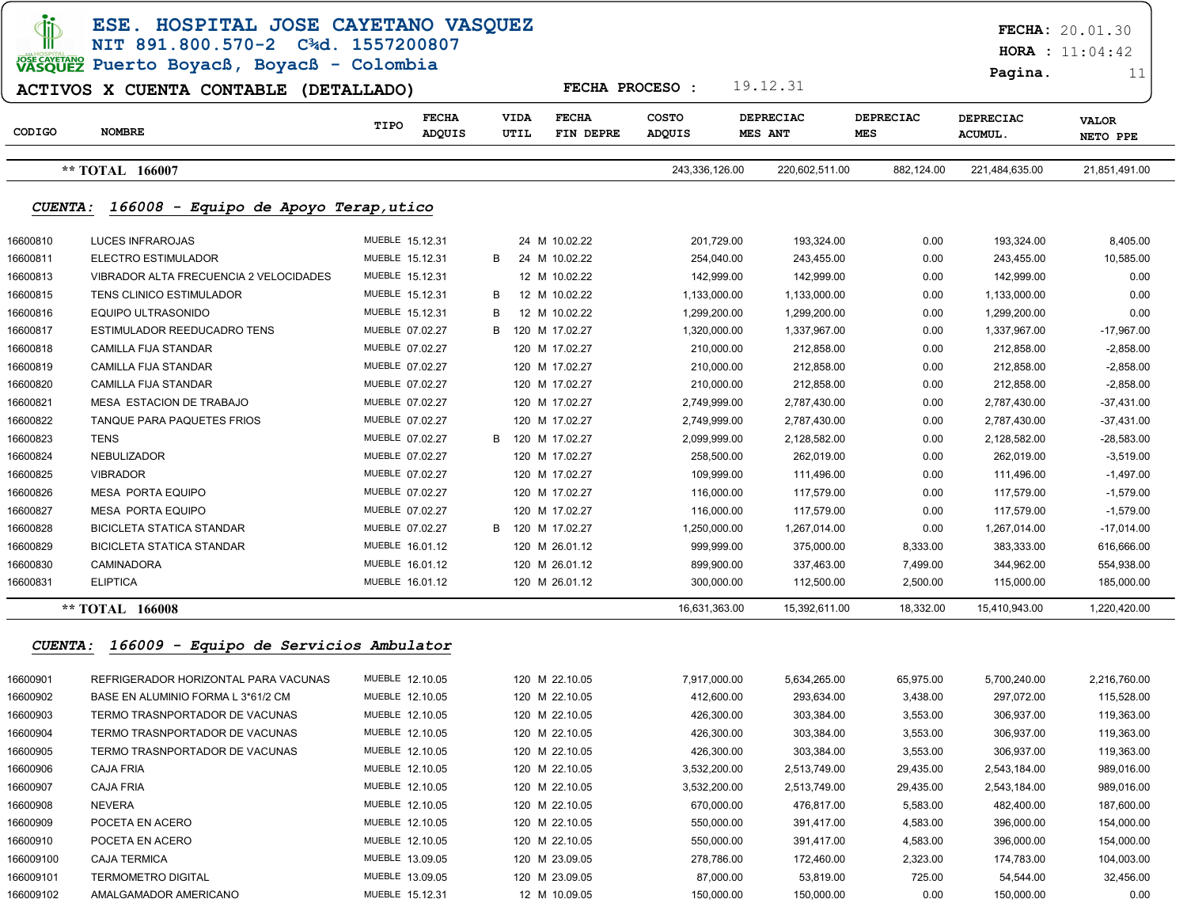|                                                                                                                                                                                                                                                                                                                                                                                                                                                                                                                                                                                                                                                                                                                                                                                                                                                                                                                                                                                                                                                                                                                                                                                                                                                                                                                                                                                                                                                                                                                                                                                                                                                                                                                                                                                                                                                                                                                                                                                                                                                                                                                                                                                                                                                                                                                                                                                                                                                                                                                                                                                                                                                                                                                                                                                                                                                                                                                                                                                                                                                                                                                                                                                                                                                                                                                                                                                                                                                                                                                                                                                                                                                                                                                                                                                                                                                                                                                                                                                                                                                                                                                                                                                                                                                                                                                                                                                                                                                                                                                                                                                                                                                                                                                                                                                                                                                                                                                                                                                                                                                               |                       |                                |                                     |                        |                             |                         | Pagina.                     | 11                       |
|---------------------------------------------------------------------------------------------------------------------------------------------------------------------------------------------------------------------------------------------------------------------------------------------------------------------------------------------------------------------------------------------------------------------------------------------------------------------------------------------------------------------------------------------------------------------------------------------------------------------------------------------------------------------------------------------------------------------------------------------------------------------------------------------------------------------------------------------------------------------------------------------------------------------------------------------------------------------------------------------------------------------------------------------------------------------------------------------------------------------------------------------------------------------------------------------------------------------------------------------------------------------------------------------------------------------------------------------------------------------------------------------------------------------------------------------------------------------------------------------------------------------------------------------------------------------------------------------------------------------------------------------------------------------------------------------------------------------------------------------------------------------------------------------------------------------------------------------------------------------------------------------------------------------------------------------------------------------------------------------------------------------------------------------------------------------------------------------------------------------------------------------------------------------------------------------------------------------------------------------------------------------------------------------------------------------------------------------------------------------------------------------------------------------------------------------------------------------------------------------------------------------------------------------------------------------------------------------------------------------------------------------------------------------------------------------------------------------------------------------------------------------------------------------------------------------------------------------------------------------------------------------------------------------------------------------------------------------------------------------------------------------------------------------------------------------------------------------------------------------------------------------------------------------------------------------------------------------------------------------------------------------------------------------------------------------------------------------------------------------------------------------------------------------------------------------------------------------------------------------------------------------------------------------------------------------------------------------------------------------------------------------------------------------------------------------------------------------------------------------------------------------------------------------------------------------------------------------------------------------------------------------------------------------------------------------------------------------------------------------------------------------------------------------------------------------------------------------------------------------------------------------------------------------------------------------------------------------------------------------------------------------------------------------------------------------------------------------------------------------------------------------------------------------------------------------------------------------------------------------------------------------------------------------------------------------------------------------------------------------------------------------------------------------------------------------------------------------------------------------------------------------------------------------------------------------------------------------------------------------------------------------------------------------------------------------------------------------------------------------------------------------------------------------------------------|-----------------------|--------------------------------|-------------------------------------|------------------------|-----------------------------|-------------------------|-----------------------------|--------------------------|
|                                                                                                                                                                                                                                                                                                                                                                                                                                                                                                                                                                                                                                                                                                                                                                                                                                                                                                                                                                                                                                                                                                                                                                                                                                                                                                                                                                                                                                                                                                                                                                                                                                                                                                                                                                                                                                                                                                                                                                                                                                                                                                                                                                                                                                                                                                                                                                                                                                                                                                                                                                                                                                                                                                                                                                                                                                                                                                                                                                                                                                                                                                                                                                                                                                                                                                                                                                                                                                                                                                                                                                                                                                                                                                                                                                                                                                                                                                                                                                                                                                                                                                                                                                                                                                                                                                                                                                                                                                                                                                                                                                                                                                                                                                                                                                                                                                                                                                                                                                                                                                                               |                       |                                |                                     |                        |                             |                         |                             |                          |
| CODIGO                                                                                                                                                                                                                                                                                                                                                                                                                                                                                                                                                                                                                                                                                                                                                                                                                                                                                                                                                                                                                                                                                                                                                                                                                                                                                                                                                                                                                                                                                                                                                                                                                                                                                                                                                                                                                                                                                                                                                                                                                                                                                                                                                                                                                                                                                                                                                                                                                                                                                                                                                                                                                                                                                                                                                                                                                                                                                                                                                                                                                                                                                                                                                                                                                                                                                                                                                                                                                                                                                                                                                                                                                                                                                                                                                                                                                                                                                                                                                                                                                                                                                                                                                                                                                                                                                                                                                                                                                                                                                                                                                                                                                                                                                                                                                                                                                                                                                                                                                                                                                                                        | <b>NOMBRE</b>         | <b>FECHA</b><br>TIPO<br>ADQUIS | <b>VIDA</b><br><b>FECHA</b><br>UTIL | <b>COSTO</b><br>ADQUIS | <b>DEPRECIAC</b><br>MES ANT | <b>DEPRECIAC</b><br>MES | DEPRECIAC<br><b>ACUMUL.</b> | <b>VALOR</b><br>NETO PPE |
| ESE. HOSPITAL JOSE CAYETANO VASQUEZ<br><b>FECHA: 20.01.30</b><br>NIT 891.800.570-2 C3d. 1557200807<br>HORA : $11:04:42$<br>VASQUEZ Puerto Boyacß, Boyacß - Colombia<br>19.12.31<br><b>FECHA PROCESO:</b><br>ACTIVOS X CUENTA CONTABLE (DETALLADO)<br>FIN DEPRE<br>** TOTAL 166007<br>243,336,126.00<br>220,602,511.00<br>882,124.00<br>221,484,635.00<br><i><b>CUENTA :</b></i><br>166008 - Equipo de Apoyo Terap, utico<br><b>LUCES INFRAROJAS</b><br>16600810<br>MUEBLE 15.12.31<br>24 M 10.02.22<br>201,729.00<br>193,324.00<br>0.00<br>193,324.00<br>16600811<br>ELECTRO ESTIMULADOR<br>MUEBLE 15.12.31<br>24 M 10.02.22<br>243,455.00<br>0.00<br>243,455.00<br>B<br>254,040.00<br>16600813<br>VIBRADOR ALTA FRECUENCIA 2 VELOCIDADES<br>MUEBLE 15.12.31<br>12 M 10.02.22<br>142,999.00<br>142,999.00<br>0.00<br>142,999.00<br>16600815<br>TENS CLINICO ESTIMULADOR<br>MUEBLE 15.12.31<br>12 M 10.02.22<br>1,133,000.00<br>0.00<br>1,133,000.00<br>В<br>1,133,000.00<br>16600816<br>EQUIPO ULTRASONIDO<br>MUEBLE 15.12.31<br>12 M 10.02.22<br>1,299,200.00<br>0.00<br>1,299,200.00<br>1,299,200.00<br>в<br>16600817<br>ESTIMULADOR REEDUCADRO TENS<br>MUEBLE 07.02.27<br>120 M 17.02.27<br>1,337,967.00<br>0.00<br>1,337,967.00<br>в<br>1,320,000.00<br>16600818<br><b>CAMILLA FIJA STANDAR</b><br>MUEBLE 07.02.27<br>120 M 17.02.27<br>212,858.00<br>0.00<br>212,858.00<br>210,000.00<br>16600819<br><b>CAMILLA FIJA STANDAR</b><br>MUEBLE 07.02.27<br>120 M 17.02.27<br>210,000.00<br>212,858.00<br>0.00<br>212,858.00<br>$-2,858.00$<br>16600820<br><b>CAMILLA FIJA STANDAR</b><br>MUEBLE 07.02.27<br>120 M 17.02.27<br>212,858.00<br>0.00<br>212,858.00<br>210,000.00<br>16600821<br><b>MESA ESTACION DE TRABAJO</b><br>MUEBLE 07.02.27<br>120 M 17.02.27<br>2,749,999.00<br>2,787,430.00<br>0.00<br>2,787,430.00<br>16600822<br>TANQUE PARA PAQUETES FRIOS<br>MUEBLE 07.02.27<br>120 M 17.02.27<br>2,787,430.00<br>0.00<br>2,787,430.00<br>$-37,431.00$<br>2,749,999.00<br>16600823<br>TENS<br>MUEBLE 07.02.27<br>120 M 17.02.27<br>2,128,582.00<br>0.00<br>2,128,582.00<br>$-28,583.00$<br>B<br>2,099,999.00<br>16600824<br><b>NEBULIZADOR</b><br>MUEBLE 07.02.27<br>120 M 17.02.27<br>262,019.00<br>0.00<br>262,019.00<br>$-3,519.00$<br>258,500.00<br>16600825<br><b>VIBRADOR</b><br>MUEBLE 07.02.27<br>120 M 17.02.27<br>111,496.00<br>0.00<br>111,496.00<br>$-1,497.00$<br>109,999.00<br>16600826<br><b>MESA PORTA EQUIPO</b><br>MUEBLE 07.02.27<br>120 M 17.02.27<br>0.00<br>116,000.00<br>117,579.00<br>117,579.00<br>16600827<br><b>MESA PORTA EQUIPO</b><br>MUEBLE 07.02.27<br>120 M 17.02.27<br>117,579.00<br>0.00<br>117,579.00<br>$-1,579.00$<br>116,000.00<br>16600828<br><b>BICICLETA STATICA STANDAR</b><br>MUEBLE 07.02.27<br>120 M 17.02.27<br>1,250,000.00<br>1,267,014.00<br>0.00<br>1,267,014.00<br>$-17,014.00$<br>B<br>16600829<br><b>BICICLETA STATICA STANDAR</b><br>MUEBLE 16.01.12<br>375,000.00<br>8,333.00<br>383,333.00<br>616,666.00<br>120 M 26.01.12<br>999,999.00<br>16600830<br>CAMINADORA<br>MUEBLE 16.01.12<br>120 M 26.01.12<br>7,499.00<br>344,962.00<br>899,900.00<br>337,463.00<br>554,938.00<br><b>ELIPTICA</b><br>16600831<br>MUEBLE 16.01.12<br>120 M 26.01.12<br>300,000.00<br>112,500.00<br>2,500.00<br>115,000.00<br>18,332.00<br>** TOTAL 166008<br>16,631,363.00<br>15,392,611.00<br>15,410,943.00<br><b>CUENTA:</b><br>166009 - Equipo de Servicios Ambulator<br>MUEBLE 12.10.05<br>120 M 22.10.05<br>7,917,000.00<br>5,634,265.00<br>65,975.00<br>5,700,240.00<br>16600901<br>REFRIGERADOR HORIZONTAL PARA VACUNAS<br>16600902<br>BASE EN ALUMINIO FORMA L 3*61/2 CM<br>MUEBLE 12.10.05<br>120 M 22.10.05<br>412,600.00<br>293,634.00<br>297,072.00<br>3,438.00<br>16600903<br>MUEBLE 12.10.05<br>TERMO TRASNPORTADOR DE VACUNAS<br>120 M 22.10.05<br>426,300.00<br>303,384.00<br>3,553.00<br>306,937.00<br>16600904<br>TERMO TRASNPORTADOR DE VACUNAS<br>MUEBLE 12.10.05<br>120 M 22.10.05<br>426,300.00<br>303,384.00<br>3,553.00<br>306,937.00<br>16600905<br>TERMO TRASNPORTADOR DE VACUNAS<br>MUEBLE 12.10.05<br>120 M 22.10.05<br>426,300.00<br>303,384.00<br>3,553.00<br>306,937.00<br>16600906<br><b>CAJA FRIA</b><br>MUEBLE 12.10.05<br>120 M 22.10.05<br>3,532,200.00<br>2,513,749.00<br>29,435.00<br>2,543,184.00<br>MUEBLE 12.10.05<br>16600907<br><b>CAJA FRIA</b><br>120 M 22.10.05<br>3,532,200.00<br>2,513,749.00<br>29,435.00<br>2,543,184.00<br>16600908<br>NEVERA<br>MUEBLE 12.10.05<br>120 M 22.10.05<br>670,000.00<br>476,817.00<br>5,583.00<br>482,400.00<br>16600909<br>POCETA EN ACERO<br>MUEBLE 12.10.05<br>120 M 22.10.05<br>550,000.00<br>391,417.00<br>4,583.00<br>396,000.00<br>MUEBLE 12.10.05<br>16600910<br>POCETA EN ACERO<br>120 M 22.10.05<br>550,000.00<br>391,417.00<br>4,583.00<br>396,000.00<br>166009100<br><b>CAJA TERMICA</b><br>MUEBLE 13.09.05<br>120 M 23.09.05<br>278,786.00<br>172,460.00<br>2,323.00<br>174,783.00<br>166009101<br>MUEBLE 13.09.05<br>53,819.00<br><b>TERMOMETRO DIGITAL</b><br>120 M 23.09.05<br>87,000.00<br>725.00<br>54,544.00 |                       |                                |                                     | 21,851,491.00          |                             |                         |                             |                          |
|                                                                                                                                                                                                                                                                                                                                                                                                                                                                                                                                                                                                                                                                                                                                                                                                                                                                                                                                                                                                                                                                                                                                                                                                                                                                                                                                                                                                                                                                                                                                                                                                                                                                                                                                                                                                                                                                                                                                                                                                                                                                                                                                                                                                                                                                                                                                                                                                                                                                                                                                                                                                                                                                                                                                                                                                                                                                                                                                                                                                                                                                                                                                                                                                                                                                                                                                                                                                                                                                                                                                                                                                                                                                                                                                                                                                                                                                                                                                                                                                                                                                                                                                                                                                                                                                                                                                                                                                                                                                                                                                                                                                                                                                                                                                                                                                                                                                                                                                                                                                                                                               |                       |                                |                                     |                        |                             |                         |                             |                          |
|                                                                                                                                                                                                                                                                                                                                                                                                                                                                                                                                                                                                                                                                                                                                                                                                                                                                                                                                                                                                                                                                                                                                                                                                                                                                                                                                                                                                                                                                                                                                                                                                                                                                                                                                                                                                                                                                                                                                                                                                                                                                                                                                                                                                                                                                                                                                                                                                                                                                                                                                                                                                                                                                                                                                                                                                                                                                                                                                                                                                                                                                                                                                                                                                                                                                                                                                                                                                                                                                                                                                                                                                                                                                                                                                                                                                                                                                                                                                                                                                                                                                                                                                                                                                                                                                                                                                                                                                                                                                                                                                                                                                                                                                                                                                                                                                                                                                                                                                                                                                                                                               |                       |                                |                                     |                        |                             |                         |                             | 8,405.00                 |
|                                                                                                                                                                                                                                                                                                                                                                                                                                                                                                                                                                                                                                                                                                                                                                                                                                                                                                                                                                                                                                                                                                                                                                                                                                                                                                                                                                                                                                                                                                                                                                                                                                                                                                                                                                                                                                                                                                                                                                                                                                                                                                                                                                                                                                                                                                                                                                                                                                                                                                                                                                                                                                                                                                                                                                                                                                                                                                                                                                                                                                                                                                                                                                                                                                                                                                                                                                                                                                                                                                                                                                                                                                                                                                                                                                                                                                                                                                                                                                                                                                                                                                                                                                                                                                                                                                                                                                                                                                                                                                                                                                                                                                                                                                                                                                                                                                                                                                                                                                                                                                                               |                       |                                |                                     |                        |                             |                         |                             | 10,585.00                |
|                                                                                                                                                                                                                                                                                                                                                                                                                                                                                                                                                                                                                                                                                                                                                                                                                                                                                                                                                                                                                                                                                                                                                                                                                                                                                                                                                                                                                                                                                                                                                                                                                                                                                                                                                                                                                                                                                                                                                                                                                                                                                                                                                                                                                                                                                                                                                                                                                                                                                                                                                                                                                                                                                                                                                                                                                                                                                                                                                                                                                                                                                                                                                                                                                                                                                                                                                                                                                                                                                                                                                                                                                                                                                                                                                                                                                                                                                                                                                                                                                                                                                                                                                                                                                                                                                                                                                                                                                                                                                                                                                                                                                                                                                                                                                                                                                                                                                                                                                                                                                                                               |                       |                                |                                     |                        |                             |                         |                             | 0.00                     |
|                                                                                                                                                                                                                                                                                                                                                                                                                                                                                                                                                                                                                                                                                                                                                                                                                                                                                                                                                                                                                                                                                                                                                                                                                                                                                                                                                                                                                                                                                                                                                                                                                                                                                                                                                                                                                                                                                                                                                                                                                                                                                                                                                                                                                                                                                                                                                                                                                                                                                                                                                                                                                                                                                                                                                                                                                                                                                                                                                                                                                                                                                                                                                                                                                                                                                                                                                                                                                                                                                                                                                                                                                                                                                                                                                                                                                                                                                                                                                                                                                                                                                                                                                                                                                                                                                                                                                                                                                                                                                                                                                                                                                                                                                                                                                                                                                                                                                                                                                                                                                                                               |                       |                                |                                     |                        |                             |                         |                             | 0.00                     |
|                                                                                                                                                                                                                                                                                                                                                                                                                                                                                                                                                                                                                                                                                                                                                                                                                                                                                                                                                                                                                                                                                                                                                                                                                                                                                                                                                                                                                                                                                                                                                                                                                                                                                                                                                                                                                                                                                                                                                                                                                                                                                                                                                                                                                                                                                                                                                                                                                                                                                                                                                                                                                                                                                                                                                                                                                                                                                                                                                                                                                                                                                                                                                                                                                                                                                                                                                                                                                                                                                                                                                                                                                                                                                                                                                                                                                                                                                                                                                                                                                                                                                                                                                                                                                                                                                                                                                                                                                                                                                                                                                                                                                                                                                                                                                                                                                                                                                                                                                                                                                                                               |                       |                                |                                     |                        |                             |                         |                             | 0.00                     |
|                                                                                                                                                                                                                                                                                                                                                                                                                                                                                                                                                                                                                                                                                                                                                                                                                                                                                                                                                                                                                                                                                                                                                                                                                                                                                                                                                                                                                                                                                                                                                                                                                                                                                                                                                                                                                                                                                                                                                                                                                                                                                                                                                                                                                                                                                                                                                                                                                                                                                                                                                                                                                                                                                                                                                                                                                                                                                                                                                                                                                                                                                                                                                                                                                                                                                                                                                                                                                                                                                                                                                                                                                                                                                                                                                                                                                                                                                                                                                                                                                                                                                                                                                                                                                                                                                                                                                                                                                                                                                                                                                                                                                                                                                                                                                                                                                                                                                                                                                                                                                                                               |                       |                                |                                     |                        |                             |                         |                             | $-17,967.00$             |
|                                                                                                                                                                                                                                                                                                                                                                                                                                                                                                                                                                                                                                                                                                                                                                                                                                                                                                                                                                                                                                                                                                                                                                                                                                                                                                                                                                                                                                                                                                                                                                                                                                                                                                                                                                                                                                                                                                                                                                                                                                                                                                                                                                                                                                                                                                                                                                                                                                                                                                                                                                                                                                                                                                                                                                                                                                                                                                                                                                                                                                                                                                                                                                                                                                                                                                                                                                                                                                                                                                                                                                                                                                                                                                                                                                                                                                                                                                                                                                                                                                                                                                                                                                                                                                                                                                                                                                                                                                                                                                                                                                                                                                                                                                                                                                                                                                                                                                                                                                                                                                                               |                       |                                |                                     |                        |                             |                         |                             | $-2,858.00$              |
|                                                                                                                                                                                                                                                                                                                                                                                                                                                                                                                                                                                                                                                                                                                                                                                                                                                                                                                                                                                                                                                                                                                                                                                                                                                                                                                                                                                                                                                                                                                                                                                                                                                                                                                                                                                                                                                                                                                                                                                                                                                                                                                                                                                                                                                                                                                                                                                                                                                                                                                                                                                                                                                                                                                                                                                                                                                                                                                                                                                                                                                                                                                                                                                                                                                                                                                                                                                                                                                                                                                                                                                                                                                                                                                                                                                                                                                                                                                                                                                                                                                                                                                                                                                                                                                                                                                                                                                                                                                                                                                                                                                                                                                                                                                                                                                                                                                                                                                                                                                                                                                               |                       |                                |                                     |                        |                             |                         |                             |                          |
|                                                                                                                                                                                                                                                                                                                                                                                                                                                                                                                                                                                                                                                                                                                                                                                                                                                                                                                                                                                                                                                                                                                                                                                                                                                                                                                                                                                                                                                                                                                                                                                                                                                                                                                                                                                                                                                                                                                                                                                                                                                                                                                                                                                                                                                                                                                                                                                                                                                                                                                                                                                                                                                                                                                                                                                                                                                                                                                                                                                                                                                                                                                                                                                                                                                                                                                                                                                                                                                                                                                                                                                                                                                                                                                                                                                                                                                                                                                                                                                                                                                                                                                                                                                                                                                                                                                                                                                                                                                                                                                                                                                                                                                                                                                                                                                                                                                                                                                                                                                                                                                               |                       |                                |                                     |                        |                             |                         |                             | $-2,858.00$              |
|                                                                                                                                                                                                                                                                                                                                                                                                                                                                                                                                                                                                                                                                                                                                                                                                                                                                                                                                                                                                                                                                                                                                                                                                                                                                                                                                                                                                                                                                                                                                                                                                                                                                                                                                                                                                                                                                                                                                                                                                                                                                                                                                                                                                                                                                                                                                                                                                                                                                                                                                                                                                                                                                                                                                                                                                                                                                                                                                                                                                                                                                                                                                                                                                                                                                                                                                                                                                                                                                                                                                                                                                                                                                                                                                                                                                                                                                                                                                                                                                                                                                                                                                                                                                                                                                                                                                                                                                                                                                                                                                                                                                                                                                                                                                                                                                                                                                                                                                                                                                                                                               |                       |                                |                                     |                        |                             |                         |                             | $-37,431.00$             |
|                                                                                                                                                                                                                                                                                                                                                                                                                                                                                                                                                                                                                                                                                                                                                                                                                                                                                                                                                                                                                                                                                                                                                                                                                                                                                                                                                                                                                                                                                                                                                                                                                                                                                                                                                                                                                                                                                                                                                                                                                                                                                                                                                                                                                                                                                                                                                                                                                                                                                                                                                                                                                                                                                                                                                                                                                                                                                                                                                                                                                                                                                                                                                                                                                                                                                                                                                                                                                                                                                                                                                                                                                                                                                                                                                                                                                                                                                                                                                                                                                                                                                                                                                                                                                                                                                                                                                                                                                                                                                                                                                                                                                                                                                                                                                                                                                                                                                                                                                                                                                                                               |                       |                                |                                     |                        |                             |                         |                             |                          |
|                                                                                                                                                                                                                                                                                                                                                                                                                                                                                                                                                                                                                                                                                                                                                                                                                                                                                                                                                                                                                                                                                                                                                                                                                                                                                                                                                                                                                                                                                                                                                                                                                                                                                                                                                                                                                                                                                                                                                                                                                                                                                                                                                                                                                                                                                                                                                                                                                                                                                                                                                                                                                                                                                                                                                                                                                                                                                                                                                                                                                                                                                                                                                                                                                                                                                                                                                                                                                                                                                                                                                                                                                                                                                                                                                                                                                                                                                                                                                                                                                                                                                                                                                                                                                                                                                                                                                                                                                                                                                                                                                                                                                                                                                                                                                                                                                                                                                                                                                                                                                                                               |                       |                                |                                     |                        |                             |                         |                             |                          |
|                                                                                                                                                                                                                                                                                                                                                                                                                                                                                                                                                                                                                                                                                                                                                                                                                                                                                                                                                                                                                                                                                                                                                                                                                                                                                                                                                                                                                                                                                                                                                                                                                                                                                                                                                                                                                                                                                                                                                                                                                                                                                                                                                                                                                                                                                                                                                                                                                                                                                                                                                                                                                                                                                                                                                                                                                                                                                                                                                                                                                                                                                                                                                                                                                                                                                                                                                                                                                                                                                                                                                                                                                                                                                                                                                                                                                                                                                                                                                                                                                                                                                                                                                                                                                                                                                                                                                                                                                                                                                                                                                                                                                                                                                                                                                                                                                                                                                                                                                                                                                                                               |                       |                                |                                     |                        |                             |                         |                             |                          |
|                                                                                                                                                                                                                                                                                                                                                                                                                                                                                                                                                                                                                                                                                                                                                                                                                                                                                                                                                                                                                                                                                                                                                                                                                                                                                                                                                                                                                                                                                                                                                                                                                                                                                                                                                                                                                                                                                                                                                                                                                                                                                                                                                                                                                                                                                                                                                                                                                                                                                                                                                                                                                                                                                                                                                                                                                                                                                                                                                                                                                                                                                                                                                                                                                                                                                                                                                                                                                                                                                                                                                                                                                                                                                                                                                                                                                                                                                                                                                                                                                                                                                                                                                                                                                                                                                                                                                                                                                                                                                                                                                                                                                                                                                                                                                                                                                                                                                                                                                                                                                                                               |                       |                                |                                     |                        |                             |                         |                             |                          |
|                                                                                                                                                                                                                                                                                                                                                                                                                                                                                                                                                                                                                                                                                                                                                                                                                                                                                                                                                                                                                                                                                                                                                                                                                                                                                                                                                                                                                                                                                                                                                                                                                                                                                                                                                                                                                                                                                                                                                                                                                                                                                                                                                                                                                                                                                                                                                                                                                                                                                                                                                                                                                                                                                                                                                                                                                                                                                                                                                                                                                                                                                                                                                                                                                                                                                                                                                                                                                                                                                                                                                                                                                                                                                                                                                                                                                                                                                                                                                                                                                                                                                                                                                                                                                                                                                                                                                                                                                                                                                                                                                                                                                                                                                                                                                                                                                                                                                                                                                                                                                                                               |                       |                                |                                     |                        |                             |                         |                             | $-1,579.00$              |
|                                                                                                                                                                                                                                                                                                                                                                                                                                                                                                                                                                                                                                                                                                                                                                                                                                                                                                                                                                                                                                                                                                                                                                                                                                                                                                                                                                                                                                                                                                                                                                                                                                                                                                                                                                                                                                                                                                                                                                                                                                                                                                                                                                                                                                                                                                                                                                                                                                                                                                                                                                                                                                                                                                                                                                                                                                                                                                                                                                                                                                                                                                                                                                                                                                                                                                                                                                                                                                                                                                                                                                                                                                                                                                                                                                                                                                                                                                                                                                                                                                                                                                                                                                                                                                                                                                                                                                                                                                                                                                                                                                                                                                                                                                                                                                                                                                                                                                                                                                                                                                                               |                       |                                |                                     |                        |                             |                         |                             |                          |
|                                                                                                                                                                                                                                                                                                                                                                                                                                                                                                                                                                                                                                                                                                                                                                                                                                                                                                                                                                                                                                                                                                                                                                                                                                                                                                                                                                                                                                                                                                                                                                                                                                                                                                                                                                                                                                                                                                                                                                                                                                                                                                                                                                                                                                                                                                                                                                                                                                                                                                                                                                                                                                                                                                                                                                                                                                                                                                                                                                                                                                                                                                                                                                                                                                                                                                                                                                                                                                                                                                                                                                                                                                                                                                                                                                                                                                                                                                                                                                                                                                                                                                                                                                                                                                                                                                                                                                                                                                                                                                                                                                                                                                                                                                                                                                                                                                                                                                                                                                                                                                                               |                       |                                |                                     |                        |                             |                         |                             |                          |
|                                                                                                                                                                                                                                                                                                                                                                                                                                                                                                                                                                                                                                                                                                                                                                                                                                                                                                                                                                                                                                                                                                                                                                                                                                                                                                                                                                                                                                                                                                                                                                                                                                                                                                                                                                                                                                                                                                                                                                                                                                                                                                                                                                                                                                                                                                                                                                                                                                                                                                                                                                                                                                                                                                                                                                                                                                                                                                                                                                                                                                                                                                                                                                                                                                                                                                                                                                                                                                                                                                                                                                                                                                                                                                                                                                                                                                                                                                                                                                                                                                                                                                                                                                                                                                                                                                                                                                                                                                                                                                                                                                                                                                                                                                                                                                                                                                                                                                                                                                                                                                                               |                       |                                |                                     |                        |                             |                         |                             |                          |
|                                                                                                                                                                                                                                                                                                                                                                                                                                                                                                                                                                                                                                                                                                                                                                                                                                                                                                                                                                                                                                                                                                                                                                                                                                                                                                                                                                                                                                                                                                                                                                                                                                                                                                                                                                                                                                                                                                                                                                                                                                                                                                                                                                                                                                                                                                                                                                                                                                                                                                                                                                                                                                                                                                                                                                                                                                                                                                                                                                                                                                                                                                                                                                                                                                                                                                                                                                                                                                                                                                                                                                                                                                                                                                                                                                                                                                                                                                                                                                                                                                                                                                                                                                                                                                                                                                                                                                                                                                                                                                                                                                                                                                                                                                                                                                                                                                                                                                                                                                                                                                                               |                       |                                |                                     |                        |                             |                         |                             |                          |
|                                                                                                                                                                                                                                                                                                                                                                                                                                                                                                                                                                                                                                                                                                                                                                                                                                                                                                                                                                                                                                                                                                                                                                                                                                                                                                                                                                                                                                                                                                                                                                                                                                                                                                                                                                                                                                                                                                                                                                                                                                                                                                                                                                                                                                                                                                                                                                                                                                                                                                                                                                                                                                                                                                                                                                                                                                                                                                                                                                                                                                                                                                                                                                                                                                                                                                                                                                                                                                                                                                                                                                                                                                                                                                                                                                                                                                                                                                                                                                                                                                                                                                                                                                                                                                                                                                                                                                                                                                                                                                                                                                                                                                                                                                                                                                                                                                                                                                                                                                                                                                                               |                       |                                |                                     |                        |                             |                         |                             | 185,000.00               |
|                                                                                                                                                                                                                                                                                                                                                                                                                                                                                                                                                                                                                                                                                                                                                                                                                                                                                                                                                                                                                                                                                                                                                                                                                                                                                                                                                                                                                                                                                                                                                                                                                                                                                                                                                                                                                                                                                                                                                                                                                                                                                                                                                                                                                                                                                                                                                                                                                                                                                                                                                                                                                                                                                                                                                                                                                                                                                                                                                                                                                                                                                                                                                                                                                                                                                                                                                                                                                                                                                                                                                                                                                                                                                                                                                                                                                                                                                                                                                                                                                                                                                                                                                                                                                                                                                                                                                                                                                                                                                                                                                                                                                                                                                                                                                                                                                                                                                                                                                                                                                                                               |                       |                                |                                     |                        |                             |                         |                             | 1,220,420.00             |
|                                                                                                                                                                                                                                                                                                                                                                                                                                                                                                                                                                                                                                                                                                                                                                                                                                                                                                                                                                                                                                                                                                                                                                                                                                                                                                                                                                                                                                                                                                                                                                                                                                                                                                                                                                                                                                                                                                                                                                                                                                                                                                                                                                                                                                                                                                                                                                                                                                                                                                                                                                                                                                                                                                                                                                                                                                                                                                                                                                                                                                                                                                                                                                                                                                                                                                                                                                                                                                                                                                                                                                                                                                                                                                                                                                                                                                                                                                                                                                                                                                                                                                                                                                                                                                                                                                                                                                                                                                                                                                                                                                                                                                                                                                                                                                                                                                                                                                                                                                                                                                                               |                       |                                |                                     |                        |                             |                         |                             |                          |
|                                                                                                                                                                                                                                                                                                                                                                                                                                                                                                                                                                                                                                                                                                                                                                                                                                                                                                                                                                                                                                                                                                                                                                                                                                                                                                                                                                                                                                                                                                                                                                                                                                                                                                                                                                                                                                                                                                                                                                                                                                                                                                                                                                                                                                                                                                                                                                                                                                                                                                                                                                                                                                                                                                                                                                                                                                                                                                                                                                                                                                                                                                                                                                                                                                                                                                                                                                                                                                                                                                                                                                                                                                                                                                                                                                                                                                                                                                                                                                                                                                                                                                                                                                                                                                                                                                                                                                                                                                                                                                                                                                                                                                                                                                                                                                                                                                                                                                                                                                                                                                                               |                       |                                |                                     |                        |                             |                         |                             | 2,216,760.00             |
|                                                                                                                                                                                                                                                                                                                                                                                                                                                                                                                                                                                                                                                                                                                                                                                                                                                                                                                                                                                                                                                                                                                                                                                                                                                                                                                                                                                                                                                                                                                                                                                                                                                                                                                                                                                                                                                                                                                                                                                                                                                                                                                                                                                                                                                                                                                                                                                                                                                                                                                                                                                                                                                                                                                                                                                                                                                                                                                                                                                                                                                                                                                                                                                                                                                                                                                                                                                                                                                                                                                                                                                                                                                                                                                                                                                                                                                                                                                                                                                                                                                                                                                                                                                                                                                                                                                                                                                                                                                                                                                                                                                                                                                                                                                                                                                                                                                                                                                                                                                                                                                               |                       |                                |                                     |                        |                             |                         |                             | 115,528.00               |
|                                                                                                                                                                                                                                                                                                                                                                                                                                                                                                                                                                                                                                                                                                                                                                                                                                                                                                                                                                                                                                                                                                                                                                                                                                                                                                                                                                                                                                                                                                                                                                                                                                                                                                                                                                                                                                                                                                                                                                                                                                                                                                                                                                                                                                                                                                                                                                                                                                                                                                                                                                                                                                                                                                                                                                                                                                                                                                                                                                                                                                                                                                                                                                                                                                                                                                                                                                                                                                                                                                                                                                                                                                                                                                                                                                                                                                                                                                                                                                                                                                                                                                                                                                                                                                                                                                                                                                                                                                                                                                                                                                                                                                                                                                                                                                                                                                                                                                                                                                                                                                                               |                       |                                |                                     |                        |                             |                         |                             | 119,363.00               |
|                                                                                                                                                                                                                                                                                                                                                                                                                                                                                                                                                                                                                                                                                                                                                                                                                                                                                                                                                                                                                                                                                                                                                                                                                                                                                                                                                                                                                                                                                                                                                                                                                                                                                                                                                                                                                                                                                                                                                                                                                                                                                                                                                                                                                                                                                                                                                                                                                                                                                                                                                                                                                                                                                                                                                                                                                                                                                                                                                                                                                                                                                                                                                                                                                                                                                                                                                                                                                                                                                                                                                                                                                                                                                                                                                                                                                                                                                                                                                                                                                                                                                                                                                                                                                                                                                                                                                                                                                                                                                                                                                                                                                                                                                                                                                                                                                                                                                                                                                                                                                                                               |                       |                                |                                     |                        |                             |                         |                             | 119,363.00               |
|                                                                                                                                                                                                                                                                                                                                                                                                                                                                                                                                                                                                                                                                                                                                                                                                                                                                                                                                                                                                                                                                                                                                                                                                                                                                                                                                                                                                                                                                                                                                                                                                                                                                                                                                                                                                                                                                                                                                                                                                                                                                                                                                                                                                                                                                                                                                                                                                                                                                                                                                                                                                                                                                                                                                                                                                                                                                                                                                                                                                                                                                                                                                                                                                                                                                                                                                                                                                                                                                                                                                                                                                                                                                                                                                                                                                                                                                                                                                                                                                                                                                                                                                                                                                                                                                                                                                                                                                                                                                                                                                                                                                                                                                                                                                                                                                                                                                                                                                                                                                                                                               |                       |                                |                                     |                        |                             |                         |                             | 119,363.00               |
|                                                                                                                                                                                                                                                                                                                                                                                                                                                                                                                                                                                                                                                                                                                                                                                                                                                                                                                                                                                                                                                                                                                                                                                                                                                                                                                                                                                                                                                                                                                                                                                                                                                                                                                                                                                                                                                                                                                                                                                                                                                                                                                                                                                                                                                                                                                                                                                                                                                                                                                                                                                                                                                                                                                                                                                                                                                                                                                                                                                                                                                                                                                                                                                                                                                                                                                                                                                                                                                                                                                                                                                                                                                                                                                                                                                                                                                                                                                                                                                                                                                                                                                                                                                                                                                                                                                                                                                                                                                                                                                                                                                                                                                                                                                                                                                                                                                                                                                                                                                                                                                               |                       |                                |                                     |                        |                             |                         |                             | 989,016.00               |
|                                                                                                                                                                                                                                                                                                                                                                                                                                                                                                                                                                                                                                                                                                                                                                                                                                                                                                                                                                                                                                                                                                                                                                                                                                                                                                                                                                                                                                                                                                                                                                                                                                                                                                                                                                                                                                                                                                                                                                                                                                                                                                                                                                                                                                                                                                                                                                                                                                                                                                                                                                                                                                                                                                                                                                                                                                                                                                                                                                                                                                                                                                                                                                                                                                                                                                                                                                                                                                                                                                                                                                                                                                                                                                                                                                                                                                                                                                                                                                                                                                                                                                                                                                                                                                                                                                                                                                                                                                                                                                                                                                                                                                                                                                                                                                                                                                                                                                                                                                                                                                                               |                       |                                |                                     |                        |                             |                         |                             | 989,016.00               |
|                                                                                                                                                                                                                                                                                                                                                                                                                                                                                                                                                                                                                                                                                                                                                                                                                                                                                                                                                                                                                                                                                                                                                                                                                                                                                                                                                                                                                                                                                                                                                                                                                                                                                                                                                                                                                                                                                                                                                                                                                                                                                                                                                                                                                                                                                                                                                                                                                                                                                                                                                                                                                                                                                                                                                                                                                                                                                                                                                                                                                                                                                                                                                                                                                                                                                                                                                                                                                                                                                                                                                                                                                                                                                                                                                                                                                                                                                                                                                                                                                                                                                                                                                                                                                                                                                                                                                                                                                                                                                                                                                                                                                                                                                                                                                                                                                                                                                                                                                                                                                                                               |                       |                                |                                     |                        |                             |                         |                             | 187,600.00               |
|                                                                                                                                                                                                                                                                                                                                                                                                                                                                                                                                                                                                                                                                                                                                                                                                                                                                                                                                                                                                                                                                                                                                                                                                                                                                                                                                                                                                                                                                                                                                                                                                                                                                                                                                                                                                                                                                                                                                                                                                                                                                                                                                                                                                                                                                                                                                                                                                                                                                                                                                                                                                                                                                                                                                                                                                                                                                                                                                                                                                                                                                                                                                                                                                                                                                                                                                                                                                                                                                                                                                                                                                                                                                                                                                                                                                                                                                                                                                                                                                                                                                                                                                                                                                                                                                                                                                                                                                                                                                                                                                                                                                                                                                                                                                                                                                                                                                                                                                                                                                                                                               |                       |                                |                                     |                        |                             |                         |                             | 154,000.00               |
|                                                                                                                                                                                                                                                                                                                                                                                                                                                                                                                                                                                                                                                                                                                                                                                                                                                                                                                                                                                                                                                                                                                                                                                                                                                                                                                                                                                                                                                                                                                                                                                                                                                                                                                                                                                                                                                                                                                                                                                                                                                                                                                                                                                                                                                                                                                                                                                                                                                                                                                                                                                                                                                                                                                                                                                                                                                                                                                                                                                                                                                                                                                                                                                                                                                                                                                                                                                                                                                                                                                                                                                                                                                                                                                                                                                                                                                                                                                                                                                                                                                                                                                                                                                                                                                                                                                                                                                                                                                                                                                                                                                                                                                                                                                                                                                                                                                                                                                                                                                                                                                               |                       |                                |                                     |                        |                             |                         |                             | 154,000.00               |
|                                                                                                                                                                                                                                                                                                                                                                                                                                                                                                                                                                                                                                                                                                                                                                                                                                                                                                                                                                                                                                                                                                                                                                                                                                                                                                                                                                                                                                                                                                                                                                                                                                                                                                                                                                                                                                                                                                                                                                                                                                                                                                                                                                                                                                                                                                                                                                                                                                                                                                                                                                                                                                                                                                                                                                                                                                                                                                                                                                                                                                                                                                                                                                                                                                                                                                                                                                                                                                                                                                                                                                                                                                                                                                                                                                                                                                                                                                                                                                                                                                                                                                                                                                                                                                                                                                                                                                                                                                                                                                                                                                                                                                                                                                                                                                                                                                                                                                                                                                                                                                                               |                       |                                |                                     |                        |                             |                         |                             | 104,003.00               |
|                                                                                                                                                                                                                                                                                                                                                                                                                                                                                                                                                                                                                                                                                                                                                                                                                                                                                                                                                                                                                                                                                                                                                                                                                                                                                                                                                                                                                                                                                                                                                                                                                                                                                                                                                                                                                                                                                                                                                                                                                                                                                                                                                                                                                                                                                                                                                                                                                                                                                                                                                                                                                                                                                                                                                                                                                                                                                                                                                                                                                                                                                                                                                                                                                                                                                                                                                                                                                                                                                                                                                                                                                                                                                                                                                                                                                                                                                                                                                                                                                                                                                                                                                                                                                                                                                                                                                                                                                                                                                                                                                                                                                                                                                                                                                                                                                                                                                                                                                                                                                                                               |                       |                                |                                     |                        |                             |                         |                             | 32,456.00                |
| 166009102                                                                                                                                                                                                                                                                                                                                                                                                                                                                                                                                                                                                                                                                                                                                                                                                                                                                                                                                                                                                                                                                                                                                                                                                                                                                                                                                                                                                                                                                                                                                                                                                                                                                                                                                                                                                                                                                                                                                                                                                                                                                                                                                                                                                                                                                                                                                                                                                                                                                                                                                                                                                                                                                                                                                                                                                                                                                                                                                                                                                                                                                                                                                                                                                                                                                                                                                                                                                                                                                                                                                                                                                                                                                                                                                                                                                                                                                                                                                                                                                                                                                                                                                                                                                                                                                                                                                                                                                                                                                                                                                                                                                                                                                                                                                                                                                                                                                                                                                                                                                                                                     | AMALGAMADOR AMERICANO | MUEBLE 15.12.31                | 12 M 10.09.05                       | 150,000.00             | 150,000.00                  | 0.00                    | 150,000.00                  | 0.00                     |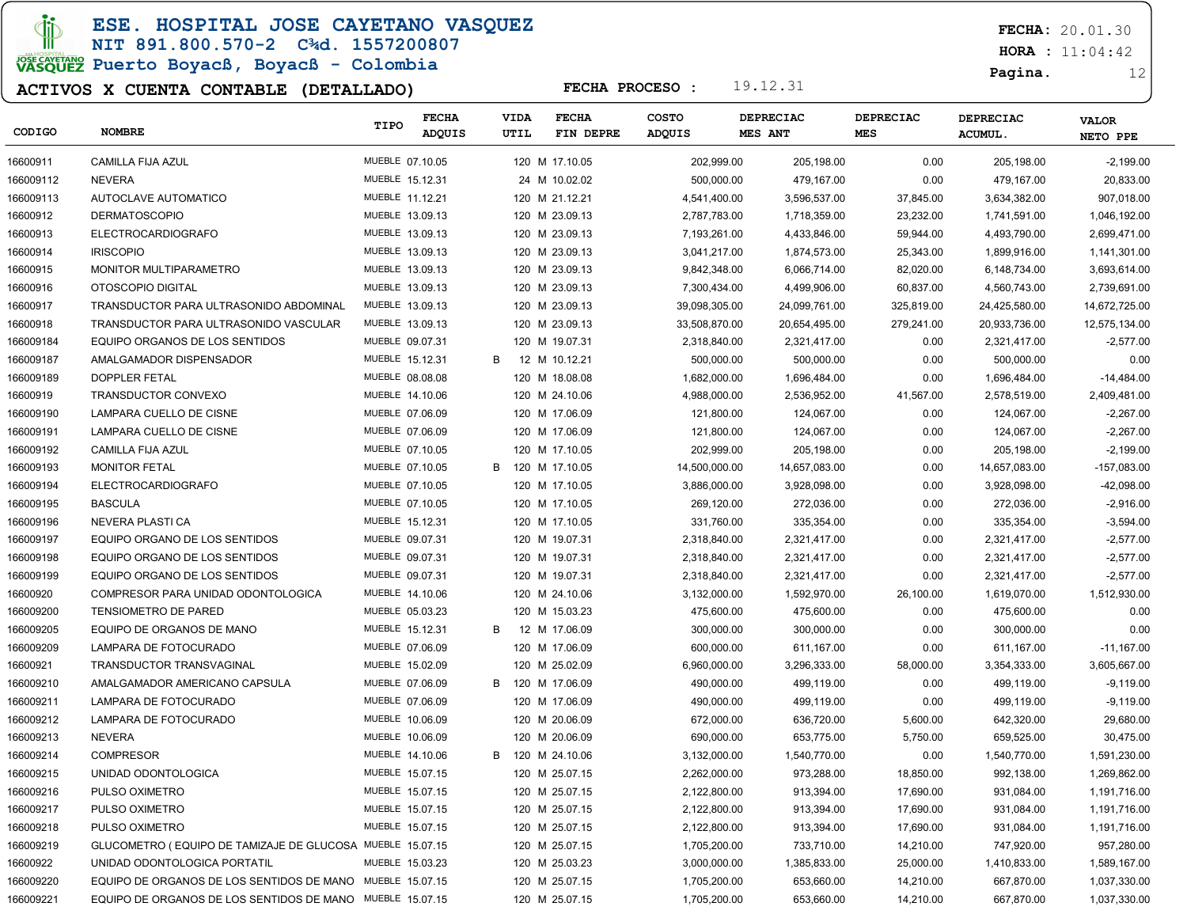ESE. HOSPITAL JOSE CAYETANO VASQUEZ

### NIT 891.800.570-2 C¾d. 1557200807 JOSE CAVERANO<br>VASQUEZ Puerto Boyacß, Boyacß - Colombia

### ACTIVOS X CUENTA CONTABLE (DETALLADO)

FECHA: 20.01.30

 $HORA : 11:04:42$ 

#### Pagina. 12

| CODIGO    | <b>NOMBRE</b>                                             | TIPO            | FECHA<br>ADQUIS | VIDA<br>UTIL | <b>FECHA</b><br>FIN DEPRE | COSTO<br><b>ADQUIS</b> | DEPRECIAC<br><b>MES ANT</b> | <b>DEPRECIAC</b><br><b>MES</b> | <b>DEPRECIAC</b><br><b>ACUMUL.</b> | <b>VALOR</b><br>NETO PPE |
|-----------|-----------------------------------------------------------|-----------------|-----------------|--------------|---------------------------|------------------------|-----------------------------|--------------------------------|------------------------------------|--------------------------|
| 16600911  | <b>CAMILLA FIJA AZUL</b>                                  | MUEBLE 07.10.05 |                 |              | 120 M 17.10.05            | 202,999.00             | 205,198.00                  | 0.00                           | 205,198.00                         | $-2,199.00$              |
| 166009112 | <b>NEVERA</b>                                             | MUEBLE 15.12.31 |                 |              | 24 M 10.02.02             | 500,000.00             | 479,167.00                  | 0.00                           | 479,167.00                         | 20,833.00                |
| 166009113 | AUTOCLAVE AUTOMATICO                                      | MUEBLE 11.12.21 |                 |              | 120 M 21.12.21            | 4,541,400.00           | 3,596,537.00                | 37,845.00                      | 3,634,382.00                       | 907,018.00               |
| 16600912  | <b>DERMATOSCOPIO</b>                                      | MUEBLE 13.09.13 |                 |              | 120 M 23.09.13            | 2,787,783.00           | 1,718,359.00                | 23,232.00                      | 1,741,591.00                       | 1,046,192.00             |
| 16600913  | <b>ELECTROCARDIOGRAFO</b>                                 | MUEBLE 13.09.13 |                 |              | 120 M 23.09.13            | 7,193,261.00           | 4,433,846.00                | 59,944.00                      | 4,493,790.00                       | 2,699,471.00             |
| 16600914  | <b>IRISCOPIO</b>                                          | MUEBLE 13.09.13 |                 |              | 120 M 23.09.13            | 3,041,217.00           | 1,874,573.00                | 25,343.00                      | 1,899,916.00                       | 1,141,301.00             |
| 16600915  | MONITOR MULTIPARAMETRO                                    | MUEBLE 13.09.13 |                 |              | 120 M 23.09.13            | 9,842,348.00           | 6,066,714.00                | 82,020.00                      | 6,148,734.00                       | 3,693,614.00             |
| 16600916  | OTOSCOPIO DIGITAL                                         | MUEBLE 13.09.13 |                 |              | 120 M 23.09.13            | 7,300,434.00           | 4,499,906.00                | 60,837.00                      | 4,560,743.00                       | 2,739,691.00             |
| 16600917  | TRANSDUCTOR PARA ULTRASONIDO ABDOMINAL                    | MUEBLE 13.09.13 |                 |              | 120 M 23.09.13            | 39,098,305.00          | 24,099,761.00               | 325,819.00                     | 24,425,580.00                      | 14,672,725.00            |
| 16600918  | TRANSDUCTOR PARA ULTRASONIDO VASCULAR                     | MUEBLE 13.09.13 |                 |              | 120 M 23.09.13            | 33,508,870.00          | 20,654,495.00               | 279,241.00                     | 20,933,736.00                      | 12,575,134.00            |
| 166009184 | EQUIPO ORGANOS DE LOS SENTIDOS                            | MUEBLE 09.07.31 |                 |              | 120 M 19.07.31            | 2,318,840.00           | 2,321,417.00                | 0.00                           | 2,321,417.00                       | $-2,577.00$              |
| 166009187 | AMALGAMADOR DISPENSADOR                                   | MUEBLE 15.12.31 |                 | B            | 12 M 10.12.21             | 500,000.00             | 500,000.00                  | 0.00                           | 500,000.00                         | 0.00                     |
| 166009189 | <b>DOPPLER FETAL</b>                                      | MUEBLE 08.08.08 |                 |              | 120 M 18.08.08            | 1,682,000.00           | 1,696,484.00                | 0.00                           | 1,696,484.00                       | $-14,484.00$             |
| 16600919  | TRANSDUCTOR CONVEXO                                       | MUEBLE 14.10.06 |                 |              | 120 M 24.10.06            | 4,988,000.00           | 2,536,952.00                | 41,567.00                      | 2,578,519.00                       | 2,409,481.00             |
| 166009190 | LAMPARA CUELLO DE CISNE                                   | MUEBLE 07.06.09 |                 |              | 120 M 17.06.09            | 121.800.00             | 124,067.00                  | 0.00                           | 124,067.00                         | $-2,267.00$              |
| 166009191 | LAMPARA CUELLO DE CISNE                                   | MUEBLE 07.06.09 |                 |              | 120 M 17.06.09            | 121,800.00             | 124,067.00                  | 0.00                           | 124,067.00                         | $-2,267.00$              |
| 166009192 | CAMILLA FIJA AZUL                                         | MUEBLE 07.10.05 |                 |              | 120 M 17.10.05            | 202,999.00             | 205,198.00                  | 0.00                           | 205,198.00                         | $-2,199.00$              |
| 166009193 | <b>MONITOR FETAL</b>                                      | MUEBLE 07.10.05 |                 | B            | 120 M 17.10.05            | 14,500,000.00          | 14,657,083.00               | 0.00                           | 14,657,083.00                      | $-157,083.00$            |
| 166009194 | <b>ELECTROCARDIOGRAFO</b>                                 | MUEBLE 07.10.05 |                 |              | 120 M 17.10.05            | 3,886,000.00           | 3,928,098.00                | 0.00                           | 3,928,098.00                       | -42,098.00               |
| 166009195 | <b>BASCULA</b>                                            | MUEBLE 07.10.05 |                 |              | 120 M 17.10.05            | 269,120.00             | 272,036.00                  | 0.00                           | 272,036.00                         | $-2,916.00$              |
| 166009196 | NEVERA PLASTI CA                                          | MUEBLE 15.12.31 |                 |              | 120 M 17.10.05            | 331,760.00             | 335,354.00                  | 0.00                           | 335,354.00                         | $-3,594.00$              |
| 166009197 | EQUIPO ORGANO DE LOS SENTIDOS                             | MUEBLE 09.07.31 |                 |              | 120 M 19.07.31            | 2,318,840.00           | 2,321,417.00                | 0.00                           | 2,321,417.00                       | $-2,577.00$              |
| 166009198 | EQUIPO ORGANO DE LOS SENTIDOS                             | MUEBLE 09.07.31 |                 |              | 120 M 19.07.31            | 2,318,840.00           | 2,321,417.00                | 0.00                           | 2,321,417.00                       | $-2,577.00$              |
| 166009199 | EQUIPO ORGANO DE LOS SENTIDOS                             | MUEBLE 09.07.31 |                 |              | 120 M 19.07.31            | 2,318,840.00           | 2,321,417.00                | 0.00                           | 2,321,417.00                       | $-2,577.00$              |
| 16600920  | COMPRESOR PARA UNIDAD ODONTOLOGICA                        | MUEBLE 14.10.06 |                 |              | 120 M 24.10.06            | 3,132,000.00           | 1,592,970.00                | 26,100.00                      | 1,619,070.00                       | 1,512,930.00             |
| 166009200 | <b>TENSIOMETRO DE PARED</b>                               | MUEBLE 05.03.23 |                 |              | 120 M 15.03.23            | 475,600.00             | 475,600.00                  | 0.00                           | 475,600.00                         | 0.00                     |
| 166009205 | EQUIPO DE ORGANOS DE MANO                                 | MUEBLE 15.12.31 |                 | B            | 12 M 17.06.09             | 300,000.00             | 300,000.00                  | 0.00                           | 300,000.00                         | 0.00                     |
| 166009209 | LAMPARA DE FOTOCURADO                                     | MUEBLE 07.06.09 |                 |              | 120 M 17.06.09            | 600,000.00             | 611,167.00                  | 0.00                           | 611,167.00                         | $-11,167.00$             |
| 16600921  | TRANSDUCTOR TRANSVAGINAL                                  | MUEBLE 15.02.09 |                 |              | 120 M 25.02.09            | 6,960,000.00           | 3,296,333.00                | 58,000.00                      | 3,354,333.00                       | 3,605,667.00             |
| 166009210 | AMALGAMADOR AMERICANO CAPSULA                             | MUEBLE 07.06.09 |                 | B            | 120 M 17.06.09            | 490,000.00             | 499,119.00                  | 0.00                           | 499,119.00                         | $-9,119.00$              |
| 166009211 | LAMPARA DE FOTOCURADO                                     | MUEBLE 07.06.09 |                 |              | 120 M 17.06.09            | 490,000.00             | 499,119.00                  | 0.00                           | 499,119.00                         | $-9,119.00$              |
| 166009212 | LAMPARA DE FOTOCURADO                                     | MUEBLE 10.06.09 |                 |              | 120 M 20.06.09            | 672,000.00             | 636,720.00                  | 5,600.00                       | 642,320.00                         | 29,680.00                |
| 166009213 | <b>NEVERA</b>                                             | MUEBLE 10.06.09 |                 |              | 120 M 20.06.09            | 690,000.00             | 653,775.00                  | 5,750.00                       | 659,525.00                         | 30,475.00                |
| 166009214 | <b>COMPRESOR</b>                                          | MUEBLE 14.10.06 |                 | B            | 120 M 24.10.06            | 3,132,000.00           | 1,540,770.00                | 0.00                           | 1,540,770.00                       | 1,591,230.00             |
| 166009215 | UNIDAD ODONTOLOGICA                                       | MUEBLE 15.07.15 |                 |              | 120 M 25.07.15            | 2,262,000.00           | 973.288.00                  | 18,850.00                      | 992,138.00                         | 1,269,862.00             |
| 166009216 | PULSO OXIMETRO                                            | MUEBLE 15.07.15 |                 |              | 120 M 25.07.15            | 2,122,800.00           | 913,394.00                  | 17,690.00                      | 931,084.00                         | 1,191,716.00             |
| 166009217 | PULSO OXIMETRO                                            | MUEBLE 15.07.15 |                 |              | 120 M 25.07.15            | 2,122,800.00           | 913,394.00                  | 17,690.00                      | 931,084.00                         | 1,191,716.00             |
| 166009218 | PULSO OXIMETRO                                            | MUEBLE 15.07.15 |                 |              | 120 M 25.07.15            | 2,122,800.00           | 913,394.00                  | 17,690.00                      | 931,084.00                         | 1,191,716.00             |
| 166009219 | GLUCOMETRO (EQUIPO DE TAMIZAJE DE GLUCOSA MUEBLE 15.07.15 |                 |                 |              | 120 M 25.07.15            | 1,705,200.00           | 733,710.00                  | 14,210.00                      | 747,920.00                         | 957,280.00               |
| 16600922  | UNIDAD ODONTOLOGICA PORTATIL                              | MUEBLE 15.03.23 |                 |              | 120 M 25.03.23            | 3,000,000.00           | 1,385,833.00                | 25,000.00                      | 1,410,833.00                       | 1,589,167.00             |
| 166009220 | EQUIPO DE ORGANOS DE LOS SENTIDOS DE MANO MUEBLE 15.07.15 |                 |                 |              | 120 M 25.07.15            | 1,705,200.00           | 653,660.00                  | 14,210.00                      | 667,870.00                         | 1,037,330.00             |
| 166009221 | EQUIPO DE ORGANOS DE LOS SENTIDOS DE MANO MUEBLE 15.07.15 |                 |                 |              | 120 M 25.07.15            | 1,705,200.00           | 653,660.00                  | 14,210.00                      | 667,870.00                         | 1,037,330.00             |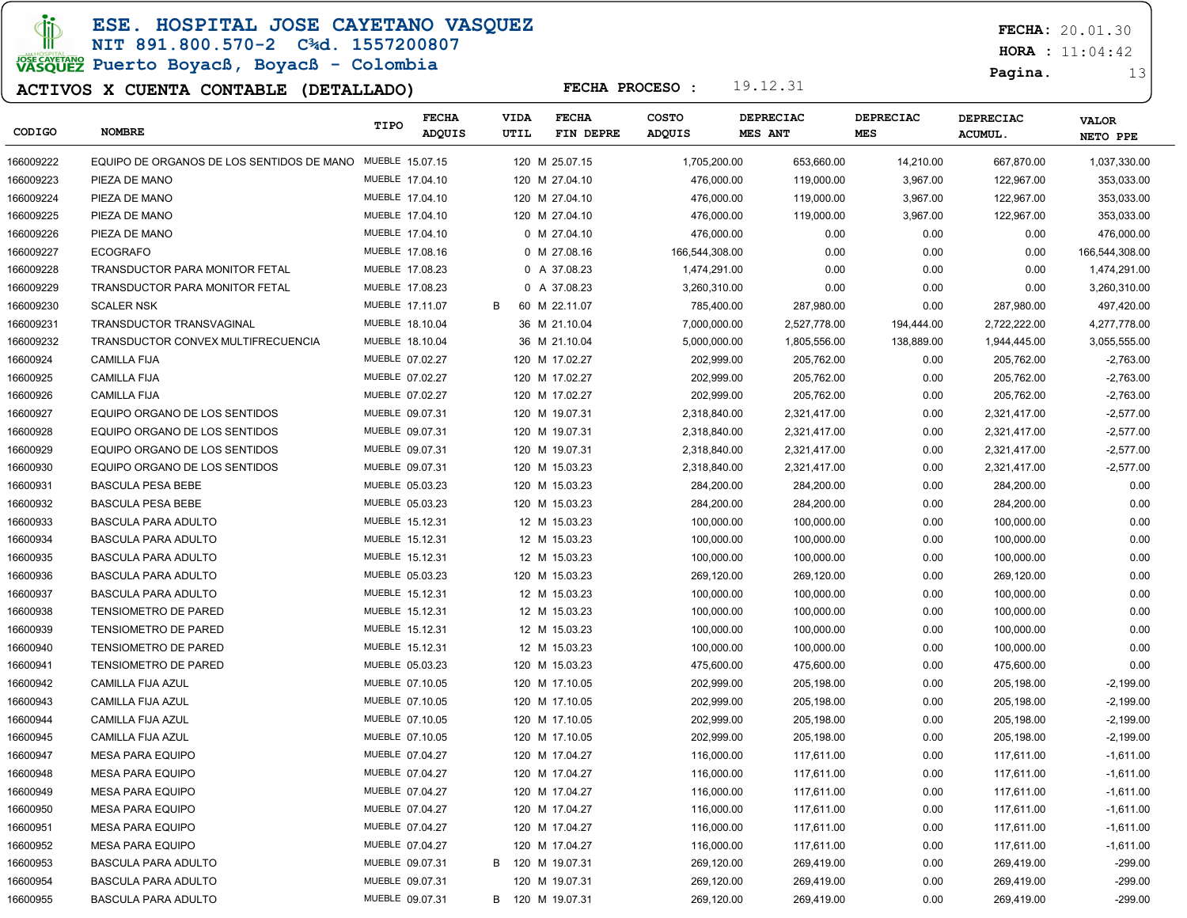ESE. HOSPITAL JOSE CAYETANO VASQUEZ

### NIT 891.800.570-2 C¾d. 1557200807 JOSE CAVERANO<br>VASQUEZ Puerto Boyacß, Boyacß - Colombia

### ACTIVOS X CUENTA CONTABLE (DETALLADO)

FECHA: 20.01.30

 $HORA : 11:04:42$ 

Pagina. 13

| CODIGO    | <b>NOMBRE</b>                                             | TIPO            | <b>FECHA</b><br>ADQUIS | <b>VIDA</b><br>UTIL | <b>FECHA</b><br>FIN DEPRE | <b>COSTO</b><br>ADQUIS | <b>DEPRECIAC</b><br><b>MES ANT</b> | DEPRECIAC<br><b>MES</b> | DEPRECIAC<br>ACUMUL. | <b>VALOR</b><br>NETO PPE |
|-----------|-----------------------------------------------------------|-----------------|------------------------|---------------------|---------------------------|------------------------|------------------------------------|-------------------------|----------------------|--------------------------|
| 166009222 | EQUIPO DE ORGANOS DE LOS SENTIDOS DE MANO MUEBLE 15.07.15 |                 |                        |                     | 120 M 25.07.15            | 1,705,200.00           | 653,660.00                         | 14,210.00               | 667,870.00           | 1,037,330.00             |
| 166009223 | PIEZA DE MANO                                             | MUEBLE 17.04.10 |                        |                     | 120 M 27.04.10            | 476,000.00             | 119,000.00                         | 3,967.00                | 122,967.00           | 353,033.00               |
| 166009224 | PIEZA DE MANO                                             | MUEBLE 17.04.10 |                        |                     | 120 M 27.04.10            | 476,000.00             | 119,000.00                         | 3,967.00                | 122,967.00           | 353,033.00               |
| 166009225 | PIEZA DE MANO                                             | MUEBLE 17.04.10 |                        |                     | 120 M 27.04.10            | 476.000.00             | 119,000.00                         | 3,967.00                | 122,967.00           | 353,033.00               |
| 166009226 | PIEZA DE MANO                                             | MUEBLE 17.04.10 |                        |                     | 0 M 27.04.10              | 476,000.00             | 0.00                               | 0.00                    | 0.00                 | 476,000.00               |
| 166009227 | <b>ECOGRAFO</b>                                           | MUEBLE 17.08.16 |                        |                     | 0 M 27.08.16              | 166,544,308.00         | 0.00                               | 0.00                    | 0.00                 | 166,544,308.00           |
| 166009228 | TRANSDUCTOR PARA MONITOR FETAL                            | MUEBLE 17.08.23 |                        |                     | 0 A 37.08.23              | 1,474,291.00           | 0.00                               | 0.00                    | 0.00                 | 1,474,291.00             |
| 166009229 | <b>TRANSDUCTOR PARA MONITOR FETAL</b>                     | MUEBLE 17.08.23 |                        |                     | 0 A 37.08.23              | 3,260,310.00           | 0.00                               | 0.00                    | 0.00                 | 3,260,310.00             |
| 166009230 | <b>SCALER NSK</b>                                         | MUEBLE 17.11.07 |                        | B                   | 60 M 22.11.07             | 785,400.00             | 287,980.00                         | 0.00                    | 287,980.00           | 497,420.00               |
| 166009231 | TRANSDUCTOR TRANSVAGINAL                                  | MUEBLE 18.10.04 |                        |                     | 36 M 21.10.04             | 7,000,000.00           | 2,527,778.00                       | 194,444.00              | 2,722,222.00         | 4,277,778.00             |
| 166009232 | TRANSDUCTOR CONVEX MULTIFRECUENCIA                        | MUEBLE 18.10.04 |                        |                     | 36 M 21.10.04             | 5,000,000.00           | 1,805,556.00                       | 138,889.00              | 1,944,445.00         | 3,055,555.00             |
| 16600924  | <b>CAMILLA FIJA</b>                                       | MUEBLE 07.02.27 |                        |                     | 120 M 17.02.27            | 202,999.00             | 205,762.00                         | 0.00                    | 205,762.00           | $-2,763.00$              |
| 16600925  | <b>CAMILLA FIJA</b>                                       | MUEBLE 07.02.27 |                        |                     | 120 M 17.02.27            | 202,999.00             | 205,762.00                         | 0.00                    | 205,762.00           | $-2,763.00$              |
| 16600926  | <b>CAMILLA FIJA</b>                                       | MUEBLE 07.02.27 |                        |                     | 120 M 17.02.27            | 202,999.00             | 205,762.00                         | 0.00                    | 205,762.00           | $-2,763.00$              |
| 16600927  | EQUIPO ORGANO DE LOS SENTIDOS                             | MUEBLE 09.07.31 |                        |                     | 120 M 19.07.31            | 2,318,840.00           | 2,321,417.00                       | 0.00                    | 2,321,417.00         | $-2,577.00$              |
| 16600928  | EQUIPO ORGANO DE LOS SENTIDOS                             | MUEBLE 09.07.31 |                        |                     | 120 M 19.07.31            | 2,318,840.00           | 2,321,417.00                       | 0.00                    | 2,321,417.00         | $-2,577.00$              |
| 16600929  | EQUIPO ORGANO DE LOS SENTIDOS                             | MUEBLE 09.07.31 |                        |                     | 120 M 19.07.31            | 2,318,840.00           | 2,321,417.00                       | 0.00                    | 2,321,417.00         | $-2,577.00$              |
| 16600930  | EQUIPO ORGANO DE LOS SENTIDOS                             | MUEBLE 09.07.31 |                        |                     | 120 M 15.03.23            | 2,318,840.00           | 2,321,417.00                       | 0.00                    | 2,321,417.00         | $-2,577.00$              |
| 16600931  | <b>BASCULA PESA BEBE</b>                                  | MUEBLE 05.03.23 |                        |                     | 120 M 15.03.23            | 284,200.00             | 284.200.00                         | 0.00                    | 284,200.00           | 0.00                     |
| 16600932  | <b>BASCULA PESA BEBE</b>                                  | MUEBLE 05.03.23 |                        |                     | 120 M 15.03.23            | 284,200.00             | 284.200.00                         | 0.00                    | 284,200.00           | 0.00                     |
| 16600933  | <b>BASCULA PARA ADULTO</b>                                | MUEBLE 15.12.31 |                        |                     | 12 M 15.03.23             | 100,000.00             | 100,000.00                         | 0.00                    | 100,000.00           | 0.00                     |
| 16600934  | <b>BASCULA PARA ADULTO</b>                                | MUEBLE 15.12.31 |                        |                     | 12 M 15.03.23             | 100,000.00             | 100,000.00                         | 0.00                    | 100,000.00           | 0.00                     |
| 16600935  | <b>BASCULA PARA ADULTO</b>                                | MUEBLE 15.12.31 |                        |                     | 12 M 15.03.23             | 100,000.00             | 100,000.00                         | 0.00                    | 100,000.00           | 0.00                     |
| 16600936  | <b>BASCULA PARA ADULTO</b>                                | MUEBLE 05.03.23 |                        |                     | 120 M 15.03.23            | 269,120.00             | 269,120.00                         | 0.00                    | 269,120.00           | 0.00                     |
| 16600937  | <b>BASCULA PARA ADULTO</b>                                | MUEBLE 15.12.31 |                        |                     | 12 M 15.03.23             | 100,000.00             | 100,000.00                         | 0.00                    | 100,000.00           | 0.00                     |
| 16600938  | <b>TENSIOMETRO DE PARED</b>                               | MUEBLE 15.12.31 |                        |                     | 12 M 15.03.23             | 100,000.00             | 100,000.00                         | 0.00                    | 100,000.00           | 0.00                     |
| 16600939  | <b>TENSIOMETRO DE PARED</b>                               | MUEBLE 15.12.31 |                        |                     | 12 M 15.03.23             | 100,000.00             | 100,000.00                         | 0.00                    | 100,000.00           | 0.00                     |
| 16600940  | <b>TENSIOMETRO DE PARED</b>                               | MUEBLE 15.12.31 |                        |                     | 12 M 15.03.23             | 100,000.00             | 100,000.00                         | 0.00                    | 100,000.00           | 0.00                     |
| 16600941  | <b>TENSIOMETRO DE PARED</b>                               | MUEBLE 05.03.23 |                        |                     | 120 M 15.03.23            | 475,600.00             | 475,600.00                         | 0.00                    | 475,600.00           | 0.00                     |
| 16600942  | CAMILLA FIJA AZUL                                         | MUEBLE 07.10.05 |                        |                     | 120 M 17.10.05            | 202,999.00             | 205,198.00                         | 0.00                    | 205,198.00           | $-2,199.00$              |
| 16600943  | CAMILLA FIJA AZUL                                         | MUEBLE 07.10.05 |                        |                     | 120 M 17.10.05            | 202,999.00             | 205,198.00                         | 0.00                    | 205,198.00           | $-2,199.00$              |
| 16600944  | CAMILLA FIJA AZUL                                         | MUEBLE 07.10.05 |                        |                     | 120 M 17.10.05            | 202,999.00             | 205,198.00                         | 0.00                    | 205,198.00           | $-2,199.00$              |
| 16600945  | <b>CAMILLA FIJA AZUL</b>                                  | MUEBLE 07.10.05 |                        |                     | 120 M 17.10.05            | 202,999.00             | 205,198.00                         | 0.00                    | 205,198.00           | $-2,199.00$              |
| 16600947  | <b>MESA PARA EQUIPO</b>                                   | MUEBLE 07.04.27 |                        |                     | 120 M 17.04.27            | 116,000.00             | 117,611.00                         | 0.00                    | 117,611.00           | $-1,611.00$              |
| 16600948  | <b>MESA PARA EQUIPO</b>                                   | MUEBLE 07.04.27 |                        |                     | 120 M 17.04.27            | 116,000.00             | 117,611.00                         | 0.00                    | 117,611.00           | $-1,611.00$              |
| 16600949  | <b>MESA PARA EQUIPO</b>                                   | MUEBLE 07.04.27 |                        |                     | 120 M 17.04.27            | 116,000.00             | 117,611.00                         | 0.00                    | 117,611.00           | $-1,611.00$              |
| 16600950  | <b>MESA PARA EQUIPO</b>                                   | MUEBLE 07.04.27 |                        |                     | 120 M 17.04.27            | 116,000.00             | 117,611.00                         | 0.00                    | 117,611.00           | $-1,611.00$              |
| 16600951  | <b>MESA PARA EQUIPO</b>                                   | MUEBLE 07.04.27 |                        |                     | 120 M 17.04.27            | 116,000.00             | 117,611.00                         | 0.00                    | 117,611.00           | $-1,611.00$              |
| 16600952  | <b>MESA PARA EQUIPO</b>                                   | MUEBLE 07.04.27 |                        |                     | 120 M 17.04.27            | 116,000.00             | 117,611.00                         | 0.00                    | 117,611.00           | $-1,611.00$              |
| 16600953  | <b>BASCULA PARA ADULTO</b>                                | MUEBLE 09.07.31 |                        |                     | B 120 M 19.07.31          | 269,120.00             | 269,419.00                         | 0.00                    | 269,419.00           | $-299.00$                |
| 16600954  | <b>BASCULA PARA ADULTO</b>                                | MUEBLE 09.07.31 |                        |                     | 120 M 19.07.31            | 269,120.00             | 269,419.00                         | 0.00                    | 269,419.00           | $-299.00$                |
| 16600955  | <b>BASCULA PARA ADULTO</b>                                | MUEBLE 09.07.31 |                        |                     | B 120 M 19.07.31          | 269,120.00             | 269,419.00                         | 0.00                    | 269,419.00           | $-299.00$                |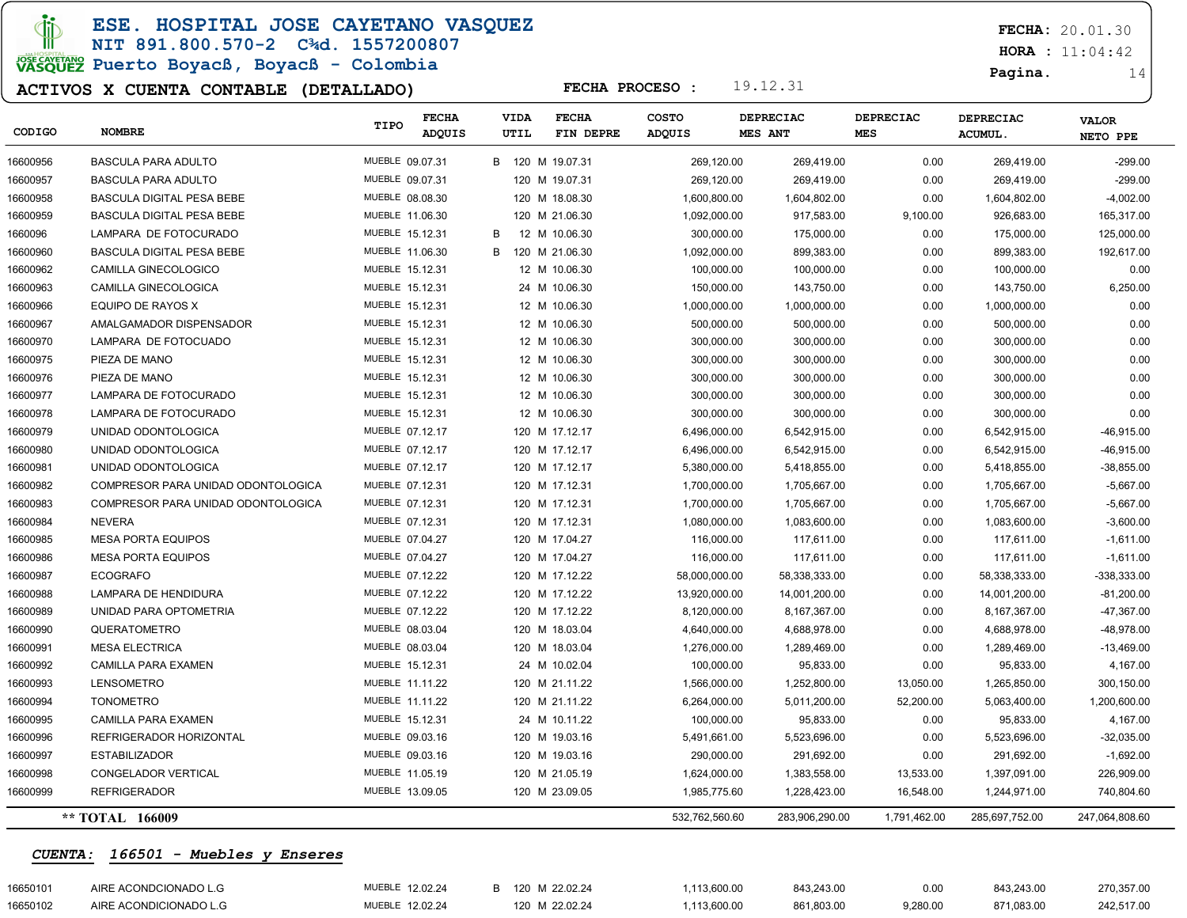**Ci** Ш

ESE. HOSPITAL JOSE CAYETANO VASQUEZ

## NIT 891.800.570-2 C¾d. 1557200807

# JOSE CAVETARY Puerto Boyacß, Boyacß - Colombia

#### ACTIVOS X CUENTA CONTABLE (DETALLADO)

FECHA: 20.01.30

 $HORA : 11:04:42$ 

Pagina. 14

| CODIGO   | <b>NOMBRE</b>                      | TIPO            | <b>FECHA</b><br>ADQUIS |   | <b>VIDA</b><br>UTIL | <b>FECHA</b><br>FIN DEPRE | <b>COSTO</b><br>ADQUIS |              | <b>DEPRECIAC</b><br>MES ANT | <b>DEPRECIAC</b><br><b>MES</b> | <b>DEPRECIAC</b><br><b>ACUMUL</b> | <b>VALOR</b><br>NETO PPE |
|----------|------------------------------------|-----------------|------------------------|---|---------------------|---------------------------|------------------------|--------------|-----------------------------|--------------------------------|-----------------------------------|--------------------------|
| 16600956 | <b>BASCULA PARA ADULTO</b>         | MUEBLE 09.07.31 |                        |   |                     | B 120 M 19.07.31          |                        | 269,120.00   | 269,419.00                  | 0.00                           | 269,419.00                        | $-299.00$                |
| 16600957 | <b>BASCULA PARA ADULTO</b>         | MUEBLE 09.07.31 |                        |   |                     | 120 M 19.07.31            |                        | 269,120.00   | 269,419.00                  | 0.00                           | 269,419.00                        | $-299.00$                |
| 16600958 | BASCULA DIGITAL PESA BEBE          | MUEBLE 08.08.30 |                        |   |                     | 120 M 18.08.30            |                        | 1,600,800.00 | 1,604,802.00                | 0.00                           | 1,604,802.00                      | $-4,002.00$              |
| 16600959 | <b>BASCULA DIGITAL PESA BEBE</b>   | MUEBLE 11.06.30 |                        |   |                     | 120 M 21.06.30            |                        | 1,092,000.00 | 917.583.00                  | 9,100.00                       | 926,683.00                        | 165,317.00               |
| 1660096  | LAMPARA DE FOTOCURADO              | MUEBLE 15.12.31 |                        | B |                     | 12 M 10.06.30             |                        | 300,000.00   | 175,000.00                  | 0.00                           | 175,000.00                        | 125,000.00               |
| 16600960 | <b>BASCULA DIGITAL PESA BEBE</b>   | MUEBLE 11.06.30 |                        | B |                     | 120 M 21.06.30            |                        | 1,092,000.00 | 899,383.00                  | 0.00                           | 899,383.00                        | 192,617.00               |
| 16600962 | <b>CAMILLA GINECOLOGICO</b>        | MUEBLE 15.12.31 |                        |   |                     | 12 M 10.06.30             |                        | 100,000.00   | 100,000.00                  | 0.00                           | 100,000.00                        | 0.00                     |
| 16600963 | CAMILLA GINECOLOGICA               | MUEBLE 15.12.31 |                        |   |                     | 24 M 10.06.30             |                        | 150,000.00   | 143,750.00                  | 0.00                           | 143,750.00                        | 6,250.00                 |
| 16600966 | EQUIPO DE RAYOS X                  | MUEBLE 15.12.31 |                        |   |                     | 12 M 10.06.30             |                        | 1,000,000.00 | 1,000,000.00                | 0.00                           | 1,000,000.00                      | 0.00                     |
| 16600967 | AMALGAMADOR DISPENSADOR            | MUEBLE 15.12.31 |                        |   |                     | 12 M 10.06.30             |                        | 500,000.00   | 500.000.00                  | 0.00                           | 500,000.00                        | 0.00                     |
| 16600970 | LAMPARA DE FOTOCUADO               | MUEBLE 15.12.31 |                        |   |                     | 12 M 10.06.30             |                        | 300,000.00   | 300,000.00                  | 0.00                           | 300,000.00                        | 0.00                     |
| 16600975 | PIEZA DE MANO                      | MUEBLE 15.12.31 |                        |   |                     | 12 M 10.06.30             |                        | 300,000.00   | 300,000.00                  | 0.00                           | 300,000.00                        | 0.00                     |
| 16600976 | PIEZA DE MANO                      | MUEBLE 15.12.31 |                        |   |                     | 12 M 10.06.30             |                        | 300,000.00   | 300,000.00                  | 0.00                           | 300,000.00                        | 0.00                     |
| 16600977 | LAMPARA DE FOTOCURADO              | MUEBLE 15.12.31 |                        |   |                     | 12 M 10.06.30             |                        | 300,000.00   | 300,000.00                  | 0.00                           | 300,000.00                        | 0.00                     |
| 16600978 | LAMPARA DE FOTOCURADO              | MUEBLE 15.12.31 |                        |   |                     | 12 M 10.06.30             |                        | 300,000.00   | 300,000.00                  | 0.00                           | 300,000.00                        | 0.00                     |
| 16600979 | UNIDAD ODONTOLOGICA                | MUEBLE 07.12.17 |                        |   |                     | 120 M 17.12.17            |                        | 6,496,000.00 | 6,542,915.00                | 0.00                           | 6,542,915.00                      | $-46,915.00$             |
| 16600980 | UNIDAD ODONTOLOGICA                | MUEBLE 07.12.17 |                        |   |                     | 120 M 17.12.17            |                        | 6,496,000.00 | 6,542,915.00                | 0.00                           | 6,542,915.00                      | $-46,915.00$             |
| 16600981 | UNIDAD ODONTOLOGICA                | MUEBLE 07.12.17 |                        |   |                     | 120 M 17.12.17            |                        | 5,380,000.00 | 5,418,855.00                | 0.00                           | 5,418,855.00                      | $-38,855.00$             |
| 16600982 | COMPRESOR PARA UNIDAD ODONTOLOGICA | MUEBLE 07.12.31 |                        |   |                     | 120 M 17.12.31            |                        | 1,700,000.00 | 1,705,667.00                | 0.00                           | 1,705,667.00                      | $-5,667.00$              |
| 16600983 | COMPRESOR PARA UNIDAD ODONTOLOGICA | MUEBLE 07.12.31 |                        |   |                     | 120 M 17.12.31            |                        | 1,700,000.00 | 1,705,667.00                | 0.00                           | 1,705,667.00                      | $-5,667.00$              |
| 16600984 | <b>NEVERA</b>                      | MUEBLE 07.12.31 |                        |   |                     | 120 M 17.12.31            |                        | 1,080,000.00 | 1,083,600.00                | 0.00                           | 1,083,600.00                      | $-3,600.00$              |
| 16600985 | <b>MESA PORTA EQUIPOS</b>          | MUEBLE 07.04.27 |                        |   |                     | 120 M 17.04.27            |                        | 116,000.00   | 117,611.00                  | 0.00                           | 117,611.00                        | $-1,611.00$              |
| 16600986 | <b>MESA PORTA EQUIPOS</b>          | MUEBLE 07.04.27 |                        |   |                     | 120 M 17.04.27            |                        | 116,000.00   | 117.611.00                  | 0.00                           | 117,611.00                        | $-1,611.00$              |
| 16600987 | <b>ECOGRAFO</b>                    | MUEBLE 07.12.22 |                        |   |                     | 120 M 17.12.22            | 58,000,000.00          |              | 58,338,333.00               | 0.00                           | 58,338,333.00                     | -338,333.00              |
| 16600988 | <b>LAMPARA DE HENDIDURA</b>        | MUEBLE 07.12.22 |                        |   |                     | 120 M 17.12.22            | 13,920,000.00          |              | 14,001,200.00               | 0.00                           | 14,001,200.00                     | $-81,200.00$             |
| 16600989 | UNIDAD PARA OPTOMETRIA             | MUEBLE 07.12.22 |                        |   |                     | 120 M 17.12.22            |                        | 8,120,000.00 | 8,167,367.00                | 0.00                           | 8,167,367.00                      | -47,367.00               |
| 16600990 | QUERATOMETRO                       | MUEBLE 08.03.04 |                        |   |                     | 120 M 18.03.04            |                        | 4,640,000.00 | 4,688,978.00                | 0.00                           | 4,688,978.00                      | $-48,978.00$             |
| 16600991 | <b>MESA ELECTRICA</b>              | MUEBLE 08.03.04 |                        |   |                     | 120 M 18.03.04            |                        | 1,276,000.00 | 1,289,469.00                | 0.00                           | 1,289,469.00                      | $-13,469.00$             |
| 16600992 | <b>CAMILLA PARA EXAMEN</b>         | MUEBLE 15.12.31 |                        |   |                     | 24 M 10.02.04             |                        | 100.000.00   | 95.833.00                   | 0.00                           | 95,833.00                         | 4,167.00                 |
| 16600993 | <b>LENSOMETRO</b>                  | MUEBLE 11.11.22 |                        |   |                     | 120 M 21.11.22            |                        | 1,566,000.00 | 1,252,800.00                | 13,050.00                      | 1,265,850.00                      | 300,150.00               |
| 16600994 | <b>TONOMETRO</b>                   | MUEBLE 11.11.22 |                        |   |                     | 120 M 21.11.22            |                        | 6,264,000.00 | 5,011,200.00                | 52,200.00                      | 5,063,400.00                      | 1.200.600.00             |
| 16600995 | <b>CAMILLA PARA EXAMEN</b>         | MUEBLE 15.12.31 |                        |   |                     | 24 M 10.11.22             |                        | 100,000.00   | 95,833.00                   | 0.00                           | 95,833.00                         | 4,167.00                 |
| 16600996 | REFRIGERADOR HORIZONTAL            | MUEBLE 09.03.16 |                        |   |                     | 120 M 19.03.16            |                        | 5,491,661.00 | 5,523,696.00                | 0.00                           | 5,523,696.00                      | $-32,035.00$             |
| 16600997 | <b>ESTABILIZADOR</b>               | MUEBLE 09.03.16 |                        |   |                     | 120 M 19.03.16            |                        | 290,000.00   | 291,692.00                  | 0.00                           | 291,692.00                        | $-1,692.00$              |
| 16600998 | CONGELADOR VERTICAL                | MUEBLE 11.05.19 |                        |   |                     | 120 M 21.05.19            |                        | 1,624,000.00 | 1,383,558.00                | 13,533.00                      | 1,397,091.00                      | 226,909.00               |
| 16600999 | <b>REFRIGERADOR</b>                | MUEBLE 13.09.05 |                        |   |                     | 120 M 23.09.05            |                        | 1,985,775.60 | 1,228,423.00                | 16,548.00                      | 1,244,971.00                      | 740,804.60               |
|          | ** TOTAL 166009                    |                 |                        |   |                     |                           | 532,762,560.60         |              | 283,906,290.00              | 1,791,462.00                   | 285,697,752.00                    | 247,064,808.60           |

FECHA PROCESO : 19.12.31

#### CUENTA: 166501 - Muebles y Enseres

| 16650101 | AIRE ACONDCIONADO L.G  | MUEBLE 12.02.24 | 120 M 22.02.24 | 1,113,600.00 | 843,243.00 | 0.00     | 843,243.00 | 270,357.00 |
|----------|------------------------|-----------------|----------------|--------------|------------|----------|------------|------------|
| 16650102 | AIRE ACONDICIONADO L.G | MUEBLE 12.02.24 | 120 M 22.02.24 | 1,113,600.00 | 861,803.00 | 9,280.00 | 871,083.00 | 242,517.00 |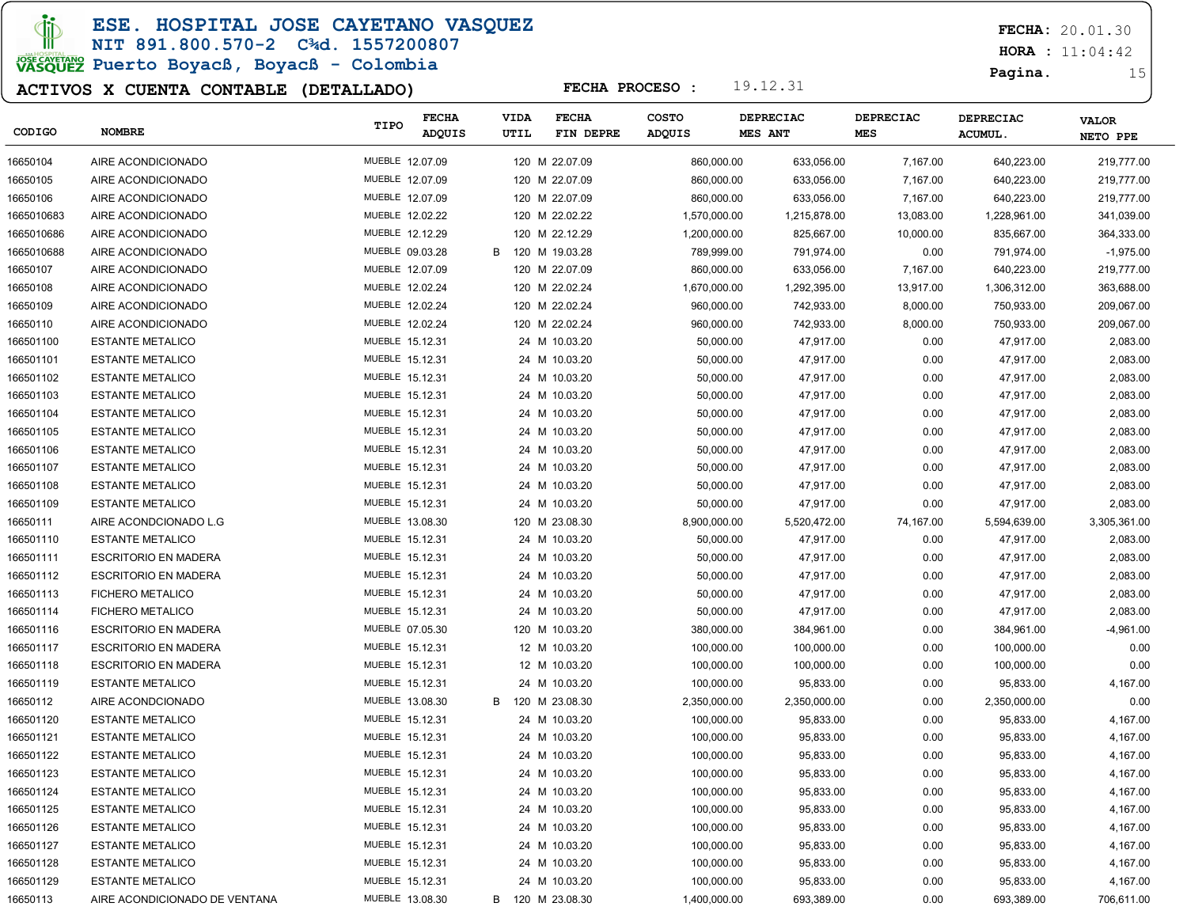### ESE. HOSPITAL JOSE CAYETANO VASQUEZ

#### NIT 891.800.570-2 C¾d. 1557200807

# JOSE CAVERANO<br>VASQUEZ Puerto Boyacß, Boyacß - Colombia

### ACTIVOS X CUENTA CONTABLE (DETALLADO)

FECHA: 20.01.30

 $HORA : 11:04:42$ 

Pagina. 15

| CODIGO     | <b>NOMBRE</b>                 | TIPO            | <b>FECHA</b><br><b>ADQUIS</b> | <b>VIDA</b><br>UTIL | <b>FECHA</b><br>FIN DEPRE | <b>COSTO</b><br>ADQUIS | DEPRECIAC<br>MES ANT | DEPRECIAC<br><b>MES</b> | <b>DEPRECIAC</b><br><b>ACUMUL.</b> | <b>VALOR</b><br>NETO PPE |
|------------|-------------------------------|-----------------|-------------------------------|---------------------|---------------------------|------------------------|----------------------|-------------------------|------------------------------------|--------------------------|
| 16650104   | AIRE ACONDICIONADO            | MUEBLE 12.07.09 |                               |                     | 120 M 22.07.09            | 860,000.00             | 633,056.00           | 7,167.00                | 640,223.00                         | 219,777.00               |
| 16650105   | AIRE ACONDICIONADO            | MUEBLE 12.07.09 |                               |                     | 120 M 22.07.09            | 860,000.00             | 633,056.00           | 7,167.00                | 640,223.00                         | 219,777.00               |
| 16650106   | AIRE ACONDICIONADO            | MUEBLE 12.07.09 |                               |                     | 120 M 22.07.09            | 860,000.00             | 633,056.00           | 7,167.00                | 640,223.00                         | 219,777.00               |
| 1665010683 | AIRE ACONDICIONADO            | MUEBLE 12.02.22 |                               |                     | 120 M 22.02.22            | 1,570,000.00           | 1,215,878.00         | 13,083.00               | 1,228,961.00                       | 341,039.00               |
| 1665010686 | AIRE ACONDICIONADO            | MUEBLE 12.12.29 |                               |                     | 120 M 22.12.29            | 1,200,000.00           | 825,667.00           | 10,000.00               | 835,667.00                         | 364,333.00               |
| 1665010688 | AIRE ACONDICIONADO            | MUEBLE 09.03.28 |                               | B                   | 120 M 19.03.28            | 789,999.00             | 791,974.00           | 0.00                    | 791,974.00                         | $-1,975.00$              |
| 16650107   | AIRE ACONDICIONADO            | MUEBLE 12.07.09 |                               |                     | 120 M 22.07.09            | 860,000.00             | 633,056.00           | 7,167.00                | 640,223.00                         | 219,777.00               |
| 16650108   | AIRE ACONDICIONADO            | MUEBLE 12.02.24 |                               |                     | 120 M 22.02.24            | 1,670,000.00           | 1,292,395.00         | 13,917.00               | 1,306,312.00                       | 363,688.00               |
| 16650109   | AIRE ACONDICIONADO            | MUEBLE 12.02.24 |                               |                     | 120 M 22.02.24            | 960,000.00             | 742,933.00           | 8,000.00                | 750,933.00                         | 209,067.00               |
| 16650110   | AIRE ACONDICIONADO            | MUEBLE 12.02.24 |                               |                     | 120 M 22.02.24            | 960,000.00             | 742,933.00           | 8,000.00                | 750,933.00                         | 209,067.00               |
| 166501100  | <b>ESTANTE METALICO</b>       | MUEBLE 15.12.31 |                               |                     | 24 M 10.03.20             | 50,000.00              | 47,917.00            | 0.00                    | 47,917.00                          | 2,083.00                 |
| 166501101  | <b>ESTANTE METALICO</b>       | MUEBLE 15.12.31 |                               |                     | 24 M 10.03.20             | 50,000.00              | 47,917.00            | 0.00                    | 47,917.00                          | 2,083.00                 |
| 166501102  | <b>ESTANTE METALICO</b>       | MUEBLE 15.12.31 |                               |                     | 24 M 10.03.20             | 50,000.00              | 47,917.00            | 0.00                    | 47,917.00                          | 2,083.00                 |
| 166501103  | <b>ESTANTE METALICO</b>       | MUEBLE 15.12.31 |                               |                     | 24 M 10.03.20             | 50,000.00              | 47,917.00            | 0.00                    | 47,917.00                          | 2,083.00                 |
| 166501104  | <b>ESTANTE METALICO</b>       | MUEBLE 15.12.31 |                               |                     | 24 M 10.03.20             | 50,000.00              | 47,917.00            | 0.00                    | 47,917.00                          | 2,083.00                 |
| 166501105  | <b>ESTANTE METALICO</b>       | MUEBLE 15.12.31 |                               |                     | 24 M 10.03.20             | 50,000.00              | 47,917.00            | 0.00                    | 47,917.00                          | 2,083.00                 |
| 166501106  | <b>ESTANTE METALICO</b>       | MUEBLE 15.12.31 |                               |                     | 24 M 10.03.20             | 50,000.00              | 47,917.00            | 0.00                    | 47,917.00                          | 2,083.00                 |
| 166501107  | <b>ESTANTE METALICO</b>       | MUEBLE 15.12.31 |                               |                     | 24 M 10.03.20             | 50,000.00              | 47,917.00            | 0.00                    | 47,917.00                          | 2,083.00                 |
| 166501108  | <b>ESTANTE METALICO</b>       | MUEBLE 15.12.31 |                               |                     | 24 M 10.03.20             | 50,000.00              | 47,917.00            | 0.00                    | 47,917.00                          | 2,083.00                 |
| 166501109  | <b>ESTANTE METALICO</b>       | MUEBLE 15.12.31 |                               |                     | 24 M 10.03.20             | 50,000.00              | 47,917.00            | 0.00                    | 47,917.00                          | 2,083.00                 |
| 16650111   | AIRE ACONDCIONADO L.G         | MUEBLE 13.08.30 |                               |                     | 120 M 23.08.30            | 8,900,000.00           | 5,520,472.00         | 74,167.00               | 5,594,639.00                       | 3,305,361.00             |
| 166501110  | <b>ESTANTE METALICO</b>       | MUEBLE 15.12.31 |                               |                     | 24 M 10.03.20             | 50,000.00              | 47,917.00            | 0.00                    | 47,917.00                          | 2,083.00                 |
| 166501111  | <b>ESCRITORIO EN MADERA</b>   | MUEBLE 15.12.31 |                               |                     | 24 M 10.03.20             | 50,000.00              | 47,917.00            | 0.00                    | 47,917.00                          | 2,083.00                 |
| 166501112  | <b>ESCRITORIO EN MADERA</b>   | MUEBLE 15.12.31 |                               |                     | 24 M 10.03.20             | 50,000.00              | 47,917.00            | 0.00                    | 47,917.00                          | 2,083.00                 |
| 166501113  | <b>FICHERO METALICO</b>       | MUEBLE 15.12.31 |                               |                     | 24 M 10.03.20             | 50,000.00              | 47,917.00            | 0.00                    | 47,917.00                          | 2,083.00                 |
| 166501114  | <b>FICHERO METALICO</b>       | MUEBLE 15.12.31 |                               |                     | 24 M 10.03.20             | 50,000.00              | 47,917.00            | 0.00                    | 47,917.00                          | 2,083.00                 |
| 166501116  | <b>ESCRITORIO EN MADERA</b>   | MUEBLE 07.05.30 |                               |                     | 120 M 10.03.20            | 380,000.00             | 384,961.00           | 0.00                    | 384,961.00                         | -4,961.00                |
| 166501117  | <b>ESCRITORIO EN MADERA</b>   | MUEBLE 15.12.31 |                               |                     | 12 M 10.03.20             | 100,000.00             | 100,000.00           | 0.00                    | 100,000.00                         | 0.00                     |
| 166501118  | <b>ESCRITORIO EN MADERA</b>   | MUEBLE 15.12.31 |                               |                     | 12 M 10.03.20             | 100,000.00             | 100,000.00           | 0.00                    | 100,000.00                         | 0.00                     |
| 166501119  | <b>ESTANTE METALICO</b>       | MUEBLE 15.12.31 |                               |                     | 24 M 10.03.20             | 100,000.00             | 95,833.00            | 0.00                    | 95,833.00                          | 4,167.00                 |
| 16650112   | AIRE ACONDCIONADO             | MUEBLE 13.08.30 |                               | B                   | 120 M 23.08.30            | 2,350,000.00           | 2,350,000.00         | 0.00                    | 2,350,000.00                       | 0.00                     |
| 166501120  | <b>ESTANTE METALICO</b>       | MUEBLE 15.12.31 |                               |                     | 24 M 10.03.20             | 100,000.00             | 95,833.00            | 0.00                    | 95,833.00                          | 4,167.00                 |
| 166501121  | <b>ESTANTE METALICO</b>       | MUEBLE 15.12.31 |                               |                     | 24 M 10.03.20             | 100,000.00             | 95,833.00            | 0.00                    | 95,833.00                          | 4,167.00                 |
| 166501122  | <b>ESTANTE METALICO</b>       | MUEBLE 15.12.31 |                               |                     | 24 M 10.03.20             | 100,000.00             | 95,833.00            | 0.00                    | 95,833.00                          | 4,167.00                 |
| 166501123  | <b>ESTANTE METALICO</b>       | MUEBLE 15.12.31 |                               |                     | 24 M 10.03.20             | 100,000.00             | 95,833.00            | 0.00                    | 95,833.00                          | 4,167.00                 |
| 166501124  | <b>ESTANTE METALICO</b>       | MUEBLE 15.12.31 |                               |                     | 24 M 10.03.20             | 100,000.00             | 95,833.00            | 0.00                    | 95,833.00                          | 4,167.00                 |
| 166501125  | <b>ESTANTE METALICO</b>       | MUEBLE 15.12.31 |                               |                     | 24 M 10.03.20             | 100,000.00             | 95,833.00            | 0.00                    | 95,833.00                          | 4,167.00                 |
| 166501126  | <b>ESTANTE METALICO</b>       | MUEBLE 15.12.31 |                               |                     | 24 M 10.03.20             | 100,000.00             | 95,833.00            | 0.00                    | 95,833.00                          | 4,167.00                 |
| 166501127  | <b>ESTANTE METALICO</b>       | MUEBLE 15.12.31 |                               |                     | 24 M 10.03.20             | 100,000.00             | 95,833.00            | 0.00                    | 95,833.00                          | 4,167.00                 |
| 166501128  | <b>ESTANTE METALICO</b>       | MUEBLE 15.12.31 |                               |                     | 24 M 10.03.20             | 100,000.00             | 95,833.00            | 0.00                    | 95,833.00                          | 4,167.00                 |
| 166501129  | <b>ESTANTE METALICO</b>       | MUEBLE 15.12.31 |                               |                     | 24 M 10.03.20             | 100,000.00             | 95,833.00            | 0.00                    | 95,833.00                          | 4,167.00                 |
| 16650113   | AIRE ACONDICIONADO DE VENTANA | MUEBLE 13.08.30 |                               | B 120 M 23.08.30    |                           | 1,400,000.00           | 693,389.00           | 0.00                    | 693,389.00                         | 706,611.00               |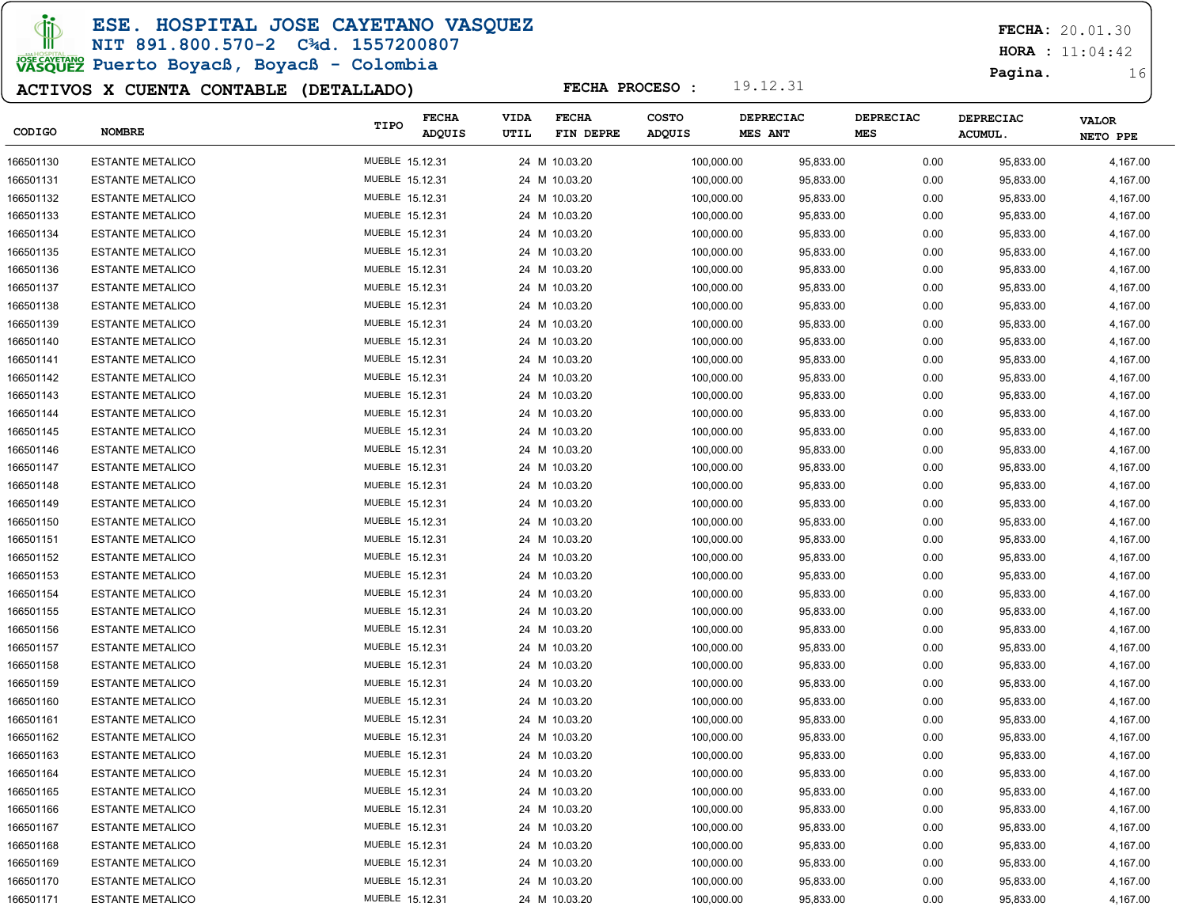### ESE. HOSPITAL JOSE CAYETANO VASQUEZ

#### NIT 891.800.570-2 C¾d. 1557200807

# JOSE CAVERANO<br>VASQUEZ Puerto Boyacß, Boyacß - Colombia

### ACTIVOS X CUENTA CONTABLE (DETALLADO)

FECHA: 20.01.30

 $HORA : 11:04:42$ 

Pagina. 16

| CODIGO    | <b>NOMBRE</b>           | TIPO            | <b>FECHA</b><br>ADQUIS | <b>VIDA</b><br>UTIL | <b>FECHA</b><br>FIN DEPRE | <b>COSTO</b><br>ADQUIS | DEPRECIAC<br><b>MES ANT</b> | <b>DEPRECIAC</b><br><b>MES</b> | <b>DEPRECIAC</b><br><b>ACUMUL</b> | <b>VALOR</b><br>NETO PPE |
|-----------|-------------------------|-----------------|------------------------|---------------------|---------------------------|------------------------|-----------------------------|--------------------------------|-----------------------------------|--------------------------|
| 166501130 | <b>ESTANTE METALICO</b> | MUEBLE 15.12.31 |                        |                     | 24 M 10.03.20             | 100,000.00             | 95,833.00                   | 0.00                           | 95,833.00                         | 4,167.00                 |
| 166501131 | <b>ESTANTE METALICO</b> | MUEBLE 15.12.31 |                        |                     | 24 M 10.03.20             | 100,000.00             | 95,833.00                   | 0.00                           | 95,833.00                         | 4,167.00                 |
| 166501132 | <b>ESTANTE METALICO</b> | MUEBLE 15.12.31 |                        |                     | 24 M 10.03.20             | 100,000.00             | 95,833.00                   | 0.00                           | 95,833.00                         | 4,167.00                 |
| 166501133 | <b>ESTANTE METALICO</b> | MUEBLE 15.12.31 |                        |                     | 24 M 10.03.20             | 100,000.00             | 95,833.00                   | 0.00                           | 95,833.00                         | 4,167.00                 |
| 166501134 | <b>ESTANTE METALICO</b> | MUEBLE 15.12.31 |                        |                     | 24 M 10.03.20             | 100,000.00             | 95,833.00                   | 0.00                           | 95,833.00                         | 4,167.00                 |
| 166501135 | <b>ESTANTE METALICO</b> | MUEBLE 15.12.31 |                        |                     | 24 M 10.03.20             | 100,000.00             | 95,833.00                   | 0.00                           | 95,833.00                         | 4,167.00                 |
| 166501136 | <b>ESTANTE METALICO</b> | MUEBLE 15.12.31 |                        |                     | 24 M 10.03.20             | 100,000.00             | 95,833.00                   | 0.00                           | 95,833.00                         | 4,167.00                 |
| 166501137 | <b>ESTANTE METALICO</b> | MUEBLE 15.12.31 |                        |                     | 24 M 10.03.20             | 100,000.00             | 95,833.00                   | 0.00                           | 95,833.00                         | 4,167.00                 |
| 166501138 | <b>ESTANTE METALICO</b> | MUEBLE 15.12.31 |                        |                     | 24 M 10.03.20             | 100,000.00             | 95,833.00                   | 0.00                           | 95,833.00                         | 4,167.00                 |
| 166501139 | <b>ESTANTE METALICO</b> | MUEBLE 15.12.31 |                        |                     | 24 M 10.03.20             | 100,000.00             | 95,833.00                   | 0.00                           | 95,833.00                         | 4,167.00                 |
| 166501140 | <b>ESTANTE METALICO</b> | MUEBLE 15.12.31 |                        |                     | 24 M 10.03.20             | 100,000.00             | 95,833.00                   | 0.00                           | 95,833.00                         | 4,167.00                 |
| 166501141 | <b>ESTANTE METALICO</b> | MUEBLE 15.12.31 |                        |                     | 24 M 10.03.20             | 100,000.00             | 95,833.00                   | 0.00                           | 95,833.00                         | 4,167.00                 |
| 166501142 | <b>ESTANTE METALICO</b> | MUEBLE 15.12.31 |                        |                     | 24 M 10.03.20             | 100,000.00             | 95,833.00                   | 0.00                           | 95,833.00                         | 4,167.00                 |
| 166501143 | <b>ESTANTE METALICO</b> | MUEBLE 15.12.31 |                        |                     | 24 M 10.03.20             | 100,000.00             | 95,833.00                   | 0.00                           | 95,833.00                         | 4,167.00                 |
| 166501144 | <b>ESTANTE METALICO</b> | MUEBLE 15.12.31 |                        |                     | 24 M 10.03.20             | 100,000.00             | 95,833.00                   | 0.00                           | 95,833.00                         | 4,167.00                 |
| 166501145 | <b>ESTANTE METALICO</b> | MUEBLE 15.12.31 |                        |                     | 24 M 10.03.20             | 100,000.00             | 95,833.00                   | 0.00                           | 95,833.00                         | 4,167.00                 |
| 166501146 | <b>ESTANTE METALICO</b> | MUEBLE 15.12.31 |                        |                     | 24 M 10.03.20             | 100,000.00             | 95,833.00                   | 0.00                           | 95,833.00                         | 4,167.00                 |
| 166501147 | <b>ESTANTE METALICO</b> | MUEBLE 15.12.31 |                        |                     | 24 M 10.03.20             | 100,000.00             | 95,833.00                   | 0.00                           | 95,833.00                         | 4,167.00                 |
| 166501148 | <b>ESTANTE METALICO</b> | MUEBLE 15.12.31 |                        |                     | 24 M 10.03.20             | 100,000.00             | 95,833.00                   | 0.00                           | 95,833.00                         | 4,167.00                 |
| 166501149 | <b>ESTANTE METALICO</b> | MUEBLE 15.12.31 |                        |                     | 24 M 10.03.20             | 100,000.00             | 95,833.00                   | 0.00                           | 95,833.00                         | 4,167.00                 |
| 166501150 | <b>ESTANTE METALICO</b> | MUEBLE 15.12.31 |                        |                     | 24 M 10.03.20             | 100,000.00             | 95,833.00                   | 0.00                           | 95,833.00                         | 4,167.00                 |
| 166501151 | <b>ESTANTE METALICO</b> | MUEBLE 15.12.31 |                        |                     | 24 M 10.03.20             | 100,000.00             | 95,833.00                   | 0.00                           | 95,833.00                         | 4,167.00                 |
| 166501152 | <b>ESTANTE METALICO</b> | MUEBLE 15.12.31 |                        |                     | 24 M 10.03.20             | 100,000.00             | 95,833.00                   | 0.00                           | 95,833.00                         | 4,167.00                 |
| 166501153 | <b>ESTANTE METALICO</b> | MUEBLE 15.12.31 |                        |                     | 24 M 10.03.20             | 100,000.00             | 95,833.00                   | 0.00                           | 95,833.00                         | 4,167.00                 |
| 166501154 | <b>ESTANTE METALICO</b> | MUEBLE 15.12.31 |                        |                     | 24 M 10.03.20             | 100,000.00             | 95,833.00                   | 0.00                           | 95,833.00                         | 4,167.00                 |
| 166501155 | <b>ESTANTE METALICO</b> | MUEBLE 15.12.31 |                        |                     | 24 M 10.03.20             | 100,000.00             | 95,833.00                   | 0.00                           | 95,833.00                         | 4,167.00                 |
| 166501156 | <b>ESTANTE METALICO</b> | MUEBLE 15.12.31 |                        |                     | 24 M 10.03.20             | 100,000.00             | 95,833.00                   | 0.00                           | 95,833.00                         | 4,167.00                 |
| 166501157 | <b>ESTANTE METALICO</b> | MUEBLE 15.12.31 |                        |                     | 24 M 10.03.20             | 100,000.00             | 95,833.00                   | 0.00                           | 95,833.00                         | 4,167.00                 |
| 166501158 | <b>ESTANTE METALICO</b> | MUEBLE 15.12.31 |                        |                     | 24 M 10.03.20             | 100,000.00             | 95,833.00                   | 0.00                           | 95,833.00                         | 4,167.00                 |
| 166501159 | <b>ESTANTE METALICO</b> | MUEBLE 15.12.31 |                        |                     | 24 M 10.03.20             | 100,000.00             | 95,833.00                   | 0.00                           | 95,833.00                         | 4,167.00                 |
| 166501160 | <b>ESTANTE METALICO</b> | MUEBLE 15.12.31 |                        |                     | 24 M 10.03.20             | 100,000.00             | 95,833.00                   | 0.00                           | 95,833.00                         | 4,167.00                 |
| 166501161 | <b>ESTANTE METALICO</b> | MUEBLE 15.12.31 |                        |                     | 24 M 10.03.20             | 100,000.00             | 95,833.00                   | 0.00                           | 95,833.00                         | 4,167.00                 |
| 166501162 | <b>ESTANTE METALICO</b> | MUEBLE 15.12.31 |                        |                     | 24 M 10.03.20             | 100,000.00             | 95,833.00                   | 0.00                           | 95,833.00                         | 4,167.00                 |
| 166501163 | <b>ESTANTE METALICO</b> | MUEBLE 15.12.31 |                        |                     | 24 M 10.03.20             | 100,000.00             | 95,833.00                   | 0.00                           | 95,833.00                         | 4,167.00                 |
| 166501164 | <b>ESTANTE METALICO</b> | MUEBLE 15.12.31 |                        |                     | 24 M 10.03.20             | 100,000.00             | 95,833.00                   | 0.00                           | 95,833.00                         | 4,167.00                 |
| 166501165 | <b>ESTANTE METALICO</b> | MUEBLE 15.12.31 |                        |                     | 24 M 10.03.20             | 100,000.00             | 95,833.00                   | 0.00                           | 95,833.00                         | 4,167.00                 |
| 166501166 | <b>ESTANTE METALICO</b> | MUEBLE 15.12.31 |                        |                     | 24 M 10.03.20             | 100,000.00             | 95,833.00                   | 0.00                           | 95,833.00                         | 4,167.00                 |
| 166501167 | <b>ESTANTE METALICO</b> | MUEBLE 15.12.31 |                        |                     | 24 M 10.03.20             | 100,000.00             | 95,833.00                   | 0.00                           | 95,833.00                         | 4,167.00                 |
| 166501168 | <b>ESTANTE METALICO</b> | MUEBLE 15.12.31 |                        |                     | 24 M 10.03.20             | 100,000.00             | 95,833.00                   | 0.00                           | 95,833.00                         | 4,167.00                 |
| 166501169 | <b>ESTANTE METALICO</b> | MUEBLE 15.12.31 |                        |                     | 24 M 10.03.20             | 100,000.00             | 95,833.00                   | 0.00                           | 95,833.00                         | 4,167.00                 |
| 166501170 | <b>ESTANTE METALICO</b> | MUEBLE 15.12.31 |                        |                     | 24 M 10.03.20             | 100,000.00             | 95,833.00                   | 0.00                           | 95,833.00                         | 4,167.00                 |
| 166501171 | <b>ESTANTE METALICO</b> | MUEBLE 15.12.31 |                        |                     | 24 M 10.03.20             | 100,000.00             | 95,833.00                   | 0.00                           | 95,833.00                         | 4,167.00                 |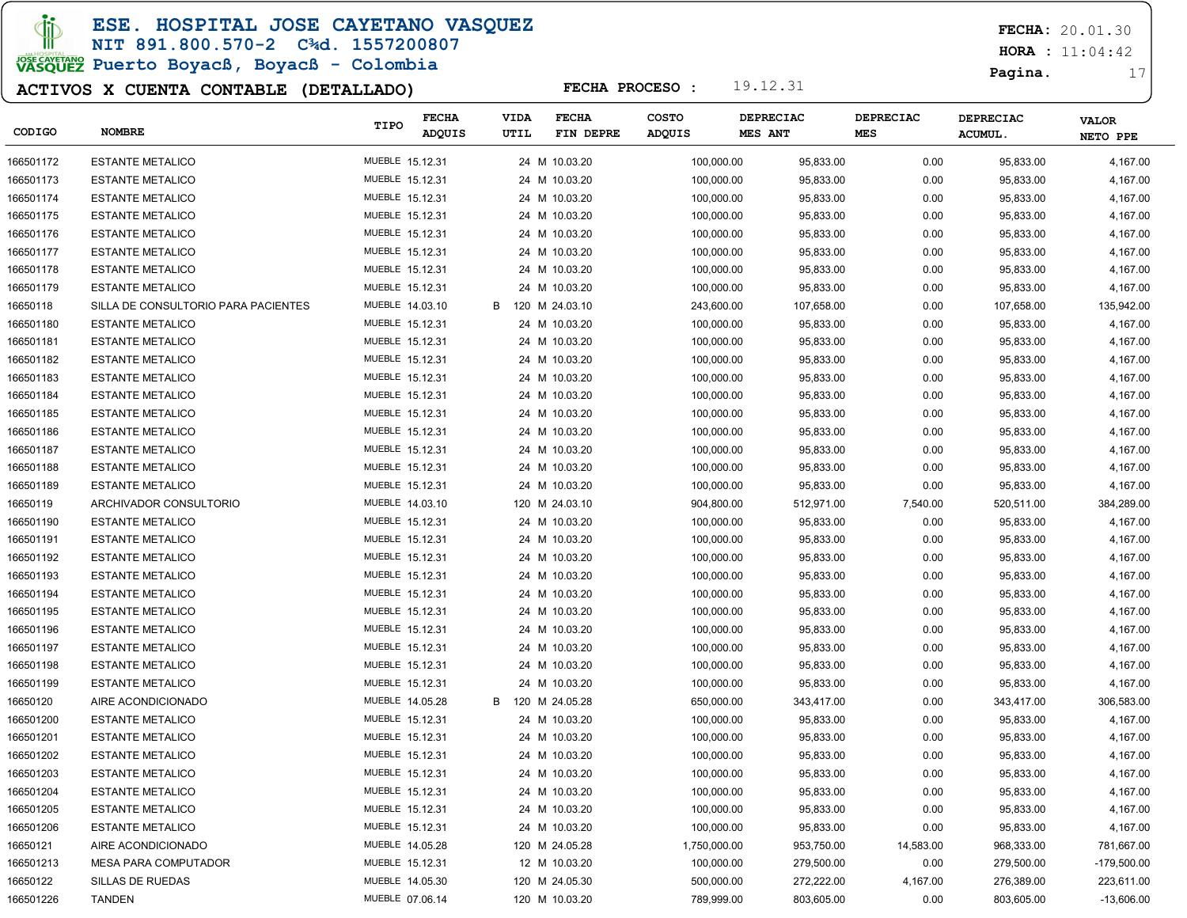ESE. HOSPITAL JOSE CAYETANO VASQUEZ

# NIT 891.800.570-2 C¾d. 1557200807

JOSE CAVERANO<br>VASQUEZ Puerto Boyacß, Boyacß - Colombia

### ACTIVOS X CUENTA CONTABLE (DETALLADO)

FECHA: 20.01.30

 $HORA : 11:04:42$ 

Pagina. 17

| CODIGO    | <b>NOMBRE</b>                       | TIPO            | <b>FECHA</b><br><b>ADQUIS</b> | <b>VIDA</b><br>UTIL | <b>FECHA</b><br>FIN DEPRE | <b>COSTO</b><br>ADQUIS | DEPRECIAC<br><b>MES ANT</b> | <b>DEPRECIAC</b><br><b>MES</b> | DEPRECIAC<br><b>ACUMUL.</b> | <b>VALOR</b><br>NETO PPE |
|-----------|-------------------------------------|-----------------|-------------------------------|---------------------|---------------------------|------------------------|-----------------------------|--------------------------------|-----------------------------|--------------------------|
| 166501172 | <b>ESTANTE METALICO</b>             | MUEBLE 15.12.31 |                               |                     | 24 M 10.03.20             | 100,000.00             | 95,833.00                   | 0.00                           | 95,833.00                   | 4,167.00                 |
| 166501173 | <b>ESTANTE METALICO</b>             | MUEBLE 15.12.31 |                               |                     | 24 M 10.03.20             | 100,000.00             | 95,833.00                   | 0.00                           | 95,833.00                   | 4,167.00                 |
| 166501174 | <b>ESTANTE METALICO</b>             | MUEBLE 15.12.31 |                               |                     | 24 M 10.03.20             | 100,000.00             | 95,833.00                   | 0.00                           | 95,833.00                   | 4,167.00                 |
| 166501175 | <b>ESTANTE METALICO</b>             | MUEBLE 15.12.31 |                               |                     | 24 M 10.03.20             | 100,000.00             | 95,833.00                   | 0.00                           | 95,833.00                   | 4,167.00                 |
| 166501176 | <b>ESTANTE METALICO</b>             | MUEBLE 15.12.31 |                               |                     | 24 M 10.03.20             | 100,000.00             | 95,833.00                   | 0.00                           | 95,833.00                   | 4,167.00                 |
| 166501177 | <b>ESTANTE METALICO</b>             | MUEBLE 15.12.31 |                               |                     | 24 M 10.03.20             | 100,000.00             | 95,833.00                   | 0.00                           | 95,833.00                   | 4,167.00                 |
| 166501178 | <b>ESTANTE METALICO</b>             | MUEBLE 15.12.31 |                               |                     | 24 M 10.03.20             | 100,000.00             | 95,833.00                   | 0.00                           | 95,833.00                   | 4,167.00                 |
| 166501179 | <b>ESTANTE METALICO</b>             | MUEBLE 15.12.31 |                               |                     | 24 M 10.03.20             | 100,000.00             | 95,833.00                   | 0.00                           | 95,833.00                   | 4,167.00                 |
| 16650118  | SILLA DE CONSULTORIO PARA PACIENTES | MUEBLE 14.03.10 |                               | B                   | 120 M 24.03.10            | 243,600.00             | 107,658.00                  | 0.00                           | 107,658.00                  | 135,942.00               |
| 166501180 | <b>ESTANTE METALICO</b>             | MUEBLE 15.12.31 |                               |                     | 24 M 10.03.20             | 100,000.00             | 95,833.00                   | 0.00                           | 95,833.00                   | 4,167.00                 |
| 166501181 | <b>ESTANTE METALICO</b>             | MUEBLE 15.12.31 |                               |                     | 24 M 10.03.20             | 100,000.00             | 95,833.00                   | 0.00                           | 95,833.00                   | 4,167.00                 |
| 166501182 | <b>ESTANTE METALICO</b>             | MUEBLE 15.12.31 |                               |                     | 24 M 10.03.20             | 100,000.00             | 95,833.00                   | 0.00                           | 95,833.00                   | 4,167.00                 |
| 166501183 | <b>ESTANTE METALICO</b>             | MUEBLE 15.12.31 |                               |                     | 24 M 10.03.20             | 100,000.00             | 95,833.00                   | 0.00                           | 95,833.00                   | 4,167.00                 |
| 166501184 | <b>ESTANTE METALICO</b>             | MUEBLE 15.12.31 |                               |                     | 24 M 10.03.20             | 100,000.00             | 95,833.00                   | 0.00                           | 95,833.00                   | 4,167.00                 |
| 166501185 | <b>ESTANTE METALICO</b>             | MUEBLE 15.12.31 |                               |                     | 24 M 10.03.20             | 100,000.00             | 95,833.00                   | 0.00                           | 95,833.00                   | 4,167.00                 |
| 166501186 | <b>ESTANTE METALICO</b>             | MUEBLE 15.12.31 |                               |                     | 24 M 10.03.20             | 100,000.00             | 95,833.00                   | 0.00                           | 95,833.00                   | 4,167.00                 |
| 166501187 | <b>ESTANTE METALICO</b>             | MUEBLE 15.12.31 |                               |                     | 24 M 10.03.20             | 100,000.00             | 95,833.00                   | 0.00                           | 95,833.00                   | 4,167.00                 |
| 166501188 | <b>ESTANTE METALICO</b>             | MUEBLE 15.12.31 |                               |                     | 24 M 10.03.20             | 100,000.00             | 95,833.00                   | 0.00                           | 95,833.00                   | 4,167.00                 |
| 166501189 | <b>ESTANTE METALICO</b>             | MUEBLE 15.12.31 |                               |                     | 24 M 10.03.20             | 100,000.00             | 95,833.00                   | 0.00                           | 95,833.00                   | 4,167.00                 |
| 16650119  | ARCHIVADOR CONSULTORIO              | MUEBLE 14.03.10 |                               |                     | 120 M 24.03.10            | 904,800.00             | 512,971.00                  | 7,540.00                       | 520,511.00                  | 384,289.00               |
| 166501190 | <b>ESTANTE METALICO</b>             | MUEBLE 15.12.31 |                               |                     | 24 M 10.03.20             | 100,000.00             | 95,833.00                   | 0.00                           | 95,833.00                   | 4,167.00                 |
| 166501191 | <b>ESTANTE METALICO</b>             | MUEBLE 15.12.31 |                               |                     | 24 M 10.03.20             | 100,000.00             | 95,833.00                   | 0.00                           | 95,833.00                   | 4,167.00                 |
| 166501192 | <b>ESTANTE METALICO</b>             | MUEBLE 15.12.31 |                               |                     | 24 M 10.03.20             | 100,000.00             | 95,833.00                   | 0.00                           | 95,833.00                   | 4,167.00                 |
| 166501193 | <b>ESTANTE METALICO</b>             | MUEBLE 15.12.31 |                               |                     | 24 M 10.03.20             | 100,000.00             | 95,833.00                   | 0.00                           | 95,833.00                   | 4,167.00                 |
| 166501194 | <b>ESTANTE METALICO</b>             | MUEBLE 15.12.31 |                               |                     | 24 M 10.03.20             | 100,000.00             | 95,833.00                   | 0.00                           | 95,833.00                   | 4,167.00                 |
| 166501195 | <b>ESTANTE METALICO</b>             | MUEBLE 15.12.31 |                               |                     | 24 M 10.03.20             | 100,000.00             | 95,833.00                   | 0.00                           | 95,833.00                   | 4,167.00                 |
| 166501196 | <b>ESTANTE METALICO</b>             | MUEBLE 15.12.31 |                               |                     | 24 M 10.03.20             | 100,000.00             | 95,833.00                   | 0.00                           | 95,833.00                   | 4,167.00                 |
| 166501197 | <b>ESTANTE METALICO</b>             | MUEBLE 15.12.31 |                               |                     | 24 M 10.03.20             | 100,000.00             | 95,833.00                   | 0.00                           | 95,833.00                   | 4,167.00                 |
| 166501198 | <b>ESTANTE METALICO</b>             | MUEBLE 15.12.31 |                               |                     | 24 M 10.03.20             | 100,000.00             | 95,833.00                   | 0.00                           | 95,833.00                   | 4,167.00                 |
| 166501199 | <b>ESTANTE METALICO</b>             | MUEBLE 15.12.31 |                               |                     | 24 M 10.03.20             | 100,000.00             | 95,833.00                   | 0.00                           | 95,833.00                   | 4,167.00                 |
| 16650120  | AIRE ACONDICIONADO                  | MUEBLE 14.05.28 |                               | B 120 M 24.05.28    |                           | 650,000.00             | 343,417.00                  | 0.00                           | 343,417.00                  | 306,583.00               |
| 166501200 | <b>ESTANTE METALICO</b>             | MUEBLE 15.12.31 |                               |                     | 24 M 10.03.20             | 100,000.00             | 95,833.00                   | 0.00                           | 95,833.00                   | 4,167.00                 |
| 166501201 | ESTANTE METALICO                    | MUEBLE 15.12.31 |                               |                     | 24 M 10.03.20             | 100,000.00             | 95,833.00                   | 0.00                           | 95,833.00                   | 4,167.00                 |
| 166501202 | <b>ESTANTE METALICO</b>             | MUEBLE 15.12.31 |                               |                     | 24 M 10.03.20             | 100,000.00             | 95,833.00                   | 0.00                           | 95,833.00                   | 4,167.00                 |
| 166501203 | ESTANTE METALICO                    | MUEBLE 15.12.31 |                               |                     | 24 M 10.03.20             | 100,000.00             | 95,833.00                   | 0.00                           | 95,833.00                   | 4,167.00                 |
| 166501204 | <b>ESTANTE METALICO</b>             | MUEBLE 15.12.31 |                               |                     | 24 M 10.03.20             | 100,000.00             | 95,833.00                   | 0.00                           | 95,833.00                   | 4,167.00                 |
| 166501205 | <b>ESTANTE METALICO</b>             | MUEBLE 15.12.31 |                               |                     | 24 M 10.03.20             | 100,000.00             | 95,833.00                   | 0.00                           | 95,833.00                   | 4,167.00                 |
| 166501206 | <b>ESTANTE METALICO</b>             | MUEBLE 15.12.31 |                               |                     | 24 M 10.03.20             | 100,000.00             | 95,833.00                   | 0.00                           | 95,833.00                   | 4,167.00                 |
| 16650121  | AIRE ACONDICIONADO                  | MUEBLE 14.05.28 |                               |                     | 120 M 24.05.28            | 1,750,000.00           | 953,750.00                  | 14,583.00                      | 968,333.00                  | 781,667.00               |
| 166501213 | MESA PARA COMPUTADOR                | MUEBLE 15.12.31 |                               |                     | 12 M 10.03.20             | 100,000.00             | 279,500.00                  | 0.00                           | 279,500.00                  | $-179,500.00$            |
| 16650122  | SILLAS DE RUEDAS                    | MUEBLE 14.05.30 |                               |                     | 120 M 24.05.30            | 500,000.00             | 272,222.00                  | 4,167.00                       | 276,389.00                  | 223,611.00               |
| 166501226 | TANDEN                              | MUEBLE 07.06.14 |                               |                     | 120 M 10.03.20            | 789,999.00             | 803,605.00                  | 0.00                           | 803,605.00                  | $-13,606.00$             |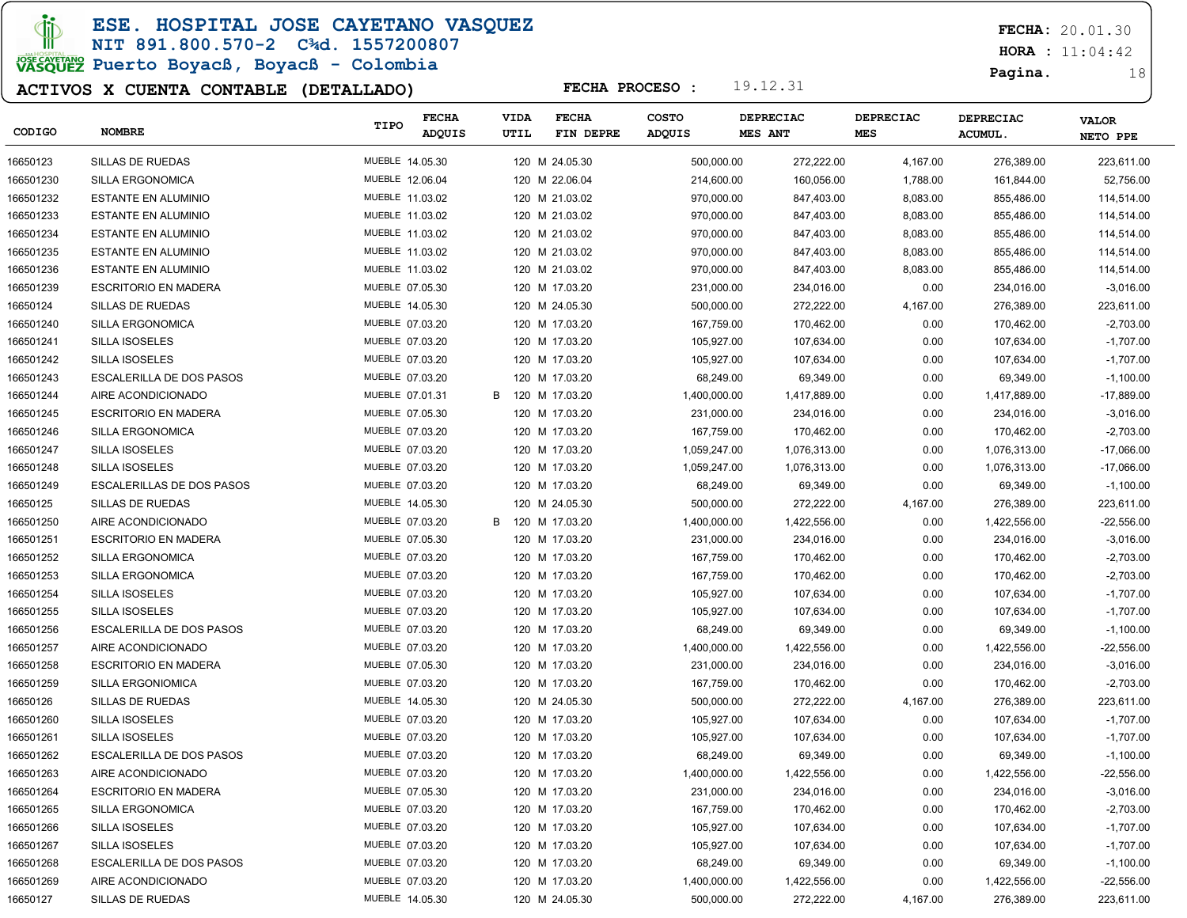ESE. HOSPITAL JOSE CAYETANO VASQUEZ

NIT 891.800.570-2 C¾d. 1557200807

# JOSE CAVERANO<br>VASQUEZ Puerto Boyacß, Boyacß - Colombia

### ACTIVOS X CUENTA CONTABLE (DETALLADO)

FECHA: 20.01.30

 $HORA : 11:04:42$ 

Pagina. 18

| CODIGO    | <b>NOMBRE</b>                    | TIPO            | <b>FECHA</b><br>ADQUIS | VIDA<br>UTIL | <b>FECHA</b><br>FIN DEPRE | <b>COSTO</b><br>ADQUIS | <b>DEPRECIAC</b><br>MES ANT | <b>DEPRECIAC</b><br>MES |          | <b>DEPRECIAC</b><br><b>ACUMUL.</b> | <b>VALOR</b><br>NETO PPE |
|-----------|----------------------------------|-----------------|------------------------|--------------|---------------------------|------------------------|-----------------------------|-------------------------|----------|------------------------------------|--------------------------|
|           |                                  |                 |                        |              |                           |                        |                             |                         |          |                                    |                          |
| 16650123  | SILLAS DE RUEDAS                 | MUEBLE 14.05.30 |                        |              | 120 M 24.05.30            | 500,000.00             | 272,222.00                  |                         | 4,167.00 | 276,389.00                         | 223,611.00               |
| 166501230 | <b>SILLA ERGONOMICA</b>          | MUEBLE 12.06.04 |                        |              | 120 M 22.06.04            | 214,600.00             | 160,056.00                  |                         | 1,788.00 | 161,844.00                         | 52,756.00                |
| 166501232 | <b>ESTANTE EN ALUMINIO</b>       | MUEBLE 11.03.02 |                        |              | 120 M 21.03.02            | 970,000.00             | 847,403.00                  |                         | 8,083.00 | 855,486.00                         | 114,514.00               |
| 166501233 | ESTANTE EN ALUMINIO              | MUEBLE 11.03.02 |                        |              | 120 M 21.03.02            | 970,000.00             | 847,403.00                  |                         | 8,083.00 | 855,486.00                         | 114,514.00               |
| 166501234 | ESTANTE EN ALUMINIO              | MUEBLE 11.03.02 |                        |              | 120 M 21.03.02            | 970,000.00             | 847,403.00                  |                         | 8,083.00 | 855,486.00                         | 114,514.00               |
| 166501235 | ESTANTE EN ALUMINIO              | MUEBLE 11.03.02 |                        |              | 120 M 21.03.02            | 970,000.00             | 847,403.00                  |                         | 8,083.00 | 855,486.00                         | 114,514.00               |
| 166501236 | <b>ESTANTE EN ALUMINIO</b>       | MUEBLE 11.03.02 |                        |              | 120 M 21.03.02            | 970,000.00             | 847,403.00                  |                         | 8,083.00 | 855,486.00                         | 114,514.00               |
| 166501239 | <b>ESCRITORIO EN MADERA</b>      | MUEBLE 07.05.30 |                        |              | 120 M 17.03.20            | 231,000.00             | 234,016.00                  |                         | 0.00     | 234,016.00                         | $-3,016.00$              |
| 16650124  | SILLAS DE RUEDAS                 | MUEBLE 14.05.30 |                        |              | 120 M 24.05.30            | 500,000.00             | 272,222.00                  |                         | 4,167.00 | 276,389.00                         | 223,611.00               |
| 166501240 | SILLA ERGONOMICA                 | MUEBLE 07.03.20 |                        |              | 120 M 17.03.20            | 167,759.00             | 170,462.00                  |                         | 0.00     | 170,462.00                         | $-2,703.00$              |
| 166501241 | <b>SILLA ISOSELES</b>            | MUEBLE 07.03.20 |                        |              | 120 M 17.03.20            | 105,927.00             | 107,634.00                  |                         | 0.00     | 107,634.00                         | $-1,707.00$              |
| 166501242 | <b>SILLA ISOSELES</b>            | MUEBLE 07.03.20 |                        |              | 120 M 17.03.20            | 105,927.00             | 107,634.00                  |                         | 0.00     | 107,634.00                         | $-1,707.00$              |
| 166501243 | <b>ESCALERILLA DE DOS PASOS</b>  | MUEBLE 07.03.20 |                        |              | 120 M 17.03.20            | 68,249.00              | 69,349.00                   |                         | 0.00     | 69,349.00                          | $-1,100.00$              |
| 166501244 | AIRE ACONDICIONADO               | MUEBLE 07.01.31 |                        | В            | 120 M 17.03.20            | 1,400,000.00           | 1,417,889.00                |                         | 0.00     | 1,417,889.00                       | -17,889.00               |
| 166501245 | <b>ESCRITORIO EN MADERA</b>      | MUEBLE 07.05.30 |                        |              | 120 M 17.03.20            | 231,000.00             | 234,016.00                  |                         | 0.00     | 234,016.00                         | $-3,016.00$              |
| 166501246 | <b>SILLA ERGONOMICA</b>          | MUEBLE 07.03.20 |                        |              | 120 M 17.03.20            | 167,759.00             | 170,462.00                  |                         | 0.00     | 170,462.00                         | $-2,703.00$              |
| 166501247 | <b>SILLA ISOSELES</b>            | MUEBLE 07.03.20 |                        |              | 120 M 17.03.20            | 1,059,247.00           | 1,076,313.00                |                         | 0.00     | 1,076,313.00                       | -17,066.00               |
| 166501248 | <b>SILLA ISOSELES</b>            | MUEBLE 07.03.20 |                        |              | 120 M 17.03.20            | 1,059,247.00           | 1,076,313.00                |                         | 0.00     | 1,076,313.00                       | -17,066.00               |
| 166501249 | <b>ESCALERILLAS DE DOS PASOS</b> | MUEBLE 07.03.20 |                        |              | 120 M 17.03.20            | 68,249.00              | 69,349.00                   |                         | 0.00     | 69,349.00                          | $-1,100.00$              |
| 16650125  | SILLAS DE RUEDAS                 | MUEBLE 14.05.30 |                        |              | 120 M 24.05.30            | 500,000.00             | 272,222.00                  |                         | 4,167.00 | 276,389.00                         | 223,611.00               |
| 166501250 | AIRE ACONDICIONADO               | MUEBLE 07.03.20 |                        | В            | 120 M 17.03.20            | 1,400,000.00           | 1,422,556.00                |                         | 0.00     | 1,422,556.00                       | $-22,556.00$             |
| 166501251 | <b>ESCRITORIO EN MADERA</b>      | MUEBLE 07.05.30 |                        |              | 120 M 17.03.20            | 231,000.00             | 234,016.00                  |                         | 0.00     | 234,016.00                         | $-3,016.00$              |
| 166501252 | <b>SILLA ERGONOMICA</b>          | MUEBLE 07.03.20 |                        |              | 120 M 17.03.20            | 167,759.00             | 170,462.00                  |                         | 0.00     | 170,462.00                         | $-2,703.00$              |
| 166501253 | SILLA ERGONOMICA                 | MUEBLE 07.03.20 |                        |              | 120 M 17.03.20            | 167,759.00             | 170,462.00                  |                         | 0.00     | 170,462.00                         | $-2,703.00$              |
| 166501254 | <b>SILLA ISOSELES</b>            | MUEBLE 07.03.20 |                        |              | 120 M 17.03.20            | 105,927.00             | 107,634.00                  |                         | 0.00     | 107,634.00                         | $-1,707.00$              |
| 166501255 | <b>SILLA ISOSELES</b>            | MUEBLE 07.03.20 |                        |              | 120 M 17.03.20            | 105,927.00             | 107,634.00                  |                         | 0.00     | 107,634.00                         | $-1,707.00$              |
| 166501256 | <b>ESCALERILLA DE DOS PASOS</b>  | MUEBLE 07.03.20 |                        |              | 120 M 17.03.20            | 68,249.00              | 69,349.00                   |                         | 0.00     | 69,349.00                          | $-1,100.00$              |
| 166501257 | AIRE ACONDICIONADO               | MUEBLE 07.03.20 |                        |              | 120 M 17.03.20            | 1,400,000.00           | 1,422,556.00                |                         | 0.00     | 1,422,556.00                       | $-22,556.00$             |
| 166501258 | <b>ESCRITORIO EN MADERA</b>      | MUEBLE 07.05.30 |                        |              | 120 M 17.03.20            | 231,000.00             | 234,016.00                  |                         | 0.00     | 234,016.00                         | $-3,016.00$              |
| 166501259 | <b>SILLA ERGONIOMICA</b>         | MUEBLE 07.03.20 |                        |              | 120 M 17.03.20            | 167,759.00             | 170,462.00                  |                         | 0.00     | 170,462.00                         | $-2,703.00$              |
| 16650126  | SILLAS DE RUEDAS                 | MUEBLE 14.05.30 |                        |              | 120 M 24.05.30            | 500,000.00             | 272,222.00                  |                         | 4,167.00 | 276,389.00                         | 223,611.00               |
| 166501260 | <b>SILLA ISOSELES</b>            | MUEBLE 07.03.20 |                        |              | 120 M 17.03.20            | 105,927.00             | 107,634.00                  |                         | 0.00     | 107,634.00                         | $-1,707.00$              |
| 166501261 | <b>SILLA ISOSELES</b>            | MUEBLE 07.03.20 |                        |              |                           | 105,927.00             | 107,634.00                  |                         | 0.00     |                                    |                          |
|           | <b>ESCALERILLA DE DOS PASOS</b>  |                 |                        |              | 120 M 17.03.20            |                        |                             |                         |          | 107,634.00                         | $-1,707.00$              |
| 166501262 |                                  | MUEBLE 07.03.20 |                        |              | 120 M 17.03.20            | 68,249.00              | 69,349.00                   |                         | 0.00     | 69,349.00                          | $-1,100.00$              |
| 166501263 | AIRE ACONDICIONADO               | MUEBLE 07.03.20 |                        |              | 120 M 17.03.20            | 1,400,000.00           | 1,422,556.00                |                         | 0.00     | 1,422,556.00                       | $-22.556.00$             |
| 166501264 | <b>ESCRITORIO EN MADERA</b>      | MUEBLE 07.05.30 |                        |              | 120 M 17.03.20            | 231,000.00             | 234,016.00                  |                         | 0.00     | 234,016.00                         | $-3,016.00$              |
| 166501265 | SILLA ERGONOMICA                 | MUEBLE 07.03.20 |                        |              | 120 M 17.03.20            | 167,759.00             | 170,462.00                  |                         | 0.00     | 170,462.00                         | $-2,703.00$              |
| 166501266 | SILLA ISOSELES                   | MUEBLE 07.03.20 |                        |              | 120 M 17.03.20            | 105,927.00             | 107,634.00                  |                         | 0.00     | 107,634.00                         | $-1,707.00$              |
| 166501267 | <b>SILLA ISOSELES</b>            | MUEBLE 07.03.20 |                        |              | 120 M 17.03.20            | 105,927.00             | 107,634.00                  |                         | 0.00     | 107,634.00                         | $-1,707.00$              |
| 166501268 | <b>ESCALERILLA DE DOS PASOS</b>  | MUEBLE 07.03.20 |                        |              | 120 M 17.03.20            | 68,249.00              | 69,349.00                   |                         | 0.00     | 69,349.00                          | $-1,100.00$              |
| 166501269 | AIRE ACONDICIONADO               | MUEBLE 07.03.20 |                        |              | 120 M 17.03.20            | 1,400,000.00           | 1,422,556.00                |                         | 0.00     | 1,422,556.00                       | $-22,556.00$             |
| 16650127  | SILLAS DE RUEDAS                 | MUEBLE 14.05.30 |                        |              | 120 M 24.05.30            | 500,000.00             | 272,222.00                  |                         | 4,167.00 | 276,389.00                         | 223,611.00               |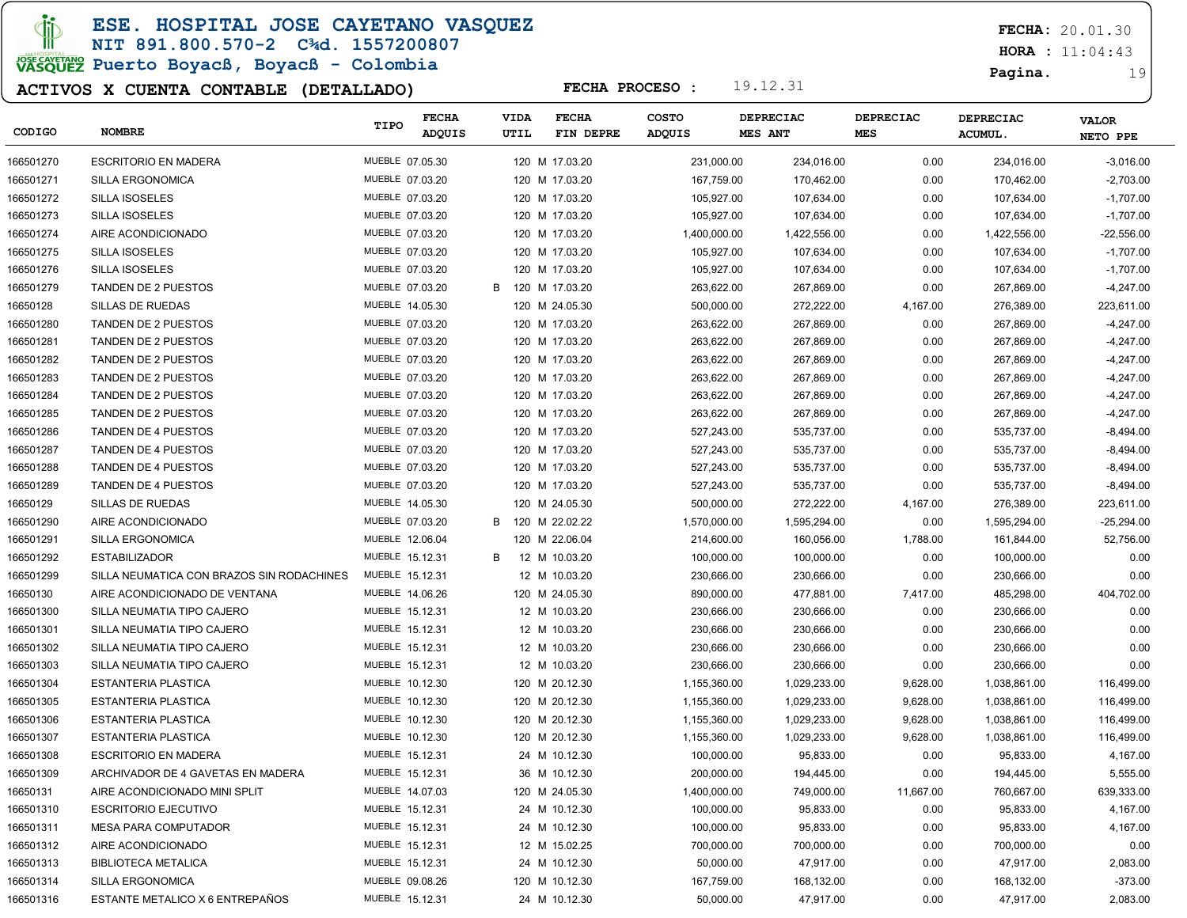di

ESE. HOSPITAL JOSE CAYETANO VASQUEZ

NIT 891.800.570-2 C¾d. 1557200807 JOSE CAVERANO<br>VASQUEZ Puerto Boyacß, Boyacß - Colombia

### ACTIVOS X CUENTA CONTABLE (DETALLADO)

FECHA: 20.01.30

 $HORA : 11:04:43$ 

Pagina. 19

| CODIGO    | <b>NOMBRE</b>                             | TIPO            | <b>FECHA</b><br>ADQUIS | <b>VIDA</b><br>UTIL | <b>FECHA</b><br>FIN DEPRE | <b>COSTO</b><br>ADQUIS | <b>DEPRECIAC</b><br>MES ANT | DEPRECIAC<br><b>MES</b> | <b>DEPRECIAC</b><br><b>ACUMUL.</b> | <b>VALOR</b><br>NETO PPE |
|-----------|-------------------------------------------|-----------------|------------------------|---------------------|---------------------------|------------------------|-----------------------------|-------------------------|------------------------------------|--------------------------|
| 166501270 | <b>ESCRITORIO EN MADERA</b>               | MUEBLE 07.05.30 |                        |                     | 120 M 17.03.20            | 231,000.00             | 234,016.00                  | 0.00                    | 234,016.00                         | $-3,016.00$              |
| 166501271 | <b>SILLA ERGONOMICA</b>                   | MUEBLE 07.03.20 |                        |                     | 120 M 17.03.20            | 167,759.00             | 170,462.00                  | 0.00                    | 170,462.00                         | $-2,703.00$              |
| 166501272 | <b>SILLA ISOSELES</b>                     | MUEBLE 07.03.20 |                        |                     | 120 M 17.03.20            | 105,927.00             | 107,634.00                  | 0.00                    | 107,634.00                         | $-1,707.00$              |
| 166501273 | <b>SILLA ISOSELES</b>                     | MUEBLE 07.03.20 |                        |                     | 120 M 17.03.20            | 105,927.00             | 107,634.00                  | 0.00                    | 107,634.00                         | $-1,707.00$              |
| 166501274 | AIRE ACONDICIONADO                        | MUEBLE 07.03.20 |                        |                     | 120 M 17.03.20            | 1,400,000.00           | 1,422,556.00                | 0.00                    | 1,422,556.00                       | $-22,556.00$             |
| 166501275 | <b>SILLA ISOSELES</b>                     | MUEBLE 07.03.20 |                        |                     | 120 M 17.03.20            | 105,927.00             | 107,634.00                  | 0.00                    | 107,634.00                         | $-1,707.00$              |
| 166501276 | <b>SILLA ISOSELES</b>                     | MUEBLE 07.03.20 |                        |                     | 120 M 17.03.20            | 105,927.00             | 107,634.00                  | 0.00                    | 107,634.00                         | $-1,707.00$              |
| 166501279 | TANDEN DE 2 PUESTOS                       | MUEBLE 07.03.20 |                        | B                   | 120 M 17.03.20            | 263,622.00             | 267,869.00                  | 0.00                    | 267,869.00                         | $-4,247.00$              |
| 16650128  | SILLAS DE RUEDAS                          | MUEBLE 14.05.30 |                        |                     | 120 M 24.05.30            | 500,000.00             | 272,222.00                  | 4,167.00                | 276,389.00                         | 223,611.00               |
| 166501280 | TANDEN DE 2 PUESTOS                       | MUEBLE 07.03.20 |                        |                     | 120 M 17.03.20            | 263,622.00             | 267,869.00                  | 0.00                    | 267,869.00                         | $-4,247.00$              |
| 166501281 | <b>TANDEN DE 2 PUESTOS</b>                | MUEBLE 07.03.20 |                        |                     | 120 M 17.03.20            | 263,622.00             | 267,869.00                  | 0.00                    | 267,869.00                         | $-4,247.00$              |
| 166501282 | TANDEN DE 2 PUESTOS                       | MUEBLE 07.03.20 |                        |                     | 120 M 17.03.20            | 263,622.00             | 267,869.00                  | 0.00                    | 267,869.00                         | $-4,247.00$              |
| 166501283 | TANDEN DE 2 PUESTOS                       | MUEBLE 07.03.20 |                        |                     | 120 M 17.03.20            | 263,622.00             | 267,869.00                  | 0.00                    | 267,869.00                         | $-4,247.00$              |
| 166501284 | TANDEN DE 2 PUESTOS                       | MUEBLE 07.03.20 |                        |                     | 120 M 17.03.20            | 263,622.00             | 267,869.00                  | 0.00                    | 267,869.00                         | $-4,247.00$              |
| 166501285 | TANDEN DE 2 PUESTOS                       | MUEBLE 07.03.20 |                        |                     | 120 M 17.03.20            | 263,622.00             | 267,869.00                  | 0.00                    | 267,869.00                         | $-4,247.00$              |
| 166501286 | <b>TANDEN DE 4 PUESTOS</b>                | MUEBLE 07.03.20 |                        |                     | 120 M 17.03.20            | 527,243.00             | 535,737.00                  | 0.00                    | 535,737.00                         | $-8,494.00$              |
| 166501287 | <b>TANDEN DE 4 PUESTOS</b>                | MUEBLE 07.03.20 |                        |                     | 120 M 17.03.20            | 527,243.00             | 535,737.00                  | 0.00                    | 535,737.00                         | $-8,494.00$              |
| 166501288 | <b>TANDEN DE 4 PUESTOS</b>                | MUEBLE 07.03.20 |                        |                     | 120 M 17.03.20            | 527,243.00             | 535,737.00                  | 0.00                    | 535,737.00                         | $-8,494.00$              |
| 166501289 | <b>TANDEN DE 4 PUESTOS</b>                | MUEBLE 07.03.20 |                        |                     | 120 M 17.03.20            | 527,243.00             | 535,737.00                  | 0.00                    | 535,737.00                         | $-8,494.00$              |
| 16650129  | SILLAS DE RUEDAS                          | MUEBLE 14.05.30 |                        |                     | 120 M 24.05.30            | 500,000.00             | 272,222.00                  | 4,167.00                | 276,389.00                         | 223,611.00               |
| 166501290 | AIRE ACONDICIONADO                        | MUEBLE 07.03.20 |                        | B                   | 120 M 22.02.22            | 1,570,000.00           | 1,595,294.00                | 0.00                    | 1,595,294.00                       | $-25,294.00$             |
| 166501291 | <b>SILLA ERGONOMICA</b>                   | MUEBLE 12.06.04 |                        |                     | 120 M 22.06.04            | 214,600.00             | 160,056.00                  | 1,788.00                | 161,844.00                         | 52,756.00                |
| 166501292 | <b>ESTABILIZADOR</b>                      | MUEBLE 15.12.31 |                        | В                   | 12 M 10.03.20             | 100,000.00             | 100,000.00                  | 0.00                    | 100,000.00                         | 0.00                     |
| 166501299 | SILLA NEUMATICA CON BRAZOS SIN RODACHINES | MUEBLE 15.12.31 |                        |                     | 12 M 10.03.20             | 230,666.00             | 230,666.00                  | 0.00                    | 230,666.00                         | 0.00                     |
| 16650130  | AIRE ACONDICIONADO DE VENTANA             | MUEBLE 14.06.26 |                        |                     | 120 M 24.05.30            | 890,000.00             | 477,881.00                  | 7,417.00                | 485,298.00                         | 404,702.00               |
| 166501300 | SILLA NEUMATIA TIPO CAJERO                | MUEBLE 15.12.31 |                        |                     | 12 M 10.03.20             | 230,666.00             | 230,666.00                  | 0.00                    | 230,666.00                         | 0.00                     |
| 166501301 | SILLA NEUMATIA TIPO CAJERO                | MUEBLE 15.12.31 |                        |                     | 12 M 10.03.20             | 230,666.00             | 230,666.00                  | 0.00                    | 230,666.00                         | 0.00                     |
| 166501302 | SILLA NEUMATIA TIPO CAJERO                | MUEBLE 15.12.31 |                        |                     | 12 M 10.03.20             | 230,666.00             | 230,666.00                  | 0.00                    | 230,666.00                         | 0.00                     |
| 166501303 | SILLA NEUMATIA TIPO CAJERO                | MUEBLE 15.12.31 |                        |                     | 12 M 10.03.20             | 230,666.00             | 230,666.00                  | 0.00                    | 230,666.00                         | 0.00                     |
| 166501304 | ESTANTERIA PLASTICA                       | MUEBLE 10.12.30 |                        |                     | 120 M 20.12.30            | 1,155,360.00           | 1,029,233.00                | 9,628.00                | 1,038,861.00                       | 116,499.00               |
| 166501305 | <b>ESTANTERIA PLASTICA</b>                | MUEBLE 10.12.30 |                        |                     | 120 M 20.12.30            | 1,155,360.00           | 1,029,233.00                | 9,628.00                | 1,038,861.00                       | 116,499.00               |
| 166501306 | ESTANTERIA PLASTICA                       | MUEBLE 10.12.30 |                        |                     | 120 M 20.12.30            | 1,155,360.00           | 1,029,233.00                | 9,628.00                | 1,038,861.00                       | 116,499.00               |
| 166501307 | ESTANTERIA PLASTICA                       | MUEBLE 10.12.30 |                        |                     | 120 M 20.12.30            | 1,155,360.00           | 1,029,233.00                | 9,628.00                | 1,038,861.00                       | 116,499.00               |
| 166501308 | <b>ESCRITORIO EN MADERA</b>               | MUEBLE 15.12.31 |                        |                     | 24 M 10.12.30             | 100,000.00             | 95,833.00                   | 0.00                    | 95,833.00                          | 4,167.00                 |
| 166501309 | ARCHIVADOR DE 4 GAVETAS EN MADERA         | MUEBLE 15.12.31 |                        |                     | 36 M 10.12.30             | 200,000.00             | 194,445.00                  | 0.00                    | 194,445.00                         | 5,555.00                 |
| 16650131  | AIRE ACONDICIONADO MINI SPLIT             | MUEBLE 14.07.03 |                        |                     | 120 M 24.05.30            | 1,400,000.00           | 749,000.00                  | 11,667.00               | 760,667.00                         | 639,333.00               |
| 166501310 | <b>ESCRITORIO EJECUTIVO</b>               | MUEBLE 15.12.31 |                        |                     | 24 M 10.12.30             | 100,000.00             | 95,833.00                   | 0.00                    | 95,833.00                          | 4,167.00                 |
| 166501311 | MESA PARA COMPUTADOR                      | MUEBLE 15.12.31 |                        |                     | 24 M 10.12.30             | 100,000.00             | 95,833.00                   | 0.00                    | 95,833.00                          | 4,167.00                 |
| 166501312 | AIRE ACONDICIONADO                        | MUEBLE 15.12.31 |                        |                     | 12 M 15.02.25             | 700,000.00             | 700,000.00                  | 0.00                    | 700,000.00                         | 0.00                     |
| 166501313 | <b>BIBLIOTECA METALICA</b>                | MUEBLE 15.12.31 |                        |                     | 24 M 10.12.30             | 50,000.00              | 47,917.00                   | 0.00                    | 47,917.00                          | 2,083.00                 |
| 166501314 | SILLA ERGONOMICA                          | MUEBLE 09.08.26 |                        |                     | 120 M 10.12.30            | 167,759.00             | 168,132.00                  | 0.00                    | 168,132.00                         | $-373.00$                |
| 166501316 | ESTANTE METALICO X 6 ENTREPAÑOS           | MUEBLE 15.12.31 |                        |                     | 24 M 10.12.30             | 50,000.00              | 47,917.00                   | 0.00                    | 47,917.00                          | 2,083.00                 |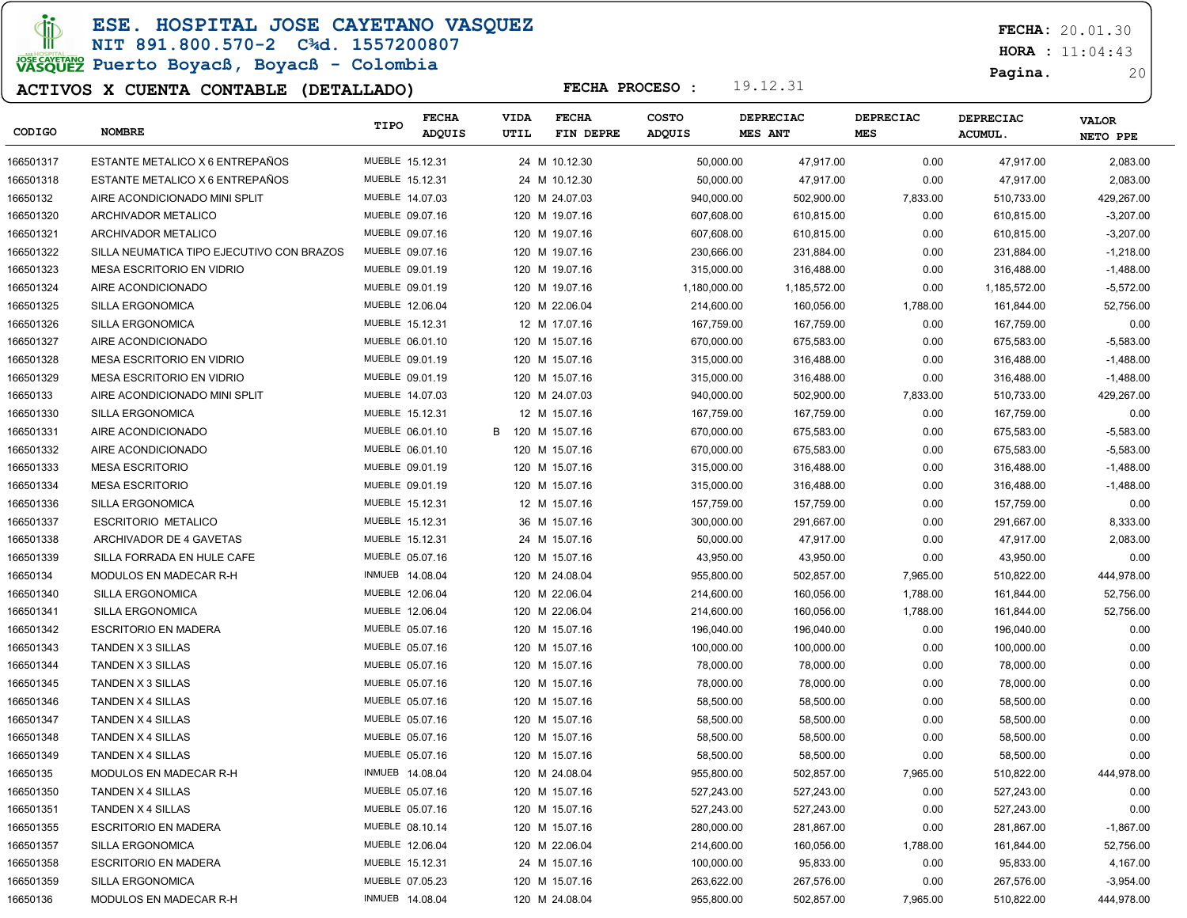ESE. HOSPITAL JOSE CAYETANO VASQUEZ

### NIT 891.800.570-2 C¾d. 1557200807 JOSE CAVERANO<br>VASQUEZ Puerto Boyacß, Boyacß - Colombia

### ACTIVOS X CUENTA CONTABLE (DETALLADO)

FECHA: 20.01.30

 $HORA : 11:04:43$ 

Pagina. 20

| CODIGO    | <b>NOMBRE</b>                             | TIPO            | <b>FECHA</b><br>ADQUIS | <b>VIDA</b><br>UTIL | <b>FECHA</b><br>FIN DEPRE | <b>COSTO</b><br>ADQUIS | DEPRECIAC<br>MES ANT | <b>DEPRECIAC</b><br>MES | DEPRECIAC<br>ACUMUL. | <b>VALOR</b><br>NETO PPE |
|-----------|-------------------------------------------|-----------------|------------------------|---------------------|---------------------------|------------------------|----------------------|-------------------------|----------------------|--------------------------|
| 166501317 | ESTANTE METALICO X 6 ENTREPAÑOS           | MUEBLE 15.12.31 |                        |                     | 24 M 10.12.30             | 50,000.00              | 47,917.00            | 0.00                    | 47,917.00            | 2,083.00                 |
| 166501318 | ESTANTE METALICO X 6 ENTREPAÑOS           | MUEBLE 15.12.31 |                        |                     | 24 M 10.12.30             | 50,000.00              | 47,917.00            | 0.00                    | 47,917.00            | 2,083.00                 |
| 16650132  | AIRE ACONDICIONADO MINI SPLIT             | MUEBLE 14.07.03 |                        |                     | 120 M 24.07.03            | 940,000.00             | 502,900.00           | 7,833.00                | 510,733.00           | 429,267.00               |
| 166501320 | ARCHIVADOR METALICO                       | MUEBLE 09.07.16 |                        |                     | 120 M 19.07.16            | 607,608.00             | 610,815.00           | 0.00                    | 610,815.00           | $-3,207.00$              |
| 166501321 | ARCHIVADOR METALICO                       | MUEBLE 09.07.16 |                        |                     | 120 M 19.07.16            | 607,608.00             | 610,815.00           | 0.00                    | 610,815.00           | $-3,207.00$              |
| 166501322 | SILLA NEUMATICA TIPO EJECUTIVO CON BRAZOS | MUEBLE 09.07.16 |                        |                     | 120 M 19.07.16            | 230,666.00             | 231,884.00           | 0.00                    | 231,884.00           | $-1,218.00$              |
| 166501323 | MESA ESCRITORIO EN VIDRIO                 | MUEBLE 09.01.19 |                        |                     | 120 M 19.07.16            | 315,000.00             | 316,488.00           | 0.00                    | 316,488.00           | $-1,488.00$              |
| 166501324 | AIRE ACONDICIONADO                        | MUEBLE 09.01.19 |                        |                     | 120 M 19.07.16            | 1,180,000.00           | 1,185,572.00         | 0.00                    | 1,185,572.00         | $-5,572.00$              |
| 166501325 | SILLA ERGONOMICA                          | MUEBLE 12.06.04 |                        |                     | 120 M 22.06.04            | 214,600.00             | 160,056.00           | 1,788.00                | 161,844.00           | 52,756.00                |
| 166501326 | SILLA ERGONOMICA                          | MUEBLE 15.12.31 |                        |                     | 12 M 17.07.16             | 167,759.00             | 167,759.00           | 0.00                    | 167,759.00           | 0.00                     |
| 166501327 | AIRE ACONDICIONADO                        | MUEBLE 06.01.10 |                        |                     | 120 M 15.07.16            | 670,000.00             | 675,583.00           | 0.00                    | 675,583.00           | $-5,583.00$              |
| 166501328 | MESA ESCRITORIO EN VIDRIO                 | MUEBLE 09.01.19 |                        |                     | 120 M 15.07.16            | 315,000.00             | 316,488.00           | 0.00                    | 316,488.00           | $-1,488.00$              |
| 166501329 | MESA ESCRITORIO EN VIDRIO                 | MUEBLE 09.01.19 |                        |                     | 120 M 15.07.16            | 315,000.00             | 316,488.00           | 0.00                    | 316,488.00           | $-1,488.00$              |
| 16650133  | AIRE ACONDICIONADO MINI SPLIT             | MUEBLE 14.07.03 |                        |                     | 120 M 24.07.03            | 940,000.00             | 502,900.00           | 7,833.00                | 510,733.00           | 429,267.00               |
| 166501330 | SILLA ERGONOMICA                          | MUEBLE 15.12.31 |                        |                     | 12 M 15.07.16             | 167,759.00             | 167,759.00           | 0.00                    | 167,759.00           | 0.00                     |
| 166501331 | AIRE ACONDICIONADO                        | MUEBLE 06.01.10 |                        |                     | B 120 M 15.07.16          | 670,000.00             | 675,583.00           | 0.00                    | 675,583.00           | $-5,583.00$              |
| 166501332 | AIRE ACONDICIONADO                        | MUEBLE 06.01.10 |                        |                     | 120 M 15.07.16            | 670,000.00             | 675,583.00           | 0.00                    | 675,583.00           | $-5,583.00$              |
| 166501333 | <b>MESA ESCRITORIO</b>                    | MUEBLE 09.01.19 |                        |                     | 120 M 15.07.16            | 315,000.00             | 316,488.00           | 0.00                    | 316,488.00           | $-1,488.00$              |
| 166501334 | <b>MESA ESCRITORIO</b>                    | MUEBLE 09.01.19 |                        |                     | 120 M 15.07.16            | 315,000.00             | 316,488.00           | 0.00                    | 316,488.00           | $-1,488.00$              |
| 166501336 | <b>SILLA ERGONOMICA</b>                   | MUEBLE 15.12.31 |                        |                     | 12 M 15.07.16             | 157,759.00             | 157,759.00           | 0.00                    | 157,759.00           | 0.00                     |
| 166501337 | <b>ESCRITORIO METALICO</b>                | MUEBLE 15.12.31 |                        |                     | 36 M 15.07.16             | 300,000.00             | 291,667.00           | 0.00                    | 291,667.00           | 8,333.00                 |
| 166501338 | ARCHIVADOR DE 4 GAVETAS                   | MUEBLE 15.12.31 |                        |                     | 24 M 15.07.16             | 50,000.00              | 47,917.00            | 0.00                    | 47,917.00            | 2,083.00                 |
| 166501339 | SILLA FORRADA EN HULE CAFE                | MUEBLE 05.07.16 |                        |                     | 120 M 15.07.16            | 43,950.00              | 43,950.00            | 0.00                    | 43,950.00            | 0.00                     |
| 16650134  | MODULOS EN MADECAR R-H                    | INMUEB 14.08.04 |                        |                     | 120 M 24.08.04            | 955,800.00             | 502,857.00           | 7,965.00                | 510,822.00           | 444,978.00               |
| 166501340 | SILLA ERGONOMICA                          | MUEBLE 12.06.04 |                        |                     | 120 M 22.06.04            | 214,600.00             | 160,056.00           | 1,788.00                | 161,844.00           | 52,756.00                |
| 166501341 | <b>SILLA ERGONOMICA</b>                   | MUEBLE 12.06.04 |                        |                     | 120 M 22.06.04            | 214,600.00             | 160,056.00           | 1,788.00                | 161,844.00           | 52,756.00                |
| 166501342 | <b>ESCRITORIO EN MADERA</b>               | MUEBLE 05.07.16 |                        |                     | 120 M 15.07.16            | 196,040.00             | 196,040.00           | 0.00                    | 196,040.00           | 0.00                     |
| 166501343 | <b>TANDEN X 3 SILLAS</b>                  | MUEBLE 05.07.16 |                        |                     | 120 M 15.07.16            | 100,000.00             | 100,000.00           | 0.00                    | 100,000.00           | 0.00                     |
| 166501344 | <b>TANDEN X 3 SILLAS</b>                  | MUEBLE 05.07.16 |                        |                     | 120 M 15.07.16            | 78,000.00              | 78,000.00            | 0.00                    | 78,000.00            | 0.00                     |
| 166501345 | <b>TANDEN X 3 SILLAS</b>                  | MUEBLE 05.07.16 |                        |                     | 120 M 15.07.16            | 78,000.00              | 78,000.00            | 0.00                    | 78,000.00            | 0.00                     |
| 166501346 | <b>TANDEN X 4 SILLAS</b>                  | MUEBLE 05.07.16 |                        |                     | 120 M 15.07.16            | 58,500.00              | 58,500.00            | 0.00                    | 58,500.00            | 0.00                     |
| 166501347 | <b>TANDEN X 4 SILLAS</b>                  | MUEBLE 05.07.16 |                        |                     | 120 M 15.07.16            | 58,500.00              | 58,500.00            | 0.00                    | 58,500.00            | 0.00                     |
| 166501348 | <b>TANDEN X 4 SILLAS</b>                  | MUEBLE 05.07.16 |                        |                     | 120 M 15.07.16            | 58,500.00              | 58,500.00            | 0.00                    | 58,500.00            | 0.00                     |
| 166501349 | <b>TANDEN X 4 SILLAS</b>                  | MUEBLE 05.07.16 |                        |                     | 120 M 15.07.16            | 58,500.00              | 58,500.00            | 0.00                    | 58,500.00            | 0.00                     |
| 16650135  | MODULOS EN MADECAR R-H                    | INMUEB 14.08.04 |                        |                     | 120 M 24.08.04            | 955,800.00             | 502,857.00           | 7,965.00                | 510,822.00           | 444,978.00               |
| 166501350 | TANDEN X 4 SILLAS                         | MUEBLE 05.07.16 |                        |                     | 120 M 15.07.16            | 527,243.00             | 527,243.00           | 0.00                    | 527,243.00           | 0.00                     |
| 166501351 | TANDEN X 4 SILLAS                         | MUEBLE 05.07.16 |                        |                     | 120 M 15.07.16            | 527,243.00             | 527,243.00           | 0.00                    | 527,243.00           | 0.00                     |
| 166501355 | <b>ESCRITORIO EN MADERA</b>               | MUEBLE 08.10.14 |                        |                     | 120 M 15.07.16            | 280,000.00             | 281,867.00           | 0.00                    | 281,867.00           | $-1,867.00$              |
| 166501357 | SILLA ERGONOMICA                          | MUEBLE 12.06.04 |                        |                     | 120 M 22.06.04            | 214,600.00             | 160,056.00           | 1,788.00                | 161,844.00           | 52,756.00                |
| 166501358 | <b>ESCRITORIO EN MADERA</b>               | MUEBLE 15.12.31 |                        |                     | 24 M 15.07.16             | 100,000.00             | 95,833.00            | 0.00                    | 95,833.00            | 4,167.00                 |
| 166501359 | SILLA ERGONOMICA                          | MUEBLE 07.05.23 |                        |                     | 120 M 15.07.16            | 263,622.00             | 267,576.00           | 0.00                    | 267,576.00           | $-3,954.00$              |
| 16650136  | MODULOS EN MADECAR R-H                    | INMUEB 14.08.04 |                        |                     | 120 M 24.08.04            | 955,800.00             | 502,857.00           | 7,965.00                | 510,822.00           | 444,978.00               |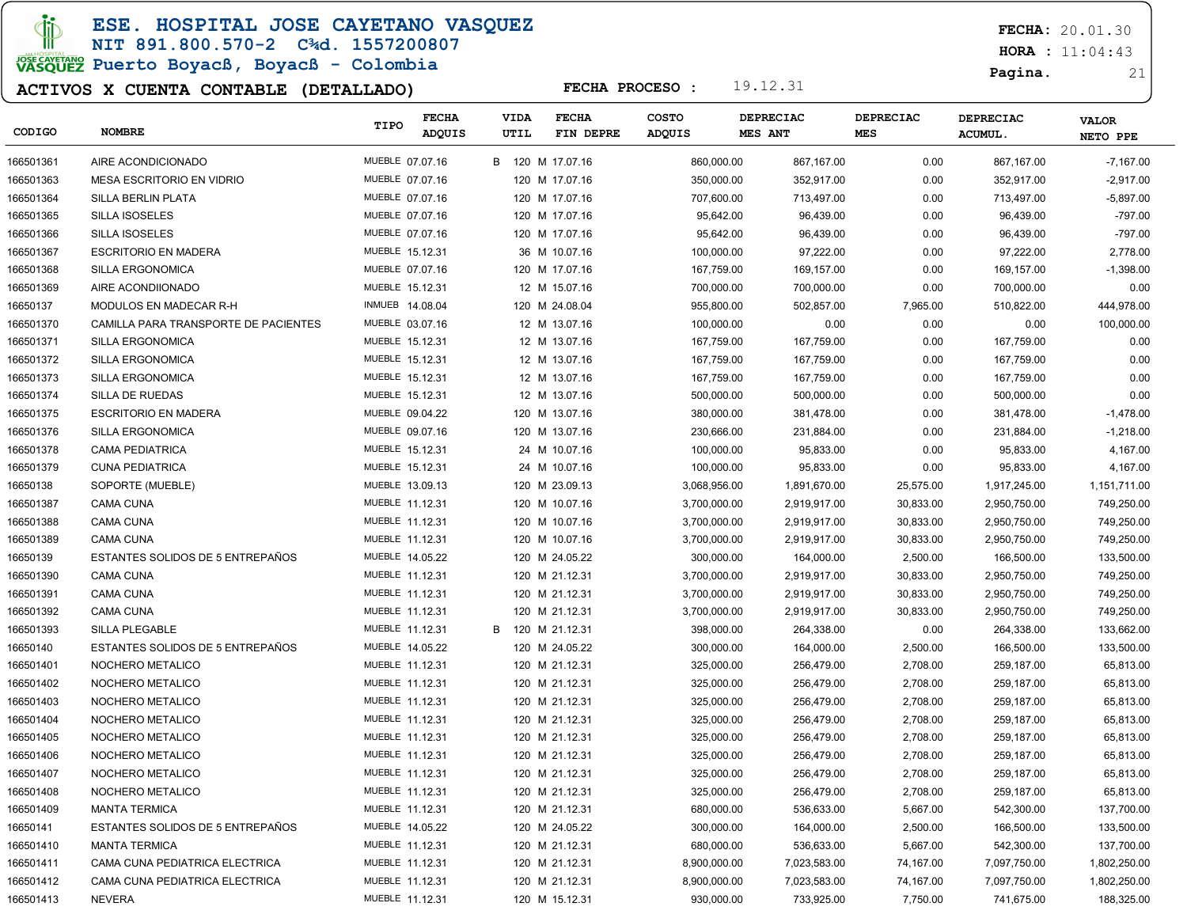ESE. HOSPITAL JOSE CAYETANO VASQUEZ

### NIT 891.800.570-2 C¾d. 1557200807 JOSE CAVERANO<br>VASQUEZ Puerto Boyacß, Boyacß - Colombia

### ACTIVOS X CUENTA CONTABLE (DETALLADO)

FECHA: 20.01.30

 $HORA : 11:04:43$ 

Pagina. 21

| CODIGO    | <b>NOMBRE</b>                        | TIPO                   | <b>FECHA</b><br>ADQUIS | VIDA<br>UTIL | <b>FECHA</b><br>FIN DEPRE | <b>COSTO</b><br><b>ADQUIS</b> | <b>DEPRECIAC</b><br><b>MES ANT</b> | <b>DEPRECIAC</b><br><b>MES</b> | <b>DEPRECIAC</b><br><b>ACUMUL.</b> | <b>VALOR</b><br>NETO PPE |
|-----------|--------------------------------------|------------------------|------------------------|--------------|---------------------------|-------------------------------|------------------------------------|--------------------------------|------------------------------------|--------------------------|
| 166501361 | AIRE ACONDICIONADO                   | MUEBLE 07.07.16        |                        |              | B 120 M 17.07.16          | 860,000.00                    | 867,167.00                         | 0.00                           | 867,167.00                         | $-7,167.00$              |
| 166501363 | MESA ESCRITORIO EN VIDRIO            | MUEBLE 07.07.16        |                        |              | 120 M 17.07.16            | 350,000.00                    | 352,917.00                         | 0.00                           | 352,917.00                         | $-2,917.00$              |
| 166501364 | SILLA BERLIN PLATA                   | MUEBLE 07.07.16        |                        |              | 120 M 17.07.16            | 707,600.00                    | 713,497.00                         | 0.00                           | 713,497.00                         | $-5,897.00$              |
| 166501365 | <b>SILLA ISOSELES</b>                | MUEBLE 07.07.16        |                        |              | 120 M 17.07.16            | 95,642.00                     | 96,439.00                          | 0.00                           | 96,439.00                          | $-797.00$                |
| 166501366 | <b>SILLA ISOSELES</b>                | MUEBLE 07.07.16        |                        |              | 120 M 17.07.16            | 95,642.00                     | 96,439.00                          | 0.00                           | 96,439.00                          | $-797.00$                |
| 166501367 | <b>ESCRITORIO EN MADERA</b>          | MUEBLE 15.12.31        |                        |              | 36 M 10.07.16             | 100,000.00                    | 97,222.00                          | 0.00                           | 97,222.00                          | 2,778.00                 |
| 166501368 | SILLA ERGONOMICA                     | MUEBLE 07.07.16        |                        |              | 120 M 17.07.16            | 167,759.00                    | 169,157.00                         | 0.00                           | 169,157.00                         | $-1,398.00$              |
| 166501369 | AIRE ACONDIIONADO                    | MUEBLE 15.12.31        |                        |              | 12 M 15.07.16             | 700,000.00                    | 700,000.00                         | 0.00                           | 700,000.00                         | 0.00                     |
| 16650137  | MODULOS EN MADECAR R-H               | <b>INMUEB 14.08.04</b> |                        |              | 120 M 24.08.04            | 955,800.00                    | 502,857.00                         | 7,965.00                       | 510,822.00                         | 444,978.00               |
| 166501370 | CAMILLA PARA TRANSPORTE DE PACIENTES | MUEBLE 03.07.16        |                        |              | 12 M 13.07.16             | 100,000.00                    | 0.00                               | 0.00                           | 0.00                               | 100,000.00               |
| 166501371 | SILLA ERGONOMICA                     | MUEBLE 15.12.31        |                        |              | 12 M 13.07.16             | 167,759.00                    | 167,759.00                         | 0.00                           | 167,759.00                         | 0.00                     |
| 166501372 | SILLA ERGONOMICA                     | MUEBLE 15.12.31        |                        |              | 12 M 13.07.16             | 167,759.00                    | 167,759.00                         | 0.00                           | 167,759.00                         | 0.00                     |
| 166501373 | SILLA ERGONOMICA                     | MUEBLE 15.12.31        |                        |              | 12 M 13.07.16             | 167,759.00                    | 167,759.00                         | 0.00                           | 167,759.00                         | 0.00                     |
| 166501374 | SILLA DE RUEDAS                      | MUEBLE 15.12.31        |                        |              | 12 M 13.07.16             | 500,000.00                    | 500,000.00                         | 0.00                           | 500,000.00                         | 0.00                     |
| 166501375 | <b>ESCRITORIO EN MADERA</b>          | MUEBLE 09.04.22        |                        |              | 120 M 13.07.16            | 380,000.00                    | 381,478.00                         | 0.00                           | 381,478.00                         | $-1,478.00$              |
| 166501376 | SILLA ERGONOMICA                     | MUEBLE 09.07.16        |                        |              | 120 M 13.07.16            | 230,666.00                    | 231,884.00                         | 0.00                           | 231,884.00                         | $-1,218.00$              |
| 166501378 | <b>CAMA PEDIATRICA</b>               | MUEBLE 15.12.31        |                        |              | 24 M 10.07.16             | 100,000.00                    | 95,833.00                          | 0.00                           | 95,833.00                          | 4,167.00                 |
| 166501379 | <b>CUNA PEDIATRICA</b>               | MUEBLE 15.12.31        |                        |              | 24 M 10.07.16             | 100,000.00                    | 95,833.00                          | 0.00                           | 95,833.00                          | 4,167.00                 |
| 16650138  | SOPORTE (MUEBLE)                     | MUEBLE 13.09.13        |                        |              | 120 M 23.09.13            | 3,068,956.00                  | 1,891,670.00                       | 25,575.00                      | 1,917,245.00                       | 1,151,711.00             |
| 166501387 | CAMA CUNA                            | MUEBLE 11.12.31        |                        |              | 120 M 10.07.16            | 3,700,000.00                  | 2,919,917.00                       | 30,833.00                      | 2,950,750.00                       | 749,250.00               |
| 166501388 | <b>CAMA CUNA</b>                     | MUEBLE 11.12.31        |                        |              | 120 M 10.07.16            | 3,700,000.00                  | 2,919,917.00                       | 30,833.00                      | 2,950,750.00                       | 749,250.00               |
| 166501389 | <b>CAMA CUNA</b>                     | MUEBLE 11.12.31        |                        |              | 120 M 10.07.16            | 3,700,000.00                  | 2,919,917.00                       | 30,833.00                      | 2,950,750.00                       | 749,250.00               |
| 16650139  | ESTANTES SOLIDOS DE 5 ENTREPAÑOS     | MUEBLE 14.05.22        |                        |              | 120 M 24.05.22            | 300,000.00                    | 164,000.00                         | 2,500.00                       | 166,500.00                         | 133,500.00               |
| 166501390 | <b>CAMA CUNA</b>                     | MUEBLE 11.12.31        |                        |              | 120 M 21.12.31            | 3,700,000.00                  | 2,919,917.00                       | 30,833.00                      | 2,950,750.00                       | 749,250.00               |
| 166501391 | <b>CAMA CUNA</b>                     | MUEBLE 11.12.31        |                        |              | 120 M 21.12.31            | 3,700,000.00                  | 2,919,917.00                       | 30,833.00                      | 2,950,750.00                       | 749,250.00               |
| 166501392 | <b>CAMA CUNA</b>                     | MUEBLE 11.12.31        |                        |              | 120 M 21.12.31            | 3,700,000.00                  | 2,919,917.00                       | 30,833.00                      | 2,950,750.00                       | 749,250.00               |
| 166501393 | <b>SILLA PLEGABLE</b>                | MUEBLE 11.12.31        |                        | B            | 120 M 21.12.31            | 398,000.00                    | 264,338.00                         | 0.00                           | 264,338.00                         | 133,662.00               |
| 16650140  | ESTANTES SOLIDOS DE 5 ENTREPAÑOS     | MUEBLE 14.05.22        |                        |              | 120 M 24.05.22            | 300,000.00                    | 164,000.00                         | 2,500.00                       | 166,500.00                         | 133,500.00               |
| 166501401 | NOCHERO METALICO                     | MUEBLE 11.12.31        |                        |              | 120 M 21.12.31            | 325,000.00                    | 256,479.00                         | 2,708.00                       | 259,187.00                         | 65,813.00                |
| 166501402 | NOCHERO METALICO                     | MUEBLE 11.12.31        |                        |              | 120 M 21.12.31            | 325,000.00                    | 256,479.00                         | 2,708.00                       | 259,187.00                         | 65,813.00                |
| 166501403 | NOCHERO METALICO                     | MUEBLE 11.12.31        |                        |              | 120 M 21.12.31            | 325,000.00                    | 256,479.00                         | 2,708.00                       | 259,187.00                         | 65,813.00                |
| 166501404 | NOCHERO METALICO                     | MUEBLE 11.12.31        |                        |              | 120 M 21.12.31            | 325,000.00                    | 256,479.00                         | 2,708.00                       | 259,187.00                         | 65,813.00                |
| 166501405 | NOCHERO METALICO                     | MUEBLE 11.12.31        |                        |              | 120 M 21.12.31            | 325,000.00                    | 256,479.00                         | 2,708.00                       | 259,187.00                         | 65,813.00                |
| 166501406 | NOCHERO METALICO                     | MUEBLE 11.12.31        |                        |              | 120 M 21.12.31            | 325,000.00                    | 256,479.00                         | 2,708.00                       | 259,187.00                         | 65,813.00                |
| 166501407 | NOCHERO METALICO                     | MUEBLE 11.12.31        |                        |              | 120 M 21.12.31            | 325,000.00                    | 256,479.00                         | 2,708.00                       | 259,187.00                         | 65,813.00                |
| 166501408 | NOCHERO METALICO                     | MUEBLE 11.12.31        |                        |              | 120 M 21.12.31            | 325,000.00                    | 256,479.00                         | 2,708.00                       | 259,187.00                         | 65,813.00                |
| 166501409 | <b>MANTA TERMICA</b>                 | MUEBLE 11.12.31        |                        |              | 120 M 21.12.31            | 680,000.00                    | 536,633.00                         | 5,667.00                       | 542,300.00                         | 137,700.00               |
| 16650141  | ESTANTES SOLIDOS DE 5 ENTREPAÑOS     | MUEBLE 14.05.22        |                        |              | 120 M 24.05.22            | 300,000.00                    | 164,000.00                         | 2,500.00                       | 166,500.00                         | 133,500.00               |
| 166501410 | <b>MANTA TERMICA</b>                 | MUEBLE 11.12.31        |                        |              | 120 M 21.12.31            | 680,000.00                    | 536,633.00                         | 5,667.00                       | 542,300.00                         | 137,700.00               |
| 166501411 | CAMA CUNA PEDIATRICA ELECTRICA       | MUEBLE 11.12.31        |                        |              | 120 M 21.12.31            | 8,900,000.00                  | 7,023,583.00                       | 74,167.00                      | 7,097,750.00                       | 1,802,250.00             |
| 166501412 | CAMA CUNA PEDIATRICA ELECTRICA       | MUEBLE 11.12.31        |                        |              | 120 M 21.12.31            | 8,900,000.00                  | 7,023,583.00                       | 74,167.00                      | 7,097,750.00                       | 1,802,250.00             |
| 166501413 | <b>NEVERA</b>                        | MUEBLE 11.12.31        |                        |              | 120 M 15.12.31            | 930,000.00                    | 733,925.00                         | 7,750.00                       | 741,675.00                         | 188,325.00               |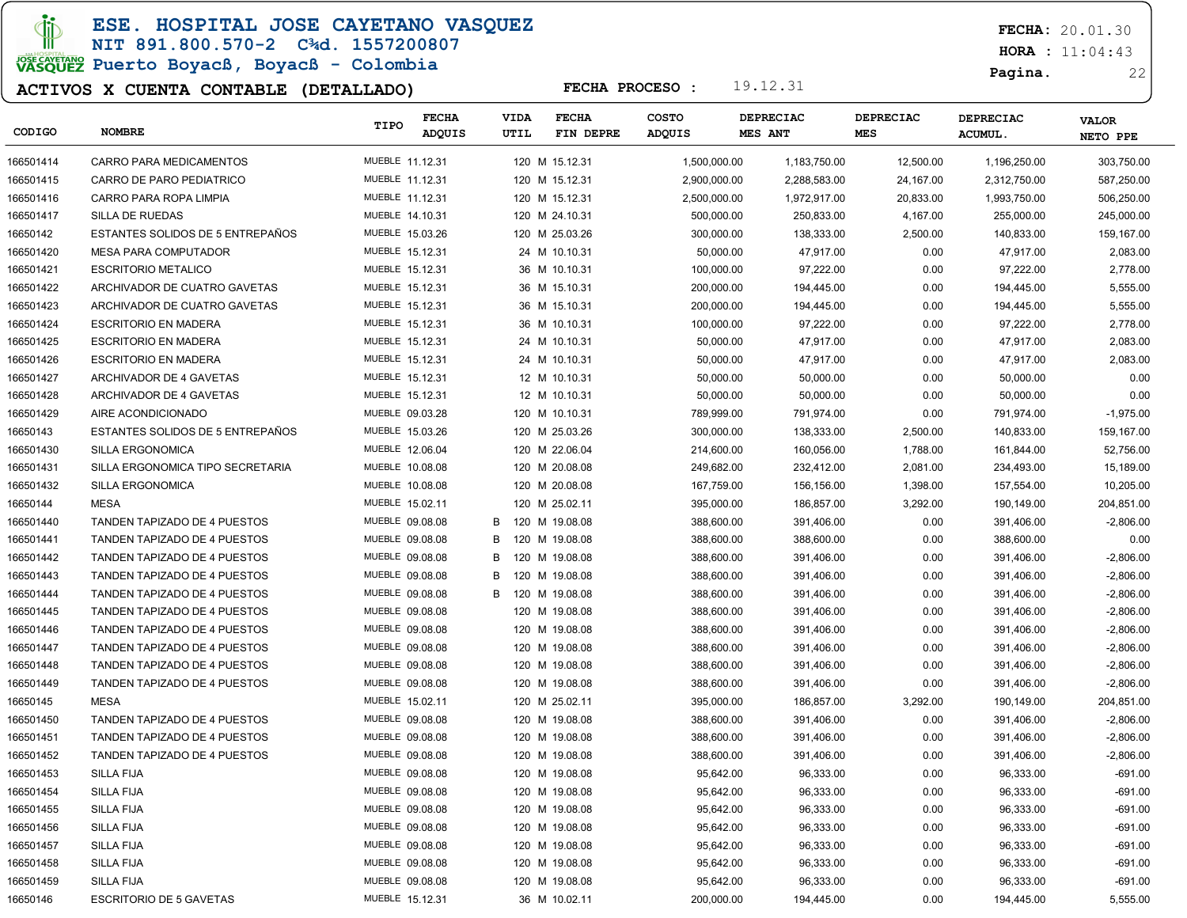ESE. HOSPITAL JOSE CAYETANO VASQUEZ

NIT 891.800.570-2 C¾d. 1557200807 JOSE CAVERANO<br>VASQUEZ Puerto Boyacß, Boyacß - Colombia

### ACTIVOS X CUENTA CONTABLE (DETALLADO)

FECHA: 20.01.30

 $HORA : 11:04:43$ 

Pagina. 22

| CODIGO    | <b>NOMBRE</b>                       | TIPO            | <b>FECHA</b><br>ADQUIS | VIDA<br>UTIL | <b>FECHA</b>   | FIN DEPRE | <b>COSTO</b><br>ADQUIS | <b>DEPRECIAC</b><br>MES ANT | <b>DEPRECIAC</b><br>MES | <b>DEPRECIAC</b><br>ACUMUL. | <b>VALOR</b><br>NETO PPE |
|-----------|-------------------------------------|-----------------|------------------------|--------------|----------------|-----------|------------------------|-----------------------------|-------------------------|-----------------------------|--------------------------|
| 166501414 | CARRO PARA MEDICAMENTOS             | MUEBLE 11.12.31 |                        |              | 120 M 15.12.31 |           | 1,500,000.00           | 1,183,750.00                | 12,500.00               | 1,196,250.00                | 303,750.00               |
| 166501415 | CARRO DE PARO PEDIATRICO            | MUEBLE 11.12.31 |                        |              | 120 M 15.12.31 |           | 2,900,000.00           | 2,288,583.00                | 24,167.00               | 2,312,750.00                | 587,250.00               |
| 166501416 | CARRO PARA ROPA LIMPIA              | MUEBLE 11.12.31 |                        |              | 120 M 15.12.31 |           | 2,500,000.00           | 1,972,917.00                | 20,833.00               | 1,993,750.00                | 506,250.00               |
| 166501417 | SILLA DE RUEDAS                     | MUEBLE 14.10.31 |                        |              | 120 M 24.10.31 |           | 500,000.00             | 250,833.00                  | 4,167.00                | 255,000.00                  | 245,000.00               |
| 16650142  | ESTANTES SOLIDOS DE 5 ENTREPAÑOS    | MUEBLE 15.03.26 |                        |              | 120 M 25.03.26 |           | 300,000.00             | 138,333.00                  | 2,500.00                | 140,833.00                  | 159,167.00               |
| 166501420 | <b>MESA PARA COMPUTADOR</b>         | MUEBLE 15.12.31 |                        |              | 24 M 10.10.31  |           | 50,000.00              | 47,917.00                   | 0.00                    | 47,917.00                   | 2,083.00                 |
| 166501421 | <b>ESCRITORIO METALICO</b>          | MUEBLE 15.12.31 |                        |              | 36 M 10.10.31  |           | 100,000.00             | 97,222.00                   | 0.00                    | 97,222.00                   | 2,778.00                 |
| 166501422 | ARCHIVADOR DE CUATRO GAVETAS        | MUEBLE 15.12.31 |                        |              | 36 M 15.10.31  |           | 200,000.00             | 194,445.00                  | 0.00                    | 194,445.00                  | 5,555.00                 |
| 166501423 | ARCHIVADOR DE CUATRO GAVETAS        | MUEBLE 15.12.31 |                        |              | 36 M 15.10.31  |           | 200,000.00             | 194,445.00                  | 0.00                    | 194,445.00                  | 5,555.00                 |
| 166501424 | <b>ESCRITORIO EN MADERA</b>         | MUEBLE 15.12.31 |                        |              | 36 M 10.10.31  |           | 100,000.00             | 97,222.00                   | 0.00                    | 97,222.00                   | 2,778.00                 |
| 166501425 | <b>ESCRITORIO EN MADERA</b>         | MUEBLE 15.12.31 |                        |              | 24 M 10.10.31  |           | 50,000.00              | 47,917.00                   | 0.00                    | 47,917.00                   | 2,083.00                 |
| 166501426 | <b>ESCRITORIO EN MADERA</b>         | MUEBLE 15.12.31 |                        |              | 24 M 10.10.31  |           | 50,000.00              | 47,917.00                   | 0.00                    | 47,917.00                   | 2,083.00                 |
| 166501427 | ARCHIVADOR DE 4 GAVETAS             | MUEBLE 15.12.31 |                        |              | 12 M 10.10.31  |           | 50,000.00              | 50,000.00                   | 0.00                    | 50,000.00                   | 0.00                     |
| 166501428 | ARCHIVADOR DE 4 GAVETAS             | MUEBLE 15.12.31 |                        |              | 12 M 10.10.31  |           | 50,000.00              | 50,000.00                   | 0.00                    | 50,000.00                   | 0.00                     |
| 166501429 | AIRE ACONDICIONADO                  | MUEBLE 09.03.28 |                        |              | 120 M 10.10.31 |           | 789,999.00             | 791,974.00                  | 0.00                    | 791,974.00                  | $-1,975.00$              |
| 16650143  | ESTANTES SOLIDOS DE 5 ENTREPAÑOS    | MUEBLE 15.03.26 |                        |              | 120 M 25.03.26 |           | 300,000.00             | 138,333.00                  | 2,500.00                | 140,833.00                  | 159,167.00               |
| 166501430 | SILLA ERGONOMICA                    | MUEBLE 12.06.04 |                        |              | 120 M 22.06.04 |           | 214,600.00             | 160,056.00                  | 1,788.00                | 161,844.00                  | 52,756.00                |
| 166501431 | SILLA ERGONOMICA TIPO SECRETARIA    | MUEBLE 10.08.08 |                        |              | 120 M 20.08.08 |           | 249,682.00             | 232,412.00                  | 2,081.00                | 234,493.00                  | 15,189.00                |
| 166501432 | SILLA ERGONOMICA                    | MUEBLE 10.08.08 |                        |              | 120 M 20.08.08 |           | 167,759.00             | 156,156.00                  | 1,398.00                | 157,554.00                  | 10,205.00                |
| 16650144  | <b>MESA</b>                         | MUEBLE 15.02.11 |                        |              | 120 M 25.02.11 |           | 395,000.00             | 186,857.00                  | 3,292.00                | 190,149.00                  | 204,851.00               |
| 166501440 | TANDEN TAPIZADO DE 4 PUESTOS        | MUEBLE 09.08.08 |                        | В            | 120 M 19.08.08 |           | 388,600.00             | 391,406.00                  | 0.00                    | 391,406.00                  | $-2,806.00$              |
| 166501441 | TANDEN TAPIZADO DE 4 PUESTOS        | MUEBLE 09.08.08 |                        | B            | 120 M 19.08.08 |           | 388,600.00             | 388,600.00                  | 0.00                    | 388,600.00                  | 0.00                     |
| 166501442 | TANDEN TAPIZADO DE 4 PUESTOS        | MUEBLE 09.08.08 |                        | B            | 120 M 19.08.08 |           | 388,600.00             | 391,406.00                  | 0.00                    | 391,406.00                  | $-2,806.00$              |
| 166501443 | TANDEN TAPIZADO DE 4 PUESTOS        | MUEBLE 09.08.08 |                        | B            | 120 M 19.08.08 |           | 388,600.00             | 391,406.00                  | 0.00                    | 391,406.00                  | $-2,806.00$              |
| 166501444 | TANDEN TAPIZADO DE 4 PUESTOS        | MUEBLE 09.08.08 |                        | B            | 120 M 19.08.08 |           | 388,600.00             | 391,406.00                  | 0.00                    | 391,406.00                  | $-2,806.00$              |
| 166501445 | TANDEN TAPIZADO DE 4 PUESTOS        | MUEBLE 09.08.08 |                        |              | 120 M 19.08.08 |           | 388,600.00             | 391,406.00                  | 0.00                    | 391,406.00                  | $-2,806.00$              |
| 166501446 | TANDEN TAPIZADO DE 4 PUESTOS        | MUEBLE 09.08.08 |                        |              | 120 M 19.08.08 |           | 388,600.00             | 391,406.00                  | 0.00                    | 391,406.00                  | $-2,806.00$              |
| 166501447 | <b>TANDEN TAPIZADO DE 4 PUESTOS</b> | MUEBLE 09.08.08 |                        |              | 120 M 19.08.08 |           | 388,600.00             | 391,406.00                  | 0.00                    | 391,406.00                  | $-2,806.00$              |
| 166501448 | TANDEN TAPIZADO DE 4 PUESTOS        | MUEBLE 09.08.08 |                        |              | 120 M 19.08.08 |           | 388,600.00             | 391,406.00                  | 0.00                    | 391,406.00                  | $-2,806.00$              |
| 166501449 | TANDEN TAPIZADO DE 4 PUESTOS        | MUEBLE 09.08.08 |                        |              | 120 M 19.08.08 |           | 388,600.00             | 391,406.00                  | 0.00                    | 391,406.00                  | $-2,806.00$              |
| 16650145  | MESA                                | MUEBLE 15.02.11 |                        |              | 120 M 25.02.11 |           | 395,000.00             | 186,857.00                  | 3,292.00                | 190,149.00                  | 204,851.00               |
| 166501450 | TANDEN TAPIZADO DE 4 PUESTOS        | MUEBLE 09.08.08 |                        |              | 120 M 19.08.08 |           | 388,600.00             | 391,406.00                  | 0.00                    | 391,406.00                  | $-2,806.00$              |
| 166501451 | <b>TANDEN TAPIZADO DE 4 PUESTOS</b> | MUEBLE 09.08.08 |                        |              | 120 M 19.08.08 |           | 388,600.00             | 391,406.00                  | 0.00                    | 391,406.00                  | $-2,806.00$              |
| 166501452 | TANDEN TAPIZADO DE 4 PUESTOS        | MUEBLE 09.08.08 |                        |              | 120 M 19.08.08 |           | 388,600.00             | 391,406.00                  | 0.00                    | 391,406.00                  | $-2,806.00$              |
| 166501453 | <b>SILLA FIJA</b>                   | MUEBLE 09.08.08 |                        |              | 120 M 19.08.08 |           | 95,642.00              | 96,333.00                   | 0.00                    | 96,333.00                   | $-691.00$                |
| 166501454 | <b>SILLA FIJA</b>                   | MUEBLE 09.08.08 |                        |              | 120 M 19.08.08 |           | 95,642.00              | 96,333.00                   | 0.00                    | 96,333.00                   | -691.00                  |
| 166501455 | SILLA FIJA                          | MUEBLE 09.08.08 |                        |              | 120 M 19.08.08 |           | 95,642.00              | 96,333.00                   | 0.00                    | 96,333.00                   | -691.00                  |
| 166501456 | SILLA FIJA                          | MUEBLE 09.08.08 |                        |              | 120 M 19.08.08 |           | 95,642.00              | 96,333.00                   | 0.00                    | 96,333.00                   | $-691.00$                |
| 166501457 | SILLA FIJA                          | MUEBLE 09.08.08 |                        |              | 120 M 19.08.08 |           | 95,642.00              | 96,333.00                   | 0.00                    | 96,333.00                   | $-691.00$                |
| 166501458 | SILLA FIJA                          | MUEBLE 09.08.08 |                        |              | 120 M 19.08.08 |           | 95,642.00              | 96,333.00                   | 0.00                    | 96,333.00                   | $-691.00$                |
| 166501459 | <b>SILLA FIJA</b>                   | MUEBLE 09.08.08 |                        |              | 120 M 19.08.08 |           | 95,642.00              | 96,333.00                   | 0.00                    | 96,333.00                   | $-691.00$                |
| 16650146  | <b>ESCRITORIO DE 5 GAVETAS</b>      | MUEBLE 15.12.31 |                        |              | 36 M 10.02.11  |           | 200,000.00             | 194,445.00                  | 0.00                    | 194,445.00                  | 5,555.00                 |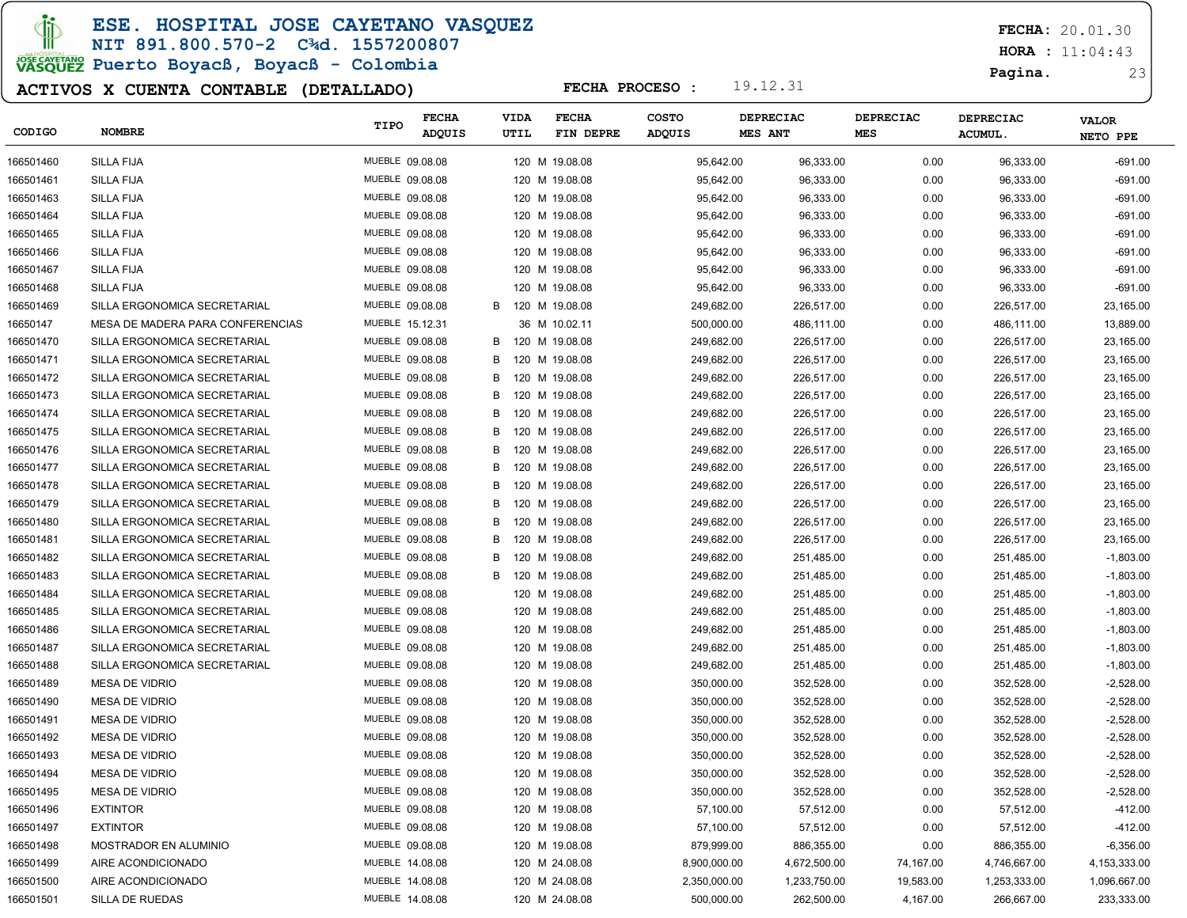ESE. HOSPITAL JOSE CAYETANO VASQUEZ

#### NIT 891.800.570-2 C¾d. 1557200807

# JOSE CAVERANO<br>VASQUEZ Puerto Boyacß, Boyacß - Colombia

### ACTIVOS X CUENTA CONTABLE (DETALLADO)

FECHA: 20.01.30

 $HORA : 11:04:43$ 

#### Pagina. 23

| CODIGO    | <b>NOMBRE</b>                    | TIPO            | <b>FECHA</b><br>ADQUIS |   | <b>VIDA</b><br>UTIL | <b>FECHA</b><br>FIN DEPRE | <b>COSTO</b><br><b>ADQUIS</b> | <b>DEPRECIAC</b><br>MES ANT | DEPRECIAC<br><b>MES</b> | <b>DEPRECIAC</b><br>ACUMUL. | <b>VALOR</b>   |
|-----------|----------------------------------|-----------------|------------------------|---|---------------------|---------------------------|-------------------------------|-----------------------------|-------------------------|-----------------------------|----------------|
|           |                                  |                 |                        |   |                     |                           |                               |                             |                         |                             | NETO PPE       |
| 166501460 | <b>SILLA FIJA</b>                | MUEBLE 09.08.08 |                        |   |                     | 120 M 19.08.08            | 95,642.00                     | 96,333.00                   | 0.00                    | 96,333.00                   | $-691.00$      |
| 166501461 | <b>SILLA FIJA</b>                | MUEBLE 09.08.08 |                        |   |                     | 120 M 19.08.08            | 95,642.00                     | 96,333.00                   | 0.00                    | 96,333.00                   | $-691.00$      |
| 166501463 | <b>SILLA FIJA</b>                | MUEBLE 09.08.08 |                        |   |                     | 120 M 19.08.08            | 95,642.00                     | 96,333.00                   | 0.00                    | 96,333.00                   | $-691.00$      |
| 166501464 | <b>SILLA FIJA</b>                | MUEBLE 09.08.08 |                        |   |                     | 120 M 19.08.08            | 95,642.00                     | 96,333.00                   | 0.00                    | 96,333.00                   | $-691.00$      |
| 166501465 | <b>SILLA FIJA</b>                | MUEBLE 09.08.08 |                        |   |                     | 120 M 19.08.08            | 95,642.00                     | 96,333.00                   | 0.00                    | 96,333.00                   | $-691.00$      |
| 166501466 | <b>SILLA FIJA</b>                | MUEBLE 09.08.08 |                        |   |                     | 120 M 19.08.08            | 95,642.00                     | 96,333.00                   | 0.00                    | 96,333.00                   | $-691.00$      |
| 166501467 | <b>SILLA FIJA</b>                | MUEBLE 09.08.08 |                        |   |                     | 120 M 19.08.08            | 95,642.00                     | 96,333.00                   | 0.00                    | 96,333.00                   | $-691.00$      |
| 166501468 | <b>SILLA FIJA</b>                | MUEBLE 09.08.08 |                        |   |                     | 120 M 19.08.08            | 95,642.00                     | 96,333.00                   | 0.00                    | 96,333.00                   | $-691.00$      |
| 166501469 | SILLA ERGONOMICA SECRETARIAL     | MUEBLE 09.08.08 |                        | B |                     | 120 M 19.08.08            | 249,682.00                    | 226,517.00                  | 0.00                    | 226,517.00                  | 23,165.00      |
| 16650147  | MESA DE MADERA PARA CONFERENCIAS | MUEBLE 15.12.31 |                        |   |                     | 36 M 10.02.11             | 500,000.00                    | 486,111.00                  | 0.00                    | 486,111.00                  | 13,889.00      |
| 166501470 | SILLA ERGONOMICA SECRETARIAL     | MUEBLE 09.08.08 |                        | B |                     | 120 M 19.08.08            | 249,682.00                    | 226,517.00                  | 0.00                    | 226,517.00                  | 23,165.00      |
| 166501471 | SILLA ERGONOMICA SECRETARIAL     | MUEBLE 09.08.08 |                        | B |                     | 120 M 19.08.08            | 249,682.00                    | 226,517.00                  | 0.00                    | 226,517.00                  | 23,165.00      |
| 166501472 | SILLA ERGONOMICA SECRETARIAL     | MUEBLE 09.08.08 |                        | B |                     | 120 M 19.08.08            | 249,682.00                    | 226,517.00                  | 0.00                    | 226,517.00                  | 23,165.00      |
| 166501473 | SILLA ERGONOMICA SECRETARIAL     | MUEBLE 09.08.08 |                        | B |                     | 120 M 19.08.08            | 249,682.00                    | 226,517.00                  | 0.00                    | 226,517.00                  | 23,165.00      |
| 166501474 | SILLA ERGONOMICA SECRETARIAL     | MUEBLE 09.08.08 |                        | B |                     | 120 M 19.08.08            | 249,682.00                    | 226,517.00                  | 0.00                    | 226,517.00                  | 23,165.00      |
| 166501475 | SILLA ERGONOMICA SECRETARIAL     | MUEBLE 09.08.08 |                        | B |                     | 120 M 19.08.08            | 249,682.00                    | 226,517.00                  | 0.00                    | 226,517.00                  | 23,165.00      |
| 166501476 | SILLA ERGONOMICA SECRETARIAL     | MUEBLE 09.08.08 |                        | B |                     | 120 M 19.08.08            | 249,682.00                    | 226,517.00                  | 0.00                    | 226,517.00                  | 23,165.00      |
| 166501477 | SILLA ERGONOMICA SECRETARIAL     | MUEBLE 09.08.08 |                        | B |                     | 120 M 19.08.08            | 249,682.00                    | 226,517.00                  | 0.00                    | 226,517.00                  | 23,165.00      |
| 166501478 | SILLA ERGONOMICA SECRETARIAL     | MUEBLE 09.08.08 |                        | B |                     | 120 M 19.08.08            | 249,682.00                    | 226,517.00                  | 0.00                    | 226,517.00                  | 23,165.00      |
| 166501479 | SILLA ERGONOMICA SECRETARIAL     | MUEBLE 09.08.08 |                        | B |                     | 120 M 19.08.08            | 249,682.00                    | 226,517.00                  | 0.00                    | 226,517.00                  | 23,165.00      |
| 166501480 | SILLA ERGONOMICA SECRETARIAL     | MUEBLE 09.08.08 |                        | B |                     | 120 M 19.08.08            | 249,682.00                    | 226,517.00                  | 0.00                    | 226,517.00                  | 23,165.00      |
| 166501481 | SILLA ERGONOMICA SECRETARIAL     | MUEBLE 09.08.08 |                        | B |                     | 120 M 19.08.08            | 249,682.00                    | 226,517.00                  | 0.00                    | 226,517.00                  | 23,165.00      |
| 166501482 | SILLA ERGONOMICA SECRETARIAL     | MUEBLE 09.08.08 |                        | B |                     | 120 M 19.08.08            | 249,682.00                    | 251,485.00                  | 0.00                    | 251,485.00                  | $-1,803.00$    |
| 166501483 | SILLA ERGONOMICA SECRETARIAL     | MUEBLE 09.08.08 |                        | B |                     | 120 M 19.08.08            | 249,682.00                    | 251,485.00                  | 0.00                    | 251,485.00                  | $-1,803.00$    |
| 166501484 | SILLA ERGONOMICA SECRETARIAL     | MUEBLE 09.08.08 |                        |   |                     | 120 M 19.08.08            | 249,682.00                    | 251,485.00                  | 0.00                    | 251,485.00                  | $-1,803.00$    |
| 166501485 | SILLA ERGONOMICA SECRETARIAL     | MUEBLE 09.08.08 |                        |   |                     | 120 M 19.08.08            | 249,682.00                    | 251,485.00                  | 0.00                    | 251,485.00                  | $-1,803.00$    |
| 166501486 | SILLA ERGONOMICA SECRETARIAL     | MUEBLE 09.08.08 |                        |   |                     | 120 M 19.08.08            | 249,682.00                    | 251,485.00                  | 0.00                    | 251,485.00                  | $-1,803.00$    |
| 166501487 | SILLA ERGONOMICA SECRETARIAL     | MUEBLE 09.08.08 |                        |   |                     | 120 M 19.08.08            | 249,682.00                    | 251,485.00                  | 0.00                    | 251,485.00                  | $-1,803.00$    |
| 166501488 | SILLA ERGONOMICA SECRETARIAL     | MUEBLE 09.08.08 |                        |   |                     | 120 M 19.08.08            | 249,682.00                    | 251,485.00                  | 0.00                    | 251,485.00                  | $-1,803.00$    |
| 166501489 | <b>MESA DE VIDRIO</b>            | MUEBLE 09.08.08 |                        |   |                     | 120 M 19.08.08            | 350,000.00                    | 352,528.00                  | 0.00                    | 352,528.00                  | $-2,528.00$    |
| 166501490 | <b>MESA DE VIDRIO</b>            | MUEBLE 09.08.08 |                        |   |                     | 120 M 19.08.08            | 350,000.00                    | 352,528.00                  | 0.00                    | 352,528.00                  | $-2,528.00$    |
| 166501491 | <b>MESA DE VIDRIO</b>            | MUEBLE 09.08.08 |                        |   |                     | 120 M 19.08.08            | 350,000.00                    | 352,528.00                  | 0.00                    | 352,528.00                  | $-2,528.00$    |
| 166501492 | <b>MESA DE VIDRIO</b>            | MUEBLE 09.08.08 |                        |   |                     | 120 M 19.08.08            | 350,000.00                    | 352,528.00                  | 0.00                    | 352,528.00                  | $-2,528.00$    |
| 166501493 | <b>MESA DE VIDRIO</b>            | MUEBLE 09.08.08 |                        |   |                     | 120 M 19.08.08            | 350,000.00                    | 352,528.00                  | 0.00                    | 352,528.00                  | $-2,528.00$    |
| 166501494 | <b>MESA DE VIDRIO</b>            | MUEBLE 09.08.08 |                        |   |                     | 120 M 19.08.08            | 350,000.00                    | 352,528.00                  | 0.00                    | 352,528.00                  | $-2,528.00$    |
| 166501495 | <b>MESA DE VIDRIO</b>            | MUEBLE 09.08.08 |                        |   |                     | 120 M 19.08.08            | 350,000.00                    | 352,528.00                  | 0.00                    | 352,528.00                  | $-2,528.00$    |
| 166501496 | <b>EXTINTOR</b>                  | MUEBLE 09.08.08 |                        |   |                     | 120 M 19.08.08            | 57,100.00                     | 57,512.00                   | 0.00                    | 57,512.00                   | $-412.00$      |
| 166501497 | <b>EXTINTOR</b>                  | MUEBLE 09.08.08 |                        |   |                     | 120 M 19.08.08            | 57,100.00                     | 57,512.00                   | 0.00                    | 57,512.00                   | $-412.00$      |
| 166501498 | MOSTRADOR EN ALUMINIO            | MUEBLE 09.08.08 |                        |   |                     | 120 M 19.08.08            | 879,999.00                    | 886,355.00                  | 0.00                    | 886,355.00                  | $-6,356.00$    |
| 166501499 | AIRE ACONDICIONADO               | MUEBLE 14.08.08 |                        |   |                     | 120 M 24.08.08            | 8,900,000.00                  | 4,672,500.00                | 74,167.00               | 4,746,667.00                | 4, 153, 333.00 |
| 166501500 | AIRE ACONDICIONADO               | MUEBLE 14.08.08 |                        |   |                     | 120 M 24.08.08            | 2,350,000.00                  | 1,233,750.00                | 19,583.00               | 1,253,333.00                | 1,096,667.00   |
| 166501501 | SILLA DE RUEDAS                  | MUEBLE 14.08.08 |                        |   |                     | 120 M 24.08.08            | 500,000.00                    | 262,500.00                  | 4,167.00                | 266,667.00                  | 233,333.00     |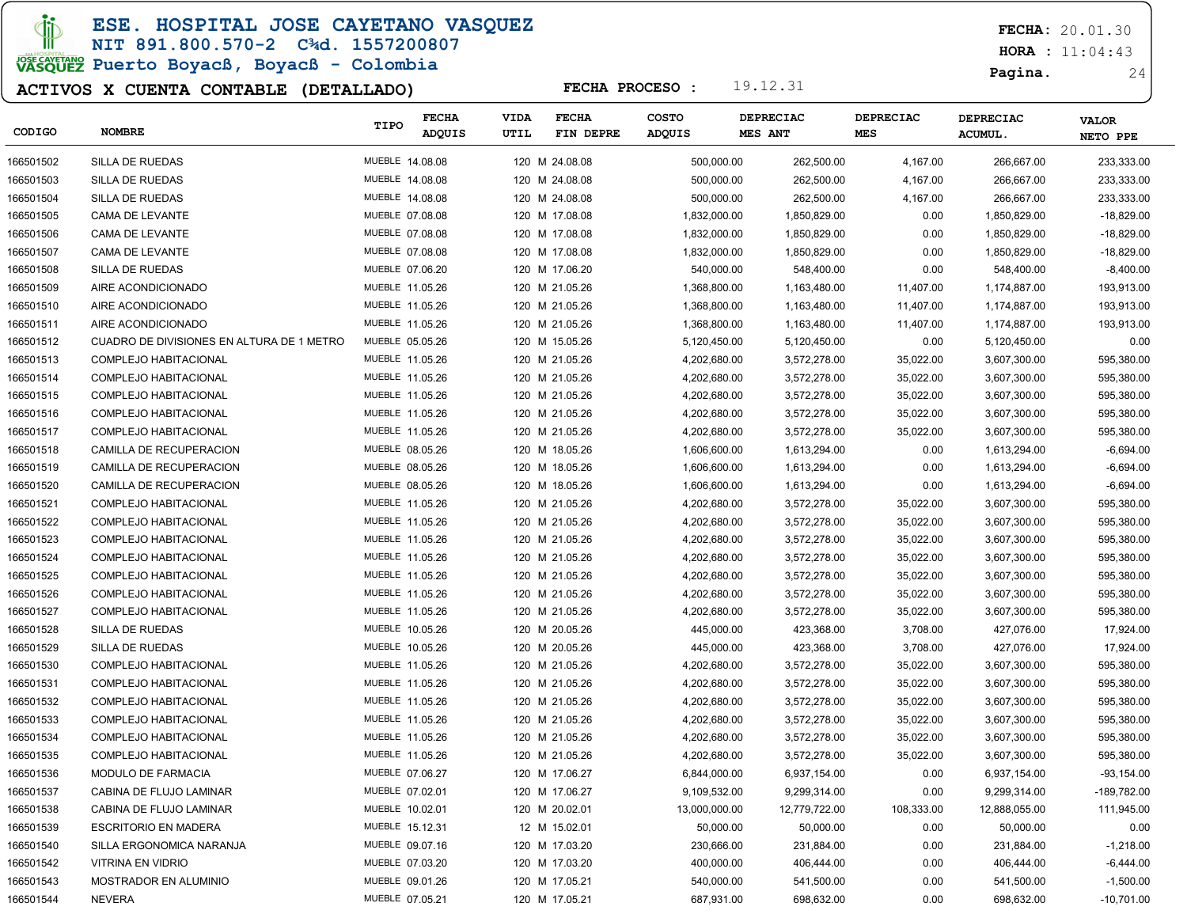ESE. HOSPITAL JOSE CAYETANO VASQUEZ

# NIT 891.800.570-2 C¾d. 1557200807

JOSE CAVERANO<br>VASQUEZ Puerto Boyacß, Boyacß - Colombia

### ACTIVOS X CUENTA CONTABLE (DETALLADO)

FECHA: 20.01.30

 $HORA : 11:04:43$ 

Pagina. 24

|           |                                           | TIPO            | <b>FECHA</b> | <b>VIDA</b> | <b>FECHA</b>   | <b>COSTO</b>  | DEPRECIAC     | DEPRECIAC  | DEPRECIAC     | <b>VALOR</b> |
|-----------|-------------------------------------------|-----------------|--------------|-------------|----------------|---------------|---------------|------------|---------------|--------------|
| CODIGO    | <b>NOMBRE</b>                             |                 | ADQUIS       | UTIL        | FIN DEPRE      | <b>ADQUIS</b> | MES ANT       | <b>MES</b> | <b>ACUMUL</b> | NETO PPE     |
| 166501502 | SILLA DE RUEDAS                           | MUEBLE 14.08.08 |              |             | 120 M 24.08.08 | 500,000.00    | 262,500.00    | 4,167.00   | 266,667.00    | 233,333.00   |
| 166501503 | SILLA DE RUEDAS                           | MUEBLE 14.08.08 |              |             | 120 M 24.08.08 | 500,000.00    | 262,500.00    | 4,167.00   | 266,667.00    | 233,333.00   |
| 166501504 | SILLA DE RUEDAS                           | MUEBLE 14.08.08 |              |             | 120 M 24.08.08 | 500,000.00    | 262,500.00    | 4,167.00   | 266,667.00    | 233,333.00   |
| 166501505 | CAMA DE LEVANTE                           | MUEBLE 07.08.08 |              |             | 120 M 17.08.08 | 1,832,000.00  | 1,850,829.00  | 0.00       | 1,850,829.00  | $-18,829.00$ |
| 166501506 | CAMA DE LEVANTE                           | MUEBLE 07.08.08 |              |             | 120 M 17.08.08 | 1,832,000.00  | 1,850,829.00  | 0.00       | 1,850,829.00  | $-18,829.00$ |
| 166501507 | CAMA DE LEVANTE                           | MUEBLE 07.08.08 |              |             | 120 M 17.08.08 | 1,832,000.00  | 1,850,829.00  | 0.00       | 1,850,829.00  | $-18,829.00$ |
| 166501508 | <b>SILLA DE RUEDAS</b>                    | MUEBLE 07.06.20 |              |             | 120 M 17.06.20 | 540,000.00    | 548,400.00    | 0.00       | 548,400.00    | $-8,400.00$  |
| 166501509 | AIRE ACONDICIONADO                        | MUEBLE 11.05.26 |              |             | 120 M 21.05.26 | 1,368,800.00  | 1,163,480.00  | 11,407.00  | 1,174,887.00  | 193,913.00   |
| 166501510 | AIRE ACONDICIONADO                        | MUEBLE 11.05.26 |              |             | 120 M 21.05.26 | 1,368,800.00  | 1,163,480.00  | 11,407.00  | 1,174,887.00  | 193,913.00   |
| 166501511 | AIRE ACONDICIONADO                        | MUEBLE 11.05.26 |              |             | 120 M 21.05.26 | 1,368,800.00  | 1,163,480.00  | 11,407.00  | 1,174,887.00  | 193,913.00   |
| 166501512 | CUADRO DE DIVISIONES EN ALTURA DE 1 METRO | MUEBLE 05.05.26 |              |             | 120 M 15.05.26 | 5,120,450.00  | 5,120,450.00  | 0.00       | 5,120,450.00  | 0.00         |
| 166501513 | COMPLEJO HABITACIONAL                     | MUEBLE 11.05.26 |              |             | 120 M 21.05.26 | 4,202,680.00  | 3,572,278.00  | 35,022.00  | 3,607,300.00  | 595,380.00   |
| 166501514 | COMPLEJO HABITACIONAL                     | MUEBLE 11.05.26 |              |             | 120 M 21.05.26 | 4,202,680.00  | 3,572,278.00  | 35,022.00  | 3,607,300.00  | 595,380.00   |
| 166501515 | COMPLEJO HABITACIONAL                     | MUEBLE 11.05.26 |              |             | 120 M 21.05.26 | 4,202,680.00  | 3,572,278.00  | 35,022.00  | 3,607,300.00  | 595,380.00   |
| 166501516 | COMPLEJO HABITACIONAL                     | MUEBLE 11.05.26 |              |             | 120 M 21.05.26 | 4,202,680.00  | 3,572,278.00  | 35,022.00  | 3,607,300.00  | 595,380.00   |
| 166501517 | COMPLEJO HABITACIONAL                     | MUEBLE 11.05.26 |              |             | 120 M 21.05.26 | 4,202,680.00  | 3,572,278.00  | 35,022.00  | 3,607,300.00  | 595,380.00   |
| 166501518 | CAMILLA DE RECUPERACION                   | MUEBLE 08.05.26 |              |             | 120 M 18.05.26 | 1,606,600.00  | 1,613,294.00  | 0.00       | 1,613,294.00  | $-6,694.00$  |
| 166501519 | CAMILLA DE RECUPERACION                   | MUEBLE 08.05.26 |              |             | 120 M 18.05.26 | 1,606,600.00  | 1,613,294.00  | 0.00       | 1,613,294.00  | $-6,694.00$  |
| 166501520 | CAMILLA DE RECUPERACION                   | MUEBLE 08.05.26 |              |             | 120 M 18.05.26 | 1,606,600.00  | 1,613,294.00  | 0.00       | 1,613,294.00  | $-6,694.00$  |
| 166501521 | COMPLEJO HABITACIONAL                     | MUEBLE 11.05.26 |              |             | 120 M 21.05.26 | 4,202,680.00  | 3,572,278.00  | 35,022.00  | 3,607,300.00  | 595,380.00   |
| 166501522 | COMPLEJO HABITACIONAL                     | MUEBLE 11.05.26 |              |             | 120 M 21.05.26 | 4,202,680.00  | 3,572,278.00  | 35,022.00  | 3,607,300.00  | 595,380.00   |
| 166501523 | COMPLEJO HABITACIONAL                     | MUEBLE 11.05.26 |              |             | 120 M 21.05.26 | 4,202,680.00  | 3,572,278.00  | 35,022.00  | 3,607,300.00  | 595,380.00   |
| 166501524 | COMPLEJO HABITACIONAL                     | MUEBLE 11.05.26 |              |             | 120 M 21.05.26 | 4,202,680.00  | 3,572,278.00  | 35,022.00  | 3,607,300.00  | 595,380.00   |
| 166501525 | COMPLEJO HABITACIONAL                     | MUEBLE 11.05.26 |              |             | 120 M 21.05.26 | 4,202,680.00  | 3,572,278.00  | 35,022.00  | 3,607,300.00  | 595,380.00   |
| 166501526 | COMPLEJO HABITACIONAL                     | MUEBLE 11.05.26 |              |             | 120 M 21.05.26 | 4,202,680.00  | 3,572,278.00  | 35,022.00  | 3,607,300.00  | 595,380.00   |
| 166501527 | COMPLEJO HABITACIONAL                     | MUEBLE 11.05.26 |              |             | 120 M 21.05.26 | 4,202,680.00  | 3,572,278.00  | 35,022.00  | 3,607,300.00  | 595,380.00   |
| 166501528 | SILLA DE RUEDAS                           | MUEBLE 10.05.26 |              |             | 120 M 20.05.26 | 445,000.00    | 423,368.00    | 3,708.00   | 427,076.00    | 17,924.00    |
| 166501529 | SILLA DE RUEDAS                           | MUEBLE 10.05.26 |              |             | 120 M 20.05.26 | 445,000.00    | 423,368.00    | 3,708.00   | 427,076.00    | 17,924.00    |
| 166501530 | COMPLEJO HABITACIONAL                     | MUEBLE 11.05.26 |              |             | 120 M 21.05.26 | 4,202,680.00  | 3,572,278.00  | 35,022.00  | 3,607,300.00  | 595,380.00   |
| 166501531 | COMPLEJO HABITACIONAL                     | MUEBLE 11.05.26 |              |             | 120 M 21.05.26 | 4,202,680.00  | 3,572,278.00  | 35,022.00  | 3,607,300.00  | 595,380.00   |
| 166501532 | COMPLEJO HABITACIONAL                     | MUEBLE 11.05.26 |              |             | 120 M 21.05.26 | 4,202,680.00  | 3,572,278.00  | 35,022.00  | 3,607,300.00  | 595,380.00   |
| 166501533 | COMPLEJO HABITACIONAL                     | MUEBLE 11.05.26 |              |             | 120 M 21.05.26 | 4,202,680.00  | 3,572,278.00  | 35,022.00  | 3,607,300.00  | 595,380.00   |
| 166501534 | COMPLEJO HABITACIONAL                     | MUEBLE 11.05.26 |              |             | 120 M 21.05.26 | 4,202,680.00  | 3,572,278.00  | 35,022.00  | 3,607,300.00  | 595,380.00   |
| 166501535 | COMPLEJO HABITACIONAL                     | MUEBLE 11.05.26 |              |             | 120 M 21.05.26 | 4,202,680.00  | 3,572,278.00  | 35,022.00  | 3,607,300.00  | 595,380.00   |
| 166501536 | <b>MODULO DE FARMACIA</b>                 | MUEBLE 07.06.27 |              |             | 120 M 17.06.27 | 6,844,000.00  | 6,937,154.00  | 0.00       | 6,937,154.00  | $-93,154.00$ |
| 166501537 | CABINA DE FLUJO LAMINAR                   | MUEBLE 07.02.01 |              |             | 120 M 17.06.27 | 9,109,532.00  | 9,299,314.00  | 0.00       | 9,299,314.00  | -189,782.00  |
| 166501538 | CABINA DE FLUJO LAMINAR                   | MUEBLE 10.02.01 |              |             | 120 M 20.02.01 | 13,000,000.00 | 12,779,722.00 | 108,333.00 | 12,888,055.00 | 111,945.00   |
| 166501539 | <b>ESCRITORIO EN MADERA</b>               | MUEBLE 15.12.31 |              |             | 12 M 15.02.01  | 50,000.00     | 50,000.00     | 0.00       | 50,000.00     | 0.00         |
| 166501540 | SILLA ERGONOMICA NARANJA                  | MUEBLE 09.07.16 |              |             | 120 M 17.03.20 | 230,666.00    | 231,884.00    | 0.00       | 231,884.00    | $-1,218.00$  |
| 166501542 | VITRINA EN VIDRIO                         | MUEBLE 07.03.20 |              |             | 120 M 17.03.20 | 400,000.00    | 406,444.00    | 0.00       | 406,444.00    | $-6,444.00$  |
| 166501543 | MOSTRADOR EN ALUMINIO                     | MUEBLE 09.01.26 |              |             | 120 M 17.05.21 | 540,000.00    | 541,500.00    | 0.00       | 541,500.00    | $-1,500.00$  |
| 166501544 | <b>NEVERA</b>                             | MUEBLE 07.05.21 |              |             | 120 M 17.05.21 | 687,931.00    | 698,632.00    | 0.00       | 698,632.00    | $-10,701.00$ |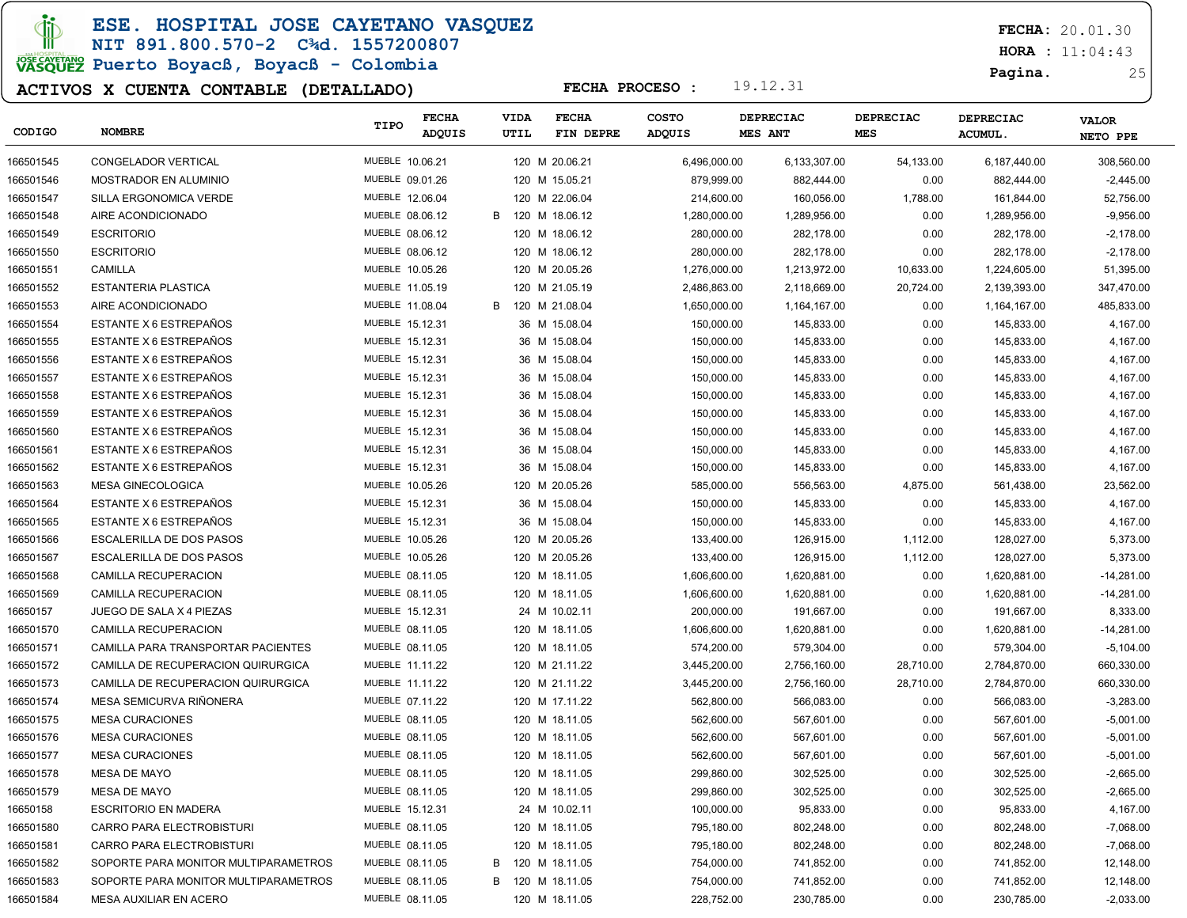ESE. HOSPITAL JOSE CAYETANO VASQUEZ

### NIT 891.800.570-2 C¾d. 1557200807 JOSE CAVERANO<br>VASQUEZ Puerto Boyacß, Boyacß - Colombia

### ACTIVOS X CUENTA CONTABLE (DETALLADO)

FECHA: 20.01.30

 $HORA : 11:04:43$ 

Pagina. 25

| CODIGO    | <b>NOMBRE</b>                        | TIPO            | <b>FECHA</b><br><b>ADQUIS</b> |   | <b>VIDA</b><br>UTIL | <b>FECHA</b><br>FIN DEPRE | COSTO<br>ADQUIS | DEPRECIAC<br>MES ANT | DEPRECIAC<br><b>MES</b> | <b>DEPRECIAC</b><br><b>ACUMUL.</b> | <b>VALOR</b><br>NETO PPE |
|-----------|--------------------------------------|-----------------|-------------------------------|---|---------------------|---------------------------|-----------------|----------------------|-------------------------|------------------------------------|--------------------------|
| 166501545 | CONGELADOR VERTICAL                  | MUEBLE 10.06.21 |                               |   |                     | 120 M 20.06.21            | 6,496,000.00    | 6,133,307.00         | 54,133.00               | 6,187,440.00                       | 308,560.00               |
| 166501546 | MOSTRADOR EN ALUMINIO                | MUEBLE 09.01.26 |                               |   |                     | 120 M 15.05.21            | 879,999.00      | 882,444.00           | 0.00                    | 882,444.00                         | $-2,445.00$              |
| 166501547 | SILLA ERGONOMICA VERDE               | MUEBLE 12.06.04 |                               |   |                     | 120 M 22.06.04            | 214,600.00      | 160,056.00           | 1,788.00                | 161,844.00                         | 52,756.00                |
| 166501548 | AIRE ACONDICIONADO                   | MUEBLE 08.06.12 |                               | В |                     | 120 M 18.06.12            | 1,280,000.00    | 1,289,956.00         | 0.00                    | 1,289,956.00                       | $-9,956.00$              |
| 166501549 | <b>ESCRITORIO</b>                    | MUEBLE 08.06.12 |                               |   |                     | 120 M 18.06.12            | 280,000.00      | 282,178.00           | 0.00                    | 282,178.00                         | $-2,178.00$              |
| 166501550 | <b>ESCRITORIO</b>                    | MUEBLE 08.06.12 |                               |   |                     | 120 M 18.06.12            | 280,000.00      | 282,178.00           | 0.00                    | 282,178.00                         | $-2,178.00$              |
| 166501551 | CAMILLA                              | MUEBLE 10.05.26 |                               |   |                     | 120 M 20.05.26            | 1,276,000.00    | 1,213,972.00         | 10,633.00               | 1,224,605.00                       | 51,395.00                |
| 166501552 | ESTANTERIA PLASTICA                  | MUEBLE 11.05.19 |                               |   |                     | 120 M 21.05.19            | 2,486,863.00    | 2,118,669.00         | 20,724.00               | 2,139,393.00                       | 347,470.00               |
| 166501553 | AIRE ACONDICIONADO                   | MUEBLE 11.08.04 |                               | B |                     | 120 M 21.08.04            | 1,650,000.00    | 1,164,167.00         | 0.00                    | 1,164,167.00                       | 485,833.00               |
| 166501554 | ESTANTE X 6 ESTREPAÑOS               | MUEBLE 15.12.31 |                               |   |                     | 36 M 15.08.04             | 150,000.00      | 145,833.00           | 0.00                    | 145,833.00                         | 4,167.00                 |
| 166501555 | ESTANTE X 6 ESTREPAÑOS               | MUEBLE 15.12.31 |                               |   |                     | 36 M 15.08.04             | 150,000.00      | 145,833.00           | 0.00                    | 145,833.00                         | 4,167.00                 |
| 166501556 | ESTANTE X 6 ESTREPAÑOS               | MUEBLE 15.12.31 |                               |   |                     | 36 M 15.08.04             | 150,000.00      | 145,833.00           | 0.00                    | 145,833.00                         | 4,167.00                 |
| 166501557 | ESTANTE X 6 ESTREPAÑOS               | MUEBLE 15.12.31 |                               |   |                     | 36 M 15.08.04             | 150,000.00      | 145,833.00           | 0.00                    | 145,833.00                         | 4,167.00                 |
| 166501558 | ESTANTE X 6 ESTREPAÑOS               | MUEBLE 15.12.31 |                               |   |                     | 36 M 15.08.04             | 150,000.00      | 145,833.00           | 0.00                    | 145,833.00                         | 4,167.00                 |
| 166501559 | ESTANTE X 6 ESTREPAÑOS               | MUEBLE 15.12.31 |                               |   |                     | 36 M 15.08.04             | 150,000.00      | 145,833.00           | 0.00                    | 145,833.00                         | 4,167.00                 |
| 166501560 | ESTANTE X 6 ESTREPAÑOS               | MUEBLE 15.12.31 |                               |   |                     | 36 M 15.08.04             | 150,000.00      | 145,833.00           | 0.00                    | 145,833.00                         | 4,167.00                 |
| 166501561 | ESTANTE X 6 ESTREPAÑOS               | MUEBLE 15.12.31 |                               |   |                     | 36 M 15.08.04             | 150,000.00      | 145,833.00           | 0.00                    | 145,833.00                         | 4,167.00                 |
| 166501562 | ESTANTE X 6 ESTREPAÑOS               | MUEBLE 15.12.31 |                               |   |                     | 36 M 15.08.04             | 150,000.00      | 145,833.00           | 0.00                    | 145,833.00                         | 4,167.00                 |
| 166501563 | <b>MESA GINECOLOGICA</b>             | MUEBLE 10.05.26 |                               |   |                     | 120 M 20.05.26            | 585,000.00      | 556,563.00           | 4,875.00                | 561,438.00                         | 23,562.00                |
| 166501564 | ESTANTE X 6 ESTREPAÑOS               | MUEBLE 15.12.31 |                               |   |                     | 36 M 15.08.04             | 150,000.00      | 145,833.00           | 0.00                    | 145,833.00                         | 4,167.00                 |
| 166501565 | ESTANTE X 6 ESTREPAÑOS               | MUEBLE 15.12.31 |                               |   |                     | 36 M 15.08.04             | 150,000.00      | 145,833.00           | 0.00                    | 145,833.00                         | 4,167.00                 |
| 166501566 | <b>ESCALERILLA DE DOS PASOS</b>      | MUEBLE 10.05.26 |                               |   |                     | 120 M 20.05.26            | 133,400.00      | 126,915.00           | 1,112.00                | 128,027.00                         | 5,373.00                 |
| 166501567 | ESCALERILLA DE DOS PASOS             | MUEBLE 10.05.26 |                               |   |                     | 120 M 20.05.26            | 133,400.00      | 126,915.00           | 1,112.00                | 128,027.00                         | 5,373.00                 |
| 166501568 | CAMILLA RECUPERACION                 | MUEBLE 08.11.05 |                               |   |                     | 120 M 18.11.05            | 1,606,600.00    | 1,620,881.00         | 0.00                    | 1,620,881.00                       | $-14,281.00$             |
| 166501569 | CAMILLA RECUPERACION                 | MUEBLE 08.11.05 |                               |   |                     | 120 M 18.11.05            | 1,606,600.00    | 1,620,881.00         | 0.00                    | 1,620,881.00                       | $-14,281.00$             |
| 16650157  | JUEGO DE SALA X 4 PIEZAS             | MUEBLE 15.12.31 |                               |   |                     | 24 M 10.02.11             | 200,000.00      | 191,667.00           | 0.00                    | 191,667.00                         | 8,333.00                 |
| 166501570 | CAMILLA RECUPERACION                 | MUEBLE 08.11.05 |                               |   |                     | 120 M 18.11.05            | 1,606,600.00    | 1,620,881.00         | 0.00                    | 1,620,881.00                       | $-14,281.00$             |
| 166501571 | CAMILLA PARA TRANSPORTAR PACIENTES   | MUEBLE 08.11.05 |                               |   |                     | 120 M 18.11.05            | 574,200.00      | 579,304.00           | 0.00                    | 579,304.00                         | $-5,104.00$              |
| 166501572 | CAMILLA DE RECUPERACION QUIRURGICA   | MUEBLE 11.11.22 |                               |   |                     | 120 M 21.11.22            | 3,445,200.00    | 2,756,160.00         | 28,710.00               | 2,784,870.00                       | 660,330.00               |
| 166501573 | CAMILLA DE RECUPERACION QUIRURGICA   | MUEBLE 11.11.22 |                               |   |                     | 120 M 21.11.22            | 3,445,200.00    | 2,756,160.00         | 28,710.00               | 2,784,870.00                       | 660,330.00               |
| 166501574 | MESA SEMICURVA RIÑONERA              | MUEBLE 07.11.22 |                               |   |                     | 120 M 17.11.22            | 562,800.00      | 566,083.00           | 0.00                    | 566,083.00                         | $-3,283.00$              |
| 166501575 | <b>MESA CURACIONES</b>               | MUEBLE 08.11.05 |                               |   |                     | 120 M 18.11.05            | 562,600.00      | 567,601.00           | 0.00                    | 567,601.00                         | $-5,001.00$              |
| 166501576 | <b>MESA CURACIONES</b>               | MUEBLE 08.11.05 |                               |   |                     | 120 M 18.11.05            | 562,600.00      | 567,601.00           | 0.00                    | 567,601.00                         | $-5,001.00$              |
| 166501577 | <b>MESA CURACIONES</b>               | MUEBLE 08.11.05 |                               |   |                     | 120 M 18.11.05            | 562,600.00      | 567,601.00           | 0.00                    | 567,601.00                         | $-5,001.00$              |
| 166501578 | <b>MESA DE MAYO</b>                  | MUEBLE 08.11.05 |                               |   |                     | 120 M 18.11.05            | 299,860.00      | 302,525.00           | 0.00                    | 302,525.00                         | $-2,665.00$              |
| 166501579 | MESA DE MAYO                         | MUEBLE 08.11.05 |                               |   |                     | 120 M 18.11.05            | 299,860.00      | 302,525.00           | 0.00                    | 302,525.00                         | $-2,665.00$              |
| 16650158  | <b>ESCRITORIO EN MADERA</b>          | MUEBLE 15.12.31 |                               |   |                     | 24 M 10.02.11             | 100,000.00      | 95,833.00            | 0.00                    | 95,833.00                          | 4,167.00                 |
| 166501580 | CARRO PARA ELECTROBISTURI            | MUEBLE 08.11.05 |                               |   |                     | 120 M 18.11.05            | 795,180.00      | 802,248.00           | 0.00                    | 802,248.00                         | $-7,068.00$              |
| 166501581 | CARRO PARA ELECTROBISTURI            | MUEBLE 08.11.05 |                               |   |                     | 120 M 18.11.05            | 795,180.00      | 802,248.00           | 0.00                    | 802,248.00                         | $-7,068.00$              |
| 166501582 | SOPORTE PARA MONITOR MULTIPARAMETROS | MUEBLE 08.11.05 |                               | B |                     | 120 M 18.11.05            | 754,000.00      | 741,852.00           | 0.00                    | 741,852.00                         | 12,148.00                |
| 166501583 | SOPORTE PARA MONITOR MULTIPARAMETROS | MUEBLE 08.11.05 |                               | В |                     | 120 M 18.11.05            | 754,000.00      | 741,852.00           | 0.00                    | 741,852.00                         | 12,148.00                |
| 166501584 | MESA AUXILIAR EN ACERO               | MUEBLE 08.11.05 |                               |   |                     | 120 M 18.11.05            | 228,752.00      | 230,785.00           | 0.00                    | 230,785.00                         | $-2,033.00$              |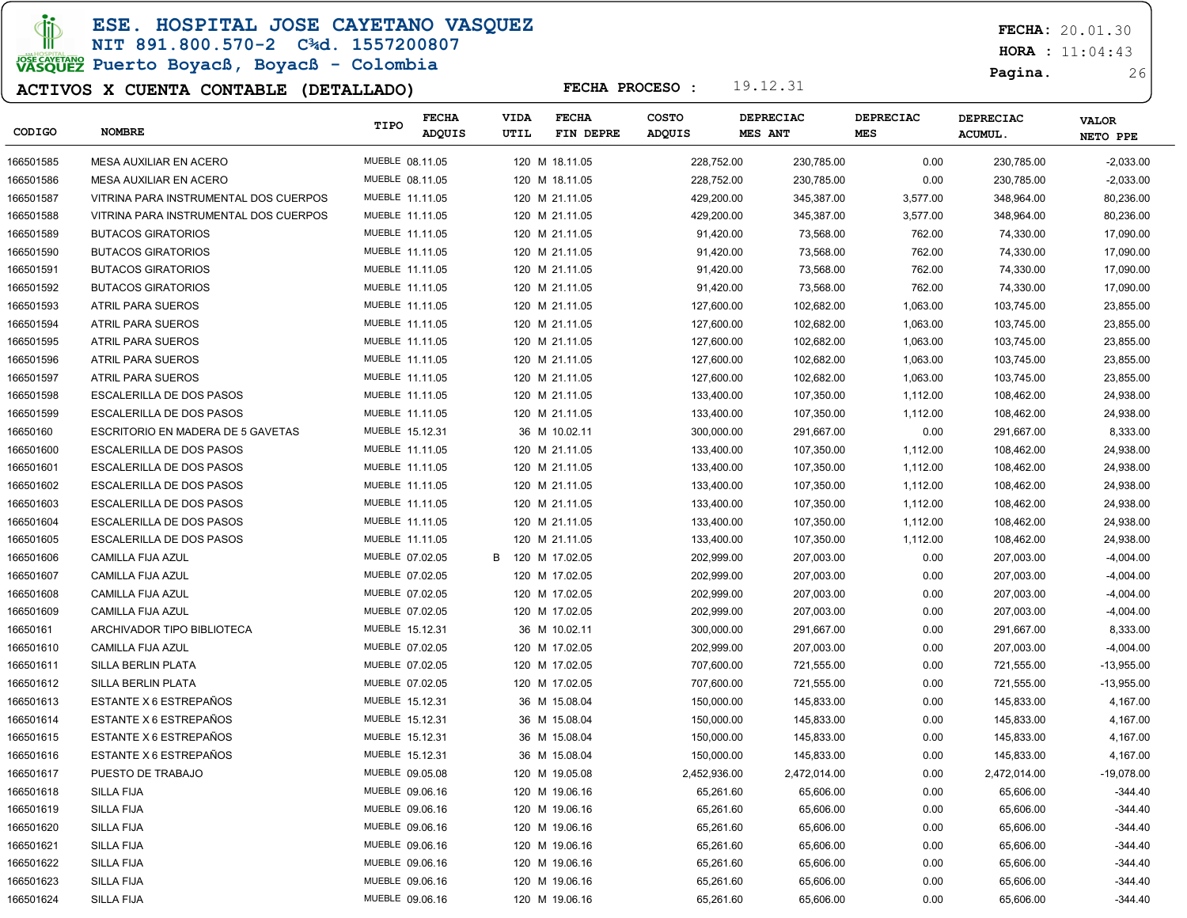### ESE. HOSPITAL JOSE CAYETANO VASQUEZ

# NIT 891.800.570-2 C¾d. 1557200807

# JOSE CAVERANO<br>VASQUEZ Puerto Boyacß, Boyacß - Colombia

### ACTIVOS X CUENTA CONTABLE (DETALLADO)

 $HORA : 11:04:43$ 

Pagina. 26

| CODIGO    | <b>NOMBRE</b>                         | TIPO            | <b>FECHA</b><br>ADQUIS | <b>VIDA</b><br>UTIL | <b>FECHA</b><br>FIN DEPRE | <b>COSTO</b><br><b>ADQUIS</b> | <b>DEPRECIAC</b><br><b>MES ANT</b> | <b>DEPRECIAC</b><br><b>MES</b> | <b>DEPRECIAC</b><br><b>ACUMUL.</b> | <b>VALOR</b><br>NETO PPE |
|-----------|---------------------------------------|-----------------|------------------------|---------------------|---------------------------|-------------------------------|------------------------------------|--------------------------------|------------------------------------|--------------------------|
| 166501585 | MESA AUXILIAR EN ACERO                | MUEBLE 08.11.05 |                        |                     | 120 M 18.11.05            | 228,752.00                    | 230,785.00                         | 0.00                           | 230,785.00                         | $-2,033.00$              |
| 166501586 | MESA AUXILIAR EN ACERO                | MUEBLE 08.11.05 |                        |                     | 120 M 18.11.05            | 228,752.00                    | 230,785.00                         | 0.00                           | 230,785.00                         | $-2,033.00$              |
| 166501587 | VITRINA PARA INSTRUMENTAL DOS CUERPOS | MUEBLE 11.11.05 |                        |                     | 120 M 21.11.05            | 429,200.00                    | 345,387.00                         | 3,577.00                       | 348,964.00                         | 80,236.00                |
| 166501588 | VITRINA PARA INSTRUMENTAL DOS CUERPOS | MUEBLE 11.11.05 |                        |                     | 120 M 21.11.05            | 429,200.00                    | 345,387.00                         | 3,577.00                       | 348,964.00                         | 80,236.00                |
| 166501589 | <b>BUTACOS GIRATORIOS</b>             | MUEBLE 11.11.05 |                        |                     | 120 M 21.11.05            | 91,420.00                     | 73,568.00                          | 762.00                         | 74,330.00                          | 17,090.00                |
| 166501590 | <b>BUTACOS GIRATORIOS</b>             | MUEBLE 11.11.05 |                        |                     | 120 M 21.11.05            | 91,420.00                     | 73,568.00                          | 762.00                         | 74,330.00                          | 17,090.00                |
| 166501591 | <b>BUTACOS GIRATORIOS</b>             | MUEBLE 11.11.05 |                        |                     | 120 M 21.11.05            | 91,420.00                     | 73,568.00                          | 762.00                         | 74,330.00                          | 17,090.00                |
| 166501592 | <b>BUTACOS GIRATORIOS</b>             | MUEBLE 11.11.05 |                        |                     | 120 M 21.11.05            | 91,420.00                     | 73,568.00                          | 762.00                         | 74,330.00                          | 17,090.00                |
| 166501593 | ATRIL PARA SUEROS                     | MUEBLE 11.11.05 |                        |                     | 120 M 21.11.05            | 127,600.00                    | 102,682.00                         | 1,063.00                       | 103,745.00                         | 23,855.00                |
| 166501594 | ATRIL PARA SUEROS                     | MUEBLE 11.11.05 |                        |                     | 120 M 21.11.05            | 127,600.00                    | 102,682.00                         | 1,063.00                       | 103,745.00                         | 23,855.00                |
| 166501595 | ATRIL PARA SUEROS                     | MUEBLE 11.11.05 |                        |                     | 120 M 21.11.05            | 127,600.00                    | 102,682.00                         | 1,063.00                       | 103,745.00                         | 23,855.00                |
| 166501596 | ATRIL PARA SUEROS                     | MUEBLE 11.11.05 |                        |                     | 120 M 21.11.05            | 127,600.00                    | 102,682.00                         | 1,063.00                       | 103,745.00                         | 23,855.00                |
| 166501597 | ATRIL PARA SUEROS                     | MUEBLE 11.11.05 |                        |                     | 120 M 21.11.05            | 127,600.00                    | 102,682.00                         | 1,063.00                       | 103,745.00                         | 23,855.00                |
| 166501598 | ESCALERILLA DE DOS PASOS              | MUEBLE 11.11.05 |                        |                     | 120 M 21.11.05            | 133,400.00                    | 107,350.00                         | 1,112.00                       | 108,462.00                         | 24,938.00                |
| 166501599 | ESCALERILLA DE DOS PASOS              | MUEBLE 11.11.05 |                        |                     | 120 M 21.11.05            | 133,400.00                    | 107,350.00                         | 1,112.00                       | 108,462.00                         | 24,938.00                |
| 16650160  | ESCRITORIO EN MADERA DE 5 GAVETAS     | MUEBLE 15.12.31 |                        |                     | 36 M 10.02.11             | 300,000.00                    | 291,667.00                         | 0.00                           | 291,667.00                         | 8,333.00                 |
| 166501600 | ESCALERILLA DE DOS PASOS              | MUEBLE 11.11.05 |                        |                     | 120 M 21.11.05            | 133,400.00                    | 107,350.00                         | 1,112.00                       | 108,462.00                         | 24,938.00                |
| 166501601 | ESCALERILLA DE DOS PASOS              | MUEBLE 11.11.05 |                        |                     | 120 M 21.11.05            | 133,400.00                    | 107,350.00                         | 1,112.00                       | 108,462.00                         | 24,938.00                |
| 166501602 | ESCALERILLA DE DOS PASOS              | MUEBLE 11.11.05 |                        |                     | 120 M 21.11.05            | 133,400.00                    | 107,350.00                         | 1,112.00                       | 108,462.00                         | 24,938.00                |
| 166501603 | ESCALERILLA DE DOS PASOS              | MUEBLE 11.11.05 |                        |                     | 120 M 21.11.05            | 133,400.00                    | 107,350.00                         | 1,112.00                       | 108,462.00                         | 24,938.00                |
| 166501604 | ESCALERILLA DE DOS PASOS              | MUEBLE 11.11.05 |                        |                     | 120 M 21.11.05            | 133,400.00                    | 107,350.00                         | 1,112.00                       | 108,462.00                         | 24,938.00                |
| 166501605 | ESCALERILLA DE DOS PASOS              | MUEBLE 11.11.05 |                        |                     | 120 M 21.11.05            | 133,400.00                    | 107,350.00                         | 1,112.00                       | 108,462.00                         | 24,938.00                |
| 166501606 | CAMILLA FIJA AZUL                     | MUEBLE 07.02.05 |                        | $\mathsf{B}$        | 120 M 17.02.05            | 202,999.00                    | 207,003.00                         | 0.00                           | 207,003.00                         | $-4,004.00$              |
| 166501607 | CAMILLA FIJA AZUL                     | MUEBLE 07.02.05 |                        |                     | 120 M 17.02.05            | 202,999.00                    | 207,003.00                         | 0.00                           | 207,003.00                         | $-4,004.00$              |
| 166501608 | CAMILLA FIJA AZUL                     | MUEBLE 07.02.05 |                        |                     | 120 M 17.02.05            | 202,999.00                    | 207,003.00                         | 0.00                           | 207,003.00                         | $-4,004.00$              |
| 166501609 | CAMILLA FIJA AZUL                     | MUEBLE 07.02.05 |                        |                     | 120 M 17.02.05            | 202,999.00                    | 207,003.00                         | 0.00                           | 207,003.00                         | $-4,004.00$              |
| 16650161  | ARCHIVADOR TIPO BIBLIOTECA            | MUEBLE 15.12.31 |                        |                     | 36 M 10.02.11             | 300,000.00                    | 291,667.00                         | 0.00                           | 291,667.00                         | 8,333.00                 |
| 166501610 | CAMILLA FIJA AZUL                     | MUEBLE 07.02.05 |                        |                     | 120 M 17.02.05            | 202,999.00                    | 207,003.00                         | 0.00                           | 207,003.00                         | $-4,004.00$              |
| 166501611 | SILLA BERLIN PLATA                    | MUEBLE 07.02.05 |                        |                     | 120 M 17.02.05            | 707,600.00                    | 721,555.00                         | 0.00                           | 721,555.00                         | $-13,955.00$             |
| 166501612 | SILLA BERLIN PLATA                    | MUEBLE 07.02.05 |                        |                     | 120 M 17.02.05            | 707,600.00                    | 721,555.00                         | 0.00                           | 721,555.00                         | $-13,955.00$             |
| 166501613 | ESTANTE X 6 ESTREPAÑOS                | MUEBLE 15.12.31 |                        |                     | 36 M 15.08.04             | 150,000.00                    | 145,833.00                         | 0.00                           | 145,833.00                         | 4,167.00                 |
| 166501614 | ESTANTE X 6 ESTREPAÑOS                | MUEBLE 15.12.31 |                        |                     | 36 M 15.08.04             | 150,000.00                    | 145,833.00                         | 0.00                           | 145,833.00                         | 4,167.00                 |
| 166501615 | ESTANTE X 6 ESTREPAÑOS                | MUEBLE 15.12.31 |                        |                     | 36 M 15.08.04             | 150,000.00                    | 145,833.00                         | 0.00                           | 145,833.00                         | 4,167.00                 |
| 166501616 | ESTANTE X 6 ESTREPAÑOS                | MUEBLE 15.12.31 |                        |                     | 36 M 15.08.04             | 150,000.00                    | 145,833.00                         | 0.00                           | 145,833.00                         | 4,167.00                 |
| 166501617 | PUESTO DE TRABAJO                     | MUEBLE 09.05.08 |                        |                     | 120 M 19.05.08            | 2,452,936.00                  | 2,472,014.00                       | 0.00                           | 2,472,014.00                       | $-19,078.00$             |
| 166501618 | SILLA FIJA                            | MUEBLE 09.06.16 |                        |                     | 120 M 19.06.16            | 65,261.60                     | 65,606.00                          | 0.00                           | 65,606.00                          | -344.40                  |
| 166501619 | <b>SILLA FIJA</b>                     | MUEBLE 09.06.16 |                        |                     | 120 M 19.06.16            | 65,261.60                     | 65,606.00                          | 0.00                           | 65,606.00                          | $-344.40$                |
| 166501620 | SILLA FIJA                            | MUEBLE 09.06.16 |                        |                     | 120 M 19.06.16            | 65,261.60                     | 65,606.00                          | 0.00                           | 65,606.00                          | -344.40                  |
| 166501621 | <b>SILLA FIJA</b>                     | MUEBLE 09.06.16 |                        |                     | 120 M 19.06.16            | 65,261.60                     | 65,606.00                          | 0.00                           | 65,606.00                          | -344.40                  |
| 166501622 | SILLA FIJA                            | MUEBLE 09.06.16 |                        |                     | 120 M 19.06.16            | 65,261.60                     | 65,606.00                          | 0.00                           | 65,606.00                          | -344.40                  |
| 166501623 | SILLA FIJA                            | MUEBLE 09.06.16 |                        |                     | 120 M 19.06.16            | 65,261.60                     | 65,606.00                          | 0.00                           | 65,606.00                          | -344.40                  |
| 166501624 | SILLA FIJA                            | MUEBLE 09.06.16 |                        |                     | 120 M 19.06.16            | 65,261.60                     | 65,606.00                          | 0.00                           | 65,606.00                          | $-344.40$                |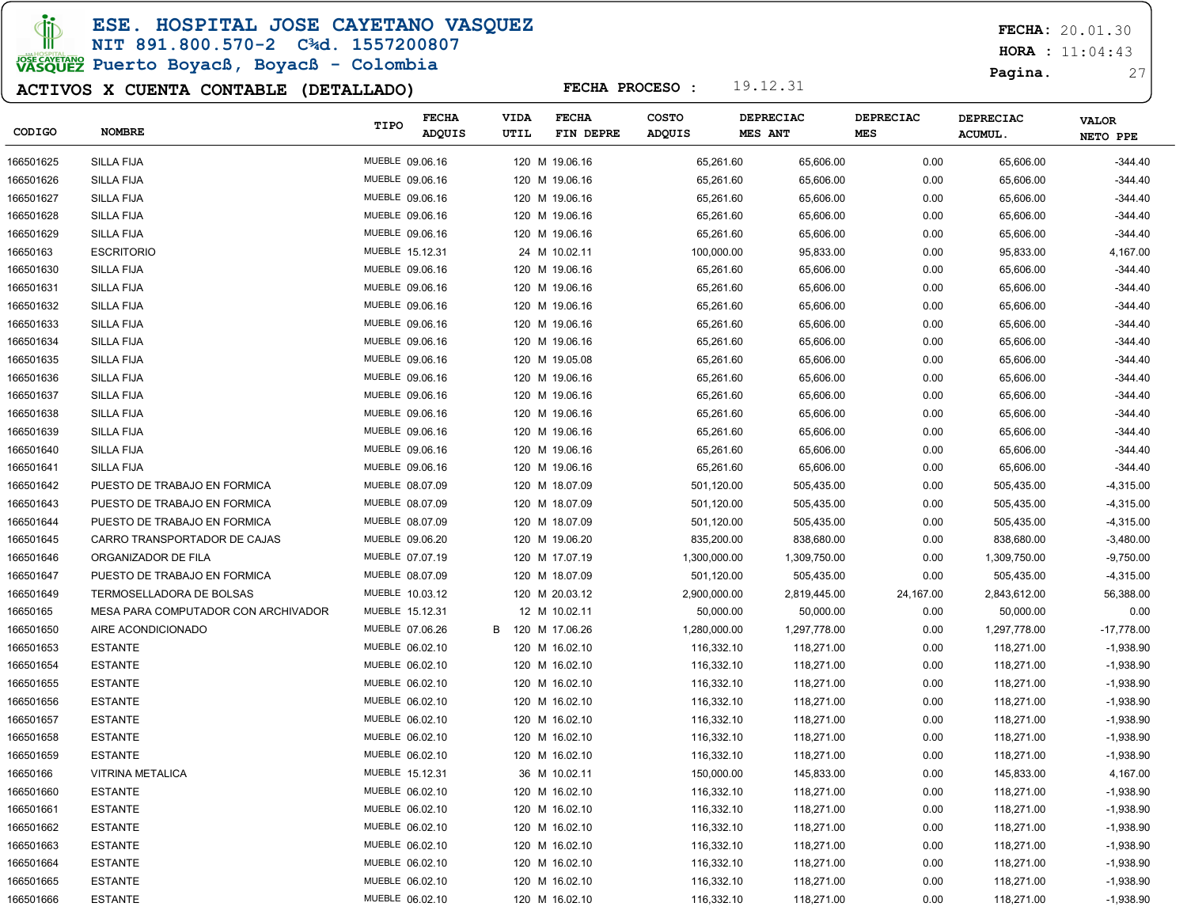ESE. HOSPITAL JOSE CAYETANO VASQUEZ

#### NIT 891.800.570-2 C¾d. 1557200807

# JOSE CAVERANO<br>VASQUEZ Puerto Boyacß, Boyacß - Colombia

### ACTIVOS X CUENTA CONTABLE (DETALLADO)

FECHA: 20.01.30

 $HORA : 11:04:43$ 

Pagina. 27

|           |                                     | TIPO            | <b>FECHA</b> | VIDA | <b>FECHA</b>   | <b>COSTO</b>  |              | DEPRECIAC    | DEPRECIAC | <b>DEPRECIAC</b> | <b>VALOR</b> |
|-----------|-------------------------------------|-----------------|--------------|------|----------------|---------------|--------------|--------------|-----------|------------------|--------------|
| CODIGO    | <b>NOMBRE</b>                       |                 | ADQUIS       | UTIL | FIN DEPRE      | <b>ADQUIS</b> |              | MES ANT      | MES       | <b>ACUMUL.</b>   | NETO PPE     |
| 166501625 | <b>SILLA FIJA</b>                   | MUEBLE 09.06.16 |              |      | 120 M 19.06.16 |               | 65,261.60    | 65,606.00    | 0.00      | 65,606.00        | $-344.40$    |
| 166501626 | <b>SILLA FIJA</b>                   | MUEBLE 09.06.16 |              |      | 120 M 19.06.16 |               | 65,261.60    | 65,606.00    | 0.00      | 65,606.00        | $-344.40$    |
| 166501627 | SILLA FIJA                          | MUEBLE 09.06.16 |              |      | 120 M 19.06.16 |               | 65,261.60    | 65,606.00    | 0.00      | 65,606.00        | $-344.40$    |
| 166501628 | SILLA FIJA                          | MUEBLE 09.06.16 |              |      | 120 M 19.06.16 |               | 65,261.60    | 65,606.00    | 0.00      | 65,606.00        | $-344.40$    |
| 166501629 | <b>SILLA FIJA</b>                   | MUEBLE 09.06.16 |              |      | 120 M 19.06.16 |               | 65,261.60    | 65,606.00    | 0.00      | 65,606.00        | $-344.40$    |
| 16650163  | <b>ESCRITORIO</b>                   | MUEBLE 15.12.31 |              |      | 24 M 10.02.11  |               | 100,000.00   | 95,833.00    | 0.00      | 95,833.00        | 4,167.00     |
| 166501630 | <b>SILLA FIJA</b>                   | MUEBLE 09.06.16 |              |      | 120 M 19.06.16 |               | 65,261.60    | 65,606.00    | 0.00      | 65,606.00        | $-344.40$    |
| 166501631 | SILLA FIJA                          | MUEBLE 09.06.16 |              |      | 120 M 19.06.16 |               | 65,261.60    | 65,606.00    | 0.00      | 65,606.00        | $-344.40$    |
| 166501632 | SILLA FIJA                          | MUEBLE 09.06.16 |              |      | 120 M 19.06.16 |               | 65,261.60    | 65,606.00    | 0.00      | 65,606.00        | $-344.40$    |
| 166501633 | <b>SILLA FIJA</b>                   | MUEBLE 09.06.16 |              |      | 120 M 19.06.16 |               | 65,261.60    | 65,606.00    | 0.00      | 65,606.00        | $-344.40$    |
| 166501634 | SILLA FIJA                          | MUEBLE 09.06.16 |              |      | 120 M 19.06.16 |               | 65,261.60    | 65,606.00    | 0.00      | 65,606.00        | $-344.40$    |
| 166501635 | SILLA FIJA                          | MUEBLE 09.06.16 |              |      | 120 M 19.05.08 |               | 65,261.60    | 65,606.00    | 0.00      | 65,606.00        | $-344.40$    |
| 166501636 | SILLA FIJA                          | MUEBLE 09.06.16 |              |      | 120 M 19.06.16 |               | 65,261.60    | 65,606.00    | 0.00      | 65,606.00        | $-344.40$    |
| 166501637 | SILLA FIJA                          | MUEBLE 09.06.16 |              |      | 120 M 19.06.16 |               | 65,261.60    | 65,606.00    | 0.00      | 65,606.00        | $-344.40$    |
| 166501638 | <b>SILLA FIJA</b>                   | MUEBLE 09.06.16 |              |      | 120 M 19.06.16 |               | 65,261.60    | 65,606.00    | 0.00      | 65,606.00        | $-344.40$    |
| 166501639 | <b>SILLA FIJA</b>                   | MUEBLE 09.06.16 |              |      | 120 M 19.06.16 |               | 65,261.60    | 65,606.00    | 0.00      | 65,606.00        | $-344.40$    |
| 166501640 | SILLA FIJA                          | MUEBLE 09.06.16 |              |      | 120 M 19.06.16 |               | 65,261.60    | 65,606.00    | 0.00      | 65,606.00        | $-344.40$    |
| 166501641 | <b>SILLA FIJA</b>                   | MUEBLE 09.06.16 |              |      | 120 M 19.06.16 |               | 65,261.60    | 65,606.00    | 0.00      | 65,606.00        | $-344.40$    |
| 166501642 | PUESTO DE TRABAJO EN FORMICA        | MUEBLE 08.07.09 |              |      | 120 M 18.07.09 |               | 501,120.00   | 505,435.00   | 0.00      | 505,435.00       | $-4,315.00$  |
| 166501643 | PUESTO DE TRABAJO EN FORMICA        | MUEBLE 08.07.09 |              |      | 120 M 18.07.09 |               | 501,120.00   | 505,435.00   | 0.00      | 505,435.00       | $-4,315.00$  |
| 166501644 | PUESTO DE TRABAJO EN FORMICA        | MUEBLE 08.07.09 |              |      | 120 M 18.07.09 |               | 501,120.00   | 505,435.00   | 0.00      | 505,435.00       | $-4,315.00$  |
| 166501645 | CARRO TRANSPORTADOR DE CAJAS        | MUEBLE 09.06.20 |              |      | 120 M 19.06.20 |               | 835,200.00   | 838,680.00   | 0.00      | 838,680.00       | $-3,480.00$  |
| 166501646 | ORGANIZADOR DE FILA                 | MUEBLE 07.07.19 |              |      | 120 M 17.07.19 |               | 1,300,000.00 | 1,309,750.00 | 0.00      | 1,309,750.00     | $-9,750.00$  |
| 166501647 | PUESTO DE TRABAJO EN FORMICA        | MUEBLE 08.07.09 |              |      | 120 M 18.07.09 |               | 501,120.00   | 505,435.00   | 0.00      | 505,435.00       | $-4,315.00$  |
| 166501649 | TERMOSELLADORA DE BOLSAS            | MUEBLE 10.03.12 |              |      | 120 M 20.03.12 |               | 2,900,000.00 | 2,819,445.00 | 24,167.00 | 2,843,612.00     | 56,388.00    |
| 16650165  | MESA PARA COMPUTADOR CON ARCHIVADOR | MUEBLE 15.12.31 |              |      | 12 M 10.02.11  |               | 50,000.00    | 50,000.00    | 0.00      | 50,000.00        | 0.00         |
| 166501650 | AIRE ACONDICIONADO                  | MUEBLE 07.06.26 |              | B    | 120 M 17.06.26 |               | 1,280,000.00 | 1,297,778.00 | 0.00      | 1,297,778.00     | -17,778.00   |
| 166501653 | <b>ESTANTE</b>                      | MUEBLE 06.02.10 |              |      | 120 M 16.02.10 |               | 116,332.10   | 118,271.00   | 0.00      | 118,271.00       | $-1,938.90$  |
| 166501654 | <b>ESTANTE</b>                      | MUEBLE 06.02.10 |              |      | 120 M 16.02.10 |               | 116,332.10   | 118,271.00   | 0.00      | 118,271.00       | $-1,938.90$  |
| 166501655 | <b>ESTANTE</b>                      | MUEBLE 06.02.10 |              |      | 120 M 16.02.10 |               | 116,332.10   | 118,271.00   | 0.00      | 118,271.00       | $-1,938.90$  |
| 166501656 | <b>ESTANTE</b>                      | MUEBLE 06.02.10 |              |      | 120 M 16.02.10 |               | 116,332.10   | 118,271.00   | 0.00      | 118,271.00       | $-1,938.90$  |
| 166501657 | <b>ESTANTE</b>                      | MUEBLE 06.02.10 |              |      | 120 M 16.02.10 |               | 116,332.10   | 118,271.00   | 0.00      | 118,271.00       | $-1,938.90$  |
| 166501658 | <b>ESTANTE</b>                      | MUEBLE 06.02.10 |              |      | 120 M 16.02.10 |               | 116,332.10   | 118,271.00   | 0.00      | 118,271.00       | $-1,938.90$  |
| 166501659 | <b>ESTANTE</b>                      | MUEBLE 06.02.10 |              |      | 120 M 16.02.10 |               | 116,332.10   | 118,271.00   | 0.00      | 118,271.00       | $-1,938.90$  |
| 16650166  | VITRINA METALICA                    | MUEBLE 15.12.31 |              |      | 36 M 10.02.11  |               | 150,000.00   | 145,833.00   | 0.00      | 145,833.00       | 4,167.00     |
| 166501660 | <b>ESTANTE</b>                      | MUEBLE 06.02.10 |              |      | 120 M 16.02.10 |               | 116,332.10   | 118,271.00   | 0.00      | 118,271.00       | $-1,938.90$  |
| 166501661 | <b>ESTANTE</b>                      | MUEBLE 06.02.10 |              |      | 120 M 16.02.10 |               | 116,332.10   | 118,271.00   | 0.00      | 118,271.00       | $-1,938.90$  |
| 166501662 | <b>ESTANTE</b>                      | MUEBLE 06.02.10 |              |      | 120 M 16.02.10 |               | 116,332.10   | 118,271.00   | 0.00      | 118,271.00       | $-1,938.90$  |
| 166501663 | <b>ESTANTE</b>                      | MUEBLE 06.02.10 |              |      | 120 M 16.02.10 |               | 116,332.10   | 118,271.00   | 0.00      | 118,271.00       | $-1,938.90$  |
| 166501664 | <b>ESTANTE</b>                      | MUEBLE 06.02.10 |              |      | 120 M 16.02.10 |               | 116,332.10   | 118,271.00   | 0.00      | 118,271.00       | $-1,938.90$  |
| 166501665 | <b>ESTANTE</b>                      | MUEBLE 06.02.10 |              |      | 120 M 16.02.10 |               | 116,332.10   | 118,271.00   | 0.00      | 118,271.00       | $-1,938.90$  |
| 166501666 | <b>ESTANTE</b>                      | MUEBLE 06.02.10 |              |      | 120 M 16.02.10 |               | 116,332.10   | 118,271.00   | 0.00      | 118,271.00       | $-1,938.90$  |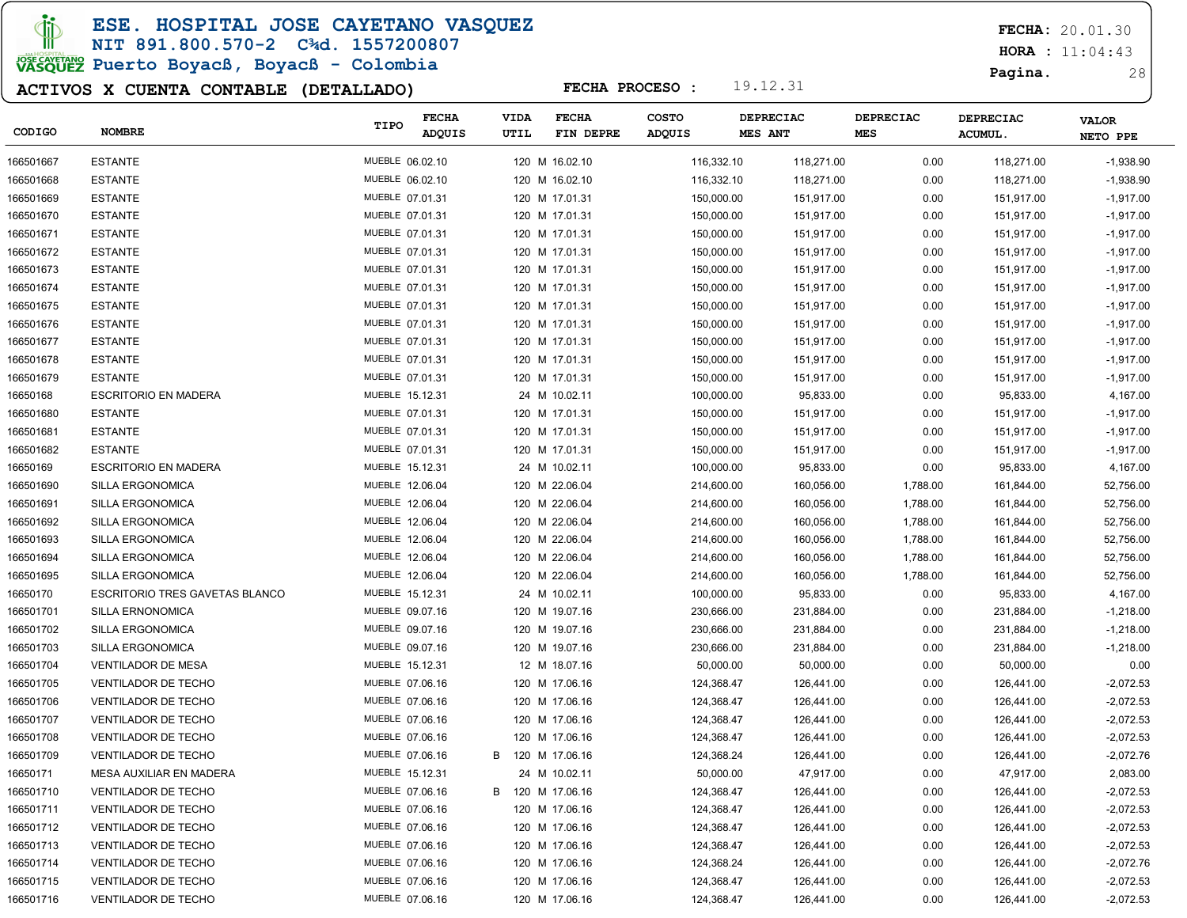ESE. HOSPITAL JOSE CAYETANO VASQUEZ

#### NIT 891.800.570-2 C¾d. 1557200807

# JOSE CAVERANO<br>VASQUEZ Puerto Boyacß, Boyacß - Colombia

### ACTIVOS X CUENTA CONTABLE (DETALLADO)

FECHA: 20.01.30

 $HORA : 11:04:43$ 

Pagina. 28

| CODIGO    | <b>NOMBRE</b>                         | TIPO            | <b>FECHA</b><br>ADQUIS | VIDA<br>UTIL     | <b>FECHA</b><br>FIN DEPRE | <b>COSTO</b><br>ADQUIS | DEPRECIAC<br><b>MES ANT</b> | <b>DEPRECIAC</b><br><b>MES</b> | <b>DEPRECIAC</b><br><b>ACUMUL.</b> | <b>VALOR</b><br>NETO PPE |
|-----------|---------------------------------------|-----------------|------------------------|------------------|---------------------------|------------------------|-----------------------------|--------------------------------|------------------------------------|--------------------------|
| 166501667 | <b>ESTANTE</b>                        | MUEBLE 06.02.10 |                        |                  | 120 M 16.02.10            | 116,332.10             | 118,271.00                  | 0.00                           | 118,271.00                         | $-1,938.90$              |
| 166501668 | <b>ESTANTE</b>                        | MUEBLE 06.02.10 |                        |                  | 120 M 16.02.10            | 116,332.10             | 118,271.00                  | 0.00                           | 118,271.00                         | $-1,938.90$              |
| 166501669 | <b>ESTANTE</b>                        | MUEBLE 07.01.31 |                        |                  | 120 M 17.01.31            | 150,000.00             | 151,917.00                  | 0.00                           | 151,917.00                         | $-1,917.00$              |
| 166501670 | <b>ESTANTE</b>                        | MUEBLE 07.01.31 |                        |                  | 120 M 17.01.31            | 150,000.00             | 151,917.00                  | 0.00                           | 151,917.00                         | $-1,917.00$              |
| 166501671 | <b>ESTANTE</b>                        | MUEBLE 07.01.31 |                        |                  | 120 M 17.01.31            | 150,000.00             | 151,917.00                  | 0.00                           | 151,917.00                         | $-1,917.00$              |
| 166501672 | <b>ESTANTE</b>                        | MUEBLE 07.01.31 |                        |                  | 120 M 17.01.31            | 150,000.00             | 151,917.00                  | 0.00                           | 151,917.00                         | $-1,917.00$              |
| 166501673 | <b>ESTANTE</b>                        | MUEBLE 07.01.31 |                        |                  | 120 M 17.01.31            | 150,000.00             | 151,917.00                  | 0.00                           | 151,917.00                         | $-1,917.00$              |
| 166501674 | <b>ESTANTE</b>                        | MUEBLE 07.01.31 |                        |                  | 120 M 17.01.31            | 150,000.00             | 151,917.00                  | 0.00                           | 151,917.00                         | $-1,917.00$              |
| 166501675 | <b>ESTANTE</b>                        | MUEBLE 07.01.31 |                        |                  | 120 M 17.01.31            | 150,000.00             | 151,917.00                  | 0.00                           | 151,917.00                         | $-1,917.00$              |
| 166501676 | <b>ESTANTE</b>                        | MUEBLE 07.01.31 |                        |                  | 120 M 17.01.31            | 150,000.00             | 151,917.00                  | 0.00                           | 151,917.00                         | $-1,917.00$              |
| 166501677 | <b>ESTANTE</b>                        | MUEBLE 07.01.31 |                        |                  | 120 M 17.01.31            | 150,000.00             | 151,917.00                  | 0.00                           | 151,917.00                         | $-1,917.00$              |
| 166501678 | <b>ESTANTE</b>                        | MUEBLE 07.01.31 |                        |                  | 120 M 17.01.31            | 150,000.00             | 151,917.00                  | 0.00                           | 151,917.00                         | $-1,917.00$              |
| 166501679 | <b>ESTANTE</b>                        | MUEBLE 07.01.31 |                        |                  | 120 M 17.01.31            | 150,000.00             | 151,917.00                  | 0.00                           | 151,917.00                         | $-1,917.00$              |
| 16650168  | <b>ESCRITORIO EN MADERA</b>           | MUEBLE 15.12.31 |                        |                  | 24 M 10.02.11             | 100,000.00             | 95,833.00                   | 0.00                           | 95,833.00                          | 4,167.00                 |
| 166501680 | <b>ESTANTE</b>                        | MUEBLE 07.01.31 |                        |                  | 120 M 17.01.31            | 150,000.00             | 151,917.00                  | 0.00                           | 151,917.00                         | $-1,917.00$              |
| 166501681 | <b>ESTANTE</b>                        | MUEBLE 07.01.31 |                        |                  | 120 M 17.01.31            | 150,000.00             | 151,917.00                  | 0.00                           | 151,917.00                         | $-1,917.00$              |
| 166501682 | <b>ESTANTE</b>                        | MUEBLE 07.01.31 |                        |                  | 120 M 17.01.31            | 150,000.00             | 151,917.00                  | 0.00                           | 151,917.00                         | $-1,917.00$              |
| 16650169  | <b>ESCRITORIO EN MADERA</b>           | MUEBLE 15.12.31 |                        |                  | 24 M 10.02.11             | 100,000.00             | 95,833.00                   | 0.00                           | 95,833.00                          | 4,167.00                 |
| 166501690 | SILLA ERGONOMICA                      | MUEBLE 12.06.04 |                        |                  | 120 M 22.06.04            | 214,600.00             | 160,056.00                  | 1,788.00                       | 161,844.00                         | 52,756.00                |
| 166501691 | SILLA ERGONOMICA                      | MUEBLE 12.06.04 |                        |                  | 120 M 22.06.04            | 214,600.00             | 160,056.00                  | 1,788.00                       | 161,844.00                         | 52,756.00                |
| 166501692 | SILLA ERGONOMICA                      | MUEBLE 12.06.04 |                        |                  | 120 M 22.06.04            | 214,600.00             | 160,056.00                  | 1,788.00                       | 161,844.00                         | 52,756.00                |
| 166501693 | SILLA ERGONOMICA                      | MUEBLE 12.06.04 |                        |                  | 120 M 22.06.04            | 214,600.00             | 160,056.00                  | 1,788.00                       | 161,844.00                         | 52,756.00                |
| 166501694 | SILLA ERGONOMICA                      | MUEBLE 12.06.04 |                        |                  | 120 M 22.06.04            | 214,600.00             | 160,056.00                  | 1,788.00                       | 161,844.00                         | 52,756.00                |
| 166501695 | SILLA ERGONOMICA                      | MUEBLE 12.06.04 |                        |                  | 120 M 22.06.04            | 214,600.00             | 160,056.00                  | 1,788.00                       | 161,844.00                         | 52,756.00                |
| 16650170  | <b>ESCRITORIO TRES GAVETAS BLANCO</b> | MUEBLE 15.12.31 |                        |                  | 24 M 10.02.11             | 100,000.00             | 95,833.00                   | 0.00                           | 95,833.00                          | 4,167.00                 |
| 166501701 | SILLA ERNONOMICA                      | MUEBLE 09.07.16 |                        |                  | 120 M 19.07.16            | 230,666.00             | 231,884.00                  | 0.00                           | 231,884.00                         | $-1,218.00$              |
| 166501702 | SILLA ERGONOMICA                      | MUEBLE 09.07.16 |                        |                  | 120 M 19.07.16            | 230,666.00             | 231,884.00                  | 0.00                           | 231,884.00                         | $-1,218.00$              |
| 166501703 | SILLA ERGONOMICA                      | MUEBLE 09.07.16 |                        |                  | 120 M 19.07.16            | 230,666.00             | 231,884.00                  | 0.00                           | 231,884.00                         | $-1,218.00$              |
| 166501704 | <b>VENTILADOR DE MESA</b>             | MUEBLE 15.12.31 |                        |                  | 12 M 18.07.16             | 50,000.00              | 50,000.00                   | 0.00                           | 50,000.00                          | 0.00                     |
| 166501705 | VENTILADOR DE TECHO                   | MUEBLE 07.06.16 |                        |                  | 120 M 17.06.16            | 124,368.47             | 126,441.00                  | 0.00                           | 126,441.00                         | $-2,072.53$              |
| 166501706 | <b>VENTILADOR DE TECHO</b>            | MUEBLE 07.06.16 |                        |                  | 120 M 17.06.16            | 124,368.47             | 126,441.00                  | 0.00                           | 126,441.00                         | $-2,072.53$              |
| 166501707 | <b>VENTILADOR DE TECHO</b>            | MUEBLE 07.06.16 |                        |                  | 120 M 17.06.16            | 124,368.47             | 126,441.00                  | 0.00                           | 126,441.00                         | $-2,072.53$              |
| 166501708 | <b>VENTILADOR DE TECHO</b>            | MUEBLE 07.06.16 |                        |                  | 120 M 17.06.16            | 124,368.47             | 126,441.00                  | 0.00                           | 126,441.00                         | $-2,072.53$              |
| 166501709 | VENTILADOR DE TECHO                   | MUEBLE 07.06.16 |                        | B                | 120 M 17.06.16            | 124,368.24             | 126,441.00                  | 0.00                           | 126,441.00                         | $-2,072.76$              |
| 16650171  | MESA AUXILIAR EN MADERA               | MUEBLE 15.12.31 |                        |                  | 24 M 10.02.11             | 50,000.00              | 47,917.00                   | 0.00                           | 47,917.00                          | 2,083.00                 |
| 166501710 | VENTILADOR DE TECHO                   | MUEBLE 07.06.16 |                        | B 120 M 17.06.16 |                           | 124,368.47             | 126,441.00                  | 0.00                           | 126,441.00                         | $-2,072.53$              |
| 166501711 | <b>VENTILADOR DE TECHO</b>            | MUEBLE 07.06.16 |                        |                  | 120 M 17.06.16            | 124,368.47             | 126,441.00                  | 0.00                           | 126,441.00                         | $-2,072.53$              |
| 166501712 | VENTILADOR DE TECHO                   | MUEBLE 07.06.16 |                        |                  | 120 M 17.06.16            | 124,368.47             | 126,441.00                  | 0.00                           | 126,441.00                         | $-2,072.53$              |
| 166501713 | <b>VENTILADOR DE TECHO</b>            | MUEBLE 07.06.16 |                        |                  | 120 M 17.06.16            | 124,368.47             | 126,441.00                  | 0.00                           | 126,441.00                         | $-2,072.53$              |
| 166501714 | VENTILADOR DE TECHO                   | MUEBLE 07.06.16 |                        |                  | 120 M 17.06.16            | 124,368.24             | 126,441.00                  | 0.00                           | 126,441.00                         | $-2,072.76$              |
| 166501715 | <b>VENTILADOR DE TECHO</b>            | MUEBLE 07.06.16 |                        |                  | 120 M 17.06.16            | 124,368.47             | 126,441.00                  | 0.00                           | 126,441.00                         | $-2,072.53$              |
| 166501716 | VENTILADOR DE TECHO                   | MUEBLE 07.06.16 |                        |                  | 120 M 17.06.16            | 124,368.47             | 126,441.00                  | 0.00                           | 126,441.00                         | $-2,072.53$              |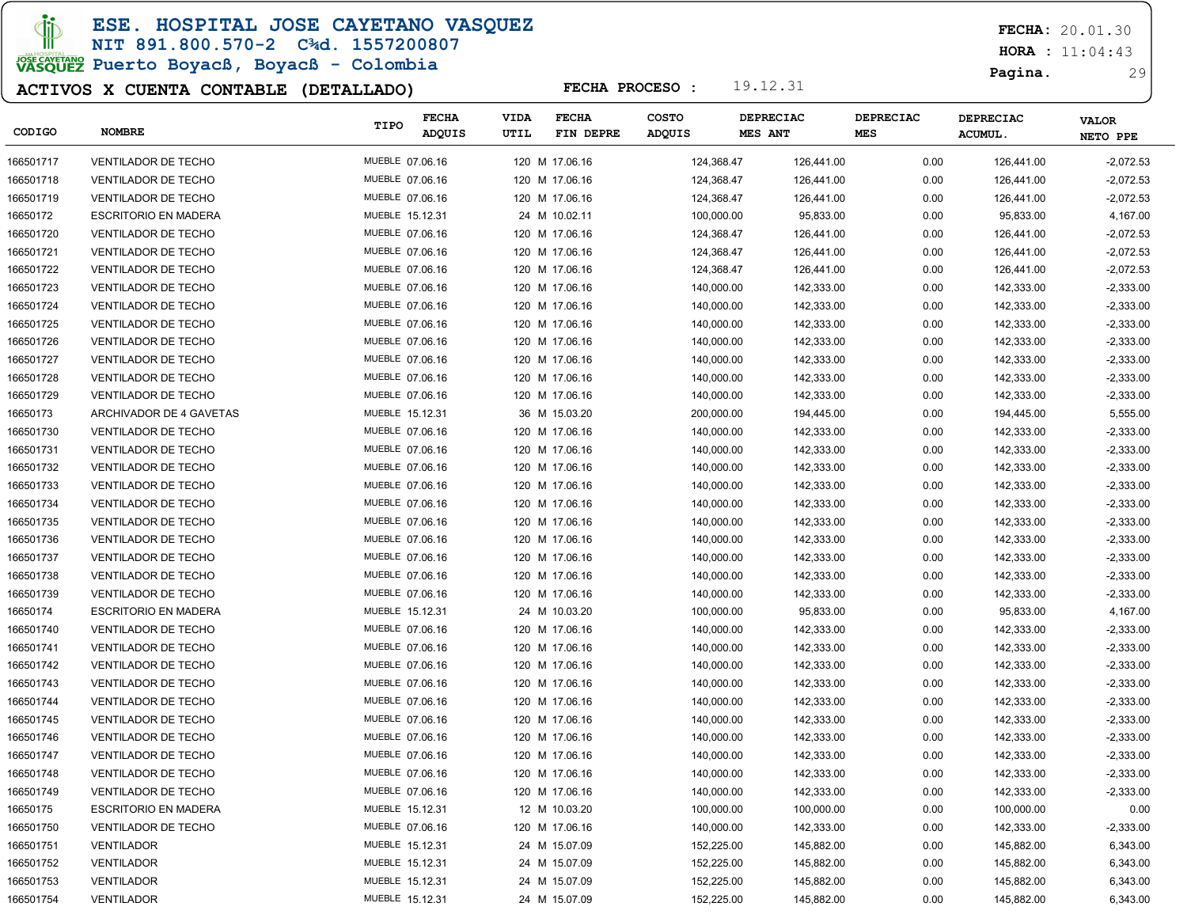### ESE. HOSPITAL JOSE CAYETANO VASQUEZ

#### NIT 891.800.570-2 C¾d. 1557200807

# JOSE CAVERANO<br>VASQUEZ Puerto Boyacß, Boyacß - Colombia

### ACTIVOS X CUENTA CONTABLE (DETALLADO)

FECHA: 20.01.30

 $HORA : 11:04:43$ 

Pagina. 29

| CODIGO    | <b>NOMBRE</b>               | TIPO            | <b>FECHA</b><br><b>ADQUIS</b> | <b>VIDA</b><br>UTIL | <b>FECHA</b><br>FIN DEPRE | COSTO<br>ADQUIS | DEPRECIAC<br><b>MES ANT</b> | DEPRECIAC<br><b>MES</b> | <b>DEPRECIAC</b><br><b>ACUMUL</b> | <b>VALOR</b><br>NETO PPE |
|-----------|-----------------------------|-----------------|-------------------------------|---------------------|---------------------------|-----------------|-----------------------------|-------------------------|-----------------------------------|--------------------------|
| 166501717 | <b>VENTILADOR DE TECHO</b>  | MUEBLE 07.06.16 |                               |                     | 120 M 17.06.16            | 124,368.47      | 126,441.00                  | 0.00                    | 126,441.00                        | $-2,072.53$              |
| 166501718 | <b>VENTILADOR DE TECHO</b>  | MUEBLE 07.06.16 |                               |                     | 120 M 17.06.16            | 124,368.47      | 126,441.00                  | 0.00                    | 126,441.00                        | $-2,072.53$              |
| 166501719 | <b>VENTILADOR DE TECHO</b>  | MUEBLE 07.06.16 |                               |                     | 120 M 17.06.16            | 124,368.47      | 126,441.00                  | 0.00                    | 126,441.00                        | -2,072.53                |
| 16650172  | <b>ESCRITORIO EN MADERA</b> | MUEBLE 15.12.31 |                               |                     | 24 M 10.02.11             | 100,000.00      | 95,833.00                   | 0.00                    | 95,833.00                         | 4,167.00                 |
| 166501720 | <b>VENTILADOR DE TECHO</b>  | MUEBLE 07.06.16 |                               |                     | 120 M 17.06.16            | 124,368.47      | 126,441.00                  | 0.00                    | 126,441.00                        | $-2,072.53$              |
| 166501721 | <b>VENTILADOR DE TECHO</b>  | MUEBLE 07.06.16 |                               |                     | 120 M 17.06.16            | 124,368.47      | 126,441.00                  | 0.00                    | 126,441.00                        | $-2,072.53$              |
| 166501722 | <b>VENTILADOR DE TECHO</b>  | MUEBLE 07.06.16 |                               |                     | 120 M 17.06.16            | 124,368.47      | 126,441.00                  | 0.00                    | 126,441.00                        | $-2,072.53$              |
| 166501723 | <b>VENTILADOR DE TECHO</b>  | MUEBLE 07.06.16 |                               |                     | 120 M 17.06.16            | 140,000.00      | 142,333.00                  | 0.00                    | 142,333.00                        | $-2,333.00$              |
| 166501724 | <b>VENTILADOR DE TECHO</b>  | MUEBLE 07.06.16 |                               |                     | 120 M 17.06.16            | 140,000.00      | 142,333.00                  | 0.00                    | 142,333.00                        | $-2,333.00$              |
| 166501725 | <b>VENTILADOR DE TECHO</b>  | MUEBLE 07.06.16 |                               |                     | 120 M 17.06.16            | 140,000.00      | 142,333.00                  | 0.00                    | 142,333.00                        | $-2,333.00$              |
| 166501726 | <b>VENTILADOR DE TECHO</b>  | MUEBLE 07.06.16 |                               |                     | 120 M 17.06.16            | 140,000.00      | 142,333.00                  | 0.00                    | 142,333.00                        | $-2,333.00$              |
| 166501727 | <b>VENTILADOR DE TECHO</b>  | MUEBLE 07.06.16 |                               |                     | 120 M 17.06.16            | 140,000.00      | 142,333.00                  | 0.00                    | 142,333.00                        | $-2,333.00$              |
| 166501728 | <b>VENTILADOR DE TECHO</b>  | MUEBLE 07.06.16 |                               |                     | 120 M 17.06.16            | 140,000.00      | 142,333.00                  | 0.00                    | 142,333.00                        | $-2,333.00$              |
| 166501729 | <b>VENTILADOR DE TECHO</b>  | MUEBLE 07.06.16 |                               |                     | 120 M 17.06.16            | 140,000.00      | 142,333.00                  | 0.00                    | 142,333.00                        | $-2,333.00$              |
| 16650173  | ARCHIVADOR DE 4 GAVETAS     | MUEBLE 15.12.31 |                               |                     | 36 M 15.03.20             | 200,000.00      | 194,445.00                  | 0.00                    | 194,445.00                        | 5,555.00                 |
| 166501730 | <b>VENTILADOR DE TECHO</b>  | MUEBLE 07.06.16 |                               |                     | 120 M 17.06.16            | 140,000.00      | 142,333.00                  | 0.00                    | 142,333.00                        | $-2,333.00$              |
| 166501731 | <b>VENTILADOR DE TECHO</b>  | MUEBLE 07.06.16 |                               |                     | 120 M 17.06.16            | 140,000.00      | 142,333.00                  | 0.00                    | 142,333.00                        | $-2,333.00$              |
| 166501732 | <b>VENTILADOR DE TECHO</b>  | MUEBLE 07.06.16 |                               |                     | 120 M 17.06.16            | 140,000.00      | 142,333.00                  | 0.00                    | 142,333.00                        | $-2,333.00$              |
| 166501733 | <b>VENTILADOR DE TECHO</b>  | MUEBLE 07.06.16 |                               |                     | 120 M 17.06.16            | 140,000.00      | 142,333.00                  | 0.00                    | 142,333.00                        | $-2,333.00$              |
| 166501734 | <b>VENTILADOR DE TECHO</b>  | MUEBLE 07.06.16 |                               |                     | 120 M 17.06.16            | 140,000.00      | 142,333.00                  | 0.00                    | 142,333.00                        | $-2,333.00$              |
| 166501735 | <b>VENTILADOR DE TECHO</b>  | MUEBLE 07.06.16 |                               |                     | 120 M 17.06.16            | 140,000.00      | 142,333.00                  | 0.00                    | 142,333.00                        | $-2,333.00$              |
| 166501736 | <b>VENTILADOR DE TECHO</b>  | MUEBLE 07.06.16 |                               |                     | 120 M 17.06.16            | 140,000.00      | 142,333.00                  | 0.00                    | 142,333.00                        | $-2,333.00$              |
| 166501737 | <b>VENTILADOR DE TECHO</b>  | MUEBLE 07.06.16 |                               |                     | 120 M 17.06.16            | 140,000.00      | 142,333.00                  | 0.00                    | 142,333.00                        | $-2,333.00$              |
| 166501738 | <b>VENTILADOR DE TECHO</b>  | MUEBLE 07.06.16 |                               |                     | 120 M 17.06.16            | 140,000.00      | 142,333.00                  | 0.00                    | 142,333.00                        | $-2,333.00$              |
| 166501739 | <b>VENTILADOR DE TECHO</b>  | MUEBLE 07.06.16 |                               |                     | 120 M 17.06.16            | 140,000.00      | 142,333.00                  | 0.00                    | 142,333.00                        | $-2,333.00$              |
| 16650174  | <b>ESCRITORIO EN MADERA</b> | MUEBLE 15.12.31 |                               |                     | 24 M 10.03.20             | 100,000.00      | 95,833.00                   | 0.00                    | 95,833.00                         | 4,167.00                 |
| 166501740 | <b>VENTILADOR DE TECHO</b>  | MUEBLE 07.06.16 |                               |                     | 120 M 17.06.16            | 140,000.00      | 142,333.00                  | 0.00                    | 142,333.00                        | $-2,333.00$              |
| 166501741 | <b>VENTILADOR DE TECHO</b>  | MUEBLE 07.06.16 |                               |                     | 120 M 17.06.16            | 140,000.00      | 142,333.00                  | 0.00                    | 142,333.00                        | $-2,333.00$              |
| 166501742 | <b>VENTILADOR DE TECHO</b>  | MUEBLE 07.06.16 |                               |                     | 120 M 17.06.16            | 140,000.00      | 142,333.00                  | 0.00                    | 142,333.00                        | $-2,333.00$              |
| 166501743 | <b>VENTILADOR DE TECHO</b>  | MUEBLE 07.06.16 |                               |                     | 120 M 17.06.16            | 140,000.00      | 142,333.00                  | 0.00                    | 142,333.00                        | $-2,333.00$              |
| 166501744 | <b>VENTILADOR DE TECHO</b>  | MUEBLE 07.06.16 |                               |                     | 120 M 17.06.16            | 140,000.00      | 142,333.00                  | 0.00                    | 142,333.00                        | $-2,333.00$              |
| 166501745 | <b>VENTILADOR DE TECHO</b>  | MUEBLE 07.06.16 |                               |                     | 120 M 17.06.16            | 140,000.00      | 142,333.00                  | 0.00                    | 142,333.00                        | $-2,333.00$              |
| 166501746 | <b>VENTILADOR DE TECHO</b>  | MUEBLE 07.06.16 |                               |                     | 120 M 17.06.16            | 140,000.00      | 142,333.00                  | 0.00                    | 142,333.00                        | $-2,333.00$              |
| 166501747 | <b>VENTILADOR DE TECHO</b>  | MUEBLE 07.06.16 |                               |                     | 120 M 17.06.16            | 140,000.00      | 142,333.00                  | 0.00                    | 142,333.00                        | $-2,333.00$              |
| 166501748 | <b>VENTILADOR DE TECHO</b>  | MUEBLE 07.06.16 |                               |                     | 120 M 17.06.16            | 140,000.00      | 142,333.00                  | 0.00                    | 142,333.00                        | $-2,333.00$              |
| 166501749 | VENTILADOR DE TECHO         | MUEBLE 07.06.16 |                               |                     | 120 M 17.06.16            | 140,000.00      | 142,333.00                  | 0.00                    | 142,333.00                        | -2,333.00                |
| 16650175  | <b>ESCRITORIO EN MADERA</b> | MUEBLE 15.12.31 |                               |                     | 12 M 10.03.20             | 100,000.00      | 100,000.00                  | 0.00                    | 100,000.00                        | 0.00                     |
| 166501750 | VENTILADOR DE TECHO         | MUEBLE 07.06.16 |                               |                     | 120 M 17.06.16            | 140,000.00      | 142,333.00                  | 0.00                    | 142,333.00                        | -2,333.00                |
| 166501751 | VENTILADOR                  | MUEBLE 15.12.31 |                               |                     | 24 M 15.07.09             | 152,225.00      | 145,882.00                  | 0.00                    | 145,882.00                        | 6,343.00                 |
| 166501752 | VENTILADOR                  | MUEBLE 15.12.31 |                               |                     | 24 M 15.07.09             | 152,225.00      | 145,882.00                  | 0.00                    | 145,882.00                        | 6,343.00                 |
| 166501753 | VENTILADOR                  | MUEBLE 15.12.31 |                               |                     | 24 M 15.07.09             | 152,225.00      | 145,882.00                  | 0.00                    | 145,882.00                        | 6,343.00                 |
| 166501754 | <b>VENTILADOR</b>           | MUEBLE 15.12.31 |                               |                     | 24 M 15.07.09             | 152,225.00      | 145,882.00                  | 0.00                    | 145,882.00                        | 6,343.00                 |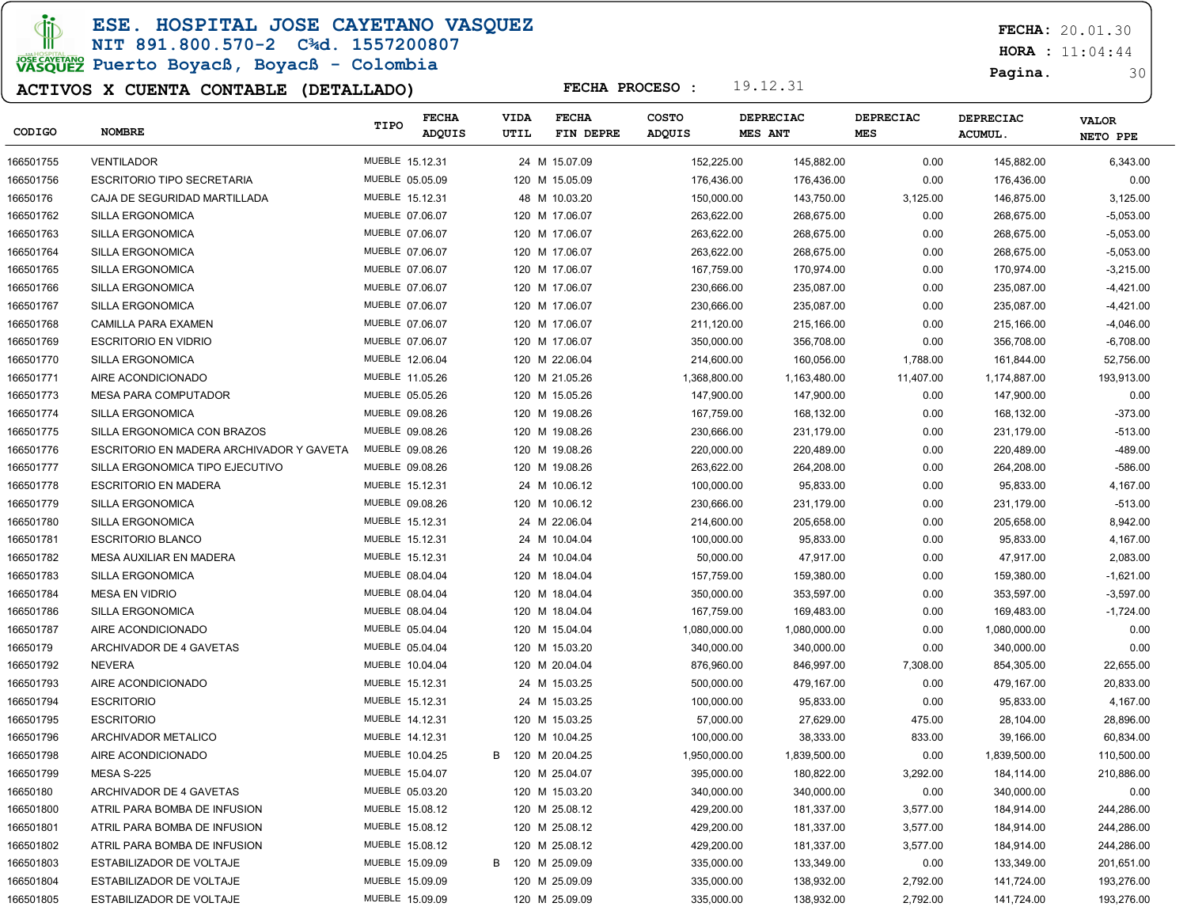ESE. HOSPITAL JOSE CAYETANO VASQUEZ

### NIT 891.800.570-2 C¾d. 1557200807

# JOSE CAVERANO<br>VASQUEZ Puerto Boyacß, Boyacß - Colombia

### ACTIVOS X CUENTA CONTABLE (DETALLADO)

FECHA: 20.01.30

**HORA** : 11:04:44

Pagina. 30

| CODIGO    | <b>NOMBRE</b>                            | TIPO            | <b>FECHA</b><br><b>ADQUIS</b> | VIDA<br>UTIL | <b>FECHA</b><br>FIN DEPRE | <b>COSTO</b><br>ADQUIS |              | <b>DEPRECIAC</b><br><b>MES ANT</b> | DEPRECIAC<br><b>MES</b> | <b>DEPRECIAC</b><br><b>ACUMUL.</b> | <b>VALOR</b><br>NETO PPE |
|-----------|------------------------------------------|-----------------|-------------------------------|--------------|---------------------------|------------------------|--------------|------------------------------------|-------------------------|------------------------------------|--------------------------|
| 166501755 | <b>VENTILADOR</b>                        | MUEBLE 15.12.31 |                               |              | 24 M 15.07.09             |                        | 152,225.00   | 145,882.00                         | 0.00                    | 145,882.00                         | 6,343.00                 |
| 166501756 | <b>ESCRITORIO TIPO SECRETARIA</b>        | MUEBLE 05.05.09 |                               |              | 120 M 15.05.09            |                        | 176,436.00   | 176,436.00                         | 0.00                    | 176,436.00                         | 0.00                     |
| 16650176  | CAJA DE SEGURIDAD MARTILLADA             | MUEBLE 15.12.31 |                               |              | 48 M 10.03.20             |                        | 150,000.00   | 143,750.00                         | 3,125.00                | 146,875.00                         | 3,125.00                 |
| 166501762 | SILLA ERGONOMICA                         | MUEBLE 07.06.07 |                               |              | 120 M 17.06.07            |                        | 263,622.00   | 268,675.00                         | 0.00                    | 268,675.00                         | $-5,053.00$              |
| 166501763 | SILLA ERGONOMICA                         | MUEBLE 07.06.07 |                               |              | 120 M 17.06.07            |                        | 263,622.00   | 268,675.00                         | 0.00                    | 268,675.00                         | $-5,053.00$              |
| 166501764 | SILLA ERGONOMICA                         | MUEBLE 07.06.07 |                               |              | 120 M 17.06.07            |                        | 263,622.00   | 268,675.00                         | 0.00                    | 268,675.00                         | $-5,053.00$              |
| 166501765 | SILLA ERGONOMICA                         | MUEBLE 07.06.07 |                               |              | 120 M 17.06.07            |                        | 167,759.00   | 170,974.00                         | 0.00                    | 170,974.00                         | $-3,215.00$              |
| 166501766 | SILLA ERGONOMICA                         | MUEBLE 07.06.07 |                               |              | 120 M 17.06.07            |                        | 230,666.00   | 235,087.00                         | 0.00                    | 235,087.00                         | $-4,421.00$              |
| 166501767 | SILLA ERGONOMICA                         | MUEBLE 07.06.07 |                               |              | 120 M 17.06.07            |                        | 230,666.00   | 235,087.00                         | 0.00                    | 235,087.00                         | $-4,421.00$              |
| 166501768 | CAMILLA PARA EXAMEN                      | MUEBLE 07.06.07 |                               |              | 120 M 17.06.07            |                        | 211,120.00   | 215,166.00                         | 0.00                    | 215,166.00                         | $-4,046.00$              |
| 166501769 | <b>ESCRITORIO EN VIDRIO</b>              | MUEBLE 07.06.07 |                               |              | 120 M 17.06.07            |                        | 350,000.00   | 356,708.00                         | 0.00                    | 356,708.00                         | $-6,708.00$              |
| 166501770 | <b>SILLA ERGONOMICA</b>                  | MUEBLE 12.06.04 |                               |              | 120 M 22.06.04            |                        | 214,600.00   | 160,056.00                         | 1,788.00                | 161,844.00                         | 52,756.00                |
| 166501771 | AIRE ACONDICIONADO                       | MUEBLE 11.05.26 |                               |              | 120 M 21.05.26            |                        | 1,368,800.00 | 1,163,480.00                       | 11,407.00               | 1,174,887.00                       | 193,913.00               |
| 166501773 | <b>MESA PARA COMPUTADOR</b>              | MUEBLE 05.05.26 |                               |              | 120 M 15.05.26            |                        | 147,900.00   | 147,900.00                         | 0.00                    | 147,900.00                         | 0.00                     |
| 166501774 | <b>SILLA ERGONOMICA</b>                  | MUEBLE 09.08.26 |                               |              | 120 M 19.08.26            |                        | 167,759.00   | 168,132.00                         | 0.00                    | 168,132.00                         | $-373.00$                |
| 166501775 | SILLA ERGONOMICA CON BRAZOS              | MUEBLE 09.08.26 |                               |              | 120 M 19.08.26            |                        | 230,666.00   | 231,179.00                         | 0.00                    | 231,179.00                         | $-513.00$                |
| 166501776 | ESCRITORIO EN MADERA ARCHIVADOR Y GAVETA | MUEBLE 09.08.26 |                               |              | 120 M 19.08.26            |                        | 220,000.00   | 220,489.00                         | 0.00                    | 220,489.00                         | -489.00                  |
| 166501777 | SILLA ERGONOMICA TIPO EJECUTIVO          | MUEBLE 09.08.26 |                               |              | 120 M 19.08.26            |                        | 263,622.00   | 264,208.00                         | 0.00                    | 264,208.00                         | $-586.00$                |
| 166501778 | <b>ESCRITORIO EN MADERA</b>              | MUEBLE 15.12.31 |                               |              | 24 M 10.06.12             |                        | 100,000.00   | 95,833.00                          | 0.00                    | 95,833.00                          | 4,167.00                 |
| 166501779 | SILLA ERGONOMICA                         | MUEBLE 09.08.26 |                               |              | 120 M 10.06.12            |                        | 230,666.00   | 231,179.00                         | 0.00                    | 231,179.00                         | $-513.00$                |
| 166501780 | SILLA ERGONOMICA                         | MUEBLE 15.12.31 |                               |              | 24 M 22.06.04             |                        | 214,600.00   | 205,658.00                         | 0.00                    | 205,658.00                         | 8,942.00                 |
| 166501781 | <b>ESCRITORIO BLANCO</b>                 | MUEBLE 15.12.31 |                               |              | 24 M 10.04.04             |                        | 100,000.00   | 95,833.00                          | 0.00                    | 95,833.00                          | 4,167.00                 |
| 166501782 | MESA AUXILIAR EN MADERA                  | MUEBLE 15.12.31 |                               |              | 24 M 10.04.04             |                        | 50,000.00    | 47,917.00                          | 0.00                    | 47,917.00                          | 2,083.00                 |
| 166501783 | SILLA ERGONOMICA                         | MUEBLE 08.04.04 |                               |              | 120 M 18.04.04            |                        | 157,759.00   | 159,380.00                         | 0.00                    | 159,380.00                         | $-1,621.00$              |
| 166501784 | <b>MESA EN VIDRIO</b>                    | MUEBLE 08.04.04 |                               |              | 120 M 18.04.04            |                        | 350,000.00   | 353,597.00                         | 0.00                    | 353,597.00                         | $-3,597.00$              |
| 166501786 | SILLA ERGONOMICA                         | MUEBLE 08.04.04 |                               |              | 120 M 18.04.04            |                        | 167,759.00   | 169,483.00                         | 0.00                    | 169,483.00                         | $-1,724.00$              |
| 166501787 | AIRE ACONDICIONADO                       | MUEBLE 05.04.04 |                               |              | 120 M 15.04.04            |                        | 1,080,000.00 | 1,080,000.00                       | 0.00                    | 1,080,000.00                       | 0.00                     |
| 16650179  | ARCHIVADOR DE 4 GAVETAS                  | MUEBLE 05.04.04 |                               |              | 120 M 15.03.20            |                        | 340,000.00   | 340,000.00                         | 0.00                    | 340,000.00                         | 0.00                     |
| 166501792 | NEVERA                                   | MUEBLE 10.04.04 |                               |              | 120 M 20.04.04            |                        | 876,960.00   | 846,997.00                         | 7,308.00                | 854,305.00                         | 22,655.00                |
| 166501793 | AIRE ACONDICIONADO                       | MUEBLE 15.12.31 |                               |              | 24 M 15.03.25             |                        | 500,000.00   | 479,167.00                         | 0.00                    | 479,167.00                         | 20,833.00                |
| 166501794 | <b>ESCRITORIO</b>                        | MUEBLE 15.12.31 |                               |              | 24 M 15.03.25             |                        | 100,000.00   | 95,833.00                          | 0.00                    | 95,833.00                          | 4,167.00                 |
| 166501795 | <b>ESCRITORIO</b>                        | MUEBLE 14.12.31 |                               |              | 120 M 15.03.25            |                        | 57,000.00    | 27,629.00                          | 475.00                  | 28,104.00                          | 28,896.00                |
| 166501796 | ARCHIVADOR METALICO                      | MUEBLE 14.12.31 |                               |              | 120 M 10.04.25            |                        | 100,000.00   | 38,333.00                          | 833.00                  | 39,166.00                          | 60,834.00                |
| 166501798 | AIRE ACONDICIONADO                       | MUEBLE 10.04.25 |                               | B            | 120 M 20.04.25            |                        | 1,950,000.00 | 1,839,500.00                       | 0.00                    | 1,839,500.00                       | 110,500.00               |
| 166501799 | <b>MESA S-225</b>                        | MUEBLE 15.04.07 |                               |              | 120 M 25.04.07            |                        | 395.000.00   | 180,822.00                         | 3,292.00                | 184,114.00                         | 210,886.00               |
| 16650180  | ARCHIVADOR DE 4 GAVETAS                  | MUEBLE 05.03.20 |                               |              | 120 M 15.03.20            |                        | 340,000.00   | 340,000.00                         | 0.00                    | 340,000.00                         | 0.00                     |
| 166501800 | ATRIL PARA BOMBA DE INFUSION             | MUEBLE 15.08.12 |                               |              | 120 M 25.08.12            |                        | 429,200.00   | 181,337.00                         | 3,577.00                | 184,914.00                         | 244,286.00               |
| 166501801 | ATRIL PARA BOMBA DE INFUSION             | MUEBLE 15.08.12 |                               |              | 120 M 25.08.12            |                        | 429,200.00   | 181,337.00                         | 3,577.00                | 184,914.00                         | 244,286.00               |
| 166501802 | ATRIL PARA BOMBA DE INFUSION             | MUEBLE 15.08.12 |                               |              | 120 M 25.08.12            |                        | 429,200.00   | 181,337.00                         | 3,577.00                | 184,914.00                         | 244,286.00               |
| 166501803 | ESTABILIZADOR DE VOLTAJE                 | MUEBLE 15.09.09 |                               |              | B 120 M 25.09.09          |                        | 335,000.00   | 133,349.00                         | 0.00                    | 133,349.00                         | 201,651.00               |
| 166501804 | ESTABILIZADOR DE VOLTAJE                 | MUEBLE 15.09.09 |                               |              | 120 M 25.09.09            |                        | 335,000.00   | 138,932.00                         | 2,792.00                | 141,724.00                         | 193,276.00               |
| 166501805 | ESTABILIZADOR DE VOLTAJE                 | MUEBLE 15.09.09 |                               |              | 120 M 25.09.09            |                        | 335,000.00   | 138,932.00                         | 2,792.00                | 141,724.00                         | 193,276.00               |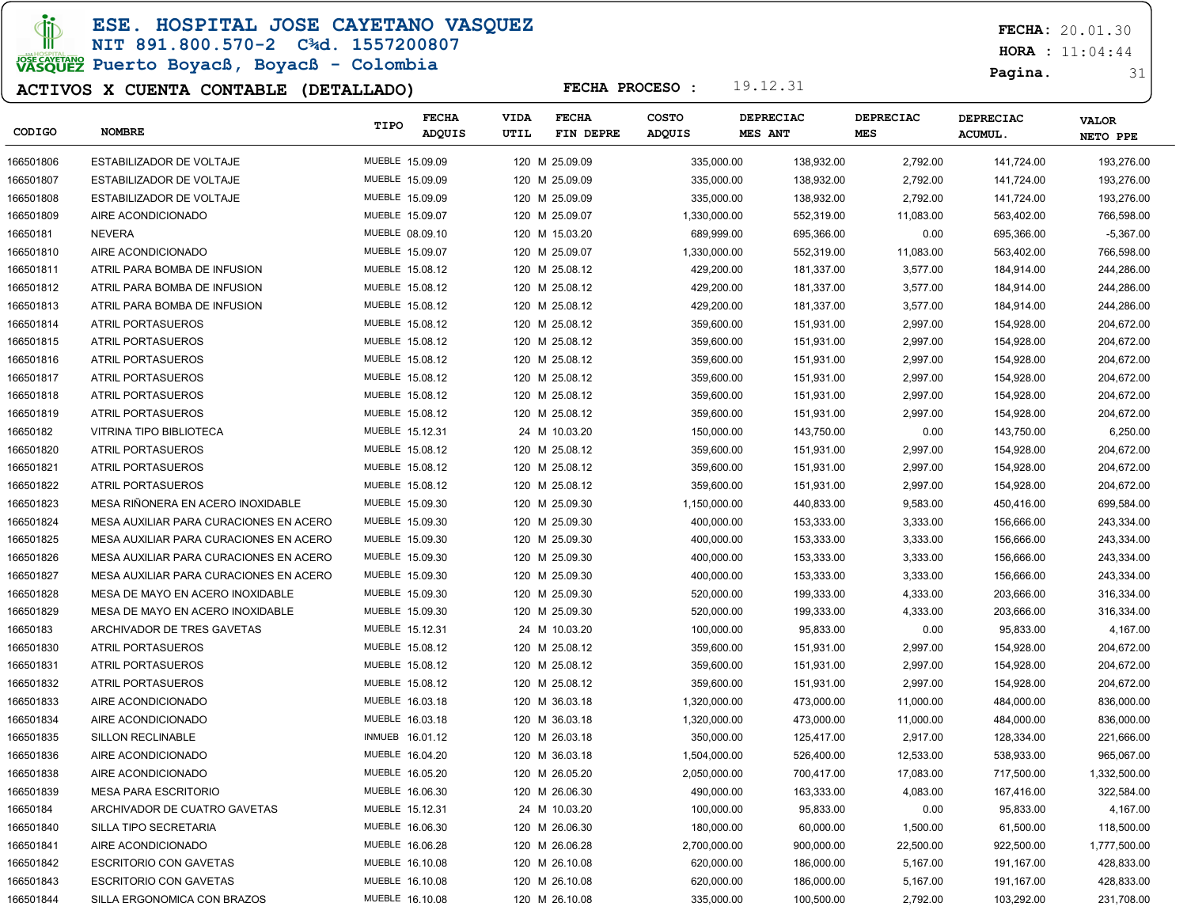**JD** 

ESE. HOSPITAL JOSE CAYETANO VASQUEZ

NIT 891.800.570-2 C¾d. 1557200807 **POWERTANG**<br>VASQUEZ Puerto Boyacß, Boyacß - Colombia

### ACTIVOS X CUENTA CONTABLE (DETALLADO)

FECHA: 20.01.30

**HORA** : 11:04:44

Pagina. 31

| CODIGO    | <b>NOMBRE</b>                          | TIPO            | <b>FECHA</b><br>ADQUIS | <b>VIDA</b><br>UTIL | <b>FECHA</b><br>FIN DEPRE | <b>COSTO</b><br><b>ADQUIS</b> | <b>DEPRECIAC</b><br>MES ANT | <b>DEPRECIAC</b><br>MES | <b>DEPRECIAC</b><br><b>ACUMUL.</b> | <b>VALOR</b><br>NETO PPE |
|-----------|----------------------------------------|-----------------|------------------------|---------------------|---------------------------|-------------------------------|-----------------------------|-------------------------|------------------------------------|--------------------------|
| 166501806 | ESTABILIZADOR DE VOLTAJE               | MUEBLE 15.09.09 |                        |                     | 120 M 25.09.09            | 335,000.00                    | 138,932.00                  | 2,792.00                | 141,724.00                         | 193,276.00               |
| 166501807 | ESTABILIZADOR DE VOLTAJE               | MUEBLE 15.09.09 |                        |                     | 120 M 25.09.09            | 335,000.00                    | 138,932.00                  | 2,792.00                | 141,724.00                         | 193,276.00               |
| 166501808 | ESTABILIZADOR DE VOLTAJE               | MUEBLE 15.09.09 |                        |                     | 120 M 25.09.09            | 335,000.00                    | 138,932.00                  | 2,792.00                | 141,724.00                         | 193,276.00               |
| 166501809 | AIRE ACONDICIONADO                     | MUEBLE 15.09.07 |                        |                     | 120 M 25.09.07            | 1,330,000.00                  | 552,319.00                  | 11,083.00               | 563,402.00                         | 766,598.00               |
| 16650181  | <b>NEVERA</b>                          | MUEBLE 08.09.10 |                        |                     | 120 M 15.03.20            | 689,999.00                    | 695,366.00                  | 0.00                    | 695,366.00                         | $-5,367.00$              |
| 166501810 | AIRE ACONDICIONADO                     | MUEBLE 15.09.07 |                        |                     | 120 M 25.09.07            | 1,330,000.00                  | 552,319.00                  | 11,083.00               | 563,402.00                         | 766,598.00               |
| 166501811 | ATRIL PARA BOMBA DE INFUSION           | MUEBLE 15.08.12 |                        |                     | 120 M 25.08.12            | 429,200.00                    | 181,337.00                  | 3,577.00                | 184,914.00                         | 244,286.00               |
| 166501812 | ATRIL PARA BOMBA DE INFUSION           | MUEBLE 15.08.12 |                        |                     | 120 M 25.08.12            | 429,200.00                    | 181,337.00                  | 3,577.00                | 184,914.00                         | 244,286.00               |
| 166501813 | ATRIL PARA BOMBA DE INFUSION           | MUEBLE 15.08.12 |                        |                     | 120 M 25.08.12            | 429,200.00                    | 181,337.00                  | 3,577.00                | 184,914.00                         | 244,286.00               |
| 166501814 | ATRIL PORTASUEROS                      | MUEBLE 15.08.12 |                        |                     | 120 M 25.08.12            | 359,600.00                    | 151,931.00                  | 2,997.00                | 154,928.00                         | 204,672.00               |
| 166501815 | <b>ATRIL PORTASUEROS</b>               | MUEBLE 15.08.12 |                        |                     | 120 M 25.08.12            | 359,600.00                    | 151,931.00                  | 2,997.00                | 154,928.00                         | 204,672.00               |
| 166501816 | ATRIL PORTASUEROS                      | MUEBLE 15.08.12 |                        |                     | 120 M 25.08.12            | 359,600.00                    | 151,931.00                  | 2,997.00                | 154,928.00                         | 204,672.00               |
| 166501817 | ATRIL PORTASUEROS                      | MUEBLE 15.08.12 |                        |                     | 120 M 25.08.12            | 359,600.00                    | 151,931.00                  | 2,997.00                | 154,928.00                         | 204,672.00               |
| 166501818 | ATRIL PORTASUEROS                      | MUEBLE 15.08.12 |                        |                     | 120 M 25.08.12            | 359,600.00                    | 151,931.00                  | 2,997.00                | 154,928.00                         | 204,672.00               |
| 166501819 | <b>ATRIL PORTASUEROS</b>               | MUEBLE 15.08.12 |                        |                     | 120 M 25.08.12            | 359,600.00                    | 151,931.00                  | 2,997.00                | 154,928.00                         | 204,672.00               |
| 16650182  | VITRINA TIPO BIBLIOTECA                | MUEBLE 15.12.31 |                        |                     | 24 M 10.03.20             | 150,000.00                    | 143,750.00                  | 0.00                    | 143,750.00                         | 6,250.00                 |
| 166501820 | <b>ATRIL PORTASUEROS</b>               | MUEBLE 15.08.12 |                        |                     | 120 M 25.08.12            | 359,600.00                    | 151,931.00                  | 2,997.00                | 154,928.00                         | 204,672.00               |
| 166501821 | <b>ATRIL PORTASUEROS</b>               | MUEBLE 15.08.12 |                        |                     | 120 M 25.08.12            | 359,600.00                    | 151,931.00                  | 2,997.00                | 154,928.00                         | 204,672.00               |
| 166501822 | <b>ATRIL PORTASUEROS</b>               | MUEBLE 15.08.12 |                        |                     | 120 M 25.08.12            | 359,600.00                    | 151,931.00                  | 2,997.00                | 154,928.00                         | 204,672.00               |
| 166501823 | MESA RIÑONERA EN ACERO INOXIDABLE      | MUEBLE 15.09.30 |                        |                     | 120 M 25.09.30            | 1,150,000.00                  | 440,833.00                  | 9,583.00                | 450,416.00                         | 699,584.00               |
| 166501824 | MESA AUXILIAR PARA CURACIONES EN ACERO | MUEBLE 15.09.30 |                        |                     | 120 M 25.09.30            | 400,000.00                    | 153,333.00                  | 3,333.00                | 156,666.00                         | 243,334.00               |
| 166501825 | MESA AUXILIAR PARA CURACIONES EN ACERO | MUEBLE 15.09.30 |                        |                     | 120 M 25.09.30            | 400,000.00                    | 153,333.00                  | 3,333.00                | 156,666.00                         | 243,334.00               |
| 166501826 | MESA AUXILIAR PARA CURACIONES EN ACERO | MUEBLE 15.09.30 |                        |                     | 120 M 25.09.30            | 400,000.00                    | 153,333.00                  | 3,333.00                | 156,666.00                         | 243,334.00               |
| 166501827 | MESA AUXILIAR PARA CURACIONES EN ACERO | MUEBLE 15.09.30 |                        |                     | 120 M 25.09.30            | 400,000.00                    | 153,333.00                  | 3,333.00                | 156,666.00                         | 243,334.00               |
| 166501828 | MESA DE MAYO EN ACERO INOXIDABLE       | MUEBLE 15.09.30 |                        |                     | 120 M 25.09.30            | 520,000.00                    | 199,333.00                  | 4,333.00                | 203,666.00                         | 316,334.00               |
| 166501829 | MESA DE MAYO EN ACERO INOXIDABLE       | MUEBLE 15.09.30 |                        |                     | 120 M 25.09.30            | 520,000.00                    | 199,333.00                  | 4,333.00                | 203,666.00                         | 316,334.00               |
| 16650183  | ARCHIVADOR DE TRES GAVETAS             | MUEBLE 15.12.31 |                        |                     | 24 M 10.03.20             | 100,000.00                    | 95,833.00                   | 0.00                    | 95,833.00                          | 4,167.00                 |
| 166501830 | <b>ATRIL PORTASUEROS</b>               | MUEBLE 15.08.12 |                        |                     | 120 M 25.08.12            | 359,600.00                    | 151,931.00                  | 2,997.00                | 154,928.00                         | 204,672.00               |
| 166501831 | ATRIL PORTASUEROS                      | MUEBLE 15.08.12 |                        |                     | 120 M 25.08.12            | 359,600.00                    | 151,931.00                  | 2,997.00                | 154,928.00                         | 204,672.00               |
| 166501832 | ATRIL PORTASUEROS                      | MUEBLE 15.08.12 |                        |                     | 120 M 25.08.12            | 359,600.00                    | 151,931.00                  | 2,997.00                | 154,928.00                         | 204,672.00               |
| 166501833 | AIRE ACONDICIONADO                     | MUEBLE 16.03.18 |                        |                     | 120 M 36.03.18            | 1,320,000.00                  | 473,000.00                  | 11,000.00               | 484,000.00                         | 836,000.00               |
| 166501834 | AIRE ACONDICIONADO                     | MUEBLE 16.03.18 |                        |                     | 120 M 36.03.18            | 1,320,000.00                  | 473,000.00                  | 11,000.00               | 484,000.00                         | 836,000.00               |
| 166501835 | <b>SILLON RECLINABLE</b>               | INMUEB 16.01.12 |                        |                     | 120 M 26.03.18            | 350,000.00                    | 125,417.00                  | 2,917.00                | 128,334.00                         | 221,666.00               |
| 166501836 | AIRE ACONDICIONADO                     | MUEBLE 16.04.20 |                        |                     | 120 M 36.03.18            | 1,504,000.00                  | 526,400.00                  | 12,533.00               | 538,933.00                         | 965,067.00               |
| 166501838 | AIRE ACONDICIONADO                     | MUEBLE 16.05.20 |                        |                     | 120 M 26.05.20            | 2,050,000.00                  | 700,417.00                  | 17,083.00               | 717,500.00                         | 1,332,500.00             |
| 166501839 | <b>MESA PARA ESCRITORIO</b>            | MUEBLE 16.06.30 |                        |                     | 120 M 26.06.30            | 490,000.00                    | 163,333.00                  | 4,083.00                | 167,416.00                         | 322,584.00               |
| 16650184  | ARCHIVADOR DE CUATRO GAVETAS           | MUEBLE 15.12.31 |                        |                     | 24 M 10.03.20             | 100,000.00                    | 95,833.00                   | 0.00                    | 95,833.00                          | 4,167.00                 |
| 166501840 | SILLA TIPO SECRETARIA                  | MUEBLE 16.06.30 |                        |                     | 120 M 26.06.30            | 180,000.00                    | 60,000.00                   | 1,500.00                | 61,500.00                          | 118,500.00               |
| 166501841 | AIRE ACONDICIONADO                     | MUEBLE 16.06.28 |                        |                     | 120 M 26.06.28            | 2,700,000.00                  | 900,000.00                  | 22,500.00               | 922,500.00                         | 1,777,500.00             |
| 166501842 | <b>ESCRITORIO CON GAVETAS</b>          | MUEBLE 16.10.08 |                        |                     | 120 M 26.10.08            | 620,000.00                    | 186,000.00                  | 5,167.00                | 191,167.00                         | 428,833.00               |
| 166501843 | <b>ESCRITORIO CON GAVETAS</b>          | MUEBLE 16.10.08 |                        |                     | 120 M 26.10.08            | 620,000.00                    | 186,000.00                  | 5,167.00                | 191,167.00                         | 428,833.00               |
| 166501844 | SILLA ERGONOMICA CON BRAZOS            | MUEBLE 16.10.08 |                        |                     | 120 M 26.10.08            | 335,000.00                    | 100,500.00                  | 2,792.00                | 103,292.00                         | 231,708.00               |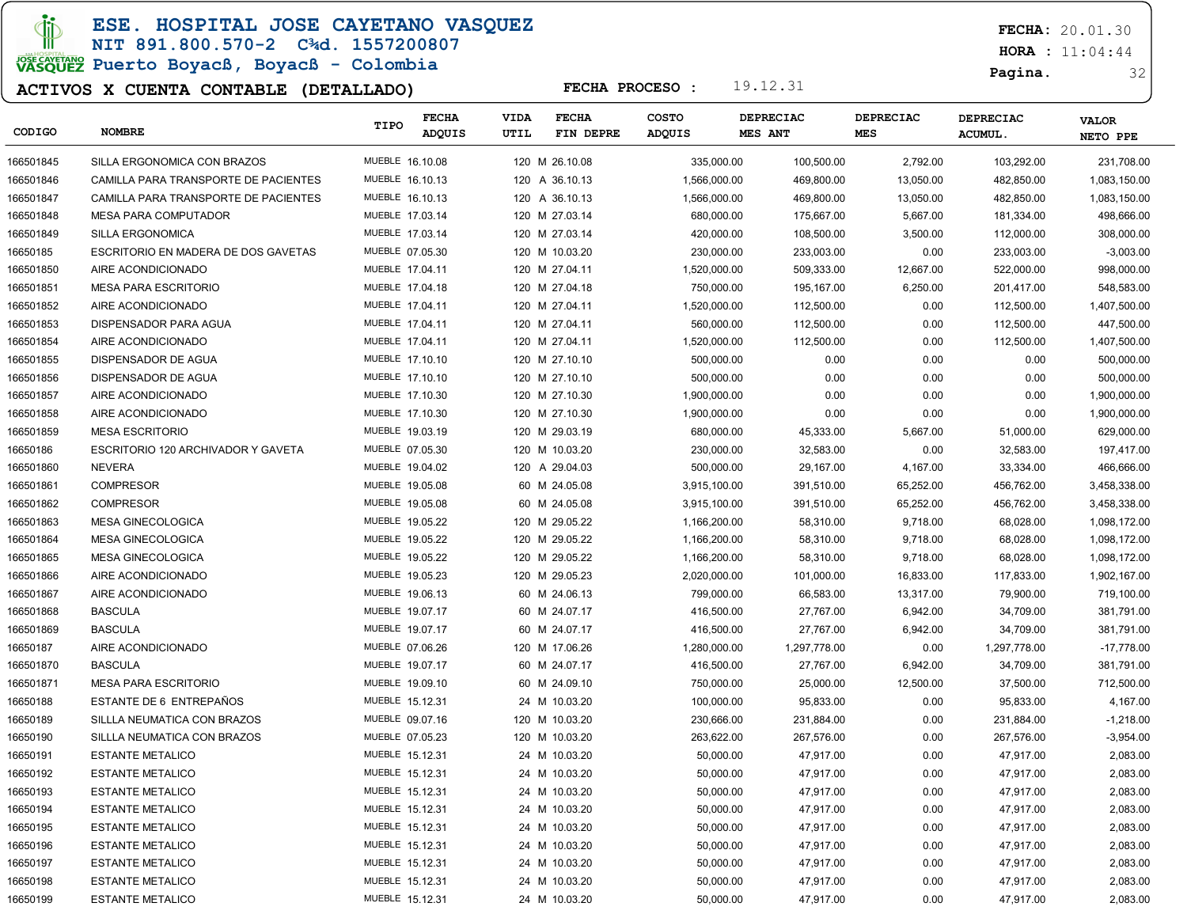ESE. HOSPITAL JOSE CAYETANO VASQUEZ

### NIT 891.800.570-2 C¾d. 1557200807 JOSE CAVERANO<br>VASQUEZ Puerto Boyacß, Boyacß - Colombia

### ACTIVOS X CUENTA CONTABLE (DETALLADO)

FECHA: 20.01.30

**HORA** : 11:04:44

Pagina. 32

| CODIGO    | <b>NOMBRE</b>                        | TIPO            | <b>FECHA</b><br><b>ADQUIS</b> | VIDA<br>UTIL | <b>FECHA</b><br>FIN DEPRE | <b>COSTO</b><br>ADQUIS | <b>DEPRECIAC</b><br>MES ANT | DEPRECIAC<br><b>MES</b> | <b>DEPRECIAC</b><br>ACUMUL. | <b>VALOR</b><br>NETO PPE |
|-----------|--------------------------------------|-----------------|-------------------------------|--------------|---------------------------|------------------------|-----------------------------|-------------------------|-----------------------------|--------------------------|
| 166501845 | SILLA ERGONOMICA CON BRAZOS          | MUEBLE 16.10.08 |                               |              | 120 M 26.10.08            | 335,000.00             | 100,500.00                  | 2,792.00                | 103,292.00                  | 231.708.00               |
| 166501846 | CAMILLA PARA TRANSPORTE DE PACIENTES | MUEBLE 16.10.13 |                               |              | 120 A 36.10.13            | 1,566,000.00           | 469,800.00                  | 13,050.00               | 482,850.00                  | 1,083,150.00             |
| 166501847 | CAMILLA PARA TRANSPORTE DE PACIENTES | MUEBLE 16.10.13 |                               |              | 120 A 36.10.13            | 1,566,000.00           | 469,800.00                  | 13,050.00               | 482,850.00                  | 1,083,150.00             |
| 166501848 | <b>MESA PARA COMPUTADOR</b>          | MUEBLE 17.03.14 |                               |              | 120 M 27.03.14            | 680,000.00             | 175,667.00                  | 5,667.00                | 181,334.00                  | 498,666.00               |
| 166501849 | <b>SILLA ERGONOMICA</b>              | MUEBLE 17.03.14 |                               |              | 120 M 27.03.14            | 420,000.00             | 108,500.00                  | 3,500.00                | 112,000.00                  | 308,000.00               |
| 16650185  | ESCRITORIO EN MADERA DE DOS GAVETAS  | MUEBLE 07.05.30 |                               |              | 120 M 10.03.20            | 230,000.00             | 233,003.00                  | 0.00                    | 233,003.00                  | $-3,003.00$              |
| 166501850 | AIRE ACONDICIONADO                   | MUEBLE 17.04.11 |                               |              | 120 M 27.04.11            | 1,520,000.00           | 509,333.00                  | 12,667.00               | 522,000.00                  | 998,000.00               |
| 166501851 | <b>MESA PARA ESCRITORIO</b>          | MUEBLE 17.04.18 |                               |              | 120 M 27.04.18            | 750,000.00             | 195,167.00                  | 6,250.00                | 201,417.00                  | 548,583.00               |
| 166501852 | AIRE ACONDICIONADO                   | MUEBLE 17.04.11 |                               |              | 120 M 27.04.11            | 1,520,000.00           | 112,500.00                  | 0.00                    | 112,500.00                  | 1,407,500.00             |
| 166501853 | DISPENSADOR PARA AGUA                | MUEBLE 17.04.11 |                               |              | 120 M 27.04.11            | 560,000.00             | 112,500.00                  | 0.00                    | 112,500.00                  | 447,500.00               |
| 166501854 | AIRE ACONDICIONADO                   | MUEBLE 17.04.11 |                               |              | 120 M 27.04.11            | 1,520,000.00           | 112,500.00                  | 0.00                    | 112,500.00                  | 1,407,500.00             |
| 166501855 | DISPENSADOR DE AGUA                  | MUEBLE 17.10.10 |                               |              | 120 M 27.10.10            | 500,000.00             | 0.00                        | 0.00                    | 0.00                        | 500,000.00               |
| 166501856 | DISPENSADOR DE AGUA                  | MUEBLE 17.10.10 |                               |              | 120 M 27.10.10            | 500,000.00             | 0.00                        | 0.00                    | 0.00                        | 500,000.00               |
| 166501857 | AIRE ACONDICIONADO                   | MUEBLE 17.10.30 |                               |              | 120 M 27.10.30            | 1,900,000.00           | 0.00                        | 0.00                    | 0.00                        | 1,900,000.00             |
| 166501858 | AIRE ACONDICIONADO                   | MUEBLE 17.10.30 |                               |              | 120 M 27.10.30            | 1,900,000.00           | 0.00                        | 0.00                    | 0.00                        | 1,900,000.00             |
| 166501859 | <b>MESA ESCRITORIO</b>               | MUEBLE 19.03.19 |                               |              | 120 M 29.03.19            | 680,000.00             | 45,333.00                   | 5,667.00                | 51,000.00                   | 629,000.00               |
| 16650186  | ESCRITORIO 120 ARCHIVADOR Y GAVETA   | MUEBLE 07.05.30 |                               |              | 120 M 10.03.20            | 230,000.00             | 32,583.00                   | 0.00                    | 32,583.00                   | 197.417.00               |
| 166501860 | NEVERA                               | MUEBLE 19.04.02 |                               |              | 120 A 29.04.03            | 500,000.00             | 29,167.00                   | 4,167.00                | 33,334.00                   | 466,666.00               |
| 166501861 | <b>COMPRESOR</b>                     | MUEBLE 19.05.08 |                               |              | 60 M 24.05.08             | 3,915,100.00           | 391,510.00                  | 65,252.00               | 456,762.00                  | 3,458,338.00             |
| 166501862 | <b>COMPRESOR</b>                     | MUEBLE 19.05.08 |                               |              | 60 M 24.05.08             | 3,915,100.00           | 391,510.00                  | 65,252.00               | 456,762.00                  | 3,458,338.00             |
| 166501863 | <b>MESA GINECOLOGICA</b>             | MUEBLE 19.05.22 |                               |              | 120 M 29.05.22            | 1,166,200.00           | 58,310.00                   | 9,718.00                | 68,028.00                   | 1,098,172.00             |
| 166501864 | MESA GINECOLOGICA                    | MUEBLE 19.05.22 |                               |              | 120 M 29.05.22            | 1,166,200.00           | 58,310.00                   | 9,718.00                | 68,028.00                   | 1,098,172.00             |
| 166501865 | <b>MESA GINECOLOGICA</b>             | MUEBLE 19.05.22 |                               |              | 120 M 29.05.22            | 1,166,200.00           | 58,310.00                   | 9,718.00                | 68,028.00                   | 1,098,172.00             |
| 166501866 | AIRE ACONDICIONADO                   | MUEBLE 19.05.23 |                               |              | 120 M 29.05.23            | 2,020,000.00           | 101,000.00                  | 16,833.00               | 117,833.00                  | 1,902,167.00             |
| 166501867 | AIRE ACONDICIONADO                   | MUEBLE 19.06.13 |                               |              | 60 M 24.06.13             | 799,000.00             | 66,583.00                   | 13,317.00               | 79,900.00                   | 719,100.00               |
| 166501868 | <b>BASCULA</b>                       | MUEBLE 19.07.17 |                               |              | 60 M 24.07.17             | 416,500.00             | 27,767.00                   | 6,942.00                | 34,709.00                   | 381,791.00               |
| 166501869 | <b>BASCULA</b>                       | MUEBLE 19.07.17 |                               |              | 60 M 24.07.17             | 416,500.00             | 27,767.00                   | 6,942.00                | 34,709.00                   | 381,791.00               |
| 16650187  | AIRE ACONDICIONADO                   | MUEBLE 07.06.26 |                               |              | 120 M 17.06.26            | 1,280,000.00           | 1,297,778.00                | 0.00                    | 1,297,778.00                | $-17,778.00$             |
| 166501870 | <b>BASCULA</b>                       | MUEBLE 19.07.17 |                               |              | 60 M 24.07.17             | 416,500.00             | 27,767.00                   | 6,942.00                | 34,709.00                   | 381,791.00               |
| 166501871 | <b>MESA PARA ESCRITORIO</b>          | MUEBLE 19.09.10 |                               |              | 60 M 24.09.10             | 750,000.00             | 25,000.00                   | 12,500.00               | 37,500.00                   | 712,500.00               |
| 16650188  | ESTANTE DE 6 ENTREPAÑOS              | MUEBLE 15.12.31 |                               |              | 24 M 10.03.20             | 100,000.00             | 95,833.00                   | 0.00                    | 95,833.00                   | 4,167.00                 |
| 16650189  | SILLLA NEUMATICA CON BRAZOS          | MUEBLE 09.07.16 |                               |              | 120 M 10.03.20            | 230,666.00             | 231,884.00                  | 0.00                    | 231,884.00                  | $-1,218.00$              |
| 16650190  | SILLLA NEUMATICA CON BRAZOS          | MUEBLE 07.05.23 |                               |              | 120 M 10.03.20            | 263,622.00             | 267,576.00                  | 0.00                    | 267,576.00                  | $-3,954.00$              |
| 16650191  | <b>ESTANTE METALICO</b>              | MUEBLE 15.12.31 |                               |              | 24 M 10.03.20             | 50,000.00              | 47,917.00                   | 0.00                    | 47,917.00                   | 2,083.00                 |
| 16650192  | <b>ESTANTE METALICO</b>              | MUEBLE 15.12.31 |                               |              | 24 M 10.03.20             | 50,000.00              | 47,917.00                   | 0.00                    | 47,917.00                   | 2,083.00                 |
| 16650193  | <b>ESTANTE METALICO</b>              | MUEBLE 15.12.31 |                               |              | 24 M 10.03.20             | 50,000.00              | 47,917.00                   | 0.00                    | 47,917.00                   | 2,083.00                 |
| 16650194  | <b>ESTANTE METALICO</b>              | MUEBLE 15.12.31 |                               |              | 24 M 10.03.20             | 50,000.00              | 47,917.00                   | 0.00                    | 47,917.00                   | 2,083.00                 |
| 16650195  | <b>ESTANTE METALICO</b>              | MUEBLE 15.12.31 |                               |              | 24 M 10.03.20             | 50,000.00              | 47,917.00                   | 0.00                    | 47,917.00                   | 2,083.00                 |
| 16650196  | <b>ESTANTE METALICO</b>              | MUEBLE 15.12.31 |                               |              | 24 M 10.03.20             | 50,000.00              | 47,917.00                   | 0.00                    | 47,917.00                   | 2,083.00                 |
| 16650197  | <b>ESTANTE METALICO</b>              | MUEBLE 15.12.31 |                               |              | 24 M 10.03.20             | 50,000.00              | 47,917.00                   | 0.00                    | 47,917.00                   | 2,083.00                 |
| 16650198  | <b>ESTANTE METALICO</b>              | MUEBLE 15.12.31 |                               |              | 24 M 10.03.20             | 50,000.00              | 47,917.00                   | 0.00                    | 47,917.00                   | 2,083.00                 |
| 16650199  | <b>ESTANTE METALICO</b>              | MUEBLE 15.12.31 |                               |              | 24 M 10.03.20             | 50,000.00              | 47,917.00                   | 0.00                    | 47,917.00                   | 2,083.00                 |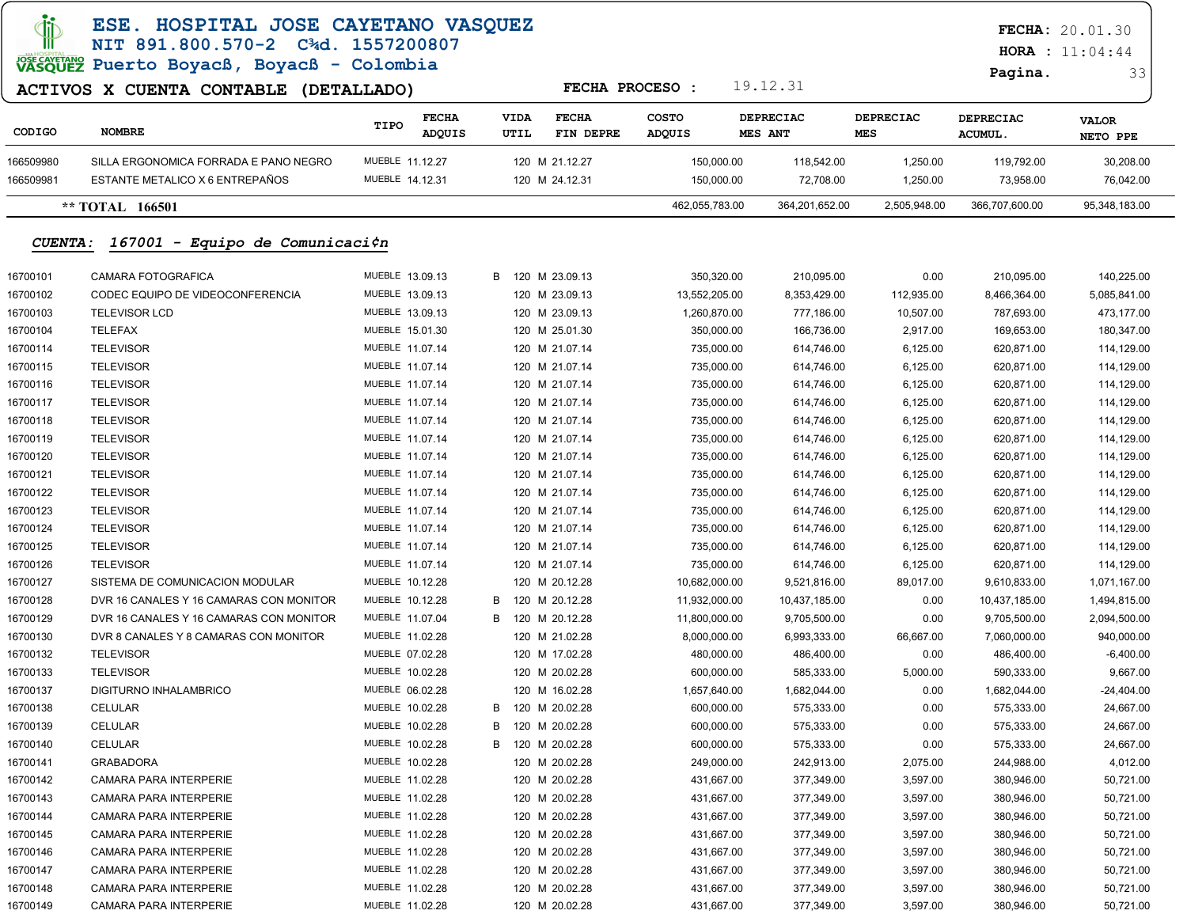|                | ESE. HOSPITAL JOSE CAYETANO VASQUEZ<br>NIT 891.800.570-2 C <sup>3</sup> d. 1557200807 |                                |   |                     |                           |                 |            |                             |                         |                             | <b>FECHA: 20.01.30</b><br><b>HORA</b> : $11:04:44$ |
|----------------|---------------------------------------------------------------------------------------|--------------------------------|---|---------------------|---------------------------|-----------------|------------|-----------------------------|-------------------------|-----------------------------|----------------------------------------------------|
|                | VASQUEZ Puerto Boyacß, Boyacß - Colombia                                              |                                |   |                     | FECHA PROCESO :           |                 |            | 19.12.31                    |                         | Pagina.                     | 33                                                 |
|                | ACTIVOS X CUENTA CONTABLE (DETALLADO)                                                 |                                |   |                     |                           |                 |            |                             |                         |                             |                                                    |
| CODIGO         | <b>NOMBRE</b>                                                                         | <b>FECHA</b><br>TIPO<br>ADQUIS |   | <b>VIDA</b><br>UTIL | <b>FECHA</b><br>FIN DEPRE | COSTO<br>ADQUIS |            | <b>DEPRECIAC</b><br>MES ANT | DEPRECIAC<br><b>MES</b> | <b>DEPRECIAC</b><br>ACUMUL. | <b>VALOR</b><br>NETO PPE                           |
| 166509980      | SILLA ERGONOMICA FORRADA E PANO NEGRO                                                 | MUEBLE 11.12.27                |   |                     | 120 M 21.12.27            |                 | 150,000.00 | 118,542.00                  | 1,250.00                | 119,792.00                  | 30,208.00                                          |
| 166509981      | ESTANTE METALICO X 6 ENTREPAÑOS                                                       | MUEBLE 14.12.31                |   |                     | 120 M 24.12.31            |                 | 150,000.00 | 72,708.00                   | 1,250.00                | 73,958.00                   | 76,042.00                                          |
|                | ** TOTAL 166501                                                                       |                                |   |                     |                           | 462,055,783.00  |            | 364,201,652.00              | 2,505,948.00            | 366,707,600.00              | 95,348,183.00                                      |
| <b>CUENTA:</b> | 167001 - Equipo de Comunicaci¢n                                                       |                                |   |                     |                           |                 |            |                             |                         |                             |                                                    |
| 16700101       | CAMARA FOTOGRAFICA                                                                    | MUEBLE 13.09.13                | B |                     | 120 M 23.09.13            |                 | 350,320.00 | 210,095.00                  | 0.00                    | 210,095.00                  | 140,225.00                                         |
| 16700102       | CODEC EQUIPO DE VIDEOCONFERENCIA                                                      | MUEBLE 13.09.13                |   |                     | 120 M 23.09.13            | 13,552,205.00   |            | 8,353,429.00                | 112,935.00              | 8,466,364.00                | 5,085,841.00                                       |
| 16700103       | <b>TELEVISOR LCD</b>                                                                  | MUEBLE 13.09.13                |   |                     | 120 M 23.09.13            | 1,260,870.00    |            | 777,186.00                  | 10,507.00               | 787,693.00                  | 473,177.00                                         |
| 16700104       | TELEFAX                                                                               | MUEBLE 15.01.30                |   |                     | 120 M 25.01.30            |                 | 350,000.00 | 166,736.00                  | 2,917.00                | 169,653.00                  | 180,347.00                                         |
| 16700114       | <b>TELEVISOR</b>                                                                      | MUEBLE 11.07.14                |   |                     | 120 M 21.07.14            |                 | 735,000.00 | 614,746.00                  | 6,125.00                | 620,871.00                  | 114,129.00                                         |
| 16700115       | <b>TELEVISOR</b>                                                                      | MUEBLE 11.07.14                |   |                     | 120 M 21.07.14            |                 | 735,000.00 | 614,746.00                  | 6,125.00                | 620,871.00                  | 114,129.00                                         |
| 16700116       | <b>TELEVISOR</b>                                                                      | MUEBLE 11.07.14                |   |                     | 120 M 21.07.14            |                 | 735,000.00 | 614,746.00                  | 6,125.00                | 620,871.00                  | 114,129.00                                         |
| 16700117       | <b>TELEVISOR</b>                                                                      | MUEBLE 11.07.14                |   |                     | 120 M 21.07.14            |                 | 735,000.00 | 614,746.00                  | 6,125.00                | 620,871.00                  | 114,129.00                                         |
| 16700118       | <b>TELEVISOR</b>                                                                      | MUEBLE 11.07.14                |   |                     | 120 M 21.07.14            |                 | 735,000.00 | 614,746.00                  | 6,125.00                | 620,871.00                  | 114,129.00                                         |
| 16700119       | <b>TELEVISOR</b>                                                                      | MUEBLE 11.07.14                |   |                     | 120 M 21.07.14            |                 | 735,000.00 | 614,746.00                  | 6,125.00                | 620,871.00                  | 114,129.00                                         |
| 16700120       | <b>TELEVISOR</b>                                                                      | MUEBLE 11.07.14                |   |                     | 120 M 21.07.14            |                 | 735,000.00 | 614,746.00                  | 6,125.00                | 620,871.00                  | 114,129.00                                         |
| 16700121       | <b>TELEVISOR</b>                                                                      | MUEBLE 11.07.14                |   |                     | 120 M 21.07.14            |                 | 735,000.00 | 614,746.00                  | 6,125.00                | 620,871.00                  | 114,129.00                                         |
| 16700122       | <b>TELEVISOR</b>                                                                      | MUEBLE 11.07.14                |   |                     | 120 M 21.07.14            |                 | 735,000.00 | 614,746.00                  | 6,125.00                | 620,871.00                  | 114,129.00                                         |
| 16700123       | <b>TELEVISOR</b>                                                                      | MUEBLE 11.07.14                |   |                     | 120 M 21.07.14            |                 | 735,000.00 | 614,746.00                  | 6,125.00                | 620,871.00                  | 114,129.00                                         |
| 16700124       | <b>TELEVISOR</b>                                                                      | MUEBLE 11.07.14                |   |                     | 120 M 21.07.14            |                 | 735,000.00 | 614,746.00                  | 6,125.00                | 620,871.00                  | 114,129.00                                         |
| 16700125       | <b>TELEVISOR</b>                                                                      | MUEBLE 11.07.14                |   |                     | 120 M 21.07.14            |                 | 735,000.00 | 614,746.00                  | 6,125.00                | 620,871.00                  | 114,129.00                                         |
| 16700126       | <b>TELEVISOR</b>                                                                      | MUEBLE 11.07.14                |   |                     | 120 M 21.07.14            |                 | 735,000.00 | 614,746.00                  | 6,125.00                | 620,871.00                  | 114,129.00                                         |
| 16700127       | SISTEMA DE COMUNICACION MODULAR                                                       | MUEBLE 10.12.28                |   |                     | 120 M 20.12.28            | 10,682,000.00   |            | 9,521,816.00                | 89,017.00               | 9,610,833.00                | 1,071,167.00                                       |
| 16700128       | DVR 16 CANALES Y 16 CAMARAS CON MONITOR                                               | MUEBLE 10.12.28                | B |                     | 120 M 20.12.28            | 11,932,000.00   |            | 10,437,185.00               | 0.00                    | 10,437,185.00               | 1,494,815.00                                       |
| 16700129       | DVR 16 CANALES Y 16 CAMARAS CON MONITOR                                               | MUEBLE 11.07.04                | B |                     | 120 M 20.12.28            | 11,800,000.00   |            | 9,705,500.00                | 0.00                    | 9,705,500.00                | 2,094,500.00                                       |
| 16700130       | DVR 8 CANALES Y 8 CAMARAS CON MONITOR                                                 | MUEBLE 11.02.28                |   |                     | 120 M 21.02.28            | 8,000,000.00    |            | 6,993,333.00                | 66,667.00               | 7,060,000.00                | 940,000.00                                         |
| 16700132       | <b>TELEVISOR</b>                                                                      | MUEBLE 07.02.28                |   |                     | 120 M 17.02.28            |                 | 480,000.00 | 486,400.00                  | 0.00                    | 486,400.00                  | $-6,400.00$                                        |
| 16700133       | <b>TELEVISOR</b>                                                                      | MUEBLE 10.02.28                |   |                     | 120 M 20.02.28            |                 | 600,000.00 | 585,333.00                  | 5,000.00                | 590,333.00                  | 9,667.00                                           |
| 16700137       | DIGITURNO INHALAMBRICO                                                                | MUEBLE 06.02.28                |   |                     | 120 M 16.02.28            | 1,657,640.00    |            | 1,682,044.00                | 0.00                    | 1,682,044.00                | $-24,404.00$                                       |
| 16700138       | CELULAR                                                                               | MUEBLE 10.02.28                | B |                     | 120 M 20.02.28            |                 | 600,000.00 | 575,333.00                  | 0.00                    | 575,333.00                  | 24,667.00                                          |
| 16700139       | CELULAR                                                                               | MUEBLE 10.02.28                | в |                     | 120 M 20.02.28            |                 | 600,000.00 | 575,333.00                  | 0.00                    | 575,333.00                  | 24,667.00                                          |
| 16700140       | CELULAR                                                                               | MUEBLE 10.02.28                | B |                     | 120 M 20.02.28            |                 | 600,000.00 | 575,333.00                  | 0.00                    | 575,333.00                  | 24,667.00                                          |
| 16700141       | <b>GRABADORA</b>                                                                      | MUEBLE 10.02.28                |   |                     | 120 M 20.02.28            |                 | 249,000.00 | 242,913.00                  | 2,075.00                | 244,988.00                  | 4,012.00                                           |
| 16700142       | CAMARA PARA INTERPERIE                                                                | MUEBLE 11.02.28                |   |                     | 120 M 20.02.28            |                 | 431,667.00 | 377,349.00                  | 3,597.00                | 380,946.00                  | 50,721.00                                          |
| 16700143       | CAMARA PARA INTERPERIE                                                                | MUEBLE 11.02.28                |   |                     | 120 M 20.02.28            |                 | 431,667.00 | 377,349.00                  | 3,597.00                | 380,946.00                  | 50,721.00                                          |
| 16700144       | CAMARA PARA INTERPERIE                                                                | MUEBLE 11.02.28                |   |                     | 120 M 20.02.28            |                 | 431,667.00 | 377,349.00                  | 3,597.00                | 380,946.00                  | 50,721.00                                          |
| 16700145       | CAMARA PARA INTERPERIE                                                                | MUEBLE 11.02.28                |   |                     | 120 M 20.02.28            |                 | 431,667.00 | 377,349.00                  | 3,597.00                | 380,946.00                  | 50,721.00                                          |
| 16700146       | CAMARA PARA INTERPERIE                                                                | MUEBLE 11.02.28                |   |                     | 120 M 20.02.28            |                 | 431,667.00 | 377,349.00                  | 3,597.00                | 380,946.00                  | 50,721.00                                          |
| 16700147       | CAMARA PARA INTERPERIE                                                                | MUEBLE 11.02.28                |   |                     | 120 M 20.02.28            |                 | 431,667.00 | 377,349.00                  | 3,597.00                | 380,946.00                  | 50,721.00                                          |
| 16700148       | CAMARA PARA INTERPERIE                                                                | MUEBLE 11.02.28                |   |                     | 120 M 20.02.28            |                 | 431,667.00 | 377,349.00                  | 3,597.00                | 380,946.00                  | 50,721.00                                          |
| 16700149       | CAMARA PARA INTERPERIE                                                                | MUEBLE 11.02.28                |   |                     | 120 M 20.02.28            |                 | 431,667.00 | 377,349.00                  | 3,597.00                | 380,946.00                  | 50,721.00                                          |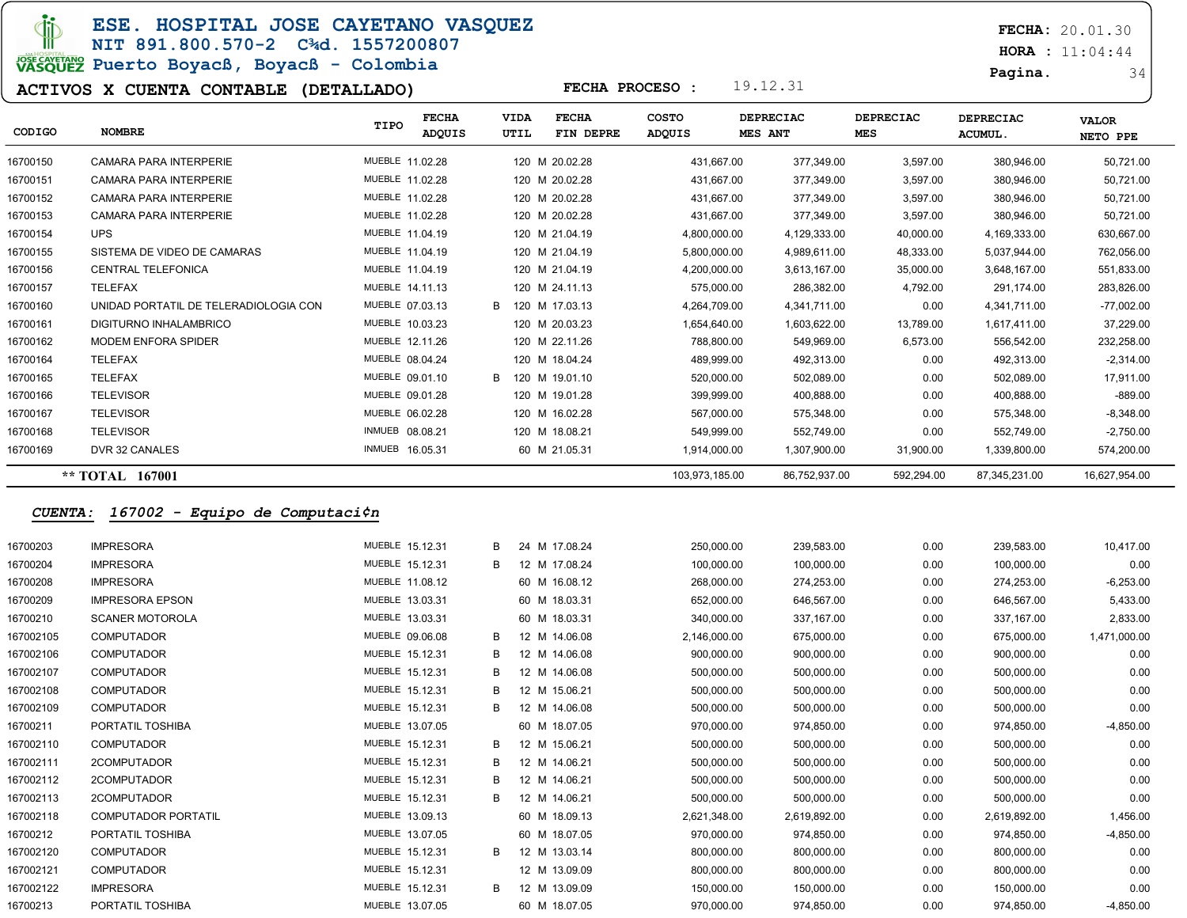**di** 

ESE. HOSPITAL JOSE CAYETANO VASQUEZ NIT 891.800.570-2 C¾d. 1557200807

# **PORTON PUERT DE ROYACH - Colombia**

#### ACTIVOS X CUENTA CONTABLE (DETALLADO)

FECHA: 20.01.30

**HORA** : 11:04:44

Pagina. 34

| CODIGO   | <b>NOMBRE</b>                         | TIPO            | <b>FECHA</b><br><b>ADQUIS</b> | <b>VIDA</b><br>UTIL |                | <b>FECHA</b><br>FIN DEPRE | <b>COSTO</b><br><b>ADQUIS</b> | DEPRECIAC<br>MES ANT | <b>DEPRECIAC</b><br><b>MES</b> | <b>DEPRECIAC</b><br>ACUMUL. | <b>VALOR</b><br>NETO PPE |
|----------|---------------------------------------|-----------------|-------------------------------|---------------------|----------------|---------------------------|-------------------------------|----------------------|--------------------------------|-----------------------------|--------------------------|
| 16700150 | <b>CAMARA PARA INTERPERIE</b>         | MUEBLE 11.02.28 |                               |                     | 120 M 20.02.28 |                           | 431,667.00                    | 377,349.00           | 3,597.00                       | 380,946.00                  | 50,721.00                |
| 16700151 | <b>CAMARA PARA INTERPERIE</b>         | MUEBLE 11.02.28 |                               |                     | 120 M 20.02.28 |                           | 431.667.00                    | 377,349.00           | 3,597.00                       | 380,946.00                  | 50,721.00                |
| 16700152 | <b>CAMARA PARA INTERPERIE</b>         | MUEBLE 11.02.28 |                               |                     | 120 M 20.02.28 |                           | 431.667.00                    | 377.349.00           | 3,597.00                       | 380,946.00                  | 50,721.00                |
| 16700153 | <b>CAMARA PARA INTERPERIE</b>         | MUEBLE 11.02.28 |                               |                     | 120 M 20.02.28 |                           | 431.667.00                    | 377,349.00           | 3,597.00                       | 380,946.00                  | 50,721.00                |
| 16700154 | <b>UPS</b>                            | MUEBLE 11.04.19 |                               |                     | 120 M 21.04.19 |                           | 4,800,000.00                  | 4,129,333.00         | 40,000.00                      | 4,169,333.00                | 630,667.00               |
| 16700155 | SISTEMA DE VIDEO DE CAMARAS           | MUEBLE 11.04.19 |                               |                     | 120 M 21.04.19 |                           | 5.800.000.00                  | 4,989,611.00         | 48,333.00                      | 5,037,944.00                | 762,056.00               |
| 16700156 | <b>CENTRAL TELEFONICA</b>             | MUEBLE 11.04.19 |                               |                     | 120 M 21.04.19 |                           | 4,200,000.00                  | 3,613,167.00         | 35,000.00                      | 3,648,167.00                | 551,833.00               |
| 16700157 | TELEFAX                               | MUEBLE 14.11.13 |                               |                     | 120 M 24.11.13 |                           | 575,000.00                    | 286,382.00           | 4,792.00                       | 291,174.00                  | 283,826.00               |
| 16700160 | UNIDAD PORTATIL DE TELERADIOLOGIA CON | MUEBLE 07.03.13 |                               | B                   | 120 M 17.03.13 |                           | 4.264.709.00                  | 4,341,711.00         | 0.00                           | 4.341.711.00                | $-77,002.00$             |
| 16700161 | DIGITURNO INHALAMBRICO                | MUEBLE 10.03.23 |                               |                     | 120 M 20.03.23 |                           | 1,654,640.00                  | 1,603,622.00         | 13,789.00                      | 1,617,411.00                | 37,229.00                |
| 16700162 | <b>MODEM ENFORA SPIDER</b>            | MUEBLE 12.11.26 |                               |                     | 120 M 22.11.26 |                           | 788,800.00                    | 549,969.00           | 6,573.00                       | 556,542.00                  | 232,258.00               |
| 16700164 | <b>TELEFAX</b>                        | MUEBLE 08.04.24 |                               |                     | 120 M 18.04.24 |                           | 489.999.00                    | 492,313.00           | 0.00                           | 492,313.00                  | $-2,314.00$              |
| 16700165 | <b>TELEFAX</b>                        | MUEBLE 09.01.10 |                               | B.                  | 120 M 19.01.10 |                           | 520,000.00                    | 502,089.00           | 0.00                           | 502,089.00                  | 17,911.00                |
| 16700166 | <b>TELEVISOR</b>                      | MUEBLE 09.01.28 |                               |                     | 120 M 19.01.28 |                           | 399,999.00                    | 400,888.00           | 0.00                           | 400,888.00                  | $-889.00$                |
| 16700167 | <b>TELEVISOR</b>                      | MUEBLE 06.02.28 |                               |                     | 120 M 16.02.28 |                           | 567.000.00                    | 575.348.00           | 0.00                           | 575,348.00                  | $-8,348.00$              |
| 16700168 | <b>TELEVISOR</b>                      | INMUEB 08.08.21 |                               |                     | 120 M 18.08.21 |                           | 549,999.00                    | 552,749.00           | 0.00                           | 552,749.00                  | $-2,750.00$              |
| 16700169 | DVR 32 CANALES                        | INMUEB 16.05.31 |                               |                     | 60 M 21.05.31  |                           | 1,914,000.00                  | 1,307,900.00         | 31,900.00                      | 1,339,800.00                | 574,200.00               |
|          | ** TOTAL 167001                       |                 |                               |                     |                |                           | 103.973.185.00                | 86,752,937.00        | 592,294.00                     | 87,345,231.00               | 16,627,954.00            |

FECHA PROCESO : 19.12.31

#### CUENTA: 167002 - Equipo de Computaci¢n

| 16700203  | <b>IMPRESORA</b>           | MUEBLE 15.12.31 | в | 24 M 17.08.24 | 250,000.00   | 239,583.00   | 0.00 | 239,583.00   | 10,417.00    |
|-----------|----------------------------|-----------------|---|---------------|--------------|--------------|------|--------------|--------------|
|           |                            |                 |   |               |              |              |      |              |              |
| 16700204  | <b>IMPRESORA</b>           | MUEBLE 15.12.31 | B | 12 M 17.08.24 | 100,000.00   | 100,000.00   | 0.00 | 100,000.00   | 0.00         |
| 16700208  | <b>IMPRESORA</b>           | MUEBLE 11.08.12 |   | 60 M 16.08.12 | 268,000.00   | 274,253.00   | 0.00 | 274,253.00   | $-6,253.00$  |
| 16700209  | <b>IMPRESORA EPSON</b>     | MUEBLE 13.03.31 |   | 60 M 18.03.31 | 652,000.00   | 646,567.00   | 0.00 | 646,567.00   | 5,433.00     |
| 16700210  | <b>SCANER MOTOROLA</b>     | MUEBLE 13.03.31 |   | 60 M 18.03.31 | 340,000.00   | 337,167.00   | 0.00 | 337,167.00   | 2,833.00     |
| 167002105 | <b>COMPUTADOR</b>          | MUEBLE 09.06.08 | B | 12 M 14.06.08 | 2,146,000.00 | 675,000.00   | 0.00 | 675,000.00   | 1,471,000.00 |
| 167002106 | <b>COMPUTADOR</b>          | MUEBLE 15.12.31 | B | 12 M 14.06.08 | 900,000.00   | 900,000.00   | 0.00 | 900,000.00   | 0.00         |
| 167002107 | <b>COMPUTADOR</b>          | MUEBLE 15.12.31 | B | 12 M 14.06.08 | 500,000.00   | 500,000.00   | 0.00 | 500,000.00   | 0.00         |
| 167002108 | <b>COMPUTADOR</b>          | MUEBLE 15.12.31 | в | 12 M 15.06.21 | 500,000.00   | 500,000.00   | 0.00 | 500,000.00   | 0.00         |
| 167002109 | <b>COMPUTADOR</b>          | MUEBLE 15.12.31 | B | 12 M 14.06.08 | 500,000.00   | 500,000.00   | 0.00 | 500,000.00   | 0.00         |
| 16700211  | PORTATIL TOSHIBA           | MUEBLE 13.07.05 |   | 60 M 18.07.05 | 970,000.00   | 974,850.00   | 0.00 | 974,850.00   | $-4,850.00$  |
| 167002110 | <b>COMPUTADOR</b>          | MUEBLE 15.12.31 | B | 12 M 15.06.21 | 500,000.00   | 500,000.00   | 0.00 | 500,000.00   | 0.00         |
| 167002111 | 2COMPUTADOR                | MUEBLE 15.12.31 | B | 12 M 14.06.21 | 500,000.00   | 500,000.00   | 0.00 | 500,000.00   | 0.00         |
| 167002112 | 2COMPUTADOR                | MUEBLE 15.12.31 | В | 12 M 14.06.21 | 500,000.00   | 500,000.00   | 0.00 | 500,000.00   | 0.00         |
| 167002113 | 2COMPUTADOR                | MUEBLE 15.12.31 | B | 12 M 14.06.21 | 500,000.00   | 500,000.00   | 0.00 | 500,000.00   | 0.00         |
| 167002118 | <b>COMPUTADOR PORTATIL</b> | MUEBLE 13.09.13 |   | 60 M 18.09.13 | 2,621,348.00 | 2,619,892.00 | 0.00 | 2,619,892.00 | 1,456.00     |
| 16700212  | PORTATIL TOSHIBA           | MUEBLE 13.07.05 |   | 60 M 18.07.05 | 970,000.00   | 974,850.00   | 0.00 | 974,850.00   | $-4,850.00$  |
| 167002120 | <b>COMPUTADOR</b>          | MUEBLE 15.12.31 | B | 12 M 13.03.14 | 800,000.00   | 800,000.00   | 0.00 | 800,000.00   | 0.00         |
| 167002121 | <b>COMPUTADOR</b>          | MUEBLE 15.12.31 |   | 12 M 13.09.09 | 800,000.00   | 800,000.00   | 0.00 | 800,000.00   | 0.00         |
| 167002122 | <b>IMPRESORA</b>           | MUEBLE 15.12.31 | B | 12 M 13.09.09 | 150,000.00   | 150,000.00   | 0.00 | 150,000.00   | 0.00         |
| 16700213  | PORTATIL TOSHIBA           | MUEBLE 13.07.05 |   | 60 M 18.07.05 | 970,000.00   | 974,850.00   | 0.00 | 974,850.00   | $-4,850.00$  |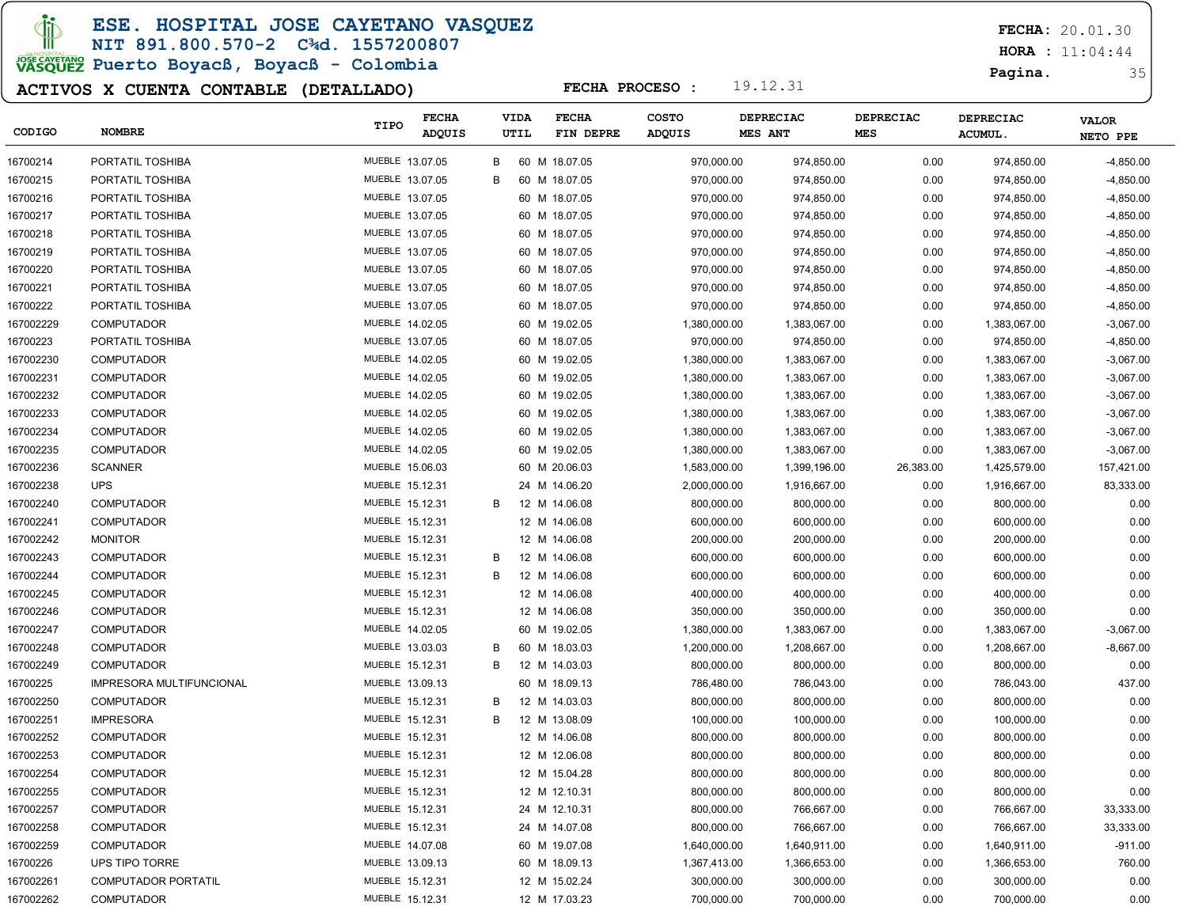ESE. HOSPITAL JOSE CAYETANO VASQUEZ

NIT 891.800.570-2 C¾d. 1557200807

# JOSE CAVERANO<br>VASQUEZ Puerto Boyacß, Boyacß - Colombia

### ACTIVOS X CUENTA CONTABLE (DETALLADO)

FECHA: 20.01.30

**HORA** : 11:04:44

Pagina. 35

| <b>CODIGO</b> | <b>NOMBRE</b>            | TIPO            | <b>FECHA</b><br>ADQUIS | <b>VIDA</b><br>UTIL | <b>FECHA</b><br>FIN DEPRE | <b>COSTO</b><br><b>ADQUIS</b> | <b>DEPRECIAC</b><br>MES ANT | <b>DEPRECIAC</b><br>MES | DEPRECIAC<br>ACUMUL. | <b>VALOR</b><br>NETO PPE |
|---------------|--------------------------|-----------------|------------------------|---------------------|---------------------------|-------------------------------|-----------------------------|-------------------------|----------------------|--------------------------|
| 16700214      | PORTATIL TOSHIBA         | MUEBLE 13.07.05 |                        | В                   | 60 M 18.07.05             | 970,000.00                    | 974,850.00                  | 0.00                    | 974,850.00           | $-4,850.00$              |
| 16700215      | PORTATIL TOSHIBA         | MUEBLE 13.07.05 |                        | B                   | 60 M 18.07.05             | 970,000.00                    | 974,850.00                  | 0.00                    | 974,850.00           | $-4,850.00$              |
| 16700216      | PORTATIL TOSHIBA         | MUEBLE 13.07.05 |                        |                     | 60 M 18.07.05             | 970,000.00                    | 974,850.00                  | 0.00                    | 974,850.00           | $-4,850.00$              |
| 16700217      | PORTATIL TOSHIBA         | MUEBLE 13.07.05 |                        |                     | 60 M 18.07.05             | 970,000.00                    | 974,850.00                  | 0.00                    | 974,850.00           | $-4,850.00$              |
| 16700218      | PORTATIL TOSHIBA         | MUEBLE 13.07.05 |                        |                     | 60 M 18.07.05             | 970,000.00                    | 974,850.00                  | 0.00                    | 974,850.00           | $-4,850.00$              |
| 16700219      | PORTATIL TOSHIBA         | MUEBLE 13.07.05 |                        |                     | 60 M 18.07.05             | 970,000.00                    | 974,850.00                  | 0.00                    | 974,850.00           | $-4,850.00$              |
| 16700220      | PORTATIL TOSHIBA         | MUEBLE 13.07.05 |                        |                     | 60 M 18.07.05             | 970,000.00                    | 974,850.00                  | 0.00                    | 974,850.00           | $-4,850.00$              |
| 16700221      | PORTATIL TOSHIBA         | MUEBLE 13.07.05 |                        |                     | 60 M 18.07.05             | 970,000.00                    | 974,850.00                  | 0.00                    | 974,850.00           | $-4,850.00$              |
| 16700222      | PORTATIL TOSHIBA         | MUEBLE 13.07.05 |                        |                     | 60 M 18.07.05             | 970,000.00                    | 974,850.00                  | 0.00                    | 974,850.00           | $-4,850.00$              |
| 167002229     | <b>COMPUTADOR</b>        | MUEBLE 14.02.05 |                        |                     | 60 M 19.02.05             | 1,380,000.00                  | 1,383,067.00                | 0.00                    | 1,383,067.00         | $-3,067.00$              |
| 16700223      | PORTATIL TOSHIBA         | MUEBLE 13.07.05 |                        |                     | 60 M 18.07.05             | 970,000.00                    | 974,850.00                  | 0.00                    | 974,850.00           | $-4,850.00$              |
| 167002230     | <b>COMPUTADOR</b>        | MUEBLE 14.02.05 |                        |                     | 60 M 19.02.05             | 1,380,000.00                  | 1,383,067.00                | 0.00                    | 1,383,067.00         | $-3,067.00$              |
| 167002231     | <b>COMPUTADOR</b>        | MUEBLE 14.02.05 |                        |                     | 60 M 19.02.05             | 1,380,000.00                  | 1,383,067.00                | 0.00                    | 1,383,067.00         | $-3,067.00$              |
| 167002232     | <b>COMPUTADOR</b>        | MUEBLE 14.02.05 |                        |                     | 60 M 19.02.05             | 1,380,000.00                  | 1,383,067.00                | 0.00                    | 1,383,067.00         | $-3,067.00$              |
| 167002233     | <b>COMPUTADOR</b>        | MUEBLE 14.02.05 |                        |                     | 60 M 19.02.05             | 1,380,000.00                  | 1,383,067.00                | 0.00                    | 1,383,067.00         | $-3,067.00$              |
| 167002234     | <b>COMPUTADOR</b>        | MUEBLE 14.02.05 |                        |                     | 60 M 19.02.05             | 1,380,000.00                  | 1,383,067.00                | 0.00                    | 1,383,067.00         | $-3,067.00$              |
| 167002235     | <b>COMPUTADOR</b>        | MUEBLE 14.02.05 |                        |                     | 60 M 19.02.05             | 1,380,000.00                  | 1,383,067.00                | 0.00                    | 1,383,067.00         | $-3,067.00$              |
| 167002236     | <b>SCANNER</b>           | MUEBLE 15.06.03 |                        |                     | 60 M 20.06.03             | 1,583,000.00                  | 1,399,196.00                | 26,383.00               | 1,425,579.00         | 157,421.00               |
| 167002238     | <b>UPS</b>               | MUEBLE 15.12.31 |                        |                     | 24 M 14.06.20             | 2,000,000.00                  | 1,916,667.00                | 0.00                    | 1,916,667.00         | 83,333.00                |
| 167002240     | <b>COMPUTADOR</b>        | MUEBLE 15.12.31 |                        | В                   | 12 M 14.06.08             | 800,000.00                    | 800,000.00                  | 0.00                    | 800,000.00           | 0.00                     |
| 167002241     | <b>COMPUTADOR</b>        | MUEBLE 15.12.31 |                        |                     | 12 M 14.06.08             | 600,000.00                    | 600,000.00                  | 0.00                    | 600,000.00           | 0.00                     |
| 167002242     | <b>MONITOR</b>           | MUEBLE 15.12.31 |                        |                     | 12 M 14.06.08             | 200,000.00                    | 200,000.00                  | 0.00                    | 200,000.00           | 0.00                     |
| 167002243     | <b>COMPUTADOR</b>        | MUEBLE 15.12.31 |                        | B                   | 12 M 14.06.08             | 600,000.00                    | 600,000.00                  | 0.00                    | 600,000.00           | 0.00                     |
| 167002244     | <b>COMPUTADOR</b>        | MUEBLE 15.12.31 |                        | B                   | 12 M 14.06.08             | 600,000.00                    | 600,000.00                  | 0.00                    | 600,000.00           | 0.00                     |
| 167002245     | <b>COMPUTADOR</b>        | MUEBLE 15.12.31 |                        |                     | 12 M 14.06.08             | 400,000.00                    | 400,000.00                  | 0.00                    | 400,000.00           | 0.00                     |
| 167002246     | <b>COMPUTADOR</b>        | MUEBLE 15.12.31 |                        |                     | 12 M 14.06.08             | 350,000.00                    | 350,000.00                  | 0.00                    | 350,000.00           | 0.00                     |
| 167002247     | <b>COMPUTADOR</b>        | MUEBLE 14.02.05 |                        |                     | 60 M 19.02.05             | 1,380,000.00                  | 1,383,067.00                | 0.00                    | 1,383,067.00         | $-3,067.00$              |
| 167002248     | <b>COMPUTADOR</b>        | MUEBLE 13.03.03 |                        | B                   | 60 M 18.03.03             | 1,200,000.00                  | 1,208,667.00                | 0.00                    | 1,208,667.00         | $-8,667.00$              |
| 167002249     | <b>COMPUTADOR</b>        | MUEBLE 15.12.31 |                        | В                   | 12 M 14.03.03             | 800,000.00                    | 800,000.00                  | 0.00                    | 800,000.00           | 0.00                     |
| 16700225      | IMPRESORA MULTIFUNCIONAL | MUEBLE 13.09.13 |                        |                     | 60 M 18.09.13             | 786,480.00                    | 786,043.00                  | 0.00                    | 786,043.00           | 437.00                   |
| 167002250     | <b>COMPUTADOR</b>        | MUEBLE 15.12.31 |                        | B                   | 12 M 14.03.03             | 800,000.00                    | 800,000.00                  | 0.00                    | 800,000.00           | 0.00                     |
| 167002251     | <b>IMPRESORA</b>         | MUEBLE 15.12.31 |                        | B                   | 12 M 13.08.09             | 100,000.00                    | 100,000.00                  | 0.00                    | 100,000.00           | 0.00                     |
| 167002252     | COMPUTADOR               | MUEBLE 15.12.31 |                        |                     | 12 M 14.06.08             | 800,000.00                    | 800,000.00                  | 0.00                    | 800,000.00           | 0.00                     |
| 167002253     | <b>COMPUTADOR</b>        | MUEBLE 15.12.31 |                        |                     | 12 M 12.06.08             | 800,000.00                    | 800,000.00                  | 0.00                    | 800,000.00           | 0.00                     |
| 167002254     | <b>COMPUTADOR</b>        | MUEBLE 15.12.31 |                        |                     | 12 M 15.04.28             | 800,000.00                    | 800,000.00                  | 0.00                    | 800,000.00           | 0.00                     |
| 167002255     | <b>COMPUTADOR</b>        | MUEBLE 15.12.31 |                        |                     | 12 M 12.10.31             | 800,000.00                    | 800,000.00                  | 0.00                    | 800,000.00           | 0.00                     |
| 167002257     | <b>COMPUTADOR</b>        | MUEBLE 15.12.31 |                        |                     | 24 M 12.10.31             | 800,000.00                    | 766,667.00                  | 0.00                    | 766,667.00           | 33,333.00                |
| 167002258     | COMPUTADOR               | MUEBLE 15.12.31 |                        |                     | 24 M 14.07.08             | 800,000.00                    | 766,667.00                  | 0.00                    | 766,667.00           | 33,333.00                |
| 167002259     | COMPUTADOR               | MUEBLE 14.07.08 |                        |                     | 60 M 19.07.08             | 1,640,000.00                  | 1,640,911.00                | 0.00                    | 1,640,911.00         | $-911.00$                |
| 16700226      | UPS TIPO TORRE           | MUEBLE 13.09.13 |                        |                     | 60 M 18.09.13             | 1,367,413.00                  | 1,366,653.00                | 0.00                    | 1,366,653.00         | 760.00                   |
| 167002261     | COMPUTADOR PORTATIL      | MUEBLE 15.12.31 |                        |                     | 12 M 15.02.24             | 300,000.00                    | 300,000.00                  | 0.00                    | 300,000.00           | 0.00                     |
| 167002262     | <b>COMPUTADOR</b>        | MUEBLE 15.12.31 |                        |                     | 12 M 17.03.23             | 700,000.00                    | 700,000.00                  | 0.00                    | 700,000.00           | 0.00                     |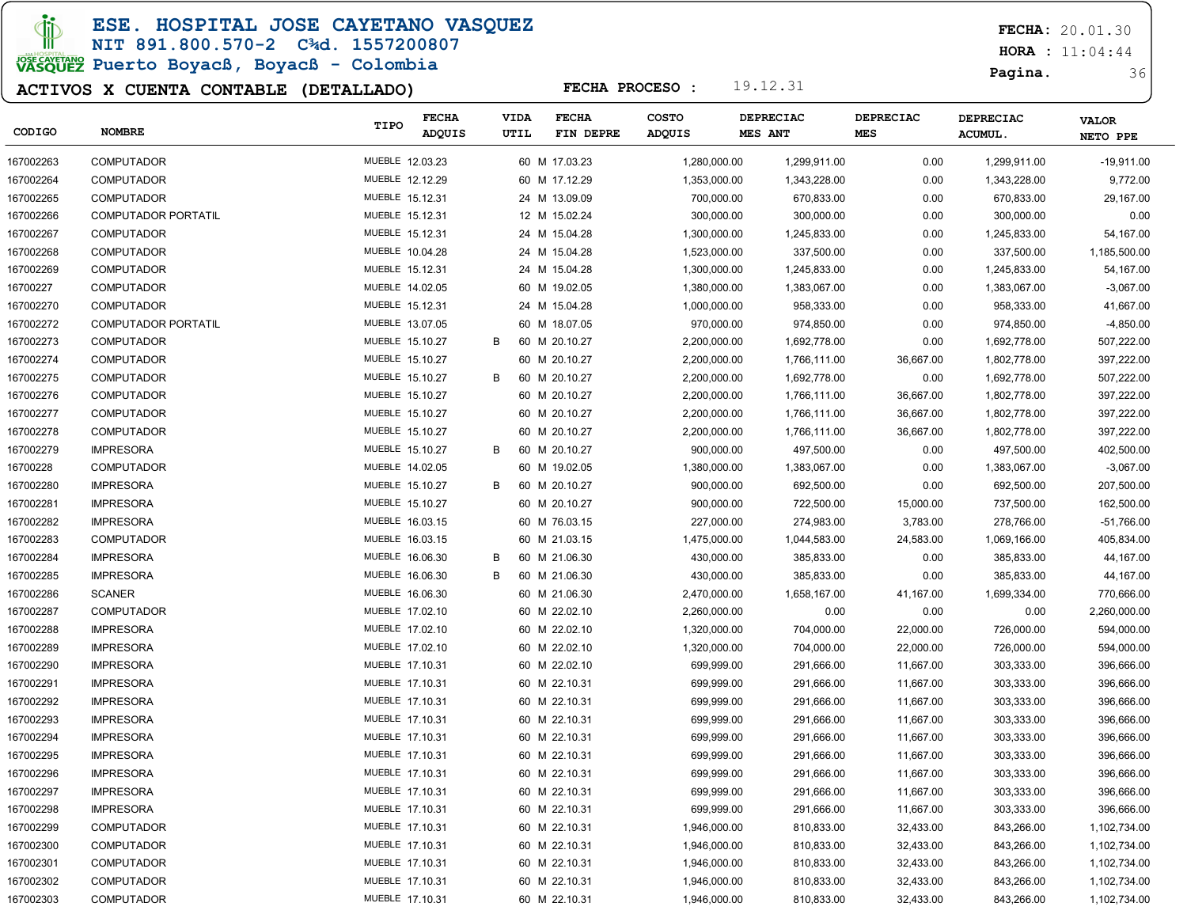ESE. HOSPITAL JOSE CAYETANO VASQUEZ

#### NIT 891.800.570-2 C¾d. 1557200807

# JOSE CAVERANO<br>VASQUEZ Puerto Boyacß, Boyacß - Colombia

### ACTIVOS X CUENTA CONTABLE (DETALLADO)

FECHA: 20.01.30

**HORA** : 11:04:44

Pagina. 36

| CODIGO    | <b>NOMBRE</b>              | TIPO            | <b>FECHA</b><br>ADQUIS | <b>VIDA</b><br>UTIL | <b>FECHA</b><br>FIN DEPRE | <b>COSTO</b><br>ADQUIS | DEPRECIAC<br>MES ANT | <b>DEPRECIAC</b><br>MES | DEPRECIAC<br><b>ACUMUL.</b> | <b>VALOR</b><br>NETO PPE |
|-----------|----------------------------|-----------------|------------------------|---------------------|---------------------------|------------------------|----------------------|-------------------------|-----------------------------|--------------------------|
| 167002263 | <b>COMPUTADOR</b>          | MUEBLE 12.03.23 |                        |                     | 60 M 17.03.23             | 1,280,000.00           | 1,299,911.00         | 0.00                    | 1,299,911.00                | $-19,911.00$             |
| 167002264 | <b>COMPUTADOR</b>          | MUEBLE 12.12.29 |                        |                     | 60 M 17.12.29             | 1,353,000.00           | 1,343,228.00         | 0.00                    | 1,343,228.00                | 9,772.00                 |
| 167002265 | <b>COMPUTADOR</b>          | MUEBLE 15.12.31 |                        |                     | 24 M 13.09.09             | 700,000.00             | 670,833.00           | 0.00                    | 670,833.00                  | 29,167.00                |
| 167002266 | <b>COMPUTADOR PORTATIL</b> | MUEBLE 15.12.31 |                        |                     | 12 M 15.02.24             | 300,000.00             | 300,000.00           | 0.00                    | 300,000.00                  | 0.00                     |
| 167002267 | <b>COMPUTADOR</b>          | MUEBLE 15.12.31 |                        |                     | 24 M 15.04.28             | 1,300,000.00           | 1,245,833.00         | 0.00                    | 1,245,833.00                | 54,167.00                |
| 167002268 | <b>COMPUTADOR</b>          | MUEBLE 10.04.28 |                        |                     | 24 M 15.04.28             | 1,523,000.00           | 337,500.00           | 0.00                    | 337,500.00                  | 1,185,500.00             |
| 167002269 | <b>COMPUTADOR</b>          | MUEBLE 15.12.31 |                        |                     | 24 M 15.04.28             | 1,300,000.00           | 1,245,833.00         | 0.00                    | 1,245,833.00                | 54,167.00                |
| 16700227  | <b>COMPUTADOR</b>          | MUEBLE 14.02.05 |                        |                     | 60 M 19.02.05             | 1,380,000.00           | 1,383,067.00         | 0.00                    | 1,383,067.00                | $-3,067.00$              |
| 167002270 | <b>COMPUTADOR</b>          | MUEBLE 15.12.31 |                        |                     | 24 M 15.04.28             | 1,000,000.00           | 958,333.00           | 0.00                    | 958,333.00                  | 41,667.00                |
| 167002272 | <b>COMPUTADOR PORTATIL</b> | MUEBLE 13.07.05 |                        |                     | 60 M 18.07.05             | 970,000.00             | 974,850.00           | 0.00                    | 974,850.00                  | $-4,850.00$              |
| 167002273 | <b>COMPUTADOR</b>          | MUEBLE 15.10.27 |                        | В                   | 60 M 20.10.27             | 2,200,000.00           | 1,692,778.00         | 0.00                    | 1,692,778.00                | 507,222.00               |
| 167002274 | <b>COMPUTADOR</b>          | MUEBLE 15.10.27 |                        |                     | 60 M 20.10.27             | 2,200,000.00           | 1,766,111.00         | 36,667.00               | 1,802,778.00                | 397,222.00               |
| 167002275 | <b>COMPUTADOR</b>          | MUEBLE 15.10.27 |                        | B                   | 60 M 20.10.27             | 2,200,000.00           | 1,692,778.00         | 0.00                    | 1,692,778.00                | 507,222.00               |
| 167002276 | <b>COMPUTADOR</b>          | MUEBLE 15.10.27 |                        |                     | 60 M 20.10.27             | 2,200,000.00           | 1,766,111.00         | 36,667.00               | 1,802,778.00                | 397,222.00               |
| 167002277 | <b>COMPUTADOR</b>          | MUEBLE 15.10.27 |                        |                     | 60 M 20.10.27             | 2,200,000.00           | 1,766,111.00         | 36,667.00               | 1,802,778.00                | 397,222.00               |
| 167002278 | <b>COMPUTADOR</b>          | MUEBLE 15.10.27 |                        |                     | 60 M 20.10.27             | 2,200,000.00           | 1,766,111.00         | 36,667.00               | 1,802,778.00                | 397,222.00               |
| 167002279 | <b>IMPRESORA</b>           | MUEBLE 15.10.27 |                        | В                   | 60 M 20.10.27             | 900,000.00             | 497,500.00           | 0.00                    | 497,500.00                  | 402,500.00               |
| 16700228  | <b>COMPUTADOR</b>          | MUEBLE 14.02.05 |                        |                     | 60 M 19.02.05             | 1,380,000.00           | 1,383,067.00         | 0.00                    | 1,383,067.00                | $-3,067.00$              |
| 167002280 | <b>IMPRESORA</b>           | MUEBLE 15.10.27 |                        | B                   | 60 M 20.10.27             | 900,000.00             | 692,500.00           | 0.00                    | 692,500.00                  | 207,500.00               |
| 167002281 | <b>IMPRESORA</b>           | MUEBLE 15.10.27 |                        |                     | 60 M 20.10.27             | 900,000.00             | 722,500.00           | 15,000.00               | 737,500.00                  | 162,500.00               |
| 167002282 | <b>IMPRESORA</b>           | MUEBLE 16.03.15 |                        |                     | 60 M 76.03.15             | 227,000.00             | 274,983.00           | 3,783.00                | 278,766.00                  | -51,766.00               |
| 167002283 | <b>COMPUTADOR</b>          | MUEBLE 16.03.15 |                        |                     | 60 M 21.03.15             | 1,475,000.00           | 1,044,583.00         | 24,583.00               | 1,069,166.00                | 405,834.00               |
| 167002284 | <b>IMPRESORA</b>           | MUEBLE 16.06.30 |                        | в                   | 60 M 21.06.30             | 430,000.00             | 385,833.00           | 0.00                    | 385,833.00                  | 44,167.00                |
| 167002285 | <b>IMPRESORA</b>           | MUEBLE 16.06.30 |                        | B                   | 60 M 21.06.30             | 430,000.00             | 385,833.00           | 0.00                    | 385,833.00                  | 44,167.00                |
| 167002286 | <b>SCANER</b>              | MUEBLE 16.06.30 |                        |                     | 60 M 21.06.30             | 2,470,000.00           | 1,658,167.00         | 41,167.00               | 1,699,334.00                | 770,666.00               |
| 167002287 | <b>COMPUTADOR</b>          | MUEBLE 17.02.10 |                        |                     | 60 M 22.02.10             | 2,260,000.00           | 0.00                 | 0.00                    | 0.00                        | 2,260,000.00             |
| 167002288 | <b>IMPRESORA</b>           | MUEBLE 17.02.10 |                        |                     | 60 M 22.02.10             | 1,320,000.00           | 704,000.00           | 22,000.00               | 726,000.00                  | 594,000.00               |
| 167002289 | <b>IMPRESORA</b>           | MUEBLE 17.02.10 |                        |                     | 60 M 22.02.10             | 1,320,000.00           | 704,000.00           | 22,000.00               | 726,000.00                  | 594,000.00               |
| 167002290 | <b>IMPRESORA</b>           | MUEBLE 17.10.31 |                        |                     | 60 M 22.02.10             | 699,999.00             | 291,666.00           | 11,667.00               | 303,333.00                  | 396,666.00               |
| 167002291 | <b>IMPRESORA</b>           | MUEBLE 17.10.31 |                        |                     | 60 M 22.10.31             | 699,999.00             | 291,666.00           | 11,667.00               | 303,333.00                  | 396,666.00               |
| 167002292 | <b>IMPRESORA</b>           | MUEBLE 17.10.31 |                        |                     | 60 M 22.10.31             | 699,999.00             | 291,666.00           | 11,667.00               | 303,333.00                  | 396,666.00               |
| 167002293 | <b>IMPRESORA</b>           | MUEBLE 17.10.31 |                        |                     | 60 M 22.10.31             | 699,999.00             | 291,666.00           | 11,667.00               | 303,333.00                  | 396,666.00               |
| 167002294 | <b>IMPRESORA</b>           | MUEBLE 17.10.31 |                        |                     | 60 M 22.10.31             | 699,999.00             | 291,666.00           | 11,667.00               | 303,333.00                  | 396,666.00               |
| 167002295 | <b>IMPRESORA</b>           | MUEBLE 17.10.31 |                        |                     | 60 M 22.10.31             | 699,999.00             | 291,666.00           | 11,667.00               | 303,333.00                  | 396,666.00               |
| 167002296 | <b>IMPRESORA</b>           | MUEBLE 17.10.31 |                        |                     | 60 M 22.10.31             | 699,999.00             | 291,666.00           | 11,667.00               | 303,333.00                  | 396,666.00               |
| 167002297 | <b>IMPRESORA</b>           | MUEBLE 17.10.31 |                        |                     | 60 M 22.10.31             | 699,999.00             | 291,666.00           | 11,667.00               | 303,333.00                  | 396,666.00               |
| 167002298 | <b>IMPRESORA</b>           | MUEBLE 17.10.31 |                        |                     | 60 M 22.10.31             | 699,999.00             | 291,666.00           | 11,667.00               | 303,333.00                  | 396,666.00               |
| 167002299 | <b>COMPUTADOR</b>          | MUEBLE 17.10.31 |                        |                     | 60 M 22.10.31             | 1,946,000.00           | 810,833.00           | 32,433.00               | 843,266.00                  | 1,102,734.00             |
| 167002300 | <b>COMPUTADOR</b>          | MUEBLE 17.10.31 |                        |                     | 60 M 22.10.31             | 1,946,000.00           | 810,833.00           | 32,433.00               | 843,266.00                  | 1,102,734.00             |
| 167002301 | <b>COMPUTADOR</b>          | MUEBLE 17.10.31 |                        |                     | 60 M 22.10.31             | 1,946,000.00           | 810,833.00           | 32,433.00               | 843,266.00                  | 1,102,734.00             |
| 167002302 | <b>COMPUTADOR</b>          | MUEBLE 17.10.31 |                        |                     | 60 M 22.10.31             | 1,946,000.00           | 810,833.00           | 32,433.00               | 843,266.00                  | 1,102,734.00             |
| 167002303 | <b>COMPUTADOR</b>          | MUEBLE 17.10.31 |                        |                     | 60 M 22.10.31             | 1,946,000.00           | 810,833.00           | 32,433.00               | 843,266.00                  | 1,102,734.00             |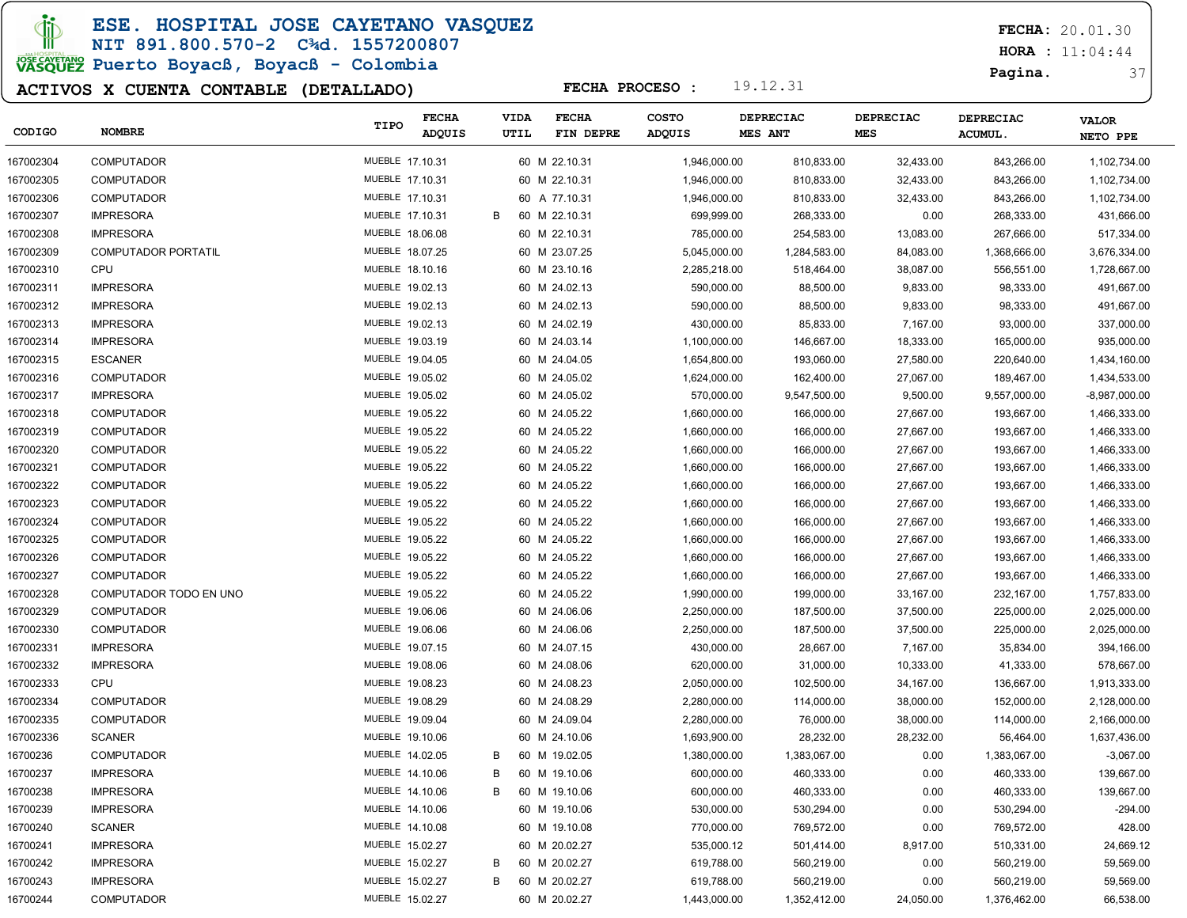ESE. HOSPITAL JOSE CAYETANO VASQUEZ

NIT 891.800.570-2 C¾d. 1557200807 JOSE CAVERANO<br>VASQUEZ Puerto Boyacß, Boyacß - Colombia

### ACTIVOS X CUENTA CONTABLE (DETALLADO)

FECHA: 20.01.30

**HORA** : 11:04:44

Pagina. 37

| CODIGO    | <b>NOMBRE</b>              | TIPO            | <b>FECHA</b><br><b>ADQUIS</b> | VIDA<br>UTIL | <b>FECHA</b><br>FIN DEPRE | <b>COSTO</b><br>ADQUIS | <b>DEPRECIAC</b><br>MES ANT | <b>DEPRECIAC</b><br><b>MES</b> |           | <b>DEPRECIAC</b><br><b>ACUMUL.</b> | <b>VALOR</b><br>NETO PPE |
|-----------|----------------------------|-----------------|-------------------------------|--------------|---------------------------|------------------------|-----------------------------|--------------------------------|-----------|------------------------------------|--------------------------|
| 167002304 | <b>COMPUTADOR</b>          | MUEBLE 17.10.31 |                               |              | 60 M 22.10.31             | 1,946,000.00           | 810,833.00                  |                                | 32,433.00 | 843,266.00                         | 1,102,734.00             |
| 167002305 | <b>COMPUTADOR</b>          | MUEBLE 17.10.31 |                               |              | 60 M 22.10.31             | 1,946,000.00           | 810,833.00                  |                                | 32,433.00 | 843,266.00                         | 1,102,734.00             |
| 167002306 | <b>COMPUTADOR</b>          | MUEBLE 17.10.31 |                               |              | 60 A 77.10.31             | 1,946,000.00           | 810,833.00                  |                                | 32,433.00 | 843,266.00                         | 1,102,734.00             |
| 167002307 | <b>IMPRESORA</b>           | MUEBLE 17.10.31 |                               | В            | 60 M 22.10.31             | 699,999.00             | 268,333.00                  |                                | 0.00      | 268,333.00                         | 431,666.00               |
| 167002308 | <b>IMPRESORA</b>           | MUEBLE 18.06.08 |                               |              | 60 M 22.10.31             | 785,000.00             | 254,583.00                  |                                | 13,083.00 | 267,666.00                         | 517,334.00               |
| 167002309 | <b>COMPUTADOR PORTATIL</b> | MUEBLE 18.07.25 |                               |              | 60 M 23.07.25             | 5,045,000.00           | 1,284,583.00                |                                | 84,083.00 | 1,368,666.00                       | 3,676,334.00             |
| 167002310 | CPU                        | MUEBLE 18.10.16 |                               |              | 60 M 23.10.16             | 2,285,218.00           | 518,464.00                  |                                | 38,087.00 | 556,551.00                         | 1,728,667.00             |
| 167002311 | <b>IMPRESORA</b>           | MUEBLE 19.02.13 |                               |              | 60 M 24.02.13             | 590,000.00             | 88,500.00                   |                                | 9,833.00  | 98,333.00                          | 491,667.00               |
| 167002312 | <b>IMPRESORA</b>           | MUEBLE 19.02.13 |                               |              | 60 M 24.02.13             | 590,000.00             | 88,500.00                   |                                | 9,833.00  | 98,333.00                          | 491,667.00               |
| 167002313 | <b>IMPRESORA</b>           | MUEBLE 19.02.13 |                               |              | 60 M 24.02.19             | 430,000.00             | 85,833.00                   |                                | 7,167.00  | 93,000.00                          | 337,000.00               |
| 167002314 | <b>IMPRESORA</b>           | MUEBLE 19.03.19 |                               |              | 60 M 24.03.14             | 1,100,000.00           | 146,667.00                  |                                | 18,333.00 | 165,000.00                         | 935,000.00               |
| 167002315 | <b>ESCANER</b>             | MUEBLE 19.04.05 |                               |              | 60 M 24.04.05             | 1,654,800.00           | 193,060.00                  |                                | 27,580.00 | 220,640.00                         | 1,434,160.00             |
| 167002316 | <b>COMPUTADOR</b>          | MUEBLE 19.05.02 |                               |              | 60 M 24.05.02             | 1,624,000.00           | 162,400.00                  |                                | 27,067.00 | 189,467.00                         | 1,434,533.00             |
| 167002317 | <b>IMPRESORA</b>           | MUEBLE 19.05.02 |                               |              | 60 M 24.05.02             | 570,000.00             | 9,547,500.00                |                                | 9,500.00  | 9,557,000.00                       | $-8,987,000.00$          |
| 167002318 | <b>COMPUTADOR</b>          | MUEBLE 19.05.22 |                               |              | 60 M 24.05.22             | 1,660,000.00           | 166,000.00                  |                                | 27,667.00 | 193,667.00                         | 1,466,333.00             |
| 167002319 | <b>COMPUTADOR</b>          | MUEBLE 19.05.22 |                               |              | 60 M 24.05.22             | 1,660,000.00           | 166,000.00                  |                                | 27,667.00 | 193,667.00                         | 1,466,333.00             |
| 167002320 | <b>COMPUTADOR</b>          | MUEBLE 19.05.22 |                               |              | 60 M 24.05.22             | 1,660,000.00           | 166,000.00                  |                                | 27,667.00 | 193,667.00                         | 1,466,333.00             |
| 167002321 | <b>COMPUTADOR</b>          | MUEBLE 19.05.22 |                               |              | 60 M 24.05.22             | 1,660,000.00           | 166,000.00                  |                                | 27,667.00 | 193,667.00                         | 1,466,333.00             |
| 167002322 | <b>COMPUTADOR</b>          | MUEBLE 19.05.22 |                               |              | 60 M 24.05.22             | 1,660,000.00           | 166,000.00                  |                                | 27,667.00 | 193,667.00                         | 1,466,333.00             |
| 167002323 | <b>COMPUTADOR</b>          | MUEBLE 19.05.22 |                               |              | 60 M 24.05.22             | 1,660,000.00           | 166,000.00                  |                                | 27,667.00 | 193,667.00                         | 1,466,333.00             |
| 167002324 | <b>COMPUTADOR</b>          | MUEBLE 19.05.22 |                               |              | 60 M 24.05.22             | 1,660,000.00           | 166,000.00                  |                                | 27,667.00 | 193,667.00                         | 1,466,333.00             |
| 167002325 | <b>COMPUTADOR</b>          | MUEBLE 19.05.22 |                               |              | 60 M 24.05.22             | 1,660,000.00           | 166,000.00                  |                                | 27,667.00 | 193,667.00                         | 1,466,333.00             |
| 167002326 | <b>COMPUTADOR</b>          | MUEBLE 19.05.22 |                               |              | 60 M 24.05.22             | 1,660,000.00           | 166,000.00                  |                                | 27,667.00 | 193,667.00                         | 1,466,333.00             |
| 167002327 | <b>COMPUTADOR</b>          | MUEBLE 19.05.22 |                               |              | 60 M 24.05.22             | 1,660,000.00           | 166,000.00                  |                                | 27,667.00 | 193,667.00                         | 1,466,333.00             |
| 167002328 | COMPUTADOR TODO EN UNO     | MUEBLE 19.05.22 |                               |              | 60 M 24.05.22             | 1,990,000.00           | 199,000.00                  |                                | 33,167.00 | 232,167.00                         | 1,757,833.00             |
| 167002329 | <b>COMPUTADOR</b>          | MUEBLE 19.06.06 |                               |              | 60 M 24.06.06             | 2,250,000.00           | 187,500.00                  |                                | 37,500.00 | 225,000.00                         | 2,025,000.00             |
| 167002330 | <b>COMPUTADOR</b>          | MUEBLE 19.06.06 |                               |              | 60 M 24.06.06             | 2,250,000.00           | 187,500.00                  |                                | 37,500.00 | 225,000.00                         | 2,025,000.00             |
| 167002331 | <b>IMPRESORA</b>           | MUEBLE 19.07.15 |                               |              | 60 M 24.07.15             | 430,000.00             | 28,667.00                   |                                | 7,167.00  | 35,834.00                          | 394,166.00               |
| 167002332 | <b>IMPRESORA</b>           | MUEBLE 19.08.06 |                               |              | 60 M 24.08.06             | 620,000.00             | 31,000.00                   |                                | 10,333.00 | 41,333.00                          | 578,667.00               |
| 167002333 | CPU                        | MUEBLE 19.08.23 |                               |              | 60 M 24.08.23             | 2,050,000.00           | 102,500.00                  |                                | 34,167.00 | 136,667.00                         | 1,913,333.00             |
| 167002334 | <b>COMPUTADOR</b>          | MUEBLE 19.08.29 |                               |              | 60 M 24.08.29             | 2,280,000.00           | 114,000.00                  |                                | 38,000.00 | 152,000.00                         | 2,128,000.00             |
| 167002335 | <b>COMPUTADOR</b>          | MUEBLE 19.09.04 |                               |              | 60 M 24.09.04             | 2,280,000.00           | 76,000.00                   |                                | 38,000.00 | 114,000.00                         | 2,166,000.00             |
| 167002336 | <b>SCANER</b>              | MUEBLE 19.10.06 |                               |              | 60 M 24.10.06             | 1,693,900.00           | 28,232.00                   |                                | 28,232.00 | 56,464.00                          | 1,637,436.00             |
| 16700236  | <b>COMPUTADOR</b>          | MUEBLE 14.02.05 |                               | В            | 60 M 19.02.05             | 1,380,000.00           | 1,383,067.00                |                                | 0.00      | 1,383,067.00                       | $-3,067.00$              |
| 16700237  | <b>IMPRESORA</b>           | MUEBLE 14.10.06 |                               | В            | 60 M 19.10.06             | 600,000.00             | 460,333.00                  |                                | 0.00      | 460,333.00                         | 139,667.00               |
| 16700238  | <b>IMPRESORA</b>           | MUEBLE 14.10.06 |                               | В            | 60 M 19.10.06             | 600,000.00             | 460,333.00                  |                                | 0.00      | 460,333.00                         | 139,667.00               |
| 16700239  | <b>IMPRESORA</b>           | MUEBLE 14.10.06 |                               |              | 60 M 19.10.06             | 530,000.00             | 530,294.00                  |                                | 0.00      | 530,294.00                         | $-294.00$                |
| 16700240  | <b>SCANER</b>              | MUEBLE 14.10.08 |                               |              | 60 M 19.10.08             | 770,000.00             | 769,572.00                  |                                | 0.00      | 769,572.00                         | 428.00                   |
| 16700241  | <b>IMPRESORA</b>           | MUEBLE 15.02.27 |                               |              | 60 M 20.02.27             | 535,000.12             | 501,414.00                  |                                | 8,917.00  | 510,331.00                         | 24,669.12                |
| 16700242  | <b>IMPRESORA</b>           | MUEBLE 15.02.27 |                               | В            | 60 M 20.02.27             | 619,788.00             | 560,219.00                  |                                | 0.00      | 560,219.00                         | 59,569.00                |
| 16700243  | <b>IMPRESORA</b>           | MUEBLE 15.02.27 |                               | В            | 60 M 20.02.27             | 619,788.00             | 560,219.00                  |                                | 0.00      | 560,219.00                         | 59,569.00                |
| 16700244  | <b>COMPUTADOR</b>          | MUEBLE 15.02.27 |                               |              | 60 M 20.02.27             | 1,443,000.00           | 1,352,412.00                |                                | 24,050.00 | 1,376,462.00                       | 66,538.00                |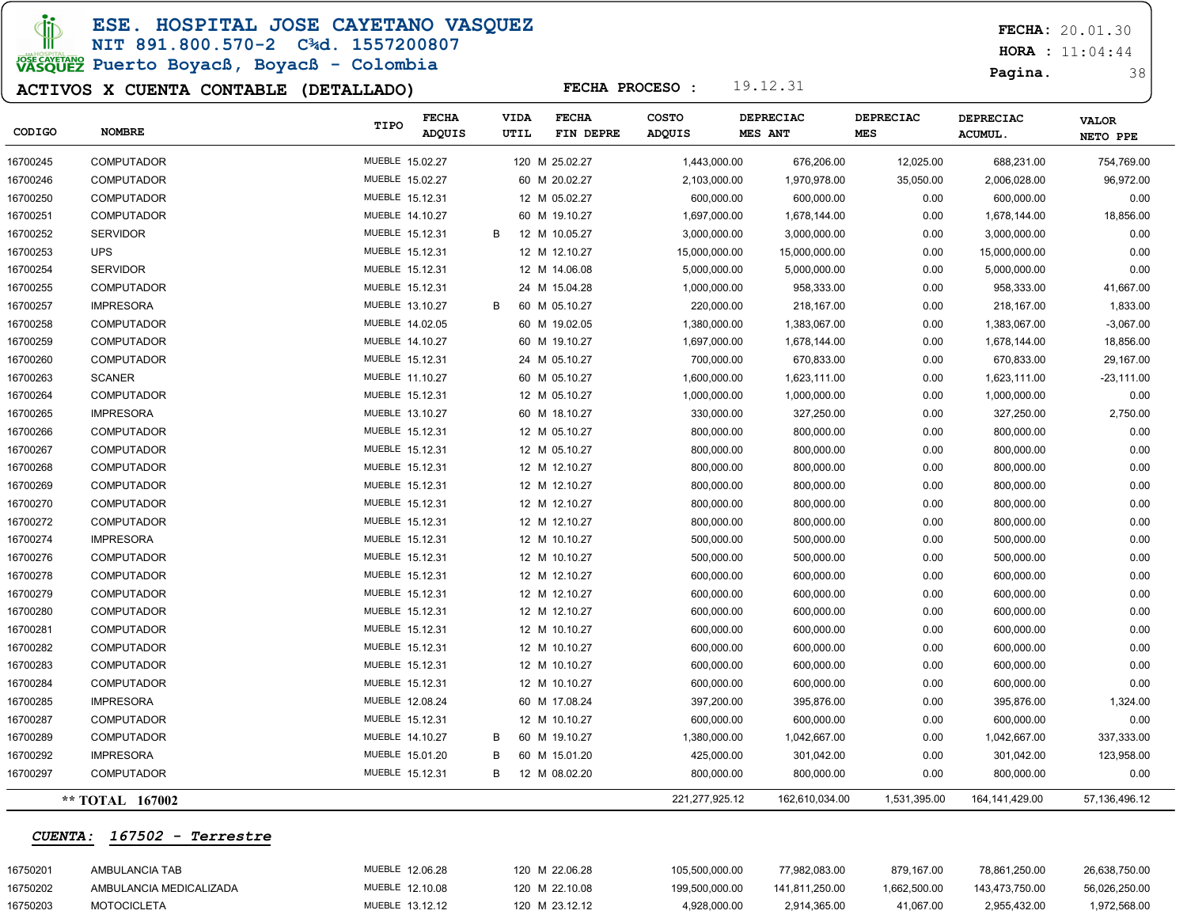**JD** 

ESE. HOSPITAL JOSE CAYETANO VASQUEZ

#### NIT 891.800.570-2 C¾d. 1557200807

# **POWERTANG**<br>VASQUEZ Puerto Boyacß, Boyacß - Colombia

### ACTIVOS X CUENTA CONTABLE (DETALLADO)

FECHA: 20.01.30

**HORA** : 11:04:44

Pagina. 38

| CODIGO                 | <b>NOMBRE</b>      | TIPO            | <b>FECHA</b><br>ADQUIS | <b>VIDA</b><br><b>UTIL</b> | <b>FECHA</b><br>FIN DEPRE | <b>COSTO</b><br>ADQUIS | DEPRECIAC<br>MES ANT | <b>DEPRECIAC</b><br><b>MES</b> |              | <b>DEPRECIAC</b><br>ACUMUL. | <b>VALOR</b><br>NETO PPE |
|------------------------|--------------------|-----------------|------------------------|----------------------------|---------------------------|------------------------|----------------------|--------------------------------|--------------|-----------------------------|--------------------------|
| 16700245               | <b>COMPUTADOR</b>  | MUEBLE 15.02.27 |                        |                            | 120 M 25.02.27            | 1,443,000.00           | 676,206.00           |                                | 12,025.00    | 688,231.00                  | 754,769.00               |
| 16700246               | <b>COMPUTADOR</b>  | MUEBLE 15.02.27 |                        |                            | 60 M 20.02.27             | 2,103,000.00           | 1,970,978.00         |                                | 35,050.00    | 2,006,028.00                | 96,972.00                |
| 16700250               | <b>COMPUTADOR</b>  | MUEBLE 15.12.31 |                        |                            | 12 M 05.02.27             | 600,000.00             | 600,000.00           |                                | 0.00         | 600,000.00                  | 0.00                     |
| 16700251               | <b>COMPUTADOR</b>  | MUEBLE 14.10.27 |                        |                            | 60 M 19.10.27             | 1,697,000.00           | 1,678,144.00         |                                | 0.00         | 1,678,144.00                | 18,856.00                |
| 16700252               | <b>SERVIDOR</b>    | MUEBLE 15.12.31 |                        | B                          | 12 M 10.05.27             | 3,000,000.00           | 3,000,000.00         |                                | 0.00         | 3,000,000.00                | 0.00                     |
| 16700253               | <b>UPS</b>         | MUEBLE 15.12.31 |                        |                            | 12 M 12.10.27             | 15,000,000.00          | 15,000,000.00        |                                | 0.00         | 15,000,000.00               | 0.00                     |
| 16700254               | <b>SERVIDOR</b>    | MUEBLE 15.12.31 |                        |                            | 12 M 14.06.08             | 5,000,000.00           | 5,000,000.00         |                                | 0.00         | 5,000,000.00                | 0.00                     |
| 16700255               | <b>COMPUTADOR</b>  | MUEBLE 15.12.31 |                        |                            | 24 M 15.04.28             | 1,000,000.00           | 958,333.00           |                                | 0.00         | 958,333.00                  | 41,667.00                |
| 16700257               | <b>IMPRESORA</b>   | MUEBLE 13.10.27 |                        | B                          | 60 M 05.10.27             | 220,000.00             | 218,167.00           |                                | 0.00         | 218,167.00                  | 1,833.00                 |
| 16700258               | <b>COMPUTADOR</b>  | MUEBLE 14.02.05 |                        |                            | 60 M 19.02.05             | 1,380,000.00           | 1,383,067.00         |                                | 0.00         | 1,383,067.00                | $-3,067.00$              |
| 16700259               | <b>COMPUTADOR</b>  | MUEBLE 14.10.27 |                        |                            | 60 M 19.10.27             | 1,697,000.00           | 1,678,144.00         |                                | 0.00         | 1,678,144.00                | 18,856.00                |
| 16700260               | <b>COMPUTADOR</b>  | MUEBLE 15.12.31 |                        |                            | 24 M 05.10.27             | 700,000.00             | 670,833.00           |                                | 0.00         | 670,833.00                  | 29,167.00                |
| 16700263               | <b>SCANER</b>      | MUEBLE 11.10.27 |                        |                            | 60 M 05.10.27             | 1,600,000.00           | 1,623,111.00         |                                | 0.00         | 1,623,111.00                | $-23,111.00$             |
| 16700264               | <b>COMPUTADOR</b>  | MUEBLE 15.12.31 |                        |                            | 12 M 05.10.27             | 1,000,000.00           | 1,000,000.00         |                                | 0.00         | 1,000,000.00                | 0.00                     |
| 16700265               | <b>IMPRESORA</b>   | MUEBLE 13.10.27 |                        |                            | 60 M 18.10.27             | 330,000.00             | 327,250.00           |                                | 0.00         | 327,250.00                  | 2,750.00                 |
| 16700266               | <b>COMPUTADOR</b>  | MUEBLE 15.12.31 |                        |                            | 12 M 05.10.27             | 800,000.00             | 800,000.00           |                                | 0.00         | 800,000.00                  | 0.00                     |
| 16700267               | <b>COMPUTADOR</b>  | MUEBLE 15.12.31 |                        |                            | 12 M 05.10.27             | 800,000.00             | 800,000.00           |                                | 0.00         | 800,000.00                  | 0.00                     |
| 16700268               | <b>COMPUTADOR</b>  | MUEBLE 15.12.31 |                        |                            | 12 M 12.10.27             | 800,000.00             | 800,000.00           |                                | 0.00         | 800,000.00                  | 0.00                     |
| 16700269               | <b>COMPUTADOR</b>  | MUEBLE 15.12.31 |                        |                            | 12 M 12.10.27             | 800,000.00             | 800,000.00           |                                | 0.00         | 800,000.00                  | 0.00                     |
| 16700270               | <b>COMPUTADOR</b>  | MUEBLE 15.12.31 |                        |                            | 12 M 12.10.27             | 800,000.00             | 800,000.00           |                                | 0.00         | 800,000.00                  | 0.00                     |
| 16700272               | <b>COMPUTADOR</b>  | MUEBLE 15.12.31 |                        |                            | 12 M 12.10.27             | 800,000.00             | 800,000.00           |                                | 0.00         | 800,000.00                  | 0.00                     |
| 16700274               | <b>IMPRESORA</b>   | MUEBLE 15.12.31 |                        |                            | 12 M 10.10.27             | 500,000.00             | 500,000.00           |                                | 0.00         | 500,000.00                  | 0.00                     |
| 16700276               | <b>COMPUTADOR</b>  | MUEBLE 15.12.31 |                        |                            | 12 M 10.10.27             | 500,000.00             | 500,000.00           |                                | 0.00         | 500,000.00                  | 0.00                     |
| 16700278               | <b>COMPUTADOR</b>  | MUEBLE 15.12.31 |                        |                            | 12 M 12.10.27             | 600,000.00             | 600,000.00           |                                | 0.00         | 600,000.00                  | 0.00                     |
| 16700279               | <b>COMPUTADOR</b>  | MUEBLE 15.12.31 |                        |                            | 12 M 12.10.27             | 600,000.00             | 600,000.00           |                                | 0.00         | 600,000.00                  | 0.00                     |
| 16700280               | <b>COMPUTADOR</b>  | MUEBLE 15.12.31 |                        |                            | 12 M 12.10.27             | 600,000.00             | 600,000.00           |                                | 0.00         | 600,000.00                  | 0.00                     |
| 16700281               | COMPUTADOR         | MUEBLE 15.12.31 |                        |                            | 12 M 10.10.27             | 600,000.00             | 600,000.00           |                                | 0.00         | 600,000.00                  | 0.00                     |
| 16700282               | <b>COMPUTADOR</b>  | MUEBLE 15.12.31 |                        |                            | 12 M 10.10.27             | 600,000.00             | 600,000.00           |                                | 0.00         | 600,000.00                  | 0.00                     |
| 16700283               | <b>COMPUTADOR</b>  | MUEBLE 15.12.31 |                        |                            | 12 M 10.10.27             | 600,000.00             | 600,000.00           |                                | 0.00         | 600,000.00                  | 0.00                     |
| 16700284               | <b>COMPUTADOR</b>  | MUEBLE 15.12.31 |                        |                            | 12 M 10.10.27             | 600,000.00             | 600,000.00           |                                | 0.00         | 600,000.00                  | 0.00                     |
| 16700285               | <b>IMPRESORA</b>   | MUEBLE 12.08.24 |                        |                            | 60 M 17.08.24             | 397,200.00             | 395,876.00           |                                | 0.00         | 395,876.00                  | 1,324.00                 |
| 16700287               | <b>COMPUTADOR</b>  | MUEBLE 15.12.31 |                        |                            | 12 M 10.10.27             | 600,000.00             | 600,000.00           |                                | 0.00         | 600,000.00                  | 0.00                     |
| 16700289               | <b>COMPUTADOR</b>  | MUEBLE 14.10.27 |                        | B                          | 60 M 19.10.27             | 1,380,000.00           | 1,042,667.00         |                                | 0.00         | 1,042,667.00                | 337,333.00               |
| 16700292               | <b>IMPRESORA</b>   | MUEBLE 15.01.20 |                        | B                          | 60 M 15.01.20             | 425,000.00             | 301,042.00           |                                | 0.00         | 301,042.00                  | 123,958.00               |
| 16700297               | <b>COMPUTADOR</b>  | MUEBLE 15.12.31 |                        | B                          | 12 M 08.02.20             | 800,000.00             | 800,000.00           |                                | 0.00         | 800,000.00                  | 0.00                     |
|                        | ** TOTAL 167002    |                 |                        |                            |                           | 221, 277, 925. 12      | 162,610,034.00       |                                | 1,531,395.00 | 164, 141, 429.00            | 57,136,496.12            |
| <i><b>CUENTA :</b></i> | 167502 - Terrestre |                 |                        |                            |                           |                        |                      |                                |              |                             |                          |

| 16750201 | AMBULANCIA TAB          | MUEBLE 12.06.28 | 120 M 22.06.28 | 105.500.000.00 | 77.982.083.00  | 879.167.00   | 78.861.250.00  | 26,638,750.00 |
|----------|-------------------------|-----------------|----------------|----------------|----------------|--------------|----------------|---------------|
| 16750202 | AMBULANCIA MEDICALIZADA | MUEBLE 12.10.08 | 120 M 22.10.08 | 199.500.000.00 | 141.811.250.00 | 1.662.500.00 | 143.473.750.00 | 56,026,250.00 |
| 16750203 | MOTOCICLETA             | MUEBLE 13.12.12 | 120 M 23.12.12 | 4,928,000.00   | 2,914,365.00   | 41,067.00    | 2,955,432.00   | 1,972,568.00  |